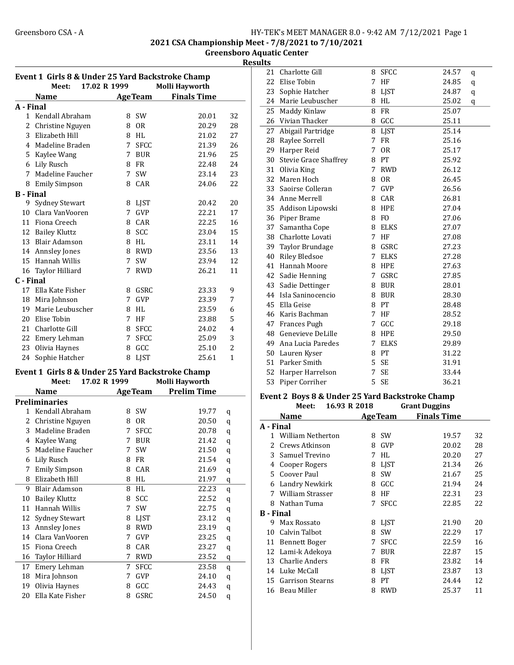2021 CSA Championship Meet - 7/8/2021 to 7/10/2021

Greensboro Aquatic Center

| Results |  |
|---------|--|

| Event 1 Girls 8 & Under 25 Yard Backstroke Champ |                                                       |             |                |                    |                |  |  |
|--------------------------------------------------|-------------------------------------------------------|-------------|----------------|--------------------|----------------|--|--|
|                                                  | 17.02 R 1999<br>Meet:                                 |             |                | Molli Hayworth     |                |  |  |
|                                                  | <b>Name</b>                                           |             | <b>AgeTeam</b> | <b>Finals Time</b> |                |  |  |
| A - Final                                        |                                                       |             |                |                    |                |  |  |
| 1                                                | Kendall Abraham                                       | 8           | <b>SW</b>      | 20.01              | 32             |  |  |
| 2                                                | Christine Nguyen                                      | 8           | 0 <sub>R</sub> | 20.29              | 28             |  |  |
| 3                                                | Elizabeth Hill                                        |             | 8 HL           | 21.02              | 27             |  |  |
| 4                                                | Madeline Braden                                       | 7           | <b>SFCC</b>    | 21.39              | 26             |  |  |
| 5                                                | Kaylee Wang                                           | 7           | <b>BUR</b>     | 21.96              | 25             |  |  |
|                                                  | 6 Lily Rusch                                          | 8           | <b>FR</b>      | 22.48              | 24             |  |  |
| 7                                                | Madeline Faucher                                      | $7^{\circ}$ | <b>SW</b>      | 23.14              | 23             |  |  |
| 8                                                | <b>Emily Simpson</b>                                  |             | 8 CAR          | 24.06              | 22             |  |  |
| <b>B</b> - Final                                 |                                                       |             |                |                    |                |  |  |
| 9                                                | <b>Sydney Stewart</b>                                 | 8           | <b>LJST</b>    | 20.42              | 20             |  |  |
| 10                                               | Clara VanVooren                                       | 7           | <b>GVP</b>     | 22.21              | 17             |  |  |
|                                                  | 11 Fiona Creech                                       | 8           | CAR            | 22.25              | 16             |  |  |
|                                                  | 12 Bailey Kluttz                                      | 8           | <b>SCC</b>     | 23.04              | 15             |  |  |
|                                                  | 13 Blair Adamson                                      | 8           | <b>HL</b>      | 23.11              | 14             |  |  |
|                                                  | 14 Annsley Jones                                      |             | 8 RWD          | 23.56              | 13             |  |  |
| 15                                               | Hannah Willis                                         | 7           | <b>SW</b>      | 23.94              | 12             |  |  |
| 16                                               | Taylor Hilliard                                       | 7           | <b>RWD</b>     | 26.21              | 11             |  |  |
| C - Final                                        |                                                       |             |                |                    |                |  |  |
| 17                                               | Ella Kate Fisher                                      | 8           | GSRC           | 23.33              | 9              |  |  |
|                                                  | 18 Mira Johnson                                       | 7           | <b>GVP</b>     | 23.39              | 7              |  |  |
| 19                                               | Marie Leubuscher                                      | 8           | <b>HL</b>      | 23.59              | 6              |  |  |
| 20                                               | Elise Tobin                                           | $7^{\circ}$ | HF             | 23.88              | 5              |  |  |
| 21                                               | Charlotte Gill                                        | 8           | <b>SFCC</b>    | 24.02              | 4              |  |  |
|                                                  | 22 Emery Lehman                                       | $7^{\circ}$ | <b>SFCC</b>    | 25.09              | 3              |  |  |
| 23                                               | Olivia Haynes                                         | 8           | GCC            | 25.10              | $\overline{c}$ |  |  |
| 24                                               | Sophie Hatcher                                        | 8           | <b>LJST</b>    | 25.61              | $\mathbf{1}$   |  |  |
|                                                  | Exant 1, Civic 0, 0, Under 25 Vard Decisionalse Champ |             |                |                    |                |  |  |

#### Event 1 Girls 8 & Under 25 Yard Backstroke Champ Meet: 17.02 R 1999 Molli Hayworth

|    | меет:                | 17.02 K 1999 |   |                 | MOIII HAYWOFT.     |   |
|----|----------------------|--------------|---|-----------------|--------------------|---|
|    | Name                 |              |   | <b>Age Team</b> | <b>Prelim Time</b> |   |
|    | <b>Preliminaries</b> |              |   |                 |                    |   |
| 1  | Kendall Abraham      |              | 8 | <b>SW</b>       | 19.77              | q |
| 2  | Christine Nguyen     |              | 8 | 0 <sub>R</sub>  | 20.50              | q |
| 3  | Madeline Braden      |              | 7 | <b>SFCC</b>     | 20.78              | q |
| 4  | Kaylee Wang          |              | 7 | <b>BUR</b>      | 21.42              | q |
| 5  | Madeline Faucher     |              | 7 | SW              | 21.50              | q |
| 6  | Lily Rusch           |              | 8 | <b>FR</b>       | 21.54              | q |
| 7  | <b>Emily Simpson</b> |              | 8 | CAR             | 21.69              | q |
| 8  | Elizabeth Hill       |              | 8 | HL              | 21.97              | q |
| 9  | <b>Blair Adamson</b> |              | 8 | HL              | 22.23              | q |
| 10 | <b>Bailey Kluttz</b> |              | 8 | SCC             | 22.52              | q |
| 11 | Hannah Willis        |              | 7 | <b>SW</b>       | 22.75              | q |
| 12 | Sydney Stewart       |              | 8 | <b>LIST</b>     | 23.12              | q |
| 13 | <b>Annsley Jones</b> |              | 8 | <b>RWD</b>      | 23.19              | q |
| 14 | Clara VanVooren      |              | 7 | GVP             | 23.25              | q |
| 15 | Fiona Creech         |              | 8 | CAR             | 23.27              | q |
| 16 | Taylor Hilliard      |              | 7 | <b>RWD</b>      | 23.52              | q |
| 17 | Emery Lehman         |              | 7 | <b>SFCC</b>     | 23.58              | q |
| 18 | Mira Johnson         |              | 7 | GVP             | 24.10              | q |
| 19 | Olivia Haynes        |              | 8 | GCC             | 24.43              | q |
| 20 | Ella Kate Fisher     |              | 8 | GSRC            | 24.50              | q |
|    |                      |              |   |                 |                    |   |

| 21 | Charlotte Gill           | 8           | <b>SFCC</b>    | 24.57 | q |
|----|--------------------------|-------------|----------------|-------|---|
|    | 22 Elise Tobin           | 7           | HF             | 24.85 | q |
|    | 23 Sophie Hatcher        | 8           | LJST           | 24.87 | q |
|    | 24 Marie Leubuscher      | 8           | <b>HL</b>      | 25.02 | q |
|    | 25 Maddy Kinlaw          | 8           | <b>FR</b>      | 25.07 |   |
|    | 26 Vivian Thacker        | 8           | GCC            | 25.11 |   |
|    | 27 Abigail Partridge     | 8           | LJST           | 25.14 |   |
|    | 28 Raylee Sorrell        | 7           | <b>FR</b>      | 25.16 |   |
|    | 29 Harper Reid           | 7           | <b>OR</b>      | 25.17 |   |
|    | 30 Stevie Grace Shaffrey | 8           | PT             | 25.92 |   |
|    | 31 Olivia King           | 7           | <b>RWD</b>     | 26.12 |   |
|    | 32 Maren Hoch            | 8           | 0 <sub>R</sub> | 26.45 |   |
|    | 33 Saoirse Colleran      | 7           | <b>GVP</b>     | 26.56 |   |
|    | 34 Anne Merrell          | 8           | CAR            | 26.81 |   |
|    | 35 Addison Lipowski      | 8           | <b>HPE</b>     | 27.04 |   |
|    | 36 Piper Brame           | 8           | F <sub>0</sub> | 27.06 |   |
|    | 37 Samantha Cope         | 8           | <b>ELKS</b>    | 27.07 |   |
|    | 38 Charlotte Lovati      | 7           | HF             | 27.08 |   |
|    | 39 Taylor Brundage       | 8           | <b>GSRC</b>    | 27.23 |   |
|    | 40 Riley Bledsoe         | $7^{\circ}$ | <b>ELKS</b>    | 27.28 |   |
|    | 41 Hannah Moore          | 8           | HPE            | 27.63 |   |
|    | 42 Sadie Henning         | 7           | GSRC           | 27.85 |   |
|    | 43 Sadie Dettinger       | 8           | <b>BUR</b>     | 28.01 |   |
|    | 44 Isla Saninocencio     | 8           | <b>BUR</b>     | 28.30 |   |
|    | 45 Ella Geise            | 8           | PТ             | 28.48 |   |
|    | 46 Karis Bachman         | 7           | HF             | 28.52 |   |
|    | 47 Frances Pugh          | 7           | GCC            | 29.18 |   |
|    | 48 Genevieve DeLille     | 8           | <b>HPE</b>     | 29.50 |   |
|    | 49 Ana Lucia Paredes     | 7           | <b>ELKS</b>    | 29.89 |   |
|    | 50 Lauren Kyser          | 8           | PT             | 31.22 |   |
|    | 51 Parker Smith          | 5           | SE             | 31.91 |   |
|    | 52 Harper Harrelson      | 7           | <b>SE</b>      | 33.44 |   |
|    | 53 Piper Corriher        | 5           | <b>SE</b>      | 36.21 |   |
|    |                          |             |                |       |   |

#### Event 2 Boys 8 & Under 25 Yard Backstroke Champ

|                  | Meet:                 | 16.93 R 2018 |                 | <b>Grant Duggins</b> |    |
|------------------|-----------------------|--------------|-----------------|----------------------|----|
|                  | Name                  |              | <b>Age Team</b> | <b>Finals Time</b>   |    |
| A - Final        |                       |              |                 |                      |    |
|                  | 1 William Netherton   | 8            | <b>SW</b>       | 19.57                | 32 |
| 2.               | Crews Atkinson        | 8            | GVP             | 20.02                | 28 |
| 3                | Samuel Trevino        | 7            | HL              | 20.20                | 27 |
| 4                | Cooper Rogers         | 8            | <b>LIST</b>     | 21.34                | 26 |
| 5.               | Coover Paul           | 8            | SW              | 21.67                | 25 |
| 6                | Landry Newkirk        | 8            | GCC             | 21.94                | 24 |
| 7                | William Strasser      | 8            | HF              | 22.31                | 23 |
| 8                | Nathan Tuma           | 7            | <b>SFCC</b>     | 22.85                | 22 |
| <b>B</b> - Final |                       |              |                 |                      |    |
| 9                | Max Rossato           | 8            | <b>LIST</b>     | 21.90                | 20 |
| 10               | Calvin Talbot         | 8            | <b>SW</b>       | 22.29                | 17 |
| 11               | <b>Bennett Boger</b>  | 7            | <b>SFCC</b>     | 22.59                | 16 |
| 12               | Lami-k Adekoya        | 7            | <b>BUR</b>      | 22.87                | 15 |
| 13               | <b>Charlie Anders</b> | 8            | <b>FR</b>       | 23.82                | 14 |
| 14               | Luke McCall           | 8            | <b>LIST</b>     | 23.87                | 13 |
|                  | 15 Garrison Stearns   | 8            | PT              | 24.44                | 12 |
|                  | 16 Beau Miller        | 8            | <b>RWD</b>      | 25.37                | 11 |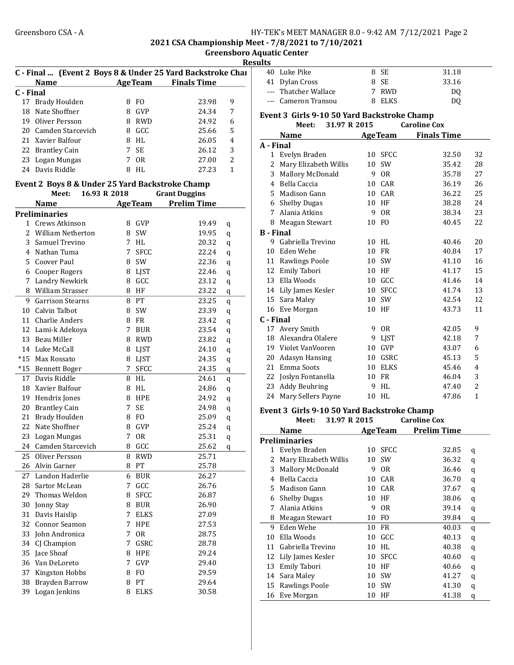2021 CSA Championship Meet - 7/8/2021 to 7/10/2021

Greensboro Aquatic Center **Results** 

|           | C - Final  (Event 2 Boys 8 & Under 25 Yard Backstroke Char<br><b>Name</b> |             |                | AgeTeam Finals Time  |                |  |
|-----------|---------------------------------------------------------------------------|-------------|----------------|----------------------|----------------|--|
| C - Final |                                                                           |             |                |                      |                |  |
|           | 17 Brady Houlden                                                          |             | 8 FO           | 23.98                | 9              |  |
|           | 18 Nate Shoffner                                                          |             | 8 GVP          | 24.34                | 7              |  |
|           | 19 Oliver Persson                                                         |             | 8 RWD          | 24.92                | 6              |  |
|           | 20 Camden Starcevich                                                      |             | 8 GCC          | 25.66                | 5              |  |
|           | 21 Xavier Balfour                                                         |             | 8 HL           | 26.05                | 4              |  |
|           | 22 Brantley Cain                                                          | $7^{\circ}$ | <b>SE</b>      | 26.12                | 3              |  |
|           | 23 Logan Mungas                                                           | 7           | <b>OR</b>      | 27.00                | $\overline{2}$ |  |
|           | 24 Davis Riddle                                                           | 8           | HL             | 27.23                | 1              |  |
|           | Event 2 Boys 8 & Under 25 Yard Backstroke Champ                           |             |                |                      |                |  |
|           | 16.93 R 2018<br>Meet:                                                     |             |                | <b>Grant Duggins</b> |                |  |
|           | <b>Name</b>                                                               |             | <b>AgeTeam</b> | <b>Prelim Time</b>   |                |  |
|           | <b>Preliminaries</b>                                                      |             |                |                      |                |  |
|           | 1 Crews Atkinson                                                          | 8           | <b>GVP</b>     | 19.49                | q              |  |
| 2.        | William Netherton                                                         | 8           | <b>SW</b>      | 19.95                | q              |  |
| 3         | Samuel Trevino                                                            | 7           | HL             | 20.32                | q              |  |
|           | 4 Nathan Tuma                                                             | 7           | <b>SFCC</b>    | 22.24                | q              |  |
|           | 5 Coover Paul                                                             |             | 8 SW           | 22.36                | q              |  |
|           | 6 Cooper Rogers                                                           |             | 8 LJST         | 22.46                | q              |  |
|           | 7 Landry Newkirk                                                          |             | 8 GCC          | 23.12                | q              |  |
|           | 8 William Strasser                                                        |             | 8 HF           | 23.22                | q              |  |
|           | 9 Garrison Stearns                                                        |             | 8 PT           | 23.25                | q              |  |
|           | 10 Calvin Talbot                                                          |             | 8 SW           | 23.39                | q              |  |
|           | 11 Charlie Anders                                                         |             | 8 FR           | 23.42                | q              |  |
|           | 12 Lami-k Adekoya                                                         | 7           | <b>BUR</b>     | 23.54                | q              |  |
|           | 13 Beau Miller                                                            |             | 8 RWD          | 23.82                | q              |  |
|           | 14 Luke McCall                                                            |             | 8 LJST         | 24.10                | q              |  |
|           | *15 Max Rossato                                                           |             | 8 LJST         | 24.35                | q              |  |
|           | *15 Bennett Boger                                                         | 7           | <b>SFCC</b>    | 24.35                | q              |  |
|           | 17 Davis Riddle                                                           |             | 8 HL           | 24.61                | q              |  |
|           | 18 Xavier Balfour                                                         |             | 8 HL           | 24.86                | q              |  |
|           | 19 Hendrix Jones                                                          |             | 8 HPE          | 24.92                | q              |  |
|           | 20 Brantley Cain                                                          | 7           | <b>SE</b>      | 24.98                | q              |  |
|           | 21 Brady Houlden                                                          |             | 8 FO           | 25.09                | q              |  |
|           | 22 Nate Shoffner                                                          |             | 8 GVP          | 25.24                | q              |  |
| 23        | Logan Mungas                                                              | 7           | 0R             | 25.31                | q              |  |
| 24        | Camden Starcevich                                                         | 8           | GCC            | 25.62                | q              |  |
| 25        | Oliver Persson                                                            | 8           | <b>RWD</b>     | 25.71                |                |  |
|           | 26 Alvin Garner                                                           | 8           | PT             | 25.78                |                |  |
| 27        | Landon Haderlie                                                           | 6           | <b>BUR</b>     | 26.27                |                |  |
| 28        | Sartor McLean                                                             | 7           | GCC            | 26.76                |                |  |
| 29        | Thomas Weldon                                                             | 8           | <b>SFCC</b>    | 26.87                |                |  |
| 30        | Jonny Stay                                                                | 8           | <b>BUR</b>     | 26.90                |                |  |
| 31        | Davis Haislip                                                             | 7           | <b>ELKS</b>    | 27.09                |                |  |
| 32        | <b>Connor Seamon</b>                                                      | 7           | HPE            | 27.53                |                |  |
| 33        | John Andronica                                                            | 7           | <b>OR</b>      | 28.75                |                |  |
| 34        | CJ Champion                                                               | 7           | GSRC           | 28.78                |                |  |
| 35        | Jace Shoaf                                                                | 8           | HPE            | 29.24                |                |  |
|           | 36 Van DeLoreto                                                           | 7           | GVP            | 29.40                |                |  |
| 37        | Kingston Hobbs                                                            | 8           | FO             | 29.59                |                |  |
| 38        | Brayden Barrow                                                            | 8           | PT             | 29.64                |                |  |
| 39        | Logan Jenkins                                                             | 8           | ELKS           | 30.58                |                |  |
|           |                                                                           |             |                |                      |                |  |

| د. |                      |        |                |  |
|----|----------------------|--------|----------------|--|
|    | 40 Luke Pike         | 8 SE   | 31.18          |  |
|    | 41 Dylan Cross       | 8 SE   | 33.16          |  |
|    | --- Thatcher Wallace | 7 RWD  | D <sub>0</sub> |  |
|    | --- Cameron Transou  | 8 ELKS | DO             |  |

#### Event 3 Girls 9-10 50 Yard Backstroke Champ

|                  | 31.97 R 2015<br>Meet: |    |                | <b>Caroline Cox</b> |              |
|------------------|-----------------------|----|----------------|---------------------|--------------|
|                  | <b>Name</b>           |    | <b>AgeTeam</b> | <b>Finals Time</b>  |              |
| A - Final        |                       |    |                |                     |              |
| 1                | Evelyn Braden         | 10 | <b>SFCC</b>    | 32.50               | 32           |
| 2                | Mary Elizabeth Willis | 10 | SW             | 35.42               | 28           |
| 3                | Mallory McDonald      | 9  | <b>OR</b>      | 35.78               | 27           |
| 4                | Bella Caccia          | 10 | CAR            | 36.19               | 26           |
| 5                | Madison Gann          | 10 | CAR            | 36.22               | 25           |
| 6                | <b>Shelby Dugas</b>   | 10 | HF             | 38.28               | 24           |
| 7                | Alania Atkins         | 9  | 0 <sub>R</sub> | 38.34               | 23           |
| 8                | Meagan Stewart        | 10 | FO             | 40.45               | 22           |
| <b>B</b> - Final |                       |    |                |                     |              |
| 9                | Gabriella Trevino     | 10 | <b>HL</b>      | 40.46               | 20           |
| 10               | Eden Wehe             | 10 | FR             | 40.84               | 17           |
| 11               | Rawlings Poole        | 10 | <b>SW</b>      | 41.10               | 16           |
| 12               | Emily Tabori          | 10 | HF             | 41.17               | 15           |
| 13               | Ella Woods            | 10 | GCC            | 41.46               | 14           |
| 14               | Lily James Kesler     | 10 | <b>SFCC</b>    | 41.74               | 13           |
| 15               | Sara Maley            | 10 | SW             | 42.54               | 12           |
| 16               | Eve Morgan            | 10 | HF             | 43.73               | 11           |
| C - Final        |                       |    |                |                     |              |
| 17               | Avery Smith           | 9  | 0 <sub>R</sub> | 42.05               | 9            |
| 18               | Alexandra Olalere     | 9  | <b>LJST</b>    | 42.18               | 7            |
| 19               | Violet VanVooren      | 10 | GVP            | 43.07               | 6            |
| 20               | <b>Adasyn Hansing</b> | 10 | GSRC           | 45.13               | 5            |
| 21               | Emma Soots            | 10 | <b>ELKS</b>    | 45.46               | 4            |
| 22               | Joslyn Fontanella     | 10 | <b>FR</b>      | 46.04               | 3            |
| 23               | <b>Addy Beuhring</b>  | 9  | <b>HL</b>      | 47.40               | 2            |
| 24               | Mary Sellers Payne    | 10 | HL             | 47.86               | $\mathbf{1}$ |

#### Event 3 Girls 9-10 50 Yard Backstroke Champ<br>Meet: 31.97 R 2015 Caroline Cox  $M$ eet:  $31.97$  R  $2015$

|    | <b>Name</b>             |    | <b>AgeTeam</b> | <b>Prelim Time</b> |   |  |
|----|-------------------------|----|----------------|--------------------|---|--|
|    | Preliminaries           |    |                |                    |   |  |
| 1  | Evelyn Braden           | 10 | <b>SFCC</b>    | 32.85              | q |  |
| 2  | Mary Elizabeth Willis   | 10 | <b>SW</b>      | 36.32              | q |  |
| 3  | <b>Mallory McDonald</b> | 9  | 0 <sub>R</sub> | 36.46              | q |  |
| 4  | Bella Caccia            | 10 | CAR            | 36.70              | q |  |
| 5. | Madison Gann            | 10 | CAR            | 37.67              | q |  |
| 6  | <b>Shelby Dugas</b>     | 10 | HF             | 38.06              | q |  |
| 7  | Alania Atkins           | 9  | 0 <sub>R</sub> | 39.14              | q |  |
| 8  | Meagan Stewart          | 10 | F <sub>O</sub> | 39.84              | q |  |
| 9  | Eden Wehe               | 10 | FR             | 40.03              | q |  |
| 10 | Ella Woods              | 10 | GCC            | 40.13              | q |  |
| 11 | Gabriella Trevino       | 10 | HL             | 40.38              | q |  |
| 12 | Lily James Kesler       | 10 | <b>SFCC</b>    | 40.60              | q |  |
| 13 | Emily Tabori            | 10 | HF             | 40.66              | q |  |
| 14 | Sara Maley              | 10 | <b>SW</b>      | 41.27              | q |  |
| 15 | Rawlings Poole          | 10 | <b>SW</b>      | 41.30              | q |  |
| 16 | Eve Morgan              | 10 | HF             | 41.38              | q |  |
|    |                         |    |                |                    |   |  |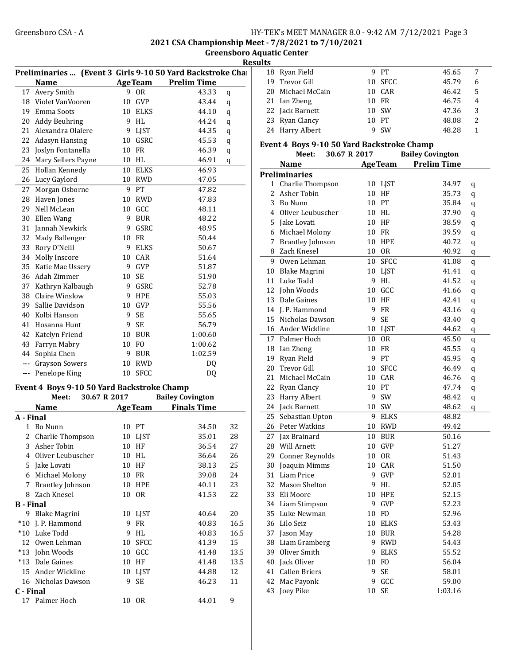2021 CSA Championship Meet - 7/8/2021 to 7/10/2021

Greensboro Aquatic Center

|                  |                                            |    |                | Preliminaries  (Event 3 Girls 9-10 50 Yard Backstroke Cha |   |
|------------------|--------------------------------------------|----|----------------|-----------------------------------------------------------|---|
|                  | <b>Name</b>                                |    | <b>AgeTeam</b> | <b>Prelim Time</b>                                        |   |
| 17               | Avery Smith                                |    | 9 OR           | 43.33<br>q                                                |   |
| 18               | Violet VanVooren                           |    | 10 GVP         | 43.44<br>q                                                |   |
| 19               | Emma Soots                                 |    | 10 ELKS        | 44.10<br>q                                                |   |
| 20               | Addy Beuhring                              |    | 9 HL           | 44.24<br>q                                                |   |
| 21               | Alexandra Olalere                          | 9  | LJST           | 44.35<br>q                                                |   |
| 22               | Adasyn Hansing                             |    | 10 GSRC        | 45.53<br>q                                                | I |
| 23               | Joslyn Fontanella                          | 10 | FR             | 46.39<br>q                                                |   |
| 24               | Mary Sellers Payne                         | 10 | HL             | 46.91<br>q                                                |   |
| 25               | Hollan Kennedy                             |    | 10 ELKS        | 46.93                                                     | I |
| 26               | Lucy Gaylord                               |    | 10 RWD         | 47.05                                                     |   |
| 27               | Morgan Osborne                             | 9  | PT             | 47.82                                                     |   |
| 28               | Haven Jones                                |    | 10 RWD         | 47.83                                                     |   |
| 29               | Nell McLean                                |    | 10 GCC         | 48.11                                                     |   |
| 30               | Ellen Wang                                 |    | 9 BUR          | 48.22                                                     |   |
| 31               | Jannah Newkirk                             |    | 9 GSRC         | 48.95                                                     |   |
| 32               | Mady Ballenger                             |    | 10 FR          | 50.44                                                     |   |
| 33               | Rory O'Neill                               | 9  | ELKS           | 50.67                                                     |   |
| 34               | Molly Inscore                              |    | 10 CAR         | 51.64                                                     |   |
| 35               | Katie Mae Ussery                           |    | 9 GVP          | 51.87                                                     |   |
|                  | 36 Adah Zimmer                             |    | 10 SE          | 51.90                                                     |   |
|                  | 37 Kathryn Kalbaugh                        |    | 9 GSRC         | 52.78                                                     |   |
| 38               | Claire Winslow                             |    | 9 HPE          | 55.03                                                     |   |
| 39               | Sallie Davidson                            |    | 10 GVP         | 55.56                                                     |   |
| 40               | Kolbi Hanson                               |    | 9 SE           | 55.65                                                     |   |
| 41               | Hosanna Hunt                               |    | 9 SE           | 56.79                                                     |   |
| 42               | Katelyn Friend                             |    | 10 BUR         | 1:00.60                                                   |   |
| 43               | Farryn Mabry                               |    | 10 FO          | 1:00.62                                                   |   |
| 44               | Sophia Chen                                |    | 9 BUR          | 1:02.59                                                   |   |
| ---              | Grayson Sowers                             |    | 10 RWD         | DQ                                                        |   |
|                  | --- Penelope King                          |    | 10 SFCC        | DQ                                                        |   |
|                  | Event 4 Boys 9-10 50 Yard Backstroke Champ |    |                |                                                           |   |
|                  | Meet:<br>30.67 R 2017                      |    |                | <b>Bailey Covington</b>                                   |   |
|                  | <b>Name</b>                                |    | <b>AgeTeam</b> | <b>Finals Time</b>                                        |   |
| A - Final        |                                            |    |                |                                                           |   |
| 1                | Bo Nunn                                    |    | 10 PT          | 32<br>34.50                                               |   |
| 2                | Charlie Thompson                           | 10 | LJST           | 35.01<br>28                                               |   |
| 3                | Asher Tobin                                |    | 10 HF          | 36.54<br>27                                               |   |
| 4                | Oliver Leubuscher                          | 10 | HL             | 36.64<br>26                                               |   |
| 5.               | Jake Lovati                                | 10 | HF             | 25<br>38.13                                               |   |
| 6                | Michael Molony                             |    | 10 FR          | 24<br>39.08                                               |   |
| 7                | <b>Brantley Johnson</b>                    | 10 | HPE            | 23<br>40.11                                               |   |
| 8                | Zach Knesel                                | 10 | 0 <sub>R</sub> | 41.53<br>22                                               |   |
| <b>B</b> - Final |                                            |    |                |                                                           |   |
| 9                | <b>Blake Magrini</b>                       | 10 | LJST           | 20<br>40.64                                               |   |
| $*10$            | J. P. Hammond                              | 9  | FR             | 16.5<br>40.83                                             |   |
|                  | *10 Luke Todd                              | 9  | HL             | 16.5<br>40.83                                             |   |
|                  | 12 Owen Lehman                             | 10 | <b>SFCC</b>    | 15<br>41.39                                               |   |
|                  | *13 John Woods                             |    | 10 GCC         | 13.5<br>41.48                                             |   |
|                  | *13 Dale Gaines                            |    | 10 HF          | 13.5<br>41.48                                             |   |
|                  | 15 Ander Wickline                          |    | 10 LJST        | 12<br>44.88                                               |   |
|                  | 16 Nicholas Dawson                         | 9  | SE             | 11<br>46.23                                               |   |
| C - Final        |                                            |    |                |                                                           |   |
| 17               | Palmer Hoch                                |    | 10 OR          | 9<br>44.01                                                |   |

|    | Results |                   |         |       |               |  |
|----|---------|-------------------|---------|-------|---------------|--|
| aı |         | 18 Ryan Field     | 9 PT    | 45.65 | 7             |  |
|    |         | 19 Trevor Gill    | 10 SFCC | 45.79 | 6             |  |
|    |         | 20 Michael McCain | 10 CAR  | 46.42 | 5             |  |
|    |         | 21 Ian Zheng      | 10 FR   | 46.75 | 4             |  |
|    |         | 22 Jack Barnett   | 10 SW   | 47.36 | 3             |  |
|    |         | 23 Ryan Clancy    | 10 PT   | 48.08 | $\mathcal{P}$ |  |
|    |         | 24 Harry Albert   | 9 SW    | 48.28 |               |  |
|    |         |                   |         |       |               |  |

#### Event 4 Boys 9-10 50 Yard Backstroke Champ

|    | Meet:                | 30.67 R 2017 |                | <b>Bailey Covington</b> |         |
|----|----------------------|--------------|----------------|-------------------------|---------|
|    | <b>Name</b>          |              | <b>AgeTeam</b> | <b>Prelim Time</b>      |         |
|    | <b>Preliminaries</b> |              |                |                         |         |
|    | 1 Charlie Thompson   |              | 10 LJST        | 34.97                   | q       |
| 2  | Asher Tobin          |              | 10 HF          | 35.73                   | q       |
|    | 3 Bo Nunn            |              | 10 PT          | 35.84                   | q       |
|    | 4 Oliver Leubuscher  |              | 10 HL          | 37.90                   | q       |
|    | 5 Jake Lovati        |              | 10 HF          | 38.59                   | q       |
|    | 6 Michael Molony     |              | 10 FR          | 39.59                   | q       |
|    | 7 Brantley Johnson   |              | <b>10 HPE</b>  | 40.72                   | q       |
|    | 8 Zach Knesel        |              | 10 OR          | 40.92                   | q       |
| 9  | Owen Lehman          |              | 10 SFCC        | 41.08                   | q       |
|    | 10 Blake Magrini     |              | 10 LJST        | 41.41                   | q       |
|    | 11 Luke Todd         |              | 9 HL           | 41.52                   | q       |
|    | 12 John Woods        |              | 10 GCC         | 41.66                   | $\bf q$ |
|    | 13 Dale Gaines       |              | 10 HF          | 42.41                   | q       |
|    | 14 J. P. Hammond     | 9            | <b>FR</b>      | 43.16                   | q       |
|    | 15 Nicholas Dawson   | 9            | SE             | 43.40                   | q       |
|    | 16 Ander Wickline    |              | 10 LJST        | 44.62                   | q       |
|    | 17 Palmer Hoch       |              | 10 OR          | 45.50                   | q       |
|    | 18 Ian Zheng         |              | 10 FR          | 45.55                   | q       |
|    | 19 Ryan Field        |              | 9 PT           | 45.95                   | q       |
|    | 20 Trevor Gill       |              | 10 SFCC        | 46.49                   | q       |
|    | 21 Michael McCain    |              | 10 CAR         | 46.76                   | q       |
|    | 22 Ryan Clancy       |              | 10 PT          | 47.74                   | q       |
| 23 | Harry Albert         |              | 9 SW           | 48.42                   | q       |
|    | 24 Jack Barnett      |              | 10 SW          | 48.62                   | q       |
| 25 | Sebastian Upton      | 9            | <b>ELKS</b>    | 48.82                   |         |
|    | 26 Peter Watkins     |              | 10 RWD         | 49.42                   |         |
| 27 | Jax Brainard         |              | 10 BUR         | 50.16                   |         |
| 28 | Will Arnett          |              | 10 GVP         | 51.27                   |         |
| 29 | Conner Reynolds      |              | 10 OR          | 51.43                   |         |
| 30 | Joaquin Mimms        |              | 10 CAR         | 51.50                   |         |
| 31 | Liam Price           |              | 9 GVP          | 52.01                   |         |
|    | 32 Mason Shelton     |              | 9 HL           | 52.05                   |         |
|    | 33 Eli Moore         |              | <b>10 HPE</b>  | 52.15                   |         |
|    | 34 Liam Stimpson     |              | 9 GVP          | 52.23                   |         |
| 35 | Luke Newman          |              | 10 FO          | 52.96                   |         |
|    | 36 Lilo Seiz         |              | 10 ELKS        | 53.43                   |         |
| 37 | Jason May            | 10           | <b>BUR</b>     | 54.28                   |         |
| 38 | Liam Gramberg        | 9            | <b>RWD</b>     | 54.43                   |         |
| 39 | Oliver Smith         | 9            | <b>ELKS</b>    | 55.52                   |         |
| 40 | Jack Oliver          | 10           | FO             | 56.04                   |         |
| 41 | <b>Callen Briers</b> | 9            | SE             | 58.01                   |         |
| 42 | Mac Payonk           | 9            | GCC            | 59.00                   |         |
| 43 | Joey Pike            | 10           | SE             | 1:03.16                 |         |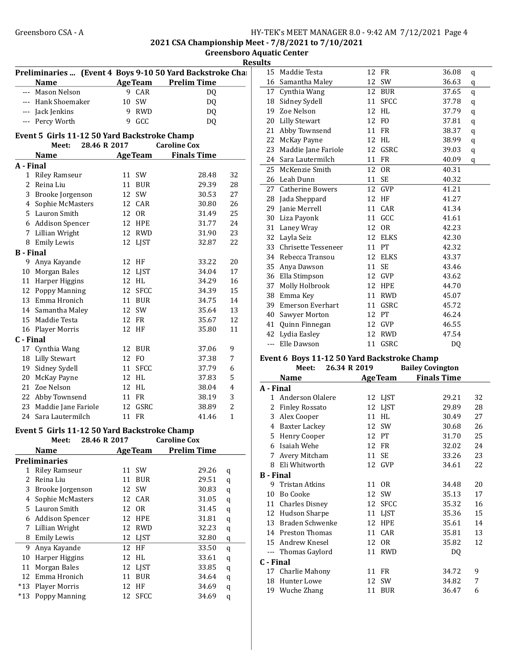2021 CSA Championship Meet - 7/8/2021 to 7/10/2021

Greensboro Aquatic Center **Results** 

| <b>AgeTeam</b> Prelim Time<br>--- Mason Nelson<br>9 CAR<br>DQ<br>--- Hank Shoemaker<br>10 SW<br>DQ<br>--- Jack Jenkins<br>9 RWD<br>DQ<br>--- Percy Worth<br>9<br>GCC<br>DQ<br>Event 5 Girls 11-12 50 Yard Backstroke Champ<br>28.46 R 2017<br><b>Caroline Cox</b><br>Meet:<br><b>Finals Time</b><br>Name<br><b>AgeTeam</b><br>A - Final<br>11 SW<br>32<br>1 Riley Ramseur<br>28.48<br>2 Reina Liu<br>11 BUR<br>29.39<br>28<br>3 Brooke Jorgenson<br>12 SW<br>30.53<br>27<br>12 CAR<br>26<br>4 Sophie McMasters<br>30.80<br>5 Lauron Smith<br>25<br>12 OR<br>31.49<br>6 Addison Spencer<br>12 HPE<br>24<br>31.77<br>12 RWD<br>7 Lillian Wright<br>31.90<br>23<br>8 Emily Lewis<br>12 LJST<br>32.87<br>22<br><b>B</b> - Final<br>9 Anya Kayande<br>20<br>12 HF<br>33.22<br>10 Morgan Bales<br>12 LJST<br>34.04<br>17<br>11 Harper Higgins<br>12 HL<br>34.29<br>16<br>12 SFCC<br>12 Poppy Manning<br>34.39<br>15<br>13 Emma Hronich<br>11 BUR<br>34.75<br>14<br>14 Samantha Maley<br>12 SW<br>13<br>35.64<br>15 Maddie Testa<br>12 FR<br>35.67<br>12<br>16 Player Morris<br>12 HF<br>35.80<br>11<br>C - Final<br>17 Cynthia Wang<br>12 BUR<br>37.06<br>9<br>18 Lilly Stewart<br>12 FO<br>7<br>37.38<br>19 Sidney Sydell<br>11 SFCC<br>37.79<br>6<br>20 McKay Payne<br>12 HL<br>5<br>37.83<br>21 Zoe Nelson<br>12 HL<br>38.04<br>4<br>22 Abby Townsend<br>11 FR<br>3<br>38.19<br>12 GSRC<br>2<br>23 Maddie Jane Fariole<br>38.89<br>$\mathbf{1}$<br>24 Sara Lautermilch<br>11 FR<br>41.46<br>Event 5 Girls 11-12 50 Yard Backstroke Champ<br><b>Caroline Cox</b><br>Meet:<br>28.46 R 2017<br><b>Prelim Time</b><br><b>AgeTeam</b><br><b>Name</b><br><b>Preliminaries</b><br>SW<br><b>Riley Ramseur</b><br>29.26<br>$\mathbf{1}$<br>11<br>q<br>Reina Liu<br>11<br><b>BUR</b><br>29.51<br>q<br>3 Brooke Jorgenson<br>12 SW<br>30.83<br>$\mathbf q$<br>Sophie McMasters<br>12 CAR<br>31.05<br>q<br>5 Lauron Smith<br>12 OR<br>31.45<br>$\mathbf q$<br>6 Addison Spencer<br>12 HPE<br>31.81<br>$\mathbf q$<br><b>RWD</b><br>Lillian Wright<br>12<br>32.23<br>$\mathbf q$<br>12 LJST<br>8 Emily Lewis<br>32.80<br>q<br>Anya Kayande<br>12<br>HF<br>33.50<br>q<br>Harper Higgins<br>12<br>HL<br>33.61<br>q<br>Morgan Bales<br>12 LJST<br>33.85<br>q<br>12 Emma Hronich<br>11 BUR<br>34.64<br>q<br>Player Morris<br>12<br>HF<br>34.69<br>q |                |               |    |             | Preliminaries  (Event 4 Boys 9-10 50 Yard Backstroke Chall |   |
|---------------------------------------------------------------------------------------------------------------------------------------------------------------------------------------------------------------------------------------------------------------------------------------------------------------------------------------------------------------------------------------------------------------------------------------------------------------------------------------------------------------------------------------------------------------------------------------------------------------------------------------------------------------------------------------------------------------------------------------------------------------------------------------------------------------------------------------------------------------------------------------------------------------------------------------------------------------------------------------------------------------------------------------------------------------------------------------------------------------------------------------------------------------------------------------------------------------------------------------------------------------------------------------------------------------------------------------------------------------------------------------------------------------------------------------------------------------------------------------------------------------------------------------------------------------------------------------------------------------------------------------------------------------------------------------------------------------------------------------------------------------------------------------------------------------------------------------------------------------------------------------------------------------------------------------------------------------------------------------------------------------------------------------------------------------------------------------------------------------------------------------------------------------------------------------------------------------------------------------------------------------------------------------------------------------------------------|----------------|---------------|----|-------------|------------------------------------------------------------|---|
|                                                                                                                                                                                                                                                                                                                                                                                                                                                                                                                                                                                                                                                                                                                                                                                                                                                                                                                                                                                                                                                                                                                                                                                                                                                                                                                                                                                                                                                                                                                                                                                                                                                                                                                                                                                                                                                                                                                                                                                                                                                                                                                                                                                                                                                                                                                                 |                | <b>Name</b>   |    |             |                                                            |   |
|                                                                                                                                                                                                                                                                                                                                                                                                                                                                                                                                                                                                                                                                                                                                                                                                                                                                                                                                                                                                                                                                                                                                                                                                                                                                                                                                                                                                                                                                                                                                                                                                                                                                                                                                                                                                                                                                                                                                                                                                                                                                                                                                                                                                                                                                                                                                 |                |               |    |             |                                                            |   |
|                                                                                                                                                                                                                                                                                                                                                                                                                                                                                                                                                                                                                                                                                                                                                                                                                                                                                                                                                                                                                                                                                                                                                                                                                                                                                                                                                                                                                                                                                                                                                                                                                                                                                                                                                                                                                                                                                                                                                                                                                                                                                                                                                                                                                                                                                                                                 |                |               |    |             |                                                            |   |
|                                                                                                                                                                                                                                                                                                                                                                                                                                                                                                                                                                                                                                                                                                                                                                                                                                                                                                                                                                                                                                                                                                                                                                                                                                                                                                                                                                                                                                                                                                                                                                                                                                                                                                                                                                                                                                                                                                                                                                                                                                                                                                                                                                                                                                                                                                                                 |                |               |    |             |                                                            |   |
|                                                                                                                                                                                                                                                                                                                                                                                                                                                                                                                                                                                                                                                                                                                                                                                                                                                                                                                                                                                                                                                                                                                                                                                                                                                                                                                                                                                                                                                                                                                                                                                                                                                                                                                                                                                                                                                                                                                                                                                                                                                                                                                                                                                                                                                                                                                                 |                |               |    |             |                                                            |   |
|                                                                                                                                                                                                                                                                                                                                                                                                                                                                                                                                                                                                                                                                                                                                                                                                                                                                                                                                                                                                                                                                                                                                                                                                                                                                                                                                                                                                                                                                                                                                                                                                                                                                                                                                                                                                                                                                                                                                                                                                                                                                                                                                                                                                                                                                                                                                 |                |               |    |             |                                                            |   |
|                                                                                                                                                                                                                                                                                                                                                                                                                                                                                                                                                                                                                                                                                                                                                                                                                                                                                                                                                                                                                                                                                                                                                                                                                                                                                                                                                                                                                                                                                                                                                                                                                                                                                                                                                                                                                                                                                                                                                                                                                                                                                                                                                                                                                                                                                                                                 |                |               |    |             |                                                            |   |
|                                                                                                                                                                                                                                                                                                                                                                                                                                                                                                                                                                                                                                                                                                                                                                                                                                                                                                                                                                                                                                                                                                                                                                                                                                                                                                                                                                                                                                                                                                                                                                                                                                                                                                                                                                                                                                                                                                                                                                                                                                                                                                                                                                                                                                                                                                                                 |                |               |    |             |                                                            |   |
|                                                                                                                                                                                                                                                                                                                                                                                                                                                                                                                                                                                                                                                                                                                                                                                                                                                                                                                                                                                                                                                                                                                                                                                                                                                                                                                                                                                                                                                                                                                                                                                                                                                                                                                                                                                                                                                                                                                                                                                                                                                                                                                                                                                                                                                                                                                                 |                |               |    |             |                                                            |   |
|                                                                                                                                                                                                                                                                                                                                                                                                                                                                                                                                                                                                                                                                                                                                                                                                                                                                                                                                                                                                                                                                                                                                                                                                                                                                                                                                                                                                                                                                                                                                                                                                                                                                                                                                                                                                                                                                                                                                                                                                                                                                                                                                                                                                                                                                                                                                 |                |               |    |             |                                                            |   |
|                                                                                                                                                                                                                                                                                                                                                                                                                                                                                                                                                                                                                                                                                                                                                                                                                                                                                                                                                                                                                                                                                                                                                                                                                                                                                                                                                                                                                                                                                                                                                                                                                                                                                                                                                                                                                                                                                                                                                                                                                                                                                                                                                                                                                                                                                                                                 |                |               |    |             |                                                            |   |
|                                                                                                                                                                                                                                                                                                                                                                                                                                                                                                                                                                                                                                                                                                                                                                                                                                                                                                                                                                                                                                                                                                                                                                                                                                                                                                                                                                                                                                                                                                                                                                                                                                                                                                                                                                                                                                                                                                                                                                                                                                                                                                                                                                                                                                                                                                                                 |                |               |    |             |                                                            |   |
|                                                                                                                                                                                                                                                                                                                                                                                                                                                                                                                                                                                                                                                                                                                                                                                                                                                                                                                                                                                                                                                                                                                                                                                                                                                                                                                                                                                                                                                                                                                                                                                                                                                                                                                                                                                                                                                                                                                                                                                                                                                                                                                                                                                                                                                                                                                                 |                |               |    |             |                                                            |   |
|                                                                                                                                                                                                                                                                                                                                                                                                                                                                                                                                                                                                                                                                                                                                                                                                                                                                                                                                                                                                                                                                                                                                                                                                                                                                                                                                                                                                                                                                                                                                                                                                                                                                                                                                                                                                                                                                                                                                                                                                                                                                                                                                                                                                                                                                                                                                 |                |               |    |             |                                                            |   |
|                                                                                                                                                                                                                                                                                                                                                                                                                                                                                                                                                                                                                                                                                                                                                                                                                                                                                                                                                                                                                                                                                                                                                                                                                                                                                                                                                                                                                                                                                                                                                                                                                                                                                                                                                                                                                                                                                                                                                                                                                                                                                                                                                                                                                                                                                                                                 |                |               |    |             |                                                            |   |
|                                                                                                                                                                                                                                                                                                                                                                                                                                                                                                                                                                                                                                                                                                                                                                                                                                                                                                                                                                                                                                                                                                                                                                                                                                                                                                                                                                                                                                                                                                                                                                                                                                                                                                                                                                                                                                                                                                                                                                                                                                                                                                                                                                                                                                                                                                                                 |                |               |    |             |                                                            |   |
|                                                                                                                                                                                                                                                                                                                                                                                                                                                                                                                                                                                                                                                                                                                                                                                                                                                                                                                                                                                                                                                                                                                                                                                                                                                                                                                                                                                                                                                                                                                                                                                                                                                                                                                                                                                                                                                                                                                                                                                                                                                                                                                                                                                                                                                                                                                                 |                |               |    |             |                                                            |   |
|                                                                                                                                                                                                                                                                                                                                                                                                                                                                                                                                                                                                                                                                                                                                                                                                                                                                                                                                                                                                                                                                                                                                                                                                                                                                                                                                                                                                                                                                                                                                                                                                                                                                                                                                                                                                                                                                                                                                                                                                                                                                                                                                                                                                                                                                                                                                 |                |               |    |             |                                                            |   |
|                                                                                                                                                                                                                                                                                                                                                                                                                                                                                                                                                                                                                                                                                                                                                                                                                                                                                                                                                                                                                                                                                                                                                                                                                                                                                                                                                                                                                                                                                                                                                                                                                                                                                                                                                                                                                                                                                                                                                                                                                                                                                                                                                                                                                                                                                                                                 |                |               |    |             |                                                            |   |
|                                                                                                                                                                                                                                                                                                                                                                                                                                                                                                                                                                                                                                                                                                                                                                                                                                                                                                                                                                                                                                                                                                                                                                                                                                                                                                                                                                                                                                                                                                                                                                                                                                                                                                                                                                                                                                                                                                                                                                                                                                                                                                                                                                                                                                                                                                                                 |                |               |    |             |                                                            |   |
|                                                                                                                                                                                                                                                                                                                                                                                                                                                                                                                                                                                                                                                                                                                                                                                                                                                                                                                                                                                                                                                                                                                                                                                                                                                                                                                                                                                                                                                                                                                                                                                                                                                                                                                                                                                                                                                                                                                                                                                                                                                                                                                                                                                                                                                                                                                                 |                |               |    |             |                                                            |   |
|                                                                                                                                                                                                                                                                                                                                                                                                                                                                                                                                                                                                                                                                                                                                                                                                                                                                                                                                                                                                                                                                                                                                                                                                                                                                                                                                                                                                                                                                                                                                                                                                                                                                                                                                                                                                                                                                                                                                                                                                                                                                                                                                                                                                                                                                                                                                 |                |               |    |             |                                                            |   |
|                                                                                                                                                                                                                                                                                                                                                                                                                                                                                                                                                                                                                                                                                                                                                                                                                                                                                                                                                                                                                                                                                                                                                                                                                                                                                                                                                                                                                                                                                                                                                                                                                                                                                                                                                                                                                                                                                                                                                                                                                                                                                                                                                                                                                                                                                                                                 |                |               |    |             |                                                            |   |
|                                                                                                                                                                                                                                                                                                                                                                                                                                                                                                                                                                                                                                                                                                                                                                                                                                                                                                                                                                                                                                                                                                                                                                                                                                                                                                                                                                                                                                                                                                                                                                                                                                                                                                                                                                                                                                                                                                                                                                                                                                                                                                                                                                                                                                                                                                                                 |                |               |    |             |                                                            |   |
|                                                                                                                                                                                                                                                                                                                                                                                                                                                                                                                                                                                                                                                                                                                                                                                                                                                                                                                                                                                                                                                                                                                                                                                                                                                                                                                                                                                                                                                                                                                                                                                                                                                                                                                                                                                                                                                                                                                                                                                                                                                                                                                                                                                                                                                                                                                                 |                |               |    |             |                                                            |   |
|                                                                                                                                                                                                                                                                                                                                                                                                                                                                                                                                                                                                                                                                                                                                                                                                                                                                                                                                                                                                                                                                                                                                                                                                                                                                                                                                                                                                                                                                                                                                                                                                                                                                                                                                                                                                                                                                                                                                                                                                                                                                                                                                                                                                                                                                                                                                 |                |               |    |             |                                                            |   |
|                                                                                                                                                                                                                                                                                                                                                                                                                                                                                                                                                                                                                                                                                                                                                                                                                                                                                                                                                                                                                                                                                                                                                                                                                                                                                                                                                                                                                                                                                                                                                                                                                                                                                                                                                                                                                                                                                                                                                                                                                                                                                                                                                                                                                                                                                                                                 |                |               |    |             |                                                            |   |
|                                                                                                                                                                                                                                                                                                                                                                                                                                                                                                                                                                                                                                                                                                                                                                                                                                                                                                                                                                                                                                                                                                                                                                                                                                                                                                                                                                                                                                                                                                                                                                                                                                                                                                                                                                                                                                                                                                                                                                                                                                                                                                                                                                                                                                                                                                                                 |                |               |    |             |                                                            |   |
|                                                                                                                                                                                                                                                                                                                                                                                                                                                                                                                                                                                                                                                                                                                                                                                                                                                                                                                                                                                                                                                                                                                                                                                                                                                                                                                                                                                                                                                                                                                                                                                                                                                                                                                                                                                                                                                                                                                                                                                                                                                                                                                                                                                                                                                                                                                                 |                |               |    |             |                                                            |   |
|                                                                                                                                                                                                                                                                                                                                                                                                                                                                                                                                                                                                                                                                                                                                                                                                                                                                                                                                                                                                                                                                                                                                                                                                                                                                                                                                                                                                                                                                                                                                                                                                                                                                                                                                                                                                                                                                                                                                                                                                                                                                                                                                                                                                                                                                                                                                 |                |               |    |             |                                                            |   |
|                                                                                                                                                                                                                                                                                                                                                                                                                                                                                                                                                                                                                                                                                                                                                                                                                                                                                                                                                                                                                                                                                                                                                                                                                                                                                                                                                                                                                                                                                                                                                                                                                                                                                                                                                                                                                                                                                                                                                                                                                                                                                                                                                                                                                                                                                                                                 |                |               |    |             |                                                            |   |
|                                                                                                                                                                                                                                                                                                                                                                                                                                                                                                                                                                                                                                                                                                                                                                                                                                                                                                                                                                                                                                                                                                                                                                                                                                                                                                                                                                                                                                                                                                                                                                                                                                                                                                                                                                                                                                                                                                                                                                                                                                                                                                                                                                                                                                                                                                                                 |                |               |    |             |                                                            |   |
|                                                                                                                                                                                                                                                                                                                                                                                                                                                                                                                                                                                                                                                                                                                                                                                                                                                                                                                                                                                                                                                                                                                                                                                                                                                                                                                                                                                                                                                                                                                                                                                                                                                                                                                                                                                                                                                                                                                                                                                                                                                                                                                                                                                                                                                                                                                                 |                |               |    |             |                                                            |   |
|                                                                                                                                                                                                                                                                                                                                                                                                                                                                                                                                                                                                                                                                                                                                                                                                                                                                                                                                                                                                                                                                                                                                                                                                                                                                                                                                                                                                                                                                                                                                                                                                                                                                                                                                                                                                                                                                                                                                                                                                                                                                                                                                                                                                                                                                                                                                 |                |               |    |             |                                                            |   |
|                                                                                                                                                                                                                                                                                                                                                                                                                                                                                                                                                                                                                                                                                                                                                                                                                                                                                                                                                                                                                                                                                                                                                                                                                                                                                                                                                                                                                                                                                                                                                                                                                                                                                                                                                                                                                                                                                                                                                                                                                                                                                                                                                                                                                                                                                                                                 |                |               |    |             |                                                            |   |
|                                                                                                                                                                                                                                                                                                                                                                                                                                                                                                                                                                                                                                                                                                                                                                                                                                                                                                                                                                                                                                                                                                                                                                                                                                                                                                                                                                                                                                                                                                                                                                                                                                                                                                                                                                                                                                                                                                                                                                                                                                                                                                                                                                                                                                                                                                                                 |                |               |    |             |                                                            |   |
|                                                                                                                                                                                                                                                                                                                                                                                                                                                                                                                                                                                                                                                                                                                                                                                                                                                                                                                                                                                                                                                                                                                                                                                                                                                                                                                                                                                                                                                                                                                                                                                                                                                                                                                                                                                                                                                                                                                                                                                                                                                                                                                                                                                                                                                                                                                                 |                |               |    |             |                                                            |   |
|                                                                                                                                                                                                                                                                                                                                                                                                                                                                                                                                                                                                                                                                                                                                                                                                                                                                                                                                                                                                                                                                                                                                                                                                                                                                                                                                                                                                                                                                                                                                                                                                                                                                                                                                                                                                                                                                                                                                                                                                                                                                                                                                                                                                                                                                                                                                 |                |               |    |             |                                                            |   |
|                                                                                                                                                                                                                                                                                                                                                                                                                                                                                                                                                                                                                                                                                                                                                                                                                                                                                                                                                                                                                                                                                                                                                                                                                                                                                                                                                                                                                                                                                                                                                                                                                                                                                                                                                                                                                                                                                                                                                                                                                                                                                                                                                                                                                                                                                                                                 |                |               |    |             |                                                            |   |
|                                                                                                                                                                                                                                                                                                                                                                                                                                                                                                                                                                                                                                                                                                                                                                                                                                                                                                                                                                                                                                                                                                                                                                                                                                                                                                                                                                                                                                                                                                                                                                                                                                                                                                                                                                                                                                                                                                                                                                                                                                                                                                                                                                                                                                                                                                                                 | $\overline{2}$ |               |    |             |                                                            |   |
|                                                                                                                                                                                                                                                                                                                                                                                                                                                                                                                                                                                                                                                                                                                                                                                                                                                                                                                                                                                                                                                                                                                                                                                                                                                                                                                                                                                                                                                                                                                                                                                                                                                                                                                                                                                                                                                                                                                                                                                                                                                                                                                                                                                                                                                                                                                                 |                |               |    |             |                                                            |   |
|                                                                                                                                                                                                                                                                                                                                                                                                                                                                                                                                                                                                                                                                                                                                                                                                                                                                                                                                                                                                                                                                                                                                                                                                                                                                                                                                                                                                                                                                                                                                                                                                                                                                                                                                                                                                                                                                                                                                                                                                                                                                                                                                                                                                                                                                                                                                 | 4              |               |    |             |                                                            |   |
|                                                                                                                                                                                                                                                                                                                                                                                                                                                                                                                                                                                                                                                                                                                                                                                                                                                                                                                                                                                                                                                                                                                                                                                                                                                                                                                                                                                                                                                                                                                                                                                                                                                                                                                                                                                                                                                                                                                                                                                                                                                                                                                                                                                                                                                                                                                                 |                |               |    |             |                                                            |   |
|                                                                                                                                                                                                                                                                                                                                                                                                                                                                                                                                                                                                                                                                                                                                                                                                                                                                                                                                                                                                                                                                                                                                                                                                                                                                                                                                                                                                                                                                                                                                                                                                                                                                                                                                                                                                                                                                                                                                                                                                                                                                                                                                                                                                                                                                                                                                 |                |               |    |             |                                                            |   |
|                                                                                                                                                                                                                                                                                                                                                                                                                                                                                                                                                                                                                                                                                                                                                                                                                                                                                                                                                                                                                                                                                                                                                                                                                                                                                                                                                                                                                                                                                                                                                                                                                                                                                                                                                                                                                                                                                                                                                                                                                                                                                                                                                                                                                                                                                                                                 | 7              |               |    |             |                                                            |   |
|                                                                                                                                                                                                                                                                                                                                                                                                                                                                                                                                                                                                                                                                                                                                                                                                                                                                                                                                                                                                                                                                                                                                                                                                                                                                                                                                                                                                                                                                                                                                                                                                                                                                                                                                                                                                                                                                                                                                                                                                                                                                                                                                                                                                                                                                                                                                 |                |               |    |             |                                                            |   |
|                                                                                                                                                                                                                                                                                                                                                                                                                                                                                                                                                                                                                                                                                                                                                                                                                                                                                                                                                                                                                                                                                                                                                                                                                                                                                                                                                                                                                                                                                                                                                                                                                                                                                                                                                                                                                                                                                                                                                                                                                                                                                                                                                                                                                                                                                                                                 | 9              |               |    |             |                                                            |   |
|                                                                                                                                                                                                                                                                                                                                                                                                                                                                                                                                                                                                                                                                                                                                                                                                                                                                                                                                                                                                                                                                                                                                                                                                                                                                                                                                                                                                                                                                                                                                                                                                                                                                                                                                                                                                                                                                                                                                                                                                                                                                                                                                                                                                                                                                                                                                 | 10             |               |    |             |                                                            |   |
|                                                                                                                                                                                                                                                                                                                                                                                                                                                                                                                                                                                                                                                                                                                                                                                                                                                                                                                                                                                                                                                                                                                                                                                                                                                                                                                                                                                                                                                                                                                                                                                                                                                                                                                                                                                                                                                                                                                                                                                                                                                                                                                                                                                                                                                                                                                                 | 11             |               |    |             |                                                            |   |
|                                                                                                                                                                                                                                                                                                                                                                                                                                                                                                                                                                                                                                                                                                                                                                                                                                                                                                                                                                                                                                                                                                                                                                                                                                                                                                                                                                                                                                                                                                                                                                                                                                                                                                                                                                                                                                                                                                                                                                                                                                                                                                                                                                                                                                                                                                                                 |                |               |    |             |                                                            |   |
|                                                                                                                                                                                                                                                                                                                                                                                                                                                                                                                                                                                                                                                                                                                                                                                                                                                                                                                                                                                                                                                                                                                                                                                                                                                                                                                                                                                                                                                                                                                                                                                                                                                                                                                                                                                                                                                                                                                                                                                                                                                                                                                                                                                                                                                                                                                                 |                |               |    |             |                                                            |   |
|                                                                                                                                                                                                                                                                                                                                                                                                                                                                                                                                                                                                                                                                                                                                                                                                                                                                                                                                                                                                                                                                                                                                                                                                                                                                                                                                                                                                                                                                                                                                                                                                                                                                                                                                                                                                                                                                                                                                                                                                                                                                                                                                                                                                                                                                                                                                 | $*13$          | Poppy Manning | 12 | <b>SFCC</b> | 34.69                                                      | q |
|                                                                                                                                                                                                                                                                                                                                                                                                                                                                                                                                                                                                                                                                                                                                                                                                                                                                                                                                                                                                                                                                                                                                                                                                                                                                                                                                                                                                                                                                                                                                                                                                                                                                                                                                                                                                                                                                                                                                                                                                                                                                                                                                                                                                                                                                                                                                 | $*13$          |               |    |             |                                                            |   |

| սււծ |                         |    |                |       |   |
|------|-------------------------|----|----------------|-------|---|
| 15   | Maddie Testa            | 12 | <b>FR</b>      | 36.08 | q |
| 16   | Samantha Maley          | 12 | SW             | 36.63 | q |
| 17   | Cynthia Wang            | 12 | <b>BUR</b>     | 37.65 | q |
|      | 18 Sidney Sydell        | 11 | <b>SFCC</b>    | 37.78 | q |
| 19   | Zoe Nelson              | 12 | <b>HL</b>      | 37.79 | q |
| 20   | <b>Lilly Stewart</b>    |    | 12 FO          | 37.81 | q |
| 21   | Abby Townsend           | 11 | <b>FR</b>      | 38.37 | q |
| 22   | McKay Payne             | 12 | HL             | 38.99 | q |
| 23   | Maddie Jane Fariole     | 12 | GSRC           | 39.03 | q |
| 24   | Sara Lautermilch        | 11 | <b>FR</b>      | 40.09 | q |
| 25   | McKenzie Smith          | 12 | 0 <sub>R</sub> | 40.31 |   |
| 26   | Leah Dunn               | 11 | <b>SE</b>      | 40.32 |   |
| 27   | <b>Catherine Bowers</b> | 12 | GVP            | 41.21 |   |
| 28   | Jada Sheppard           | 12 | HF             | 41.27 |   |
| 29   | Janie Merrell           | 11 | CAR            | 41.34 |   |
| 30   | Liza Payonk             | 11 | GCC            | 41.61 |   |
| 31   | Laney Wray              | 12 | 0 <sub>R</sub> | 42.23 |   |
| 32   | Layla Seiz              |    | 12 ELKS        | 42.30 |   |
| 33   | Chrisette Tesseneer     | 11 | PT             | 42.32 |   |
| 34   | Rebecca Transou         | 12 | <b>ELKS</b>    | 43.37 |   |
| 35   | Anya Dawson             | 11 | <b>SE</b>      | 43.46 |   |
| 36   | Ella Stimpson           |    | 12 GVP         | 43.62 |   |
| 37   | Molly Holbrook          | 12 | <b>HPE</b>     | 44.70 |   |
| 38   | Emma Key                | 11 | <b>RWD</b>     | 45.07 |   |
| 39   | <b>Emerson Everhart</b> | 11 | GSRC           | 45.72 |   |
| 40   | Sawyer Morton           | 12 | PT             | 46.24 |   |
| 41   | Quinn Finnegan          | 12 | GVP            | 46.55 |   |
| 42   | Lydia Easley            | 12 | <b>RWD</b>     | 47.54 |   |
|      | Elle Dawson             | 11 | GSRC           | DQ    |   |
|      |                         |    |                |       |   |

#### Event 6 Boys 11-12 50 Yard Backstroke Champ

|                  | Meet:                 | 26.34 R 2019 |    |                 | <b>Bailey Covington</b> |    |
|------------------|-----------------------|--------------|----|-----------------|-------------------------|----|
|                  | Name                  |              |    | <b>Age Team</b> | <b>Finals Time</b>      |    |
| A - Final        |                       |              |    |                 |                         |    |
| $\mathbf{1}$     | Anderson Olalere      |              |    | 12 LJST         | 29.21                   | 32 |
| 2                | <b>Finley Rossato</b> |              |    | 12 LJST         | 29.89                   | 28 |
| 3                | Alex Cooper           |              | 11 | HL              | 30.49                   | 27 |
| 4                | <b>Baxter Lackey</b>  |              |    | 12 SW           | 30.68                   | 26 |
| 5                | Henry Cooper          |              |    | 12 PT           | 31.70                   | 25 |
| 6                | Isaiah Wehe           |              | 12 | <b>FR</b>       | 32.02                   | 24 |
| 7                | Avery Mitcham         |              | 11 | SE              | 33.26                   | 23 |
| 8                | Eli Whitworth         |              |    | 12 GVP          | 34.61                   | 22 |
| <b>B</b> - Final |                       |              |    |                 |                         |    |
| 9                | Tristan Atkins        |              | 11 | 0 <sub>R</sub>  | 34.48                   | 20 |
| 10               | <b>Bo Cooke</b>       |              | 12 | <b>SW</b>       | 35.13                   | 17 |
|                  | 11 Charles Disney     |              | 12 | <b>SFCC</b>     | 35.32                   | 16 |
|                  | 12 Hudson Sharpe      |              | 11 | <b>LJST</b>     | 35.36                   | 15 |
| 13               | Braden Schwenke       |              |    | 12 HPE          | 35.61                   | 14 |
| 14               | Preston Thomas        |              | 11 | CAR             | 35.81                   | 13 |
|                  | 15 Andrew Knesel      |              | 12 | 0 <sub>R</sub>  | 35.82                   | 12 |
|                  | --- Thomas Gaylord    |              | 11 | <b>RWD</b>      | DQ                      |    |
| C - Final        |                       |              |    |                 |                         |    |
|                  | 17 Charlie Mahony     |              | 11 | <b>FR</b>       | 34.72                   | 9  |
| 18               | Hunter Lowe           |              | 12 | SW              | 34.82                   | 7  |
|                  | 19 Wuche Zhang        |              | 11 | <b>BUR</b>      | 36.47                   | 6  |
|                  |                       |              |    |                 |                         |    |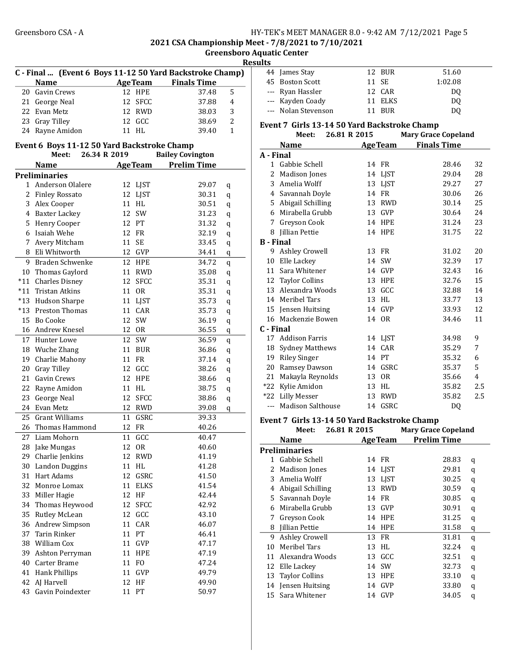2021 CSA Championship Meet - 7/8/2021 to 7/10/2021

Greensboro Aquatic Center Results

|       |                                             |                 |                | C - Final  (Event 6 Boys 11-12 50 Yard Backstroke Champ) | 77 |
|-------|---------------------------------------------|-----------------|----------------|----------------------------------------------------------|----|
|       | <b>Name</b>                                 |                 |                | <b>AgeTeam</b> Finals Time                               |    |
|       | 20 Gavin Crews                              | 12              | <b>HPE</b>     | 37.48                                                    | 5  |
|       | 21 George Neal                              | 12              | <b>SFCC</b>    | 37.88                                                    | 4  |
|       | 22 Evan Metz                                | 12              | <b>RWD</b>     | 38.03                                                    | 3  |
|       | 23 Gray Tilley                              | 12 <sup>1</sup> | GCC            | 38.69                                                    | 2  |
|       | 24 Rayne Amidon                             |                 | 11 HL          | 39.40                                                    | 1  |
|       |                                             |                 |                |                                                          |    |
|       | Event 6 Boys 11-12 50 Yard Backstroke Champ |                 |                |                                                          |    |
|       | Meet:                                       | 26.34 R 2019    |                | <b>Bailey Covington</b>                                  |    |
|       | <b>Name</b>                                 |                 | <b>AgeTeam</b> | <b>Prelim Time</b>                                       |    |
|       | <b>Preliminaries</b>                        |                 |                |                                                          |    |
| 1     | Anderson Olalere                            |                 | 12 LJST        | 29.07                                                    | q  |
|       | 2 Finley Rossato                            |                 | 12 LJST        | 30.31                                                    | q  |
|       | 3 Alex Cooper                               |                 | 11 HL          | 30.51                                                    | q  |
|       | 4 Baxter Lackey                             | 12              | SW             | 31.23                                                    | q  |
|       | 5 Henry Cooper                              |                 | 12 PT          | 31.32                                                    | q  |
| 6     | Isaiah Wehe                                 | 12              | FR             | 32.19                                                    | q  |
| 7     | Avery Mitcham                               | 11              | SE             | 33.45                                                    | q  |
| 8     | Eli Whitworth                               | 12              | <b>GVP</b>     | 34.41                                                    | q  |
| 9     | Braden Schwenke                             | 12              | HPE            | 34.72                                                    | q  |
|       | 10 Thomas Gaylord                           |                 | 11 RWD         | 35.08                                                    | q  |
|       | *11 Charles Disney                          | 12              | <b>SFCC</b>    | 35.31                                                    | q  |
| $*11$ | <b>Tristan Atkins</b>                       | 11              | <b>OR</b>      | 35.31                                                    | q  |
| $*13$ | Hudson Sharpe                               |                 | 11 LJST        | 35.73                                                    | q  |
| *13   | Preston Thomas                              |                 | 11 CAR         | 35.73                                                    | q  |
| 15    | <b>Bo Cooke</b>                             | 12              | SW             | 36.19                                                    | q  |
|       | 16 Andrew Knesel                            | 12              | <b>OR</b>      | 36.55                                                    | q  |
|       | 17 Hunter Lowe                              | 12              | SW             | 36.59                                                    | q  |
|       | 18 Wuche Zhang                              | 11              | BUR            | 36.86                                                    | q  |
|       | 19 Charlie Mahony                           | 11              | FR             | 37.14                                                    | q  |
| 20    | <b>Gray Tilley</b>                          | 12              | GCC            | 38.26                                                    | q  |
|       | 21 Gavin Crews                              | 12              | <b>HPE</b>     | 38.66                                                    | q  |
| 22    | Rayne Amidon                                |                 | 11 HL          | 38.75                                                    | q  |
| 23    | George Neal                                 | 12              | <b>SFCC</b>    | 38.86                                                    | q  |
|       | 24 Evan Metz                                | 12              | RWD            | 39.08                                                    | q  |
| 25    | <b>Grant Williams</b>                       | 11              | GSRC           | 39.33                                                    |    |
| 26    | Thomas Hammond                              | 12              | <b>FR</b>      | 40.26                                                    |    |
| 27    | Liam Mohorn                                 | 11              | GCC            | 40.47                                                    |    |
| 28    | Jake Mungas                                 |                 | 12 OR          | 40.60                                                    |    |
|       | 29 Charlie Jenkins                          | 12              | <b>RWD</b>     | 41.19                                                    |    |
|       | 30 Landon Duggins                           | 11              | $\mathsf{HL}$  | 41.28                                                    |    |
|       | 31 Hart Adams                               | 12              | GSRC           | 41.50                                                    |    |
|       | 32 Monroe Lomax                             | 11              | <b>ELKS</b>    | 41.54                                                    |    |
| 33    | Miller Hagie                                | 12              | HF             | 42.44                                                    |    |
| 34    | Thomas Heywood                              | 12              | <b>SFCC</b>    | 42.92                                                    |    |
| 35    | Rutley McLean                               | 12              | GCC            | 43.10                                                    |    |
| 36    | Andrew Simpson                              | 11              | CAR            | 46.07                                                    |    |
| 37    | Tarin Rinker                                |                 | 11 PT          | 46.41                                                    |    |
|       | 38 William Cox                              | 11              | GVP            | 47.17                                                    |    |
| 39    | Ashton Perryman                             | 11              | HPE            | 47.19                                                    |    |
|       | 40 Carter Brame                             | 11              | F <sub>O</sub> | 47.24                                                    |    |
|       | 41 Hank Phillips                            | 11              | GVP            | 49.79                                                    |    |
| 42    | AJ Harvell                                  | 12              | HF             | 49.90                                                    |    |
| 43    | Gavin Poindexter                            | 11              | PT             | 50.97                                                    |    |
|       |                                             |                 |                |                                                          |    |

| 44 James Stay       | 12 BUR  | 51.60   |  |
|---------------------|---------|---------|--|
| 45 Boston Scott     | 11 SE   | 1:02.08 |  |
| --- Ryan Hassler    | 12 CAR  | DO.     |  |
| --- Kayden Coady    | 11 ELKS | DO.     |  |
| --- Nolan Stevenson | 11 BUR  | DO.     |  |

### Event 7 Girls 13-14 50 Yard Backstroke Champ

|                  | Meet:                    | 26.81 R 2015 |                | <b>Mary Grace Copeland</b> |                |
|------------------|--------------------------|--------------|----------------|----------------------------|----------------|
|                  | Name                     |              | <b>AgeTeam</b> | <b>Finals Time</b>         |                |
| A - Final        |                          |              |                |                            |                |
|                  | 1 Gabbie Schell          |              | 14 FR          | 28.46                      | 32             |
| 2                | Madison Jones            |              | 14 LJST        | 29.04                      | 28             |
| 3                | Amelia Wolff             | 13           | <b>LIST</b>    | 29.27                      | 27             |
|                  | 4 Savannah Doyle         |              | 14 FR          | 30.06                      | 26             |
|                  | 5 Abigail Schilling      |              | 13 RWD         | 30.14                      | 25             |
| 6                | Mirabella Grubb          | 13           | <b>GVP</b>     | 30.64                      | 24             |
|                  | 7 Greyson Cook           |              | 14 HPE         | 31.24                      | 23             |
| 8                | Jillian Pettie           |              | 14 HPE         | 31.75                      | 22             |
| <b>B</b> - Final |                          |              |                |                            |                |
| 9                | Ashley Crowell           | 13           | <b>FR</b>      | 31.02                      | 20             |
| 10               | Elle Lackey              |              | 14 SW          | 32.39                      | 17             |
| 11               | Sara Whitener            |              | 14 GVP         | 32.43                      | 16             |
| 12               | Taylor Collins           | 13           | <b>HPE</b>     | 32.76                      | 15             |
|                  | 13 Alexandra Woods       |              | 13 GCC         | 32.88                      | 14             |
| 14               | Meribel Tars             |              | 13 HL          | 33.77                      | 13             |
| 15               | Jensen Huitsing          |              | 14 GVP         | 33.93                      | 12             |
|                  | 16 Mackenzie Bowen       |              | 14 OR          | 34.46                      | 11             |
| C - Final        |                          |              |                |                            |                |
| 17               | <b>Addison Farris</b>    |              | 14 LJST        | 34.98                      | 9              |
| 18               | <b>Sydney Matthews</b>   | 14           | CAR            | 35.29                      | 7              |
| 19               | Riley Singer             |              | 14 PT          | 35.32                      | 6              |
|                  | 20 Ramsey Dawson         | 14           | GSRC           | 35.37                      | 5              |
| 21               | Makayla Reynolds         | 13           | <b>OR</b>      | 35.66                      | $\overline{4}$ |
|                  | *22 Kylie Amidon         | 13           | HL             | 35.82                      | 2.5            |
| $*22$            | <b>Lilly Messer</b>      | 13           | <b>RWD</b>     | 35.82                      | 2.5            |
| $---$            | <b>Madison Salthouse</b> | 14           | GSRC           | D <sub>0</sub>             |                |

#### Event 7 Girls 13-14 50 Yard Backstroke Champ

|    | Meet:                 | 26.81 R 2015 |    |                | <b>Mary Grace Copeland</b> |   |
|----|-----------------------|--------------|----|----------------|----------------------------|---|
|    | <b>Name</b>           |              |    | <b>AgeTeam</b> | <b>Prelim Time</b>         |   |
|    | <b>Preliminaries</b>  |              |    |                |                            |   |
| 1  | Gabbie Schell         |              |    | 14 FR          | 28.83                      | q |
| 2  | Madison Jones         |              |    | 14 LJST        | 29.81                      | q |
| 3  | Amelia Wolff          |              | 13 | <b>LIST</b>    | 30.25                      | q |
| 4  | Abigail Schilling     |              | 13 | RWD            | 30.59                      | q |
| 5. | Savannah Doyle        |              | 14 | FR             | 30.85                      | q |
| 6  | Mirabella Grubb       |              | 13 | GVP            | 30.91                      | q |
| 7  | Greyson Cook          |              | 14 | <b>HPE</b>     | 31.25                      | q |
| 8  | <b>Iillian Pettie</b> |              | 14 | HPE            | 31.58                      | q |
| 9  | Ashley Crowell        |              |    | 13 FR          | 31.81                      | q |
| 10 | Meribel Tars          |              | 13 | HL.            | 32.24                      | q |
| 11 | Alexandra Woods       |              | 13 | GCC            | 32.51                      | q |
| 12 | Elle Lackey           |              | 14 | SW             | 32.73                      | q |
| 13 | <b>Taylor Collins</b> |              | 13 | <b>HPE</b>     | 33.10                      | q |
| 14 | Jensen Huitsing       |              | 14 | GVP            | 33.80                      | q |
| 15 | Sara Whitener         |              | 14 | GVP            | 34.05                      | q |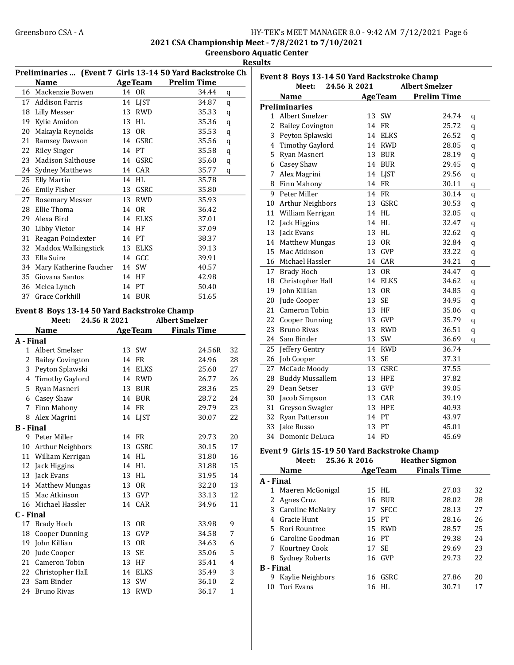2021 CSA Championship Meet - 7/8/2021 to 7/10/2021

Greensboro Aquatic Center Results

|    |                                             |    |                | Preliminaries  (Event 7 Girls 13-14 50 Yard Backstroke Ch |
|----|---------------------------------------------|----|----------------|-----------------------------------------------------------|
|    | <b>Name</b>                                 |    |                | <b>AgeTeam</b> Prelim Time                                |
|    | 16 Mackenzie Bowen                          |    | 14 OR          | 34.44<br>q                                                |
|    | 17 Addison Farris                           |    | 14 LJST        | 34.87<br>q                                                |
|    | 18 Lilly Messer                             |    | 13 RWD         | 35.33<br>q                                                |
|    | 19 Kylie Amidon                             |    | 13 HL          | 35.36<br>q                                                |
| 20 | Makayla Reynolds                            |    | 13 OR          | 35.53<br>q                                                |
|    | 21 Ramsey Dawson                            |    | 14 GSRC        | 35.56<br>q                                                |
|    | 22 Riley Singer                             |    | 14 PT          | 35.58<br>q                                                |
| 23 | Madison Salthouse                           |    | 14 GSRC        | 35.60<br>q                                                |
|    | 24 Sydney Matthews                          |    | 14 CAR         | 35.77<br>q                                                |
| 25 | <b>Elly Martin</b>                          | 14 | HL             | 35.78                                                     |
|    | 26 Emily Fisher                             |    | 13 GSRC        | 35.80                                                     |
| 27 | Rosemary Messer                             |    | 13 RWD         | 35.93                                                     |
|    | 28 Ellie Thoma                              |    | 14 OR          | 36.42                                                     |
|    | 29 Alexa Bird                               |    | 14 ELKS        | 37.01                                                     |
|    | 30 Libby Vietor                             |    | 14 HF          | 37.09                                                     |
|    | 31 Reagan Poindexter                        |    | 14 PT          | 38.37                                                     |
|    | 32 Maddox Walkingstick                      |    | 13 ELKS        | 39.13                                                     |
| 33 | Ella Suire                                  |    | 14 GCC         | 39.91                                                     |
|    | 34 Mary Katherine Faucher                   |    | 14 SW          | 40.57                                                     |
| 35 | Giovana Santos                              |    | 14 HF          | 42.98                                                     |
| 36 | Melea Lynch                                 |    | 14 PT          | 50.40                                                     |
| 37 | Grace Corkhill                              |    | 14 BUR         | 51.65                                                     |
|    |                                             |    |                |                                                           |
|    | Event 8 Boys 13-14 50 Yard Backstroke Champ |    |                |                                                           |
|    | 24.56 R 2021<br>Meet:                       |    |                | <b>Albert Smelzer</b>                                     |
|    | <b>Name</b>                                 |    | <b>AgeTeam</b> | <b>Finals Time</b>                                        |
|    | A - Final                                   |    |                |                                                           |
|    | 1 Albert Smelzer                            |    | 13 SW          | 24.56R<br>32                                              |
|    | 2 Bailey Covington                          |    | 14 FR          | 24.96<br>28                                               |
|    | 3 Peyton Splawski                           |    | 14 ELKS        | 25.60<br>27                                               |
|    | 4 Timothy Gaylord                           |    | 14 RWD         | 26.77<br>26                                               |
|    | 5 Ryan Masneri                              |    | 13 BUR         | 25<br>28.36                                               |
|    | 6 Casey Shaw                                |    | 14 BUR         | 24<br>28.72                                               |
| 7  | Finn Mahony                                 |    | 14 FR          | 29.79<br>23                                               |
|    | 8 Alex Magrini                              |    | 14 LJST        | 30.07<br>22                                               |
|    | <b>B</b> - Final                            |    |                |                                                           |
|    | 9 Peter Miller                              |    | 14 FR          | 20<br>29.73                                               |
|    | 10 Arthur Neighbors                         |    | 13 GSRC        | 17<br>30.15                                               |
|    | 11 William Kerrigan                         |    | 14 HL          | 31.80<br>16                                               |
|    | 12 Jack Higgins                             |    | 14 HL          | 15<br>31.88                                               |
|    | 13 Jack Evans                               |    | 13 HL          | 31.95<br>14                                               |
|    | 14 Matthew Mungas                           |    | 13 OR          | 32.20<br>13                                               |
|    | 15 Mac Atkinson                             |    | 13 GVP         | 33.13<br>12                                               |
|    | 16 Michael Hassler                          |    | 14 CAR         | 34.96<br>11                                               |
|    | C - Final                                   |    |                |                                                           |
|    | 17 Brady Hoch                               | 13 | <b>OR</b>      | 33.98<br>9                                                |
|    | <b>Cooper Dunning</b>                       |    |                | 7                                                         |
| 18 |                                             | 13 | GVP            | 34.58                                                     |
| 19 | John Killian                                | 13 | 0R             | 34.63<br>6                                                |
| 20 | Jude Cooper                                 | 13 | SE             | 5<br>35.06                                                |
| 21 | Cameron Tobin                               |    | 13 HF          | 35.41<br>4                                                |
|    | 22 Christopher Hall                         | 14 | <b>ELKS</b>    | 3<br>35.49                                                |
|    | 23 Sam Binder                               | 13 | SW             | $\overline{c}$<br>36.10                                   |
|    | 24 Bruno Rivas                              | 13 | <b>RWD</b>     | 36.17<br>$\mathbf{1}$                                     |

|                | Event 8 Boys 13-14 50 Yard Backstroke Champ  |    |                |                       |             |
|----------------|----------------------------------------------|----|----------------|-----------------------|-------------|
|                | Meet:<br>24.56 R 2021                        |    |                | <b>Albert Smelzer</b> |             |
|                | Name                                         |    | <b>AgeTeam</b> | <b>Prelim Time</b>    |             |
|                | <b>Preliminaries</b>                         |    |                |                       |             |
| 1              | Albert Smelzer                               | 13 | SW             | 24.74                 | q           |
| $\overline{c}$ | <b>Bailey Covington</b>                      |    | 14 FR          | 25.72                 | q           |
| 3              | Peyton Splawski                              | 14 | <b>ELKS</b>    | 26.52                 | q           |
| 4              | <b>Timothy Gaylord</b>                       |    | 14 RWD         | 28.05                 | q           |
| 5              | Ryan Masneri                                 |    | 13 BUR         | 28.19                 | q           |
| 6              | Casey Shaw                                   |    | 14 BUR         | 29.45                 | q           |
| 7              | Alex Magrini                                 |    | 14 LJST        | 29.56                 | $\mathbf q$ |
| 8              | Finn Mahony                                  |    | 14 FR          | 30.11                 | $\mathbf q$ |
| 9              | Peter Miller                                 | 14 | <b>FR</b>      | 30.14                 | q           |
| 10             | Arthur Neighbors                             | 13 | GSRC           | 30.53                 | q           |
| 11             | William Kerrigan                             |    | 14 HL          | 32.05                 | q           |
| 12             | Jack Higgins                                 |    | 14 HL          | 32.47                 | q           |
| 13             | Jack Evans                                   |    | 13 HL          | 32.62                 | $\mathbf q$ |
| 14             | <b>Matthew Mungas</b>                        | 13 | <b>OR</b>      | 32.84                 | $\mathbf q$ |
| 15             | Mac Atkinson                                 | 13 | GVP            | 33.22                 | q           |
| 16             | Michael Hassler                              |    | 14 CAR         | 34.21                 | q           |
| 17             | <b>Brady Hoch</b>                            | 13 | 0R             | 34.47                 | q           |
| 18             | Christopher Hall                             |    | 14 ELKS        | 34.62                 | q           |
| 19             | John Killian                                 | 13 | <b>OR</b>      | 34.85                 | q           |
| 20             | Jude Cooper                                  | 13 | <b>SE</b>      | 34.95                 | q           |
| 21             | Cameron Tobin                                | 13 | HF             | 35.06                 | $\mathbf q$ |
| 22             | <b>Cooper Dunning</b>                        | 13 | GVP            | 35.79                 | q           |
| 23             | <b>Bruno Rivas</b>                           |    | 13 RWD         | 36.51                 | q           |
| 24             | Sam Binder                                   | 13 | SW             | 36.69                 | q           |
| 25             | Jeffery Gentry                               |    | 14 RWD         | 36.74                 |             |
| 26             | Job Cooper                                   | 13 | <b>SE</b>      | 37.31                 |             |
| 27             | McCade Moody                                 | 13 | GSRC           | 37.55                 |             |
| 28             | <b>Buddy Mussallem</b>                       | 13 | <b>HPE</b>     | 37.82                 |             |
| 29             | Dean Setser                                  | 13 | GVP            | 39.05                 |             |
| 30             | Jacob Simpson                                |    | 13 CAR         | 39.19                 |             |
| 31             | Greyson Swagler                              |    | 13 HPE         | 40.93                 |             |
| 32             | Ryan Patterson                               |    | 14 PT          | 43.97                 |             |
| 33             | Jake Russo                                   | 13 | PT             | 45.01                 |             |
| 34             | Domonic DeLuca                               |    | 14 FO          | 45.69                 |             |
|                |                                              |    |                |                       |             |
|                | Event 9 Girls 15-19 50 Yard Backstroke Champ |    |                |                       |             |
|                | 25.36 R 2016<br>Meet:                        |    |                | <b>Heather Sigmon</b> |             |

|                  | wee.<br>49.90 IN 4010 |       |                | <b>Heather</b> Signon |    |
|------------------|-----------------------|-------|----------------|-----------------------|----|
|                  | Name                  |       | <b>AgeTeam</b> | <b>Finals Time</b>    |    |
| A - Final        |                       |       |                |                       |    |
|                  | 1 Maeren McGonigal    |       | 15 HL          | 27.03                 | 32 |
| 2                | Agnes Cruz            | 16    | BUR            | 28.02                 | 28 |
| 3                | Caroline McNairy      |       | 17 SFCC        | 28.13                 | 27 |
| 4                | Gracie Hunt           |       | 15 PT          | 28.16                 | 26 |
|                  | 5 Rori Rountree       |       | 15 RWD         | 28.57                 | 25 |
|                  | 6 Caroline Goodman    |       | 16 PT          | 29.38                 | 24 |
|                  | 7 Kourtney Cook       | 17 SE |                | 29.69                 | 23 |
| 8                | Sydney Roberts        |       | 16 GVP         | 29.73                 | 22 |
| <b>B</b> - Final |                       |       |                |                       |    |
| 9                | Kaylie Neighbors      |       | 16 GSRC        | 27.86                 | 20 |
| 10               | Tori Evans            | 16    | HL.            | 30.71                 | 17 |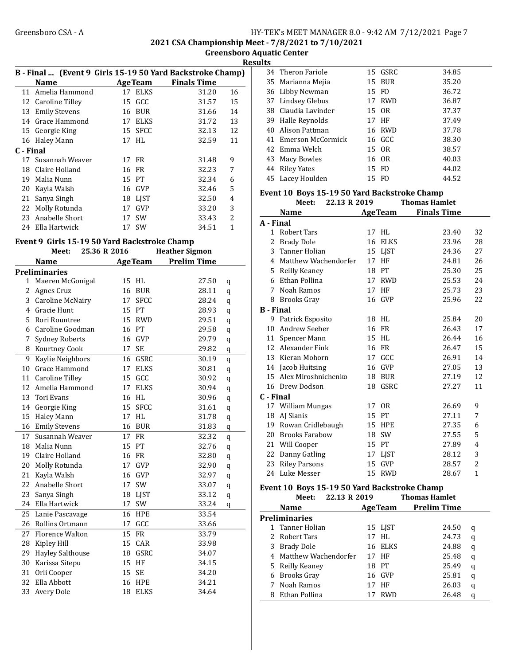2021 CSA Championship Meet - 7/8/2021 to 7/10/2021

Greensboro Aquatic Center **Results** 

|           | B - Final  (Event 9 Girls 15-19 50 Yard Backstroke Champ) |    |                |                    |                          |
|-----------|-----------------------------------------------------------|----|----------------|--------------------|--------------------------|
|           | <b>Name</b>                                               |    | <b>AgeTeam</b> | <b>Finals Time</b> |                          |
|           | 11 Amelia Hammond                                         |    | 17 ELKS        | 31.20              | 16                       |
|           | 12 Caroline Tilley                                        |    | 15 GCC         | 31.57              | 15                       |
| 13        | <b>Emily Stevens</b>                                      |    | 16 BUR         | 31.66              | 14                       |
| 14        | Grace Hammond                                             | 17 | ELKS           | 31.72              | 13                       |
|           | 15 Georgie King                                           |    | 15 SFCC        | 32.13              | 12                       |
|           | 16 Haley Mann                                             |    | 17 HL          | 32.59              | 11                       |
| C - Final |                                                           |    |                |                    |                          |
|           | 17 Susannah Weaver                                        |    | 17 FR          | 31.48              | 9                        |
| 18        | Claire Holland                                            |    | 16 FR          | 32.23              | 7                        |
| 19        | Malia Nunn                                                |    | 15 PT          | 32.34              | 6                        |
| 20        | Kayla Walsh                                               |    | 16 GVP         | 32.46              | 5                        |
| 21        | Sanya Singh                                               | 18 | LIST           | 32.50              | 4                        |
| 22        | Molly Rotunda                                             | 17 | <b>GVP</b>     | 33.20              | 3                        |
| 23        | Anabelle Short                                            | 17 | .SW            | 33.43              | $\overline{\mathcal{L}}$ |
| 24        | Ella Hartwick                                             | 17 | .SW            | 34.51              | 1                        |
|           |                                                           |    |                |                    |                          |

#### Event 9 Girls 15-19 50 Yard Backstroke Champ

|                | Meet:                   | 25.36 R 2016 |    |                | <b>Heather Sigmon</b> |   |
|----------------|-------------------------|--------------|----|----------------|-----------------------|---|
|                | <b>Name</b>             |              |    | <b>AgeTeam</b> | <b>Prelim Time</b>    |   |
|                | <b>Preliminaries</b>    |              |    |                |                       |   |
| 1              | Maeren McGonigal        |              | 15 | HL             | 27.50                 | q |
| 2              | Agnes Cruz              |              | 16 | <b>BUR</b>     | 28.11                 | q |
| $\overline{3}$ | Caroline McNairy        |              | 17 | <b>SFCC</b>    | 28.24                 | q |
| 4              | <b>Gracie Hunt</b>      |              | 15 | PT             | 28.93                 | q |
| 5              | Rori Rountree           |              | 15 | <b>RWD</b>     | 29.51                 | q |
|                | 6 Caroline Goodman      |              |    | 16 PT          | 29.58                 | q |
| 7              | Sydney Roberts          |              |    | 16 GVP         | 29.79                 | q |
| 8              | Kourtney Cook           |              | 17 | <b>SE</b>      | 29.82                 | q |
| 9              | Kaylie Neighbors        |              | 16 | GSRC           | 30.19                 | q |
| 10             | Grace Hammond           |              | 17 | <b>ELKS</b>    | 30.81                 | q |
|                | 11 Caroline Tilley      |              | 15 | GCC            | 30.92                 | q |
| 12             | Amelia Hammond          |              | 17 | <b>ELKS</b>    | 30.94                 | q |
| 13             | Tori Evans              |              | 16 | HL             | 30.96                 | q |
| 14             | Georgie King            |              | 15 | SFCC           | 31.61                 | q |
| 15             | Haley Mann              |              | 17 | HL             | 31.78                 | q |
| 16             | <b>Emily Stevens</b>    |              | 16 | <b>BUR</b>     | 31.83                 | q |
| 17             | Susannah Weaver         |              | 17 | <b>FR</b>      | 32.32                 | q |
| 18             | Malia Nunn              |              | 15 | PT             | 32.76                 | q |
| 19             | Claire Holland          |              | 16 | <b>FR</b>      | 32.80                 | q |
| 20             | Molly Rotunda           |              | 17 | GVP            | 32.90                 | q |
| 21             | Kayla Walsh             |              | 16 | GVP            | 32.97                 | q |
| 22             | Anabelle Short          |              | 17 | SW             | 33.07                 | q |
| 23             | Sanya Singh             |              | 18 | <b>LJST</b>    | 33.12                 | q |
| 24             | Ella Hartwick           |              | 17 | SW             | 33.24                 | q |
| 25             | Lanie Pascavage         |              | 16 | <b>HPE</b>     | 33.54                 |   |
| 26             | Rollins Ortmann         |              | 17 | GCC            | 33.66                 |   |
| 27             | Florence Walton         |              | 15 | <b>FR</b>      | 33.79                 |   |
| 28             | Kipley Hill             |              | 15 | CAR            | 33.98                 |   |
| 29             | <b>Hayley Salthouse</b> |              | 18 | GSRC           | 34.07                 |   |
| 30             | Karissa Sitepu          |              | 15 | HF             | 34.15                 |   |
| 31             | Orli Cooper             |              | 15 | <b>SE</b>      | 34.20                 |   |
| 32             | Ella Abbott             |              | 16 | <b>HPE</b>     | 34.21                 |   |
| 33             | Avery Dole              |              | 18 | <b>ELKS</b>    | 34.64                 |   |
|                |                         |              |    |                |                       |   |

|  | 34 Theron Fariole    |    | 15 GSRC | 34.85 |
|--|----------------------|----|---------|-------|
|  | 35 Marianna Mejia    |    | 15 BUR  | 35.20 |
|  | 36 Libby Newman      |    | 15 FO   | 36.72 |
|  | 37 Lindsey Glebus    |    | 17 RWD  | 36.87 |
|  | 38 Claudia Lavinder  |    | 15 OR   | 37.37 |
|  | 39 Halle Reynolds    |    | 17 HF   | 37.49 |
|  | 40 Alison Pattman    |    | 16 RWD  | 37.78 |
|  | 41 Emerson McCormick |    | 16 GCC  | 38.30 |
|  | 42 Emma Welch        |    | 15 OR   | 38.57 |
|  | 43 Macy Bowles       |    | 16 OR   | 40.03 |
|  | 44 Riley Yates       |    | 15 FO   | 44.02 |
|  | 45 Lacey Houlden     | 15 | FO.     | 44.52 |
|  |                      |    |         |       |

#### Event 10 Boys 15-19 50 Yard Backstroke Champ Meet: 22.13 R 2019 Thomas Hamlet

|                  | Name                  |    | <b>AgeTeam</b> | <b>Finals Time</b> |                |
|------------------|-----------------------|----|----------------|--------------------|----------------|
| A - Final        |                       |    |                |                    |                |
| $\mathbf{1}$     | <b>Robert Tars</b>    | 17 | HL             | 23.40              | 32             |
| 2                | <b>Brady Dole</b>     | 16 | <b>ELKS</b>    | 23.96              | 28             |
| 3                | Tanner Holian         | 15 | <b>LJST</b>    | 24.36              | 27             |
| 4                | Matthew Wachendorfer  | 17 | HF             | 24.81              | 26             |
| 5                | Reilly Keaney         | 18 | PT             | 25.30              | 25             |
| 6                | Ethan Pollina         | 17 | <b>RWD</b>     | 25.53              | 24             |
| 7                | Noah Ramos            | 17 | HF             | 25.73              | 23             |
| 8                | <b>Brooks Gray</b>    | 16 | GVP            | 25.96              | 22             |
| <b>B</b> - Final |                       |    |                |                    |                |
| 9                | Patrick Esposito      |    | 18 HL          | 25.84              | 20             |
| 10               | Andrew Seeber         | 16 | FR             | 26.43              | 17             |
| 11               | Spencer Mann          | 15 | HL             | 26.44              | 16             |
| 12               | Alexander Fink        |    | 16 FR          | 26.47              | 15             |
| 13               | Kieran Mohorn         | 17 | GCC            | 26.91              | 14             |
| 14               | Jacob Huitsing        | 16 | <b>GVP</b>     | 27.05              | 13             |
| 15               | Alex Miroshnichenko   | 18 | <b>BUR</b>     | 27.19              | 12             |
| 16               | Drew Dodson           | 18 | GSRC           | 27.27              | 11             |
| C - Final        |                       |    |                |                    |                |
|                  | 17 William Mungas     | 17 | 0 <sub>R</sub> | 26.69              | 9              |
| 18               | AJ Sianis             | 15 | PT             | 27.11              | 7              |
| 19               | Rowan Cridlebaugh     | 15 | <b>HPE</b>     | 27.35              | 6              |
| 20               | <b>Brooks Farabow</b> | 18 | <b>SW</b>      | 27.55              | 5              |
| 21               | Will Cooper           | 15 | <b>PT</b>      | 27.89              | $\overline{4}$ |
| 22               | Danny Gatling         | 17 | <b>LIST</b>    | 28.12              | 3              |
| 23               | <b>Riley Parsons</b>  | 15 | <b>GVP</b>     | 28.57              | 2              |
| 24               | Luke Messer           | 15 | <b>RWD</b>     | 28.67              | $\overline{1}$ |

### Event 10 Boys 15-19 50 Yard Backstroke Champ

|   | Meet:                  | 22.13 R 2019 |                | <b>Thomas Hamlet</b> |   |
|---|------------------------|--------------|----------------|----------------------|---|
|   | Name                   |              | <b>AgeTeam</b> | <b>Prelim Time</b>   |   |
|   | <b>Preliminaries</b>   |              |                |                      |   |
|   | 1 Tanner Holian        |              | 15 LJST        | 24.50                | q |
|   | 2 Robert Tars          |              | 17 HL          | 24.73                | q |
| 3 | Brady Dole             |              | 16 ELKS        | 24.88                | q |
|   | 4 Matthew Wachendorfer |              | 17 HF          | 25.48                | q |
|   | 5 Reilly Keaney        |              | 18 PT          | 25.49                | q |
|   | 6 Brooks Gray          |              | 16 GVP         | 25.81                | q |
|   | 7 Noah Ramos           |              | 17 HF          | 26.03                | q |
| 8 | Ethan Pollina          |              | <b>RWD</b>     | 26.48                | q |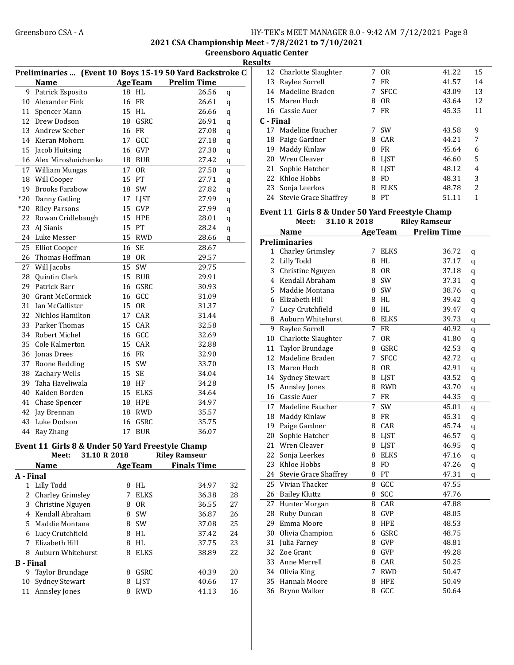2021 CSA Championship Meet - 7/8/2021 to 7/10/2021

Greensboro Aquatic Center

Results

|                  | Preliminaries  (Event 10 Boys 15-19 50 Yard Backstroke C |                |                |                      |         |
|------------------|----------------------------------------------------------|----------------|----------------|----------------------|---------|
|                  | <b>Name</b>                                              |                | <b>AgeTeam</b> | <b>Prelim Time</b>   |         |
| 9                | Patrick Esposito                                         | 18 HL          |                | 26.56                | q       |
| 10               | Alexander Fink                                           | 16 FR          |                | 26.61                | q       |
| 11               | Spencer Mann                                             | 15 HL          |                | 26.66                | $\bf q$ |
| 12               | Drew Dodson                                              |                | 18 GSRC        | 26.91                | q       |
| 13               | Andrew Seeber                                            | 16 FR          |                | 27.08                | q       |
|                  | 14 Kieran Mohorn                                         | 17 GCC         |                | 27.18                | q       |
| 15               | Jacob Huitsing                                           | 16 GVP         |                | 27.30                | q       |
|                  | 16 Alex Miroshnichenko                                   | 18 BUR         |                | 27.42                | q       |
|                  | 17 William Mungas                                        | 17 OR          |                | 27.50                | q       |
| 18               | Will Cooper                                              | 15 PT          |                | 27.71                | q       |
| 19               | <b>Brooks Farabow</b>                                    | 18 SW          |                | 27.82                | q       |
| $*20$            | Danny Gatling                                            | 17 LJST        |                | 27.99                | q       |
| $*20$            | <b>Riley Parsons</b>                                     | 15 GVP         |                | 27.99                | q       |
|                  | 22 Rowan Cridlebaugh                                     | <b>15 HPE</b>  |                | 28.01                | q       |
| 23               | AJ Sianis                                                | 15 PT          |                | 28.24                |         |
|                  | 24 Luke Messer                                           |                |                | 28.66                | q       |
|                  |                                                          |                | 15 RWD         |                      | q       |
| 25               | Elliot Cooper                                            | 16             | SE             | 28.67                |         |
| 26               | Thomas Hoffman                                           | 18 OR          |                | 29.57                |         |
| 27               | Will Jacobs                                              | 15 SW          |                | 29.75                |         |
| 28               | Quintin Clark                                            | 15             | BUR            | 29.91                |         |
| 29               | Patrick Barr                                             |                | 16 GSRC        | 30.93                |         |
| 30               | <b>Grant McCormick</b>                                   | 16 GCC         |                | 31.09                |         |
| 31               | Ian McCallister                                          | 15 OR          |                | 31.37                |         |
|                  | 32 Nichlos Hamilton                                      | 17 CAR         |                | 31.44                |         |
| 33               | Parker Thomas                                            | 15 CAR         |                | 32.58                |         |
|                  | 34 Robert Michel                                         | 16 GCC         |                | 32.69                |         |
|                  | 35 Cole Kalmerton                                        | 15 CAR         |                | 32.88                |         |
|                  | 36 Jonas Drees                                           | 16 FR          |                | 32.90                |         |
| 37               | <b>Boone Redding</b>                                     | 15 SW          |                | 33.70                |         |
| 38               | Zachary Wells                                            | 15 SE          |                | 34.04                |         |
| 39               | Taha Haveliwala                                          | 18 HF          |                | 34.28                |         |
| 40               | Kaiden Borden                                            |                | 15 ELKS        | 34.64                |         |
| 41               | Chase Spencer                                            | <b>18 HPE</b>  |                | 34.97                |         |
| 42               | Jay Brennan                                              |                | 18 RWD         | 35.57                |         |
| 43               | Luke Dodson                                              |                | 16 GSRC        | 35.75                |         |
| 44               | Ray Zhang                                                | 17 BUR         |                | 36.07                |         |
|                  | Event 11 Girls 8 & Under 50 Yard Freestyle Champ         |                |                |                      |         |
|                  | 31.10 R 2018<br>Meet:                                    |                |                | <b>Riley Ramseur</b> |         |
|                  | <b>Name</b>                                              | <b>AgeTeam</b> |                | <b>Finals Time</b>   |         |
| A - Final        |                                                          |                |                |                      |         |
|                  | 1 Lilly Todd                                             | 8              | HL             | 34.97                | 32      |
| 2                | Charley Grimsley                                         | 7              | <b>ELKS</b>    | 36.38                | 28      |
| 3                | Christine Nguyen                                         | 8              | 0R             | 36.55                | 27      |
| 4                | Kendall Abraham                                          | 8              | SW             | 36.87                | 26      |
| 5.               | Maddie Montana                                           | 8              | SW             | 37.08                | 25      |
| 6                | Lucy Crutchfield                                         | 8              | HL             | 37.42                | 24      |
| 7                | Elizabeth Hill                                           | 8              | HL             | 37.75                | 23      |
| 8                | Auburn Whitehurst                                        | 8              | <b>ELKS</b>    | 38.89                | 22      |
| <b>B</b> - Final |                                                          |                |                |                      |         |
| 9                | Taylor Brundage                                          | 8              | GSRC           | 40.39                | 20      |
| 10               | <b>Sydney Stewart</b>                                    |                | 8 LJST         | 40.66                | 17      |
|                  | 11 Annsley Jones                                         |                | 8 RWD          | 41.13                | 16      |
|                  |                                                          |                |                |                      |         |

11 Annsley Jones 8 RWD 41.13 16

| 12        | Charlotte Slaughter                              | 7           | 0R             | 41.22                | 15             |
|-----------|--------------------------------------------------|-------------|----------------|----------------------|----------------|
| 13        | Raylee Sorrell                                   | 7           | <b>FR</b>      | 41.57                | 14             |
|           | 14 Madeline Braden                               | 7           | <b>SFCC</b>    | 43.09                | 13             |
|           | 15 Maren Hoch                                    | 8           | 0R             | 43.64                | 12             |
|           | 16 Cassie Auer                                   | 7           | <b>FR</b>      | 45.35                | 11             |
| C - Final |                                                  |             |                |                      |                |
| 17        | Madeline Faucher                                 | 7           | SW             | 43.58                | 9              |
| 18        | Paige Gardner                                    | 8           | CAR            | 44.21                | 7              |
| 19        | Maddy Kinlaw                                     | 8           | FR             | 45.64                | 6              |
| 20        | Wren Cleaver                                     | 8           | LJST           | 46.60                | 5              |
| 21        | Sophie Hatcher                                   | 8           | LJST           | 48.12                | 4              |
|           | 22 Khloe Hobbs                                   |             | 8 FO           | 48.31                | 3              |
|           | 23 Sonja Leerkes                                 | 8           | ELKS           | 48.78                | $\overline{2}$ |
|           | 24 Stevie Grace Shaffrey                         | 8           | PT             | 51.11                | $\mathbf{1}$   |
|           | Event 11 Girls 8 & Under 50 Yard Freestyle Champ |             |                |                      |                |
|           | 31.10 R 2018<br>Meet:                            |             |                | <b>Riley Ramseur</b> |                |
|           | <b>Name</b>                                      |             | <b>AgeTeam</b> | <b>Prelim Time</b>   |                |
|           | <b>Preliminaries</b>                             |             |                |                      |                |
| 1         | Charley Grimsley                                 | 7           | <b>ELKS</b>    | 36.72                | q              |
| 2         | Lilly Todd                                       | 8           | HL             | 37.17                | q              |
| 3         | Christine Nguyen                                 | 8           | 0R             | 37.18                | q              |
|           | 4 Kendall Abraham                                |             | 8 SW           | 37.31                | q              |
| 5.        | Maddie Montana                                   | 8           | SW             | 38.76                | q              |
| 6         | Elizabeth Hill                                   | 8           | HL             | 39.42                | q              |
| 7         | Lucy Crutchfield                                 | 8           | HL             | 39.47                | q              |
| 8         | Auburn Whitehurst                                |             | 8 ELKS         | 39.73                | q              |
| 9         | Raylee Sorrell                                   | $7^{\circ}$ | <b>FR</b>      | 40.92                | q              |
| 10        | Charlotte Slaughter                              | 7           | <b>OR</b>      | 41.80                | q              |
| 11        | Taylor Brundage                                  |             | 8 GSRC         | 42.53                | q              |
| 12        | Madeline Braden                                  | 7           | <b>SFCC</b>    | 42.72                | q              |
| 13        | Maren Hoch                                       |             | 8 OR           | 42.91                | q              |
| 14        | <b>Sydney Stewart</b>                            |             | 8 LJST         | 43.52                | q              |
| 15        | Annsley Jones                                    | 8           | <b>RWD</b>     | 43.70                | q              |
| 16        | Cassie Auer                                      | 7           | FR             | 44.35                | q              |
| 17        | Madeline Faucher                                 | 7           | SW             | 45.01                | q              |
| 18        | Maddy Kinlaw                                     | 8           | FR             | 45.31                | q              |
| 19        | Paige Gardner                                    | 8           | CAR            | 45.74                | q              |
| 20        | Sophie Hatcher                                   | 8           | LJST           | 46.57                | q              |
| 21        | Wren Cleaver                                     | 8           | LJST           | 46.95                | q              |
| 22        | Sonja Leerkes                                    | 8           | <b>ELKS</b>    | 47.16                | q              |
| 23        | Khloe Hobbs                                      | 8           | FO             | 47.26                | q              |
| 24        | <b>Stevie Grace Shaffrey</b>                     | 8           | ${\cal PT}$    | 47.31                | q              |
| 25        | Vivian Thacker                                   | 8           | GCC            | 47.55                |                |
| 26        | <b>Bailey Kluttz</b>                             | 8           | SCC            | 47.76                |                |
| 27        | Hunter Morgan                                    | 8           | CAR            | 47.88                |                |
| 28        | Ruby Duncan                                      | 8           | GVP            | 48.05                |                |
| 29        | Emma Moore                                       | 8           | <b>HPE</b>     | 48.53                |                |
| 30        | Olivia Champion                                  | 6           | GSRC           | 48.75                |                |
| 31        | Julia Farney                                     | 8           | GVP            | 48.81                |                |
| 32<br>33  | Zoe Grant                                        | 8<br>8      | GVP            | 49.28                |                |
| 34        | Anne Merrell                                     | 7           | CAR            | 50.25                |                |
| 35        | Olivia King<br>Hannah Moore                      | 8           | RWD            | 50.47<br>50.49       |                |
| 36        | Brynn Walker                                     | 8           | HPE<br>GCC     | 50.64                |                |
|           |                                                  |             |                |                      |                |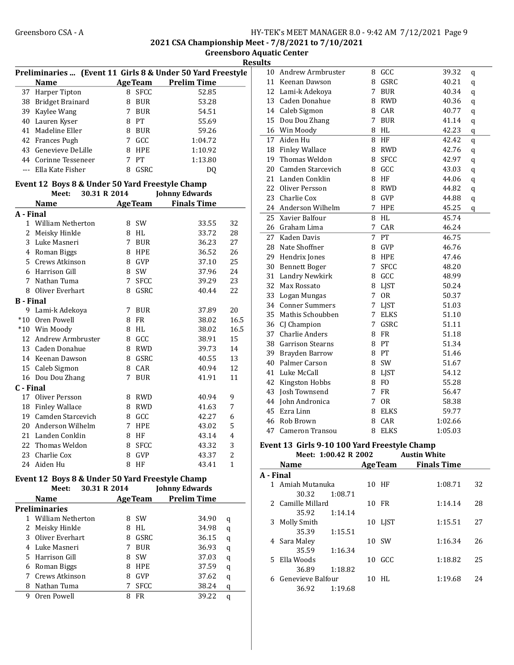2021 CSA Championship Meet - 7/8/2021 to 7/10/2021

Greensboro Aquatic Center

**Results** 

|                  | <b>Name</b>                                                     |   | <b>AgeTeam</b> | <b>Prelim Time</b>         |                |
|------------------|-----------------------------------------------------------------|---|----------------|----------------------------|----------------|
| 37               | Harper Tipton                                                   |   | 8 SFCC         | 52.85                      |                |
|                  | 38 Bridget Brainard                                             |   | 8 BUR          | 53.28                      |                |
|                  | 39 Kaylee Wang                                                  |   | 7 BUR          | 54.51                      |                |
|                  | 40 Lauren Kyser                                                 |   | 8 PT           | 55.69                      |                |
| 41               | Madeline Eller                                                  |   | 8 BUR          | 59.26                      |                |
|                  | 42 Frances Pugh                                                 |   | 7 GCC          | 1:04.72                    |                |
|                  | 43 Genevieve DeLille                                            |   | 8 HPE          | 1:10.92                    |                |
|                  | 44 Corinne Tesseneer                                            |   | 7 PT           | 1:13.80                    |                |
|                  | --- Ella Kate Fisher                                            | 8 | GSRC           | DQ                         |                |
|                  |                                                                 |   |                |                            |                |
|                  | Event 12 Boys 8 & Under 50 Yard Freestyle Champ<br>30.31 R 2014 |   |                |                            |                |
|                  | Meet:                                                           |   |                | <b>Johnny Edwards</b>      |                |
|                  | <b>Name</b>                                                     |   |                | <b>AgeTeam</b> Finals Time |                |
| A - Final        |                                                                 |   |                |                            |                |
|                  | 1 William Netherton                                             |   | 8 SW           | 33.55                      | 32             |
|                  | 2 Meisky Hinkle                                                 |   | 8 HL           | 33.72                      | 28             |
| $\overline{3}$   | Luke Masneri                                                    |   | 7 BUR          | 36.23                      | 27             |
|                  | 4 Roman Biggs                                                   |   | 8 HPE          | 36.52                      | 26             |
| 5.               | Crews Atkinson                                                  |   | 8 GVP          | 37.10                      | 25             |
|                  | 6 Harrison Gill                                                 |   | 8 SW           | 37.96                      | 24             |
| 7                | Nathan Tuma                                                     | 7 | <b>SFCC</b>    | 39.29                      | 23             |
|                  | 8 Oliver Everhart                                               | 8 | <b>GSRC</b>    | 40.44                      | 22             |
| <b>B</b> - Final |                                                                 |   |                |                            |                |
|                  | 9 Lami-k Adekoya                                                |   | 7 BUR          | 37.89                      | 20             |
|                  | *10 Oren Powell                                                 |   | 8 FR           | 38.02                      | 16.5           |
|                  | *10 Win Moody                                                   |   | 8 HL           | 38.02                      | 16.5           |
|                  | 12 Andrew Armbruster                                            |   | 8 GCC          | 38.91                      | 15             |
|                  | 13 Caden Donahue                                                |   | 8 RWD          | 39.73                      | 14             |
|                  | 14 Keenan Dawson                                                |   | 8 GSRC         | 40.55                      | 13             |
|                  | 15 Caleb Sigmon                                                 |   | 8 CAR          | 40.94                      | 12             |
|                  | 16 Dou Dou Zhang                                                | 7 | <b>BUR</b>     | 41.91                      | 11             |
| C - Final        |                                                                 |   |                |                            |                |
| 17               | Oliver Persson                                                  |   | 8 RWD          | 40.94                      | 9              |
|                  | 18 Finley Wallace                                               |   | 8 RWD          | 41.63                      | 7              |
|                  | 19 Camden Starcevich                                            |   | 8 GCC          | 42.27                      | 6              |
|                  | 20 Anderson Wilhelm                                             |   | 7 HPE          | 43.02                      | 5              |
|                  | 21 Landen Conklin                                               |   | 8 HF           | 43.14                      | $\overline{4}$ |
|                  | 22 Thomas Weldon                                                |   | 8 SFCC         | 43.32                      | 3              |
|                  | 23 Charlie Cox                                                  |   | 8 GVP          | 43.37                      | $\overline{c}$ |
|                  | 24 Aiden Hu                                                     |   | 8 HF           | 43.41                      | 1              |
|                  |                                                                 |   |                |                            |                |
|                  | Event 12 Boys 8 & Under 50 Yard Freestyle Champ                 |   |                |                            |                |
|                  | 30.31 R 2014<br>Meet:                                           |   |                | <b>Johnny Edwards</b>      |                |
|                  | Name                                                            |   | <b>AgeTeam</b> | <b>Prelim Time</b>         |                |
|                  | <b>Preliminaries</b>                                            |   |                |                            |                |
|                  | 1 William Netherton                                             |   | 8 SW           | 34.90                      | q              |
| 2                | Meisky Hinkle                                                   |   | 8 HL           | 34.98                      | q              |
| 3                | Oliver Everhart                                                 | 8 | GSRC           | 36.15                      | q              |
|                  | 4 Luke Masneri                                                  | 7 | <b>BUR</b>     | 36.93                      | q              |
|                  | 5 Harrison Gill                                                 | 8 | SW             | 37.03                      | q              |
|                  | 6 Roman Biggs                                                   |   | 8 HPE          | 37.59                      | q              |
| 7                | Crews Atkinson                                                  |   | 8 GVP          | 37.62                      | q              |
|                  | 8 Nathan Tuma                                                   | 7 | <b>SFCC</b>    | 38.24                      | q              |
| 9                | Oren Powell                                                     | 8 | FR             | 39.22                      | q              |
|                  |                                                                 |   |                |                            |                |

Preliminaries ... (Event 11 Girls 8 & Under 50 Yard Freestyle

| 10 | <b>Andrew Armbruster</b> | 8           | GCC            | 39.32   | q |
|----|--------------------------|-------------|----------------|---------|---|
| 11 | Keenan Dawson            | 8           | GSRC           | 40.21   | q |
| 12 | Lami-k Adekova           | 7           | <b>BUR</b>     | 40.34   | q |
| 13 | Caden Donahue            | 8           | <b>RWD</b>     | 40.36   | q |
| 14 | Caleb Sigmon             |             | 8 CAR          | 40.77   | q |
| 15 | Dou Dou Zhang            | $7^{\circ}$ | <b>BUR</b>     | 41.14   | q |
| 16 | Win Moody                | 8           | HL             | 42.23   | q |
| 17 | Aiden Hu                 |             | 8 HF           | 42.42   | q |
| 18 | <b>Finley Wallace</b>    |             | 8 RWD          | 42.76   | q |
| 19 | Thomas Weldon            | 8           | <b>SFCC</b>    | 42.97   | q |
| 20 | Camden Starcevich        |             | 8 GCC          | 43.03   | q |
| 21 | Landen Conklin           | 8           | HF             | 44.06   | q |
| 22 | Oliver Persson           | 8           | <b>RWD</b>     | 44.82   | q |
| 23 | Charlie Cox              | 8           | GVP            | 44.88   | q |
| 24 | Anderson Wilhelm         | 7           | <b>HPE</b>     | 45.25   | q |
| 25 | Xavier Balfour           | 8           | HL             | 45.74   |   |
| 26 | Graham Lima              | 7           | CAR            | 46.24   |   |
| 27 | Kaden Davis              | 7           | PT             | 46.75   |   |
| 28 | Nate Shoffner            | 8           | GVP            | 46.76   |   |
| 29 | Hendrix Jones            | 8           | <b>HPE</b>     | 47.46   |   |
| 30 | <b>Bennett Boger</b>     | 7           | <b>SFCC</b>    | 48.20   |   |
| 31 | Landry Newkirk           | 8           | GCC            | 48.99   |   |
| 32 | Max Rossato              | 8           | <b>LJST</b>    | 50.24   |   |
| 33 | Logan Mungas             | 7           | <b>OR</b>      | 50.37   |   |
| 34 | <b>Conner Summers</b>    | 7           | LJST           | 51.03   |   |
| 35 | Mathis Schoubben         | 7           | <b>ELKS</b>    | 51.10   |   |
| 36 | CJ Champion              | 7           | GSRC           | 51.11   |   |
| 37 | <b>Charlie Anders</b>    | 8           | <b>FR</b>      | 51.18   |   |
| 38 | <b>Garrison Stearns</b>  | 8           | PT             | 51.34   |   |
| 39 | Brayden Barrow           | 8           | PT             | 51.46   |   |
| 40 | Palmer Carson            | 8           | SW             | 51.67   |   |
| 41 | Luke McCall              | 8           | <b>LJST</b>    | 54.12   |   |
| 42 | Kingston Hobbs           | 8           | F <sub>O</sub> | 55.28   |   |
| 43 | Josh Townsend            | 7           | FR             | 56.47   |   |
| 44 | John Andronica           | 7           | <b>OR</b>      | 58.38   |   |
| 45 | Ezra Linn                | 8           | <b>ELKS</b>    | 59.77   |   |
| 46 | Rob Brown                | 8           | CAR            | 1:02.66 |   |
| 47 | Cameron Transou          | 8           | <b>ELKS</b>    | 1:05.03 |   |
|    |                          |             |                |         |   |

#### Event 13 Girls 9-10 100 Yard Freestyle Champ Meet: 1:00.42 R 2002

|           | <b>Name</b>       |         |    | <b>AgeTeam</b> | <b>Finals Time</b> |    |
|-----------|-------------------|---------|----|----------------|--------------------|----|
| A - Final |                   |         |    |                |                    |    |
|           | 1 Amiah Mutanuka  |         |    | 10 HF          | 1:08.71            | 32 |
|           | 30.32             | 1:08.71 |    |                |                    |    |
|           | 2 Camille Millard |         | 10 | FR             | 1:14.14            | 28 |
|           | 35.92             | 1:14.14 |    |                |                    |    |
|           | 3 Molly Smith     |         |    | 10 LIST        | 1:15.51            | 27 |
|           | 35.39             | 1:15.51 |    |                |                    |    |
|           | 4 Sara Maley      |         |    | 10 SW          | 1:16.34            | 26 |
|           | 35.59             | 1:16.34 |    |                |                    |    |
|           | 5 Ella Woods      |         |    | 10 GCC         | 1:18.82            | 25 |
|           | 36.89             | 1:18.82 |    |                |                    |    |
| 6.        | Genevieve Balfour |         | 10 | HL.            | 1:19.68            | 24 |
|           | 36.92             | 1:19.68 |    |                |                    |    |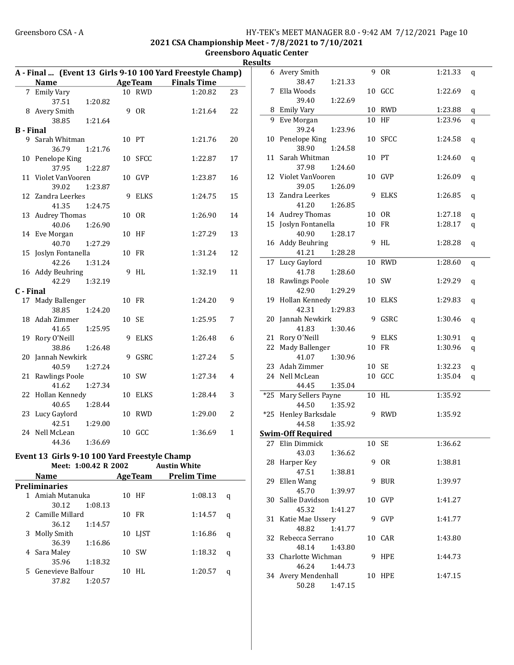#### Greensboro CSA - A 
HY-TEK's MEET MANAGER 8.0 - 9:42 AM 7/12/2021 Page 10 2021 CSA Championship Meet - 7/8/2021 to 7/10/2021 Greensboro Aquatic Center

## **Results**

|                  |                      |         |    |             | A - Final  (Event 13 Girls 9-10 100 Yard Freestyle Champ) |              |
|------------------|----------------------|---------|----|-------------|-----------------------------------------------------------|--------------|
|                  | <b>Name</b>          |         |    |             | <b>Example 2 Age Team</b> Finals Time                     |              |
|                  | 7 Emily Vary         |         |    | 10 RWD      | 1:20.82                                                   | 23           |
|                  | 37.51                | 1:20.82 |    |             |                                                           |              |
|                  | 8 Avery Smith        |         |    | 9 OR        | 1:21.64                                                   | 22           |
|                  | 38.85                | 1:21.64 |    |             |                                                           |              |
| <b>B</b> - Final |                      |         |    |             |                                                           |              |
| 9                | Sarah Whitman        |         |    | 10 PT       | 1:21.76                                                   | 20           |
|                  | 36.79                | 1:21.76 |    |             |                                                           |              |
| 10               | Penelope King        |         |    | 10 SFCC     | 1:22.87                                                   | 17           |
|                  | 37.95                | 1:22.87 |    |             |                                                           |              |
|                  | 11 Violet VanVooren  |         |    | 10 GVP      | 1:23.87                                                   | 16           |
|                  | 39.02                | 1:23.87 |    |             |                                                           |              |
| 12               | Zandra Leerkes       |         | 9  | <b>ELKS</b> | 1:24.75                                                   | 15           |
|                  | 41.35                | 1:24.75 |    |             |                                                           |              |
| 13               | <b>Audrey Thomas</b> |         |    | 10 OR       | 1:26.90                                                   | 14           |
|                  | 40.06                | 1:26.90 |    |             |                                                           |              |
|                  | 14 Eve Morgan        |         | 10 | HF          | 1:27.29                                                   | 13           |
|                  | 40.70                | 1:27.29 |    |             |                                                           |              |
| 15               | Joslyn Fontanella    |         | 10 | FR          | 1:31.24                                                   | 12           |
|                  | 42.26                | 1:31.24 |    |             |                                                           |              |
|                  | 16 Addy Beuhring     |         | 9  | <b>HL</b>   | 1:32.19                                                   | 11           |
|                  | 42.29                | 1:32.19 |    |             |                                                           |              |
| C - Final        |                      |         |    |             |                                                           |              |
|                  | 17 Mady Ballenger    |         |    | 10 FR       | 1:24.20                                                   | 9            |
|                  | 38.85                | 1:24.20 |    |             |                                                           |              |
| 18               | Adah Zimmer          |         |    | 10 SE       | 1:25.95                                                   | 7            |
|                  | 41.65                | 1:25.95 |    |             |                                                           |              |
| 19               | Rory O'Neill         |         | 9  | <b>ELKS</b> | 1:26.48                                                   | 6            |
|                  | 38.86                | 1:26.48 |    |             |                                                           |              |
| 20               | Jannah Newkirk       |         | 9  | GSRC        | 1:27.24                                                   | 5            |
|                  | 40.59                | 1:27.24 |    |             |                                                           |              |
| 21               | Rawlings Poole       |         |    | 10 SW       | 1:27.34                                                   | 4            |
|                  | 41.62                | 1:27.34 |    |             |                                                           |              |
| 22               | Hollan Kennedy       |         | 10 | <b>ELKS</b> | 1:28.44                                                   | 3            |
|                  | 40.65                | 1:28.44 |    |             |                                                           |              |
| 23               | Lucy Gaylord         |         | 10 | <b>RWD</b>  | 1:29.00                                                   | 2            |
|                  | 42.51                | 1:29.00 |    |             |                                                           |              |
|                  | 24 Nell McLean       |         | 10 | GCC         | 1:36.69                                                   | $\mathbf{1}$ |
|                  | 44.36                | 1:36.69 |    |             |                                                           |              |
|                  |                      |         |    |             |                                                           |              |

#### Event 13 Girls 9-10 100 Yard Freestyle Champ Meet: 1:00.42 R 2002 Austin White

|               | <b>Name</b>         |         | <b>AgeTeam</b> | <b>Prelim Time</b> |   |
|---------------|---------------------|---------|----------------|--------------------|---|
| Preliminaries |                     |         |                |                    |   |
|               | 1 Amiah Mutanuka    |         | 10 HF          | 1:08.13            | q |
|               | 30.12               | 1:08.13 |                |                    |   |
|               | 2 Camille Millard   |         | 10 FR          | 1:14.57            | q |
|               | 36.12               | 1:14.57 |                |                    |   |
| 3             | Molly Smith         |         | 10 LIST        | 1:16.86            | q |
|               | 36.39               | 1:16.86 |                |                    |   |
|               | 4 Sara Maley        |         | 10 SW          | 1:18.32            | q |
|               | 35.96               | 1:18.32 |                |                    |   |
|               | 5 Genevieve Balfour |         | 10 HL          | 1:20.57            | a |
|               | 37.82               | 1:20.57 |                |                    |   |
|               |                     |         |                |                    |   |

| ,,,,, |                          |    |             |         |   |
|-------|--------------------------|----|-------------|---------|---|
| 6     | Avery Smith              |    | 9 OR        | 1:21.33 | q |
|       | 38.47<br>1:21.33         |    |             |         |   |
| 7     | Ella Woods               |    | 10 GCC      | 1:22.69 | q |
|       | 39.40<br>1:22.69         |    |             |         |   |
|       | 8 Emily Vary             |    | 10 RWD      | 1:23.88 | q |
| 9     | Eve Morgan               |    | 10 HF       | 1:23.96 | q |
|       | 39.24<br>1:23.96         |    |             |         |   |
|       | 10 Penelope King         |    | 10 SFCC     | 1:24.58 | q |
|       | 38.90<br>1:24.58         |    |             |         |   |
|       | 11 Sarah Whitman         |    | 10 PT       | 1:24.60 | q |
|       | 37.98<br>1:24.60         |    |             |         |   |
|       | 12 Violet VanVooren      |    | 10 GVP      | 1:26.09 | q |
|       | 39.05<br>1:26.09         |    |             |         |   |
|       | 13 Zandra Leerkes        | 9  | <b>ELKS</b> | 1:26.85 | q |
|       | 41.20<br>1:26.85         |    |             |         |   |
|       | 14 Audrey Thomas         |    | 10 OR       | 1:27.18 | q |
|       | 15 Joslyn Fontanella     |    | 10 FR       | 1:28.17 | q |
|       | 40.90<br>1:28.17         |    |             |         |   |
|       | 16 Addy Beuhring         |    | 9 HL        | 1:28.28 | q |
|       | 41.21<br>1:28.28         |    |             |         |   |
| 17    | Lucy Gaylord             |    | 10 RWD      | 1:28.60 | q |
|       | 41.78<br>1:28.60         |    |             |         |   |
| 18    | <b>Rawlings Poole</b>    |    | 10 SW       | 1:29.29 | q |
|       | 42.90<br>1:29.29         |    |             |         |   |
| 19    | Hollan Kennedy           |    | 10 ELKS     | 1:29.83 | q |
|       | 42.31<br>1:29.83         |    |             |         |   |
| 20    | Jannah Newkirk           |    | 9 GSRC      | 1:30.46 | q |
|       | 41.83<br>1:30.46         |    |             |         |   |
|       | 21 Rory O'Neill          |    | 9 ELKS      | 1:30.91 | q |
|       | 22 Mady Ballenger        |    | 10 FR       | 1:30.96 | q |
|       | 41.07<br>1:30.96         |    |             |         |   |
|       | 23 Adah Zimmer           |    | 10 SE       | 1:32.23 | q |
| 24    | Nell McLean              | 10 | GCC         | 1:35.04 | q |
|       | 44.45<br>1:35.04         |    |             |         |   |
| $*25$ | Mary Sellers Payne       |    | 10 HL       | 1:35.92 |   |
|       | 44.50<br>1:35.92         |    |             |         |   |
|       | *25 Henley Barksdale     | 9  | RWD         | 1:35.92 |   |
|       | 44.58<br>1:35.92         |    |             |         |   |
|       | <b>Swim-Off Required</b> |    |             |         |   |
| 27    | Elin Dimmick             |    | 10 SE       | 1:36.62 |   |
|       | 43.03<br>1:36.62         |    |             |         |   |
| 28    | Harper Key               |    | 9 OR        | 1:38.81 |   |
|       | 47.51<br>1:38.81         |    |             |         |   |
| 29    | Ellen Wang               | 9  | BUR         | 1:39.97 |   |
|       | 45.70<br>1:39.97         |    |             |         |   |
|       | 30 Sallie Davidson       |    | 10 GVP      | 1:41.27 |   |
|       | 45.32<br>1:41.27         |    |             |         |   |
| 31    | Katie Mae Ussery         |    | 9 GVP       | 1:41.77 |   |
|       | 48.82<br>1:41.77         |    |             |         |   |
| 32    | Rebecca Serrano          |    | 10 CAR      | 1:43.80 |   |
|       | 48.14<br>1:43.80         |    |             |         |   |
| 33    | Charlotte Wichman        |    | 9 HPE       | 1:44.73 |   |
|       | 46.24<br>1:44.73         |    |             |         |   |
|       | 34 Avery Mendenhall      |    | 10 HPE      | 1:47.15 |   |
|       | 50.28<br>1:47.15         |    |             |         |   |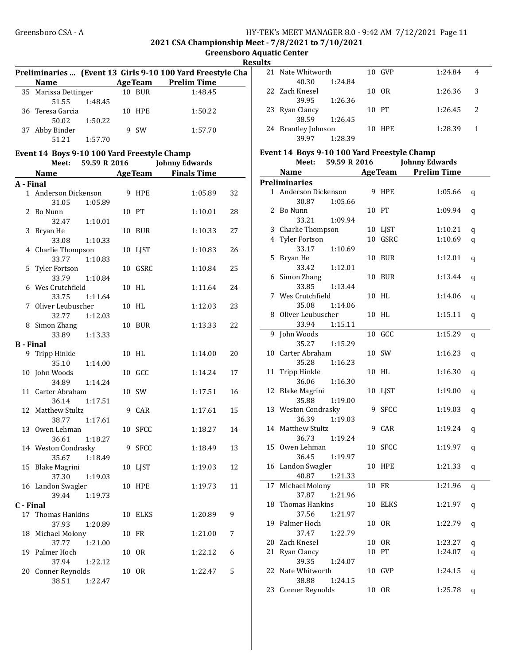#### Greensboro CSA - A **HY-TEK's MEET MANAGER 8.0 - 9:42 AM 7/12/2021** Page 11 2021 CSA Championship Meet - 7/8/2021 to 7/10/2021

Greensboro Aquatic Center Results Preliminaries ... (Event 13 Girls 9-10 100 Yard Freestyle Cha Name Age Team Prelim Time 35 Marissa Dettinger 10 BUR 1:48.45 51.55 1:48.45 36 1:50.22 Teresa Garcia 10 HPE 50.02 1:50.22 37 Abby Binder 9 SW 1:57.70 51.21 1:57.70 Event 14 Boys 9-10 100 Yard Freestyle Champ Meet: 59.59 R 2016 Johnny Edwards Name **Age Team** Finals Time A - Final 1 Anderson Dickenson 9 HPE 1:05.89 32 31.05 1:05.89 2 Bo Nunn 10 PT 1:10.01 28 32.47 1:10.01 3 Bryan He 10 BUR 1:10.33 27 33.08 1:10.33 4 1:10.83 26 Charlie Thompson 10 LJST 33.77 1:10.83 5 1:10.84 25 Tyler Fortson 10 GSRC 33.79 1:10.84 6 Wes Crutchfield 10 HL 1:11.64 24 33.75 1:11.64 7 1:12.03 23 Oliver Leubuscher 10 HL 32.77 1:12.03 8 Simon Zhang 10 BUR 1:13.33 22 33.89 1:13.33 B - Final 9 1:14.00 20 Tripp Hinkle 10 HL 35.10 1:14.00 10 John Woods 10 GCC 1:14.24 17 34.89 1:14.24 11 Carter Abraham 10 SW 1:17.51 16 36.14 1:17.51 12 Matthew Stultz 9 CAR 1:17.61 15 38.77 1:17.61 13 0wen Lehman 10 SFCC 1:18.27 14 36.61 1:18.27 14 Weston Condrasky 9 SFCC 1:18.49 13 35.67 1:18.49 15 Blake Magrini 10 LJST 1:19.03 12 37.30 1:19.03 16 Landon Swagler 10 HPE 1:19.73 11 39.44 1:19.73 C - Final 17 Thomas Hankins 10 ELKS 1:20.89 9 37.93 1:20.89 18 Michael Molony 10 FR 1:21.00 7 37.77 1:21.00 19 Palmer Hoch 10 OR 1:22.12 6 37.94 1:22.12 20 Conner Reynolds 10 OR 1:22.47 5 38.51 1:22.47

| ພ |                     |         |        |         |              |
|---|---------------------|---------|--------|---------|--------------|
|   | 21 Nate Whitworth   |         | 10 GVP | 1:24.84 |              |
|   | 40.30               | 1:24.84 |        |         |              |
|   | 22 Zach Knesel      |         | 10 OR  | 1:26.36 | -3           |
|   | 39.95               | 1:26.36 |        |         |              |
|   | 23 Ryan Clancy      |         | 10 PT  | 1:26.45 | <sup>2</sup> |
|   | 38.59               | 1:26.45 |        |         |              |
|   | 24 Brantley Johnson |         | 10 HPE | 1:28.39 |              |
|   | 39.97               | 1:28.39 |        |         |              |

#### Event 14 Boys 9-10 100 Yard Freestyle Champ Meet: 59.59 R 2016 Johnny Edwards

|    | <b>Name</b>             |    | <b>AgeTeam</b> | <b>Prelim Time</b> |   |
|----|-------------------------|----|----------------|--------------------|---|
|    | <b>Preliminaries</b>    |    |                |                    |   |
| 1  | Anderson Dickenson      | 9  | HPE            | 1:05.66            | q |
|    | 1:05.66<br>30.87        |    |                |                    |   |
| 2  | Bo Nunn                 |    | 10 PT          | 1:09.94            | q |
|    | 33.21<br>1:09.94        |    |                |                    |   |
| 3  | Charlie Thompson        |    | 10 LJST        | 1:10.21            | q |
| 4  | <b>Tyler Fortson</b>    |    | 10 GSRC        | 1:10.69            | q |
|    | 33.17<br>1:10.69        |    |                |                    |   |
| 5  | Bryan He                | 10 | BUR            | 1:12.01            | q |
|    | 33.42<br>1:12.01        |    |                |                    |   |
| 6  | Simon Zhang             | 10 | BUR            | 1:13.44            | q |
|    | 33.85<br>1:13.44        |    |                |                    |   |
| 7  | Wes Crutchfield         | 10 | HL             | 1:14.06            | q |
|    | 35.08<br>1:14.06        |    |                |                    |   |
| 8  | Oliver Leubuscher       |    | 10 HL          | 1:15.11            | q |
|    | 33.94<br>1:15.11        |    |                |                    |   |
| 9  | John Woods              | 10 | GCC            | 1:15.29            | q |
|    | 35.27<br>1:15.29        |    |                |                    |   |
| 10 | Carter Abraham          |    | 10 SW          | 1:16.23            | q |
|    | 35.28<br>1:16.23        |    |                |                    |   |
| 11 | Tripp Hinkle            |    | 10 HL          | 1:16.30            | q |
|    | 36.06<br>1:16.30        |    |                |                    |   |
| 12 | <b>Blake Magrini</b>    | 10 | LJST           | 1:19.00            | q |
|    | 35.88<br>1:19.00        |    |                |                    |   |
| 13 | <b>Weston Condrasky</b> | 9  | <b>SFCC</b>    | 1:19.03            | q |
|    | 36.39<br>1:19.03        |    |                |                    |   |
| 14 | Matthew Stultz          | 9  | CAR            | 1:19.24            | q |
|    | 36.73<br>1:19.24        |    |                |                    |   |
| 15 | Owen Lehman             | 10 | SFCC           | 1:19.97            | q |
|    | 36.45<br>1:19.97        |    |                |                    |   |
| 16 | Landon Swagler          | 10 | <b>HPE</b>     | 1:21.33            | q |
|    | 40.87<br>1:21.33        |    |                |                    |   |
| 17 | Michael Molony          | 10 | FR             | 1:21.96            | q |
|    | 37.87<br>1:21.96        |    |                |                    |   |
| 18 | Thomas Hankins          |    | 10 ELKS        | 1:21.97            | q |
|    | 37.56<br>1:21.97        |    |                |                    |   |
| 19 | Palmer Hoch             | 10 | 0R             | 1:22.79            | q |
|    | 37.47<br>1:22.79        |    |                |                    |   |
| 20 | Zach Knesel             | 10 | <b>OR</b>      | 1:23.27            | q |
| 21 | Ryan Clancy             | 10 | PT             | 1:24.07            | q |
|    | 39.35<br>1:24.07        |    |                |                    |   |
| 22 | Nate Whitworth          |    | 10 GVP         | 1:24.15            | q |
|    | 38.88<br>1:24.15        |    |                |                    |   |
| 23 | <b>Conner Reynolds</b>  |    | 10 OR          | 1:25.78            | q |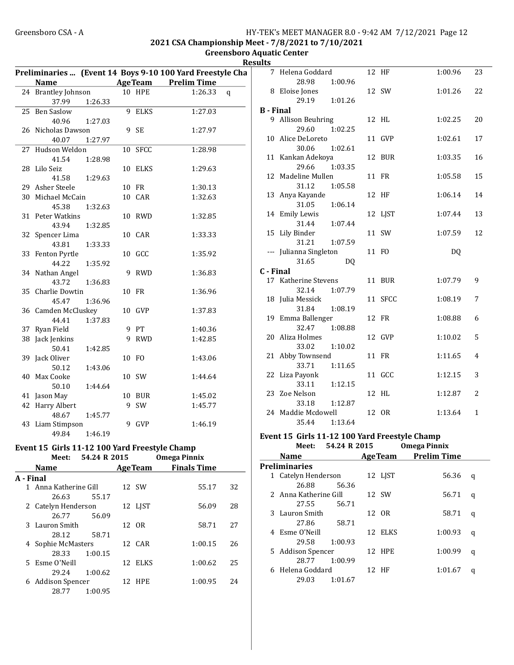2021 CSA Championship Meet - 7/8/2021 to 7/10/2021

Greensboro Aquatic Center **Results** 

|    |                     |         |    |               | Preliminaries  (Event 14 Boys 9-10 100 Yard Freestyle Cha |
|----|---------------------|---------|----|---------------|-----------------------------------------------------------|
|    | <b>Name</b>         |         |    |               | AgeTeam Prelim Time                                       |
|    | 24 Brantley Johnson |         |    | <b>10 HPE</b> | 1:26.33<br>q                                              |
|    | 37.99               | 1:26.33 |    |               |                                                           |
| 25 | Ben Saslow          |         | 9  | <b>ELKS</b>   | 1:27.03                                                   |
|    | 40.96               | 1:27.03 |    |               |                                                           |
|    | 26 Nicholas Dawson  |         |    | 9 SE          | 1:27.97                                                   |
|    | 40.07               | 1:27.97 |    |               |                                                           |
|    | 27 Hudson Weldon    |         | 10 | <b>SFCC</b>   | 1:28.98                                                   |
|    | 41.54               | 1:28.98 |    |               |                                                           |
|    | 28 Lilo Seiz        |         | 10 | ELKS          | 1:29.63                                                   |
|    | 41.58               | 1:29.63 |    |               |                                                           |
|    | 29 Asher Steele     |         |    | 10 FR         | 1:30.13                                                   |
|    | 30 Michael McCain   |         | 10 | CAR           | 1:32.63                                                   |
|    | 45.38               | 1:32.63 |    |               |                                                           |
|    | 31 Peter Watkins    |         | 10 | RWD           | 1:32.85                                                   |
|    | 43.94               | 1:32.85 |    |               |                                                           |
|    | 32 Spencer Lima     |         |    | 10 CAR        | 1:33.33                                                   |
|    | 43.81               | 1:33.33 |    |               |                                                           |
|    | 33 Fenton Pyrtle    |         |    | 10 GCC        | 1:35.92                                                   |
|    | 44.22               | 1:35.92 |    |               |                                                           |
|    | 34 Nathan Angel     |         | 9  | RWD           | 1:36.83                                                   |
|    | 43.72               | 1:36.83 |    |               |                                                           |
|    | 35 Charlie Dowtin   |         |    | 10 FR         | 1:36.96                                                   |
|    | 45.47               | 1:36.96 |    |               |                                                           |
|    | 36 Camden McCluskey |         |    | 10 GVP        | 1:37.83                                                   |
|    | 44.41               | 1:37.83 |    |               |                                                           |
|    | 37 Ryan Field       |         |    | 9 PT          | 1:40.36                                                   |
|    | 38 Jack Jenkins     |         | 9  | <b>RWD</b>    | 1:42.85                                                   |
|    | 50.41               | 1:42.85 |    |               |                                                           |
|    | 39 Jack Oliver      |         |    | 10 FO         | 1:43.06                                                   |
|    | 50.12               | 1:43.06 |    |               |                                                           |
|    | 40 Max Cooke        |         |    | 10 SW         | 1:44.64                                                   |
|    | 50.10               | 1:44.64 |    |               |                                                           |
|    | 41 Jason May        |         | 10 | BUR           | 1:45.02                                                   |
|    | 42 Harry Albert     |         | 9  | SW            | 1:45.77                                                   |
|    | 48.67               | 1:45.77 |    |               |                                                           |
|    | 43 Liam Stimpson    |         | 9  | <b>GVP</b>    | 1:46.19                                                   |
|    |                     |         |    |               |                                                           |
|    | 49.84               | 1:46.19 |    |               |                                                           |

#### Event 15 Girls 11-12 100 Yard Freestyle Champ Meet:  $54.24 R 2015$

|           | NGC.                   | JT.LT I\ LUIJ |                | Ошеда г шшл        |     |
|-----------|------------------------|---------------|----------------|--------------------|-----|
|           | <b>Name</b>            |               | <b>AgeTeam</b> | <b>Finals Time</b> |     |
| A - Final |                        |               |                |                    |     |
|           | 1 Anna Katherine Gill  |               | 12 SW          | 55.17              | 32  |
|           | 26.63                  | 55.17         |                |                    |     |
|           | 2 Catelyn Henderson    |               | 12 LIST        | 56.09              | 28  |
|           | 26.77                  | 56.09         |                |                    |     |
|           | 3 Lauron Smith         |               | 12 OR          | 58.71              | 27  |
|           | 28.12                  | 58.71         |                |                    |     |
|           | 4 Sophie McMasters     |               | 12 CAR         | 1:00.15            | 26  |
|           | 28.33                  | 1:00.15       |                |                    |     |
|           | 5 Esme O'Neill         |               | 12 ELKS        | 1:00.62            | 25  |
|           | 29.24                  | 1:00.62       |                |                    |     |
| 6         | <b>Addison Spencer</b> |               | 12 HPE         | 1:00.95            | 2.4 |
|           | 28.77                  | 1:00.95       |                |                    |     |

| 11 L.J    |                             |                |         |           |                |
|-----------|-----------------------------|----------------|---------|-----------|----------------|
| 7         | Helena Goddard              |                | 12 HF   | 1:00.96   | 23             |
|           | 28.98                       | 1:00.96        |         |           |                |
|           | 8 Eloise Jones              |                | 12 SW   | 1:01.26   | 22             |
|           | 29.19                       | 1:01.26        |         |           |                |
| B - Final |                             |                |         |           |                |
|           | 9 Allison Beuhring          |                | 12 HL   | 1:02.25   | 20             |
|           | 29.60                       | 1:02.25        |         |           |                |
|           | 10 Alice DeLoreto           |                | 11 GVP  | 1:02.61   | 17             |
|           | 30.06                       | 1:02.61        |         |           |                |
|           | 11 Kankan Adekoya           |                | 12 BUR  | 1:03.35   | 16             |
|           | 29.66                       | 1:03.35        |         |           |                |
| 12        | Madeline Mullen             |                | 11 FR   | 1:05.58   | 15             |
|           | 31.12                       | 1:05.58        |         |           |                |
|           | 13 Anya Kayande             |                | 12 HF   | 1:06.14   | 14             |
|           | 31.05                       | 1:06.14        |         |           |                |
|           | 14 Emily Lewis              |                | 12 LJST | 1:07.44   | 13             |
|           | 31.44                       | 1:07.44        |         |           |                |
| 15        | Lily Binder                 |                | 11 SW   | 1:07.59   | 12             |
| $- - -$   | 31.21<br>Julianna Singleton | 1:07.59        | 11 FO   | <b>DQ</b> |                |
|           | 31.65                       | D <sub>0</sub> |         |           |                |
| C - Final |                             |                |         |           |                |
|           | 17 Katherine Stevens        |                | 11 BUR  | 1:07.79   | 9              |
|           | 32.14                       | 1:07.79        |         |           |                |
|           | 18 Julia Messick            |                | 11 SFCC | 1:08.19   | 7              |
|           | 31.84                       | 1:08.19        |         |           |                |
|           | 19 Emma Ballenger           |                | 12 FR   | 1:08.88   | 6              |
|           | 32.47                       | 1:08.88        |         |           |                |
|           | 20 Aliza Holmes             |                | 12 GVP  | 1:10.02   | 5              |
|           | 33.02                       | 1:10.02        |         |           |                |
|           | 21 Abby Townsend            |                | 11 FR   | 1:11.65   | 4              |
|           | 33.71                       | 1:11.65        |         |           |                |
|           | 22 Liza Payonk              |                | 11 GCC  | 1:12.15   | 3              |
|           | 33.11                       | 1:12.15        |         |           |                |
|           | 23 Zoe Nelson               |                | 12 HL   | 1:12.87   | $\overline{c}$ |
|           | 33.18                       | 1:12.87        |         |           |                |
|           | 24 Maddie Mcdowell          |                | 12 OR   | 1:13.64   | $\mathbf{1}$   |
|           | 35.44                       | 1:13.64        |         |           |                |

# Event 15 Girls 11-12 100 Yard Freestyle Champ<br>Meet: 54.24 R 2015 Omega Pinnix

Meet: 54.24 R 2015

| <b>Name</b>           |         | <b>AgeTeam</b> | <b>Prelim Time</b> |   |  |
|-----------------------|---------|----------------|--------------------|---|--|
| Preliminaries         |         |                |                    |   |  |
| 1 Catelyn Henderson   |         | 12 LJST        | 56.36              | q |  |
| 26.88                 | 56.36   |                |                    |   |  |
| 2 Anna Katherine Gill |         | 12 SW          | 56.71              | q |  |
| 27.55                 | 56.71   |                |                    |   |  |
| 3 Lauron Smith        |         | 12. OR         | 58.71              | q |  |
| 27.86                 | 58.71   |                |                    |   |  |
| 4 Esme O'Neill        |         | 12 ELKS        | 1:00.93            | q |  |
| 29.58                 | 1:00.93 |                |                    |   |  |
| 5 Addison Spencer     |         | 12 HPE         | 1:00.99            | q |  |
| 28.77                 | 1:00.99 |                |                    |   |  |
| 6 Helena Goddard      |         | 12 HF          | 1:01.67            | q |  |
| 29.03                 | 1:01.67 |                |                    |   |  |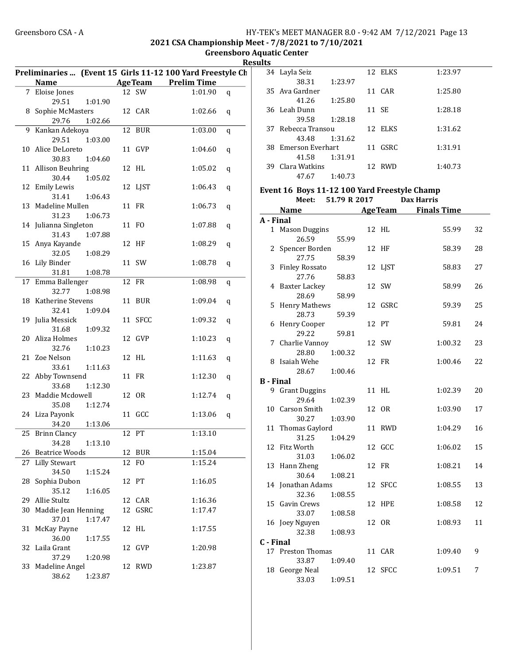#### Greensboro CSA - A 
HY-TEK's MEET MANAGER 8.0 - 9:42 AM 7/12/2021 Page 13 2021 CSA Championship Meet - 7/8/2021 to 7/10/2021

Greensboro Aquatic Center **Results** 

|    | Name                   |         |         | Preliminaries  (Event 15 Girls 11-12 100 Yard Freestyle Ch<br><b>AgeTeam</b> Prelim Time |   |
|----|------------------------|---------|---------|------------------------------------------------------------------------------------------|---|
|    | 7 Eloise Jones         |         | 12 SW   | 1:01.90                                                                                  |   |
|    | 29.51                  |         |         |                                                                                          | q |
|    | 8 Sophie McMasters     | 1:01.90 | 12 CAR  | 1:02.66                                                                                  |   |
|    | 29.76                  | 1:02.66 |         |                                                                                          | q |
|    | 9 Kankan Adekoya       |         | 12 BUR  | 1:03.00                                                                                  |   |
|    |                        |         |         |                                                                                          | q |
|    | 29.51                  | 1:03.00 |         |                                                                                          |   |
|    | 10 Alice DeLoreto      |         | 11 GVP  | 1:04.60                                                                                  | q |
|    | 30.83                  | 1:04.60 |         |                                                                                          |   |
|    | 11 Allison Beuhring    |         | 12 HL   | 1:05.02                                                                                  | q |
|    | 30.44                  | 1:05.02 |         |                                                                                          |   |
|    | 12 Emily Lewis         |         | 12 LJST | 1:06.43                                                                                  | q |
|    | 31.41                  | 1:06.43 |         |                                                                                          |   |
|    | 13 Madeline Mullen     |         | 11 FR   | 1:06.73                                                                                  | q |
|    | 31.23                  | 1:06.73 |         |                                                                                          |   |
|    | 14 Julianna Singleton  |         | 11 FO   | 1:07.88                                                                                  | q |
|    | 31.43                  | 1:07.88 |         |                                                                                          |   |
|    | 15 Anya Kayande        |         | 12 HF   | 1:08.29                                                                                  | q |
|    | 32.05                  | 1:08.29 |         |                                                                                          |   |
|    | 16 Lily Binder         |         | 11 SW   | 1:08.78                                                                                  | q |
|    | 31.81                  | 1:08.78 |         |                                                                                          |   |
|    | 17 Emma Ballenger      |         | 12 FR   | 1:08.98                                                                                  | q |
|    | 32.77                  | 1:08.98 |         |                                                                                          |   |
|    | 18 Katherine Stevens   |         | 11 BUR  | 1:09.04                                                                                  | q |
|    | 32.41                  | 1:09.04 |         |                                                                                          |   |
|    | 19 Julia Messick       |         | 11 SFCC | 1:09.32                                                                                  | q |
|    | 31.68                  | 1:09.32 |         |                                                                                          |   |
|    | 20 Aliza Holmes        |         | 12 GVP  | 1:10.23                                                                                  | q |
|    | 32.76                  | 1:10.23 |         |                                                                                          |   |
|    | 21 Zoe Nelson          |         | 12 HL   | 1:11.63                                                                                  | q |
|    | 33.61                  | 1:11.63 |         |                                                                                          |   |
|    | 22 Abby Townsend       |         | 11 FR   | 1:12.30                                                                                  | q |
|    | 33.68                  | 1:12.30 |         |                                                                                          |   |
|    | 23 Maddie Mcdowell     |         | 12 OR   | 1:12.74                                                                                  | q |
|    | 35.08                  | 1:12.74 |         |                                                                                          |   |
|    | 24 Liza Payonk         |         | 11 GCC  | 1:13.06                                                                                  | q |
|    | 34.20                  | 1:13.06 |         |                                                                                          |   |
|    | 25 Brinn Clancy        |         | 12 PT   | 1:13.10                                                                                  |   |
|    | 34.28   1:13.10        |         |         |                                                                                          |   |
|    | 26 Beatrice Woods      |         | 12 BUR  | 1:15.04                                                                                  |   |
| 27 | <b>Lilly Stewart</b>   |         | 12 FO   | 1:15.24                                                                                  |   |
|    | 34.50                  | 1:15.24 |         |                                                                                          |   |
| 28 | Sophia Dubon           |         | 12 PT   | 1:16.05                                                                                  |   |
|    | 35.12                  | 1:16.05 |         |                                                                                          |   |
| 29 | Allie Stultz           |         | 12 CAR  | 1:16.36                                                                                  |   |
|    | 30 Maddie Jean Henning |         | 12 GSRC | 1:17.47                                                                                  |   |
|    | 37.01                  | 1:17.47 |         |                                                                                          |   |
| 31 | McKay Payne            |         | 12 HL   | 1:17.55                                                                                  |   |
|    | 36.00                  | 1:17.55 |         |                                                                                          |   |
|    | 32 Laila Grant         |         | 12 GVP  | 1:20.98                                                                                  |   |
|    | 37.29                  | 1:20.98 |         |                                                                                          |   |
|    | 33 Madeline Angel      |         | 12 RWD  | 1:23.87                                                                                  |   |
|    | 38.62                  | 1:23.87 |         |                                                                                          |   |
|    |                        |         |         |                                                                                          |   |

|     | 34 Layla Seiz       |         | 12 ELKS | 1:23.97 |
|-----|---------------------|---------|---------|---------|
|     | 38.31               | 1:23.97 |         |         |
|     | 35 Ava Gardner      |         | 11 CAR  | 1:25.80 |
|     | 41.26               | 1:25.80 |         |         |
|     | 36 Leah Dunn        |         | 11 SE   | 1:28.18 |
|     | 39.58               | 1:28.18 |         |         |
| 37. | - Rebecca Transou   |         | 12 ELKS | 1:31.62 |
|     | 43.48               | 1:31.62 |         |         |
|     | 38 Emerson Everhart |         | 11 GSRC | 1:31.91 |
|     | 41.58               | 1:31.91 |         |         |
| 39. | Clara Watkins       |         | 12. RWD | 1:40.73 |
|     | 47.67               | 1:40.73 |         |         |

#### Event 16 Boys 11-12 100 Yard Freestyle Champ Meet: 51.79 R 2017 Dax Harris

|                  | Name                      | <b>AgeTeam</b> | <b>Finals Time</b> |    |
|------------------|---------------------------|----------------|--------------------|----|
| A - Final        |                           |                |                    |    |
|                  | 1 Mason Duggins           | 12 HL          | 55.99              | 32 |
|                  | 26.59<br>55.99            |                |                    |    |
|                  | 2 Spencer Borden          | 12 HF          | 58.39              | 28 |
|                  | 27.75<br>58.39            |                |                    |    |
| 3                | <b>Finley Rossato</b>     | 12 LJST        | 58.83              | 27 |
|                  | 27.76<br>58.83            |                |                    |    |
|                  | 4 Baxter Lackey           | 12 SW          | 58.99              | 26 |
|                  | 28.69<br>58.99            |                |                    |    |
| 5                | <b>Henry Mathews</b>      | 12 GSRC        | 59.39              | 25 |
|                  | 28.73<br>59.39            |                |                    |    |
| 6                | Henry Cooper              | 12 PT          | 59.81              | 24 |
|                  | 29.22<br>59.81            |                |                    |    |
| 7                | Charlie Vannoy            | 12 SW          | 1:00.32            | 23 |
|                  | 28.80<br>1:00.32          |                |                    |    |
|                  | 8 Isaiah Wehe             | 12 FR          | 1:00.46            | 22 |
|                  | 28.67<br>1:00.46          |                |                    |    |
| <b>B</b> - Final |                           |                |                    |    |
|                  | 9 Grant Duggins           | 11 HL          | 1:02.39            | 20 |
|                  | 29.64<br>1:02.39          |                |                    |    |
| 10               | Carson Smith<br>30.27     | 12 OR          | 1:03.90            | 17 |
| 11               | 1:03.90<br>Thomas Gaylord | 11 RWD         | 1:04.29            | 16 |
|                  | 31.25<br>1:04.29          |                |                    |    |
| 12               | Fitz Worth                | 12 GCC         | 1:06.02            | 15 |
|                  | 31.03<br>1:06.02          |                |                    |    |
|                  | 13 Hann Zheng             | 12 FR          | 1:08.21            | 14 |
|                  | 30.64<br>1:08.21          |                |                    |    |
|                  | 14 Jonathan Adams         | 12 SFCC        | 1:08.55            | 13 |
|                  | 32.36<br>1:08.55          |                |                    |    |
|                  | 15 Gavin Crews            | 12 HPE         | 1:08.58            | 12 |
|                  | 33.07<br>1:08.58          |                |                    |    |
|                  | 16 Joey Nguyen            | 12 OR          | 1:08.93            | 11 |
|                  | 32.38<br>1:08.93          |                |                    |    |
| C - Final        |                           |                |                    |    |
|                  | 17 Preston Thomas         | 11 CAR         | 1:09.40            | 9  |
|                  | 33.87<br>1:09.40          |                |                    |    |
|                  | 18 George Neal            | 12 SFCC        | 1:09.51            | 7  |
|                  | 33.03<br>1:09.51          |                |                    |    |
|                  |                           |                |                    |    |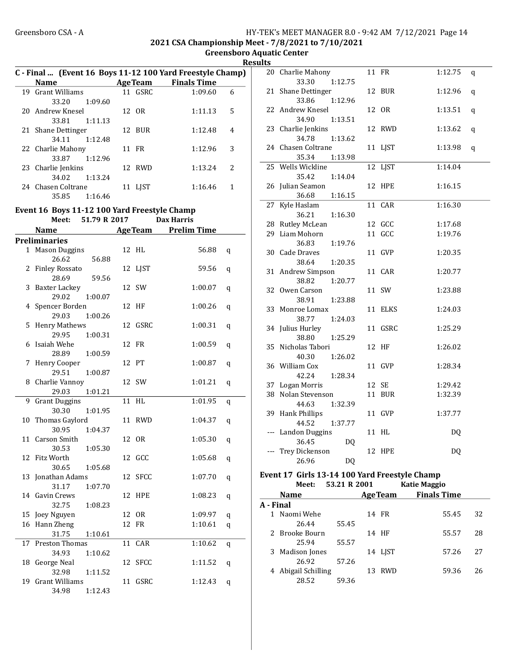2021 CSA Championship Meet - 7/8/2021 to 7/10/2021

Greensboro Aquatic Center **Results** 

|    |                                                                    |         |         |                                                                                         | ĸ       |
|----|--------------------------------------------------------------------|---------|---------|-----------------------------------------------------------------------------------------|---------|
|    | Name                                                               |         |         | C - Final  (Event 16 Boys 11-12 100 Yard Freestyle Champ)<br><b>AgeTeam</b> Finals Time |         |
|    | 19 Grant Williams                                                  |         | 11 GSRC | 1:09.60                                                                                 | 6       |
|    | 33.20                                                              | 1:09.60 |         |                                                                                         |         |
|    | 20 Andrew Knesel                                                   |         | 12 OR   | 1:11.13                                                                                 | 5       |
|    | 33.81                                                              | 1:11.13 |         |                                                                                         |         |
|    | 21 Shane Dettinger                                                 |         | 12 BUR  | 1:12.48                                                                                 | 4       |
|    | 34.11                                                              | 1:12.48 |         |                                                                                         |         |
|    | 22 Charlie Mahony                                                  |         | 11 FR   | 1:12.96                                                                                 | 3       |
|    | 33.87                                                              | 1:12.96 |         |                                                                                         |         |
|    | 23 Charlie Jenkins                                                 |         | 12 RWD  | 1:13.24                                                                                 | 2       |
|    | 34.02                                                              | 1:13.24 |         |                                                                                         |         |
|    | 24 Chasen Coltrane                                                 |         | 11 LJST | 1:16.46                                                                                 | 1       |
|    | 35.85                                                              | 1:16.46 |         |                                                                                         |         |
|    |                                                                    |         |         |                                                                                         |         |
|    | Event 16 Boys 11-12 100 Yard Freestyle Champ<br>Meet: 51.79 R 2017 |         |         | <b>Dax Harris</b>                                                                       |         |
|    | <b>Name</b>                                                        |         |         | <b>Example 21 Age Team Prelim Time</b>                                                  |         |
|    | <b>Preliminaries</b>                                               |         |         |                                                                                         |         |
|    | 1 Mason Duggins                                                    |         | 12 HL   | 56.88                                                                                   |         |
|    | 26.62                                                              | 56.88   |         |                                                                                         | q       |
|    | 2 Finley Rossato                                                   |         | 12 LJST | 59.56                                                                                   | q       |
|    | 28.69                                                              | 59.56   |         |                                                                                         |         |
| 3  | Baxter Lackey                                                      |         | 12 SW   | 1:00.07                                                                                 | q       |
|    | 29.02                                                              | 1:00.07 |         |                                                                                         |         |
|    | 4 Spencer Borden                                                   |         | 12 HF   | 1:00.26                                                                                 | q       |
|    | 29.03                                                              | 1:00.26 |         |                                                                                         |         |
|    | 5 Henry Mathews                                                    |         | 12 GSRC | 1:00.31                                                                                 | q       |
|    | 29.95                                                              | 1:00.31 |         |                                                                                         |         |
| 6  | Isaiah Wehe                                                        |         | 12 FR   | 1:00.59                                                                                 | q       |
|    | 28.89                                                              | 1:00.59 |         |                                                                                         |         |
| 7  | Henry Cooper                                                       |         | 12 PT   | 1:00.87                                                                                 | q       |
|    | 29.51                                                              | 1:00.87 |         |                                                                                         |         |
|    | 8 Charlie Vannoy                                                   |         | 12 SW   | 1:01.21                                                                                 | q       |
|    | 29.03                                                              | 1:01.21 |         |                                                                                         |         |
| 9  | <b>Grant Duggins</b>                                               |         | 11 HL   | 1:01.95                                                                                 | q       |
|    | 30.30                                                              | 1:01.95 |         |                                                                                         |         |
|    | 10 Thomas Gaylord                                                  |         | 11 RWD  | 1:04.37                                                                                 | q       |
|    | 30.95                                                              | 1:04.37 |         |                                                                                         |         |
|    | 11 Carson Smith                                                    |         | 12 OR   | 1:05.30                                                                                 | $\bf q$ |
|    | 30.53                                                              | 1:05.30 |         |                                                                                         |         |
| 12 | Fitz Worth                                                         |         | 12 GCC  | 1:05.68                                                                                 | q       |
|    | 30.65                                                              | 1:05.68 |         |                                                                                         |         |
| 13 | Jonathan Adams                                                     |         | 12 SFCC | 1:07.70                                                                                 | q       |
|    | 31.17                                                              | 1:07.70 |         |                                                                                         |         |
| 14 | Gavin Crews                                                        |         | 12 HPE  | 1:08.23                                                                                 | q       |
|    | 32.75                                                              | 1:08.23 |         |                                                                                         |         |
| 15 | Joey Nguyen                                                        |         | 12 OR   | 1:09.97                                                                                 | q       |
|    | 16 Hann Zheng<br>31.75                                             | 1:10.61 | 12 FR   | 1:10.61                                                                                 | q       |
| 17 | Preston Thomas                                                     |         | 11 CAR  | 1:10.62                                                                                 |         |
|    | 34.93                                                              | 1:10.62 |         |                                                                                         | q       |
| 18 | George Neal                                                        |         | 12 SFCC | 1:11.52                                                                                 |         |
|    | 32.98                                                              | 1:11.52 |         |                                                                                         | q       |
| 19 | <b>Grant Williams</b>                                              |         | 11 GSRC | 1:12.43                                                                                 | q       |
|    | 34.98                                                              | 1:12.43 |         |                                                                                         |         |
|    |                                                                    |         |         |                                                                                         |         |

| սււթ |                                       |         |         |   |
|------|---------------------------------------|---------|---------|---|
|      | 20 Charlie Mahony                     | 11 FR   | 1:12.75 | q |
|      | 33.30<br>1:12.75                      |         |         |   |
| 21   | Shane Dettinger                       | 12 BUR  | 1:12.96 | q |
|      | 33.86<br>1:12.96                      |         |         |   |
|      | 22 Andrew Knesel                      | 12 OR   | 1:13.51 | q |
|      | 34.90<br>1:13.51                      |         |         |   |
|      | 23 Charlie Jenkins                    | 12 RWD  | 1:13.62 | q |
|      | 34.78<br>1:13.62                      |         |         |   |
|      | 24 Chasen Coltrane                    | 11 LJST | 1:13.98 | q |
|      | 35.34<br>1:13.98                      |         |         |   |
| 25   | Wells Wickline                        | 12 LJST | 1:14.04 |   |
|      | 35.42<br>1:14.04                      |         |         |   |
|      | 26 Julian Seamon                      | 12 HPE  | 1:16.15 |   |
|      | 36.68<br>1:16.15                      |         |         |   |
| 27   | Kyle Haslam                           | 11 CAR  | 1:16.30 |   |
|      | 36.21<br>1:16.30                      |         |         |   |
|      | 28 Rutley McLean                      | 12 GCC  | 1:17.68 |   |
|      | 29 Liam Mohorn                        | 11 GCC  | 1:19.76 |   |
|      | 36.83<br>1:19.76                      |         |         |   |
|      | 30 Cade Draves                        | 11 GVP  | 1:20.35 |   |
|      | 38.64<br>1:20.35                      |         |         |   |
|      | 31 Andrew Simpson<br>1:20.77<br>38.82 | 11 CAR  | 1:20.77 |   |
|      | 32 Owen Carson                        | 11 SW   |         |   |
|      | 38.91<br>1:23.88                      |         | 1:23.88 |   |
|      | 33 Monroe Lomax                       | 11 ELKS | 1:24.03 |   |
|      | 38.77<br>1:24.03                      |         |         |   |
|      | 34 Julius Hurley                      | 11 GSRC | 1:25.29 |   |
|      | 38.80<br>1:25.29                      |         |         |   |
|      | 35 Nicholas Tabori                    | 12 HF   | 1:26.02 |   |
|      | 40.30<br>1:26.02                      |         |         |   |
|      | 36 William Cox                        | 11 GVP  | 1:28.34 |   |
|      | 42.24<br>1:28.34                      |         |         |   |
|      | 37 Logan Morris                       | 12 SE   | 1:29.42 |   |
|      | 38 Nolan Stevenson                    | 11 BUR  | 1:32.39 |   |
|      | 44.63<br>1:32.39                      |         |         |   |
|      | 39 Hank Phillips                      | 11 GVP  | 1:37.77 |   |
|      | 44.52<br>1:37.77                      |         |         |   |
| ---  | <b>Landon Duggins</b>                 | 11 HL   | DQ      |   |
|      | 36.45<br>DQ                           |         |         |   |
|      | Trey Dickenson                        | 12 HPE  | DQ      |   |
|      | 26.96<br>DQ                           |         |         |   |
|      | 4.7.011.40.44.400 M1.7                |         |         |   |

#### Event 17 Girls 13-14 100 Yard Freestyle Champ Meet: 53.21 R 2001

|           | <b>Name</b>         |       |    | <b>AgeTeam</b> | <b>Finals Time</b> |    |
|-----------|---------------------|-------|----|----------------|--------------------|----|
| A - Final |                     |       |    |                |                    |    |
|           | 1 Naomi Wehe        |       |    | 14 FR          | 55.45              | 32 |
|           | 26.44               | 55.45 |    |                |                    |    |
|           | 2 Brooke Bourn      |       |    | 14 HF          | 55.57              | 28 |
|           | 25.94               | 55.57 |    |                |                    |    |
|           | 3 Madison Jones     |       |    | 14 LIST        | 57.26              | 27 |
|           | 26.92               | 57.26 |    |                |                    |    |
|           | 4 Abigail Schilling |       | 13 | <b>RWD</b>     | 59.36              | 26 |
|           | 28.52               | 59.36 |    |                |                    |    |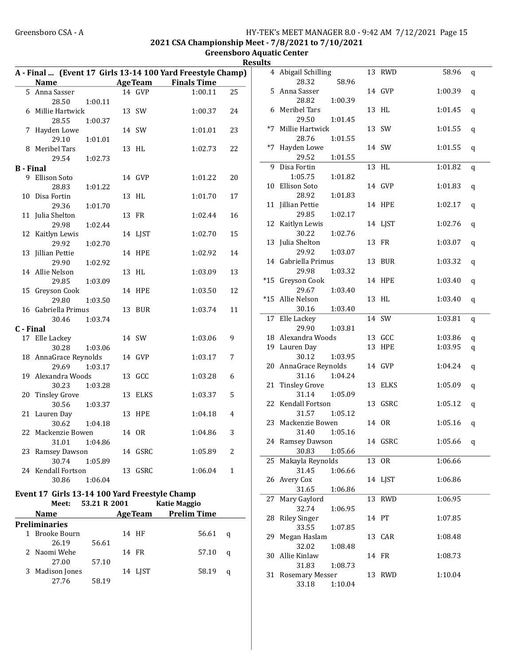2021 CSA Championship Meet - 7/8/2021 to 7/10/2021

Greensboro Aquatic Center Results

|                  | A - Final  (Event 17 Girls 13-14 100 Yard Freestyle Champ) |                |         |                     |              | 4 Abigail Schilling         |         | 13 RWD  | 58.96   | q            |
|------------------|------------------------------------------------------------|----------------|---------|---------------------|--------------|-----------------------------|---------|---------|---------|--------------|
|                  | <b>Name</b>                                                | <b>AgeTeam</b> |         | <b>Finals Time</b>  |              | 28.32                       | 58.96   |         |         |              |
|                  | 5 Anna Sasser                                              |                | 14 GVP  | 1:00.11             | 25           | 5 Anna Sasser               |         | 14 GVP  | 1:00.39 | q            |
|                  | 28.50<br>1:00.11                                           |                |         |                     |              | 28.82                       | 1:00.39 |         |         |              |
|                  | 6 Millie Hartwick                                          | 13 SW          |         | 1:00.37             | 24           | 6 Meribel Tars              |         | 13 HL   | 1:01.45 | q            |
|                  | 28.55<br>1:00.37                                           |                |         |                     |              | 29.50                       | 1:01.45 |         |         |              |
|                  | 7 Hayden Lowe                                              | 14 SW          |         | 1:01.01             | 23           | *7 Millie Hartwick          |         | 13 SW   | 1:01.55 | $\mathbf{q}$ |
|                  | 1:01.01<br>29.10                                           |                |         |                     |              | 28.76                       | 1:01.55 |         |         |              |
|                  | 8 Meribel Tars                                             | 13 HL          |         | 1:02.73             | 22           | *7 Hayden Lowe              |         | 14 SW   | 1:01.55 | q            |
|                  | 29.54<br>1:02.73                                           |                |         |                     |              | 29.52                       | 1:01.55 |         |         |              |
| <b>B</b> - Final |                                                            |                |         |                     |              | 9 Disa Fortin               |         | 13 HL   | 1:01.82 | q            |
|                  | 9 Ellison Soto                                             |                | 14 GVP  | 1:01.22             | 20           | 1:05.75                     | 1:01.82 |         |         |              |
|                  | 28.83<br>1:01.22                                           |                |         |                     |              | 10 Ellison Soto             |         | 14 GVP  | 1:01.83 | q            |
|                  | 10 Disa Fortin                                             | 13 HL          |         | 1:01.70             | 17           | 28.92                       | 1:01.83 |         |         |              |
|                  | 29.36<br>1:01.70                                           |                |         |                     |              | 11 Jillian Pettie<br>29.85  | 1:02.17 | 14 HPE  | 1:02.17 | q            |
|                  | 11 Julia Shelton                                           | 13 FR          |         | 1:02.44             | 16           |                             |         |         | 1:02.76 |              |
|                  | 29.98<br>1:02.44                                           |                |         |                     |              | 12 Kaitlyn Lewis<br>30.22   | 1:02.76 | 14 LJST |         | q            |
|                  | 12 Kaitlyn Lewis                                           |                | 14 LJST | 1:02.70             | 15           | 13 Julia Shelton            |         | 13 FR   | 1:03.07 |              |
|                  | 29.92<br>1:02.70                                           |                | 14 HPE  |                     | 14           | 29.92                       | 1:03.07 |         |         | q            |
|                  | 13 Jillian Pettie<br>29.90<br>1:02.92                      |                |         | 1:02.92             |              | 14 Gabriella Primus         |         | 13 BUR  | 1:03.32 | q            |
|                  | 14 Allie Nelson                                            | 13 HL          |         | 1:03.09             | 13           | 29.98                       | 1:03.32 |         |         |              |
|                  | 1:03.09<br>29.85                                           |                |         |                     |              | *15 Greyson Cook            |         | 14 HPE  | 1:03.40 | q            |
|                  | 15 Greyson Cook                                            |                | 14 HPE  | 1:03.50             | 12           | 29.67                       | 1:03.40 |         |         |              |
|                  | 29.80<br>1:03.50                                           |                |         |                     |              | *15 Allie Nelson            |         | 13 HL   | 1:03.40 | q            |
|                  | 16 Gabriella Primus                                        |                | 13 BUR  | 1:03.74             | 11           | 30.16                       | 1:03.40 |         |         |              |
|                  | 30.46<br>1:03.74                                           |                |         |                     |              | 17 Elle Lackey              |         | 14 SW   | 1:03.81 | q            |
| C - Final        |                                                            |                |         |                     |              | 29.90                       | 1:03.81 |         |         |              |
|                  | 17 Elle Lackey                                             | 14 SW          |         | 1:03.06             | 9            | 18 Alexandra Woods          |         | 13 GCC  | 1:03.86 | q            |
|                  | 30.28<br>1:03.06                                           |                |         |                     |              | 19 Lauren Day               |         | 13 HPE  | 1:03.95 | q            |
|                  | 18 AnnaGrace Reynolds                                      | 14 GVP         |         | 1:03.17             | 7            | 30.12                       | 1:03.95 |         |         |              |
|                  | 29.69<br>1:03.17                                           |                |         |                     |              | 20 AnnaGrace Reynolds       |         | 14 GVP  | 1:04.24 | q            |
|                  | 19 Alexandra Woods                                         | 13 GCC         |         | 1:03.28             | 6            | 31.16                       | 1:04.24 |         |         |              |
|                  | 30.23<br>1:03.28                                           |                |         |                     |              | 21 Tinsley Grove            |         | 13 ELKS | 1:05.09 | q            |
|                  | 20 Tinsley Grove                                           |                | 13 ELKS | 1:03.37             | 5            | 31.14                       | 1:05.09 |         |         |              |
|                  | 30.56<br>1:03.37                                           |                |         |                     |              | 22 Kendall Fortson          |         | 13 GSRC | 1:05.12 | q            |
|                  | 21 Lauren Day                                              |                | 13 HPE  | 1:04.18             | 4            | 31.57                       | 1:05.12 |         |         |              |
|                  | 30.62<br>1:04.18                                           |                |         |                     |              | 23 Mackenzie Bowen          |         | 14 OR   | 1:05.16 | q            |
|                  | 22 Mackenzie Bowen                                         | 14 OR          |         | 1:04.86             | 3            | 31.40                       | 1:05.16 |         |         |              |
|                  | 31.01 1:04.86                                              |                |         |                     |              | 24 Ramsey Dawson            |         | 14 GSRC | 1:05.66 | q            |
|                  | 23 Ramsey Dawson                                           |                | 14 GSRC | 1:05.89             | 2            | 30.83                       | 1:05.66 |         |         |              |
|                  | 30.74<br>1:05.89                                           |                |         |                     |              | 25 Makayla Reynolds         |         | 13 OR   | 1:06.66 |              |
|                  | 24 Kendall Fortson                                         |                | 13 GSRC | 1:06.04             | $\mathbf{1}$ | 31.45                       | 1:06.66 |         |         |              |
|                  | 30.86<br>1:06.04                                           |                |         |                     |              | 26 Avery Cox                |         | 14 LJST | 1:06.86 |              |
|                  | Event 17 Girls 13-14 100 Yard Freestyle Champ              |                |         |                     |              | 31.65                       | 1:06.86 |         |         |              |
|                  | 53.21 R 2001<br>Meet:                                      |                |         | <b>Katie Maggio</b> |              | 27 Mary Gaylord             |         | 13 RWD  | 1:06.95 |              |
|                  | <b>Name</b>                                                | <b>AgeTeam</b> |         | <b>Prelim Time</b>  |              | 32.74                       | 1:06.95 |         |         |              |
|                  | <b>Preliminaries</b>                                       |                |         |                     |              | 28 Riley Singer             |         | 14 PT   | 1:07.85 |              |
|                  | 1 Brooke Bourn                                             | 14 HF          |         | 56.61               | q            | 33.55                       | 1:07.85 |         |         |              |
|                  | 26.19<br>56.61                                             |                |         |                     |              | 29 Megan Haslam             |         | 13 CAR  | 1:08.48 |              |
|                  | 2 Naomi Wehe                                               | 14 FR          |         | 57.10               | q            | 32.02                       | 1:08.48 |         |         |              |
|                  | 27.00<br>57.10                                             |                |         |                     |              | 30 Allie Kinlaw             |         | 14 FR   | 1:08.73 |              |
|                  | 3 Madison Jones                                            |                | 14 LJST | 58.19               | q            | 31.83<br>31 Rosemary Messer | 1:08.73 | 13 RWD  | 1:10.04 |              |
|                  | 58.19<br>27.76                                             |                |         |                     |              | 33.18                       | 1:10.04 |         |         |              |
|                  |                                                            |                |         |                     |              |                             |         |         |         |              |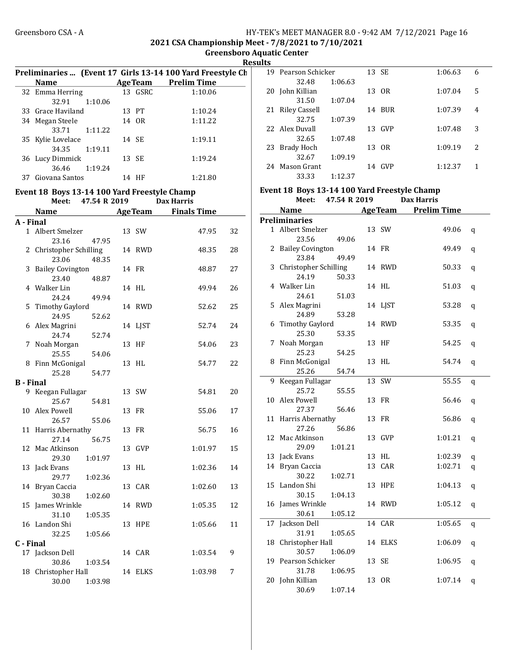#### Greensboro CSA - A **HY-TEK's MEET MANAGER 8.0 - 9:42 AM 7/12/2021** Page 16 2021 CSA Championship Meet - 7/8/2021 to 7/10/2021

Greensboro Aquatic Center

Results Preliminaries ... (Event 17 Girls 13-14 100 Yard Freestyle Ch Name Age Team Prelim Time 32 Emma Herring 13 GSRC 1:10.06 32.91 1:10.06 33 Grace Haviland 13 PT 1:10.24 34 Megan Steele 14 OR 1:11.22 33.71 1:11.22 35 Kylie Lovelace 14 SE 1:19.11 34.35 1:19.11 36 1:19.24 Lucy Dimmick 13 SE 36.46 1:19.24 37 Giovana Santos 14 HF 1:21.80 Event 18 Boys 13-14 100 Yard Freestyle Champ Meet: 47.54 R 2019 Dax Harris Name Age Team Finals Time A - Final 1 Albert Smelzer 13 SW 47.95 32 23.16 47.95 2 Christopher Schilling 14 RWD 48.35 28 23.06 48.35 3 48.87 27 Bailey Covington 14 FR 23.40 48.87 4 49.94 26 Walker Lin 14 HL 24.24 49.94 5 52.62 25 Timothy Gaylord 14 RWD 24.95 52.62 6 52.74 24 Alex Magrini 14 LJST 24.74 52.74 7 54.06 23 Noah Morgan 13 HF 25.55 54.06 8 54.77 22 Finn McGonigal 13 HL 25.28 54.77 B - Final 9 Keegan Fullagar 13 SW 54.81 20 25.67 54.81 10 55.06 17 Alex Powell 13 FR 26.57 55.06 11 Harris Abernathy 13 FR 56.75 16 27.14 56.75 12 Mac Atkinson 13 GVP 1:01.97 15 29.30 1:01.97 13 Jack Evans 13 HL 1:02.36 14 29.77 1:02.36 14 Bryan Caccia 13 CAR 1:02.60 13 30.38 1:02.60 15 James Wrinkle **14 RWD** 1:05.35 12 31.10 1:05.35 16 Landon Shi 13 HPE 1:05.66 11 32.25 1:05.66 C - Final 17 Jackson Dell 14 CAR 1:03.54 9 30.86 1:03.54 18 Christopher Hall 14 ELKS 1:03.98 7 30.00 1:03.98

|    | 19 Pearson Schicker |         |    | 13 SE      | 1:06.63 | 6 |
|----|---------------------|---------|----|------------|---------|---|
|    | 32.48               | 1:06.63 |    |            |         |   |
| 20 | John Killian        |         |    | 13 OR      | 1:07.04 | 5 |
|    | 31.50               | 1:07.04 |    |            |         |   |
|    | 21 Riley Cassell    |         | 14 | <b>BUR</b> | 1:07.39 | 4 |
|    | 32.75               | 1:07.39 |    |            |         |   |
|    | 22 Alex Duvall      |         | 13 | GVP        | 1:07.48 | 3 |
|    | 32.65               | 1:07.48 |    |            |         |   |
| 23 | Brady Hoch          |         |    | 13 OR      | 1:09.19 | 2 |
|    | 32.67               | 1:09.19 |    |            |         |   |
| 24 | Mason Grant         |         | 14 | GVP        | 1:12.37 | 1 |
|    | 33.33               | 1:12.37 |    |            |         |   |

#### Event 18 Boys 13-14 100 Yard Freestyle Champ

Meet: 47.54 R 2019 Dax Harris

|    | Name                                 | <b>AgeTeam</b>   | <b>Prelim Time</b> |         |
|----|--------------------------------------|------------------|--------------------|---------|
|    | <b>Preliminaries</b>                 |                  |                    |         |
|    | 1 Albert Smelzer                     | 13 SW            | 49.06              | q       |
|    | 23.56<br>49.06                       |                  |                    |         |
| 2  | <b>Bailey Covington</b>              | 14 FR            | 49.49              | q       |
|    | 23.84<br>49.49                       |                  |                    |         |
| 3  | Christopher Schilling                | 14 RWD           | 50.33              | q       |
|    | 24.19<br>50.33                       |                  |                    |         |
|    | 4 Walker Lin                         | 14 HL            | 51.03              | q       |
|    | 24.61<br>51.03                       |                  |                    |         |
| 5  | Alex Magrini                         | 14 LJST          | 53.28              | q       |
|    | 24.89<br>53.28                       |                  |                    |         |
| 6  | <b>Timothy Gaylord</b>               | 14 RWD           | 53.35              | $\bf q$ |
|    | 25.30<br>53.35                       |                  |                    |         |
| 7  | Noah Morgan                          | 13<br>HF         | 54.25              | q       |
|    | 25.23<br>54.25                       |                  |                    |         |
| 8  | Finn McGonigal                       | 13<br>HL         | 54.74              | q       |
|    | 25.26<br>54.74                       |                  |                    |         |
| 9  | Keegan Fullagar                      | 13<br>SW         | 55.55              | q       |
|    | 25.72<br>55.55                       |                  |                    |         |
| 10 | Alex Powell                          | 13 FR            | 56.46              | q       |
|    | 27.37<br>56.46                       |                  |                    |         |
| 11 | Harris Abernathy                     | 13 FR            | 56.86              | q       |
|    | 27.26<br>56.86                       |                  |                    |         |
| 12 | Mac Atkinson                         | 13 GVP           | 1:01.21            | q       |
|    | 1:01.21<br>29.09                     |                  |                    |         |
| 13 | Jack Evans                           | 13 HL            | 1:02.39            | q       |
| 14 | Bryan Caccia                         | CAR<br>13        | 1:02.71            | q       |
|    | 30.22<br>1:02.71                     |                  |                    |         |
| 15 | Landon Shi                           | 13<br><b>HPE</b> | 1:04.13            | q       |
|    | 30.15<br>1:04.13                     | 14 RWD           |                    |         |
| 16 | James Wrinkle                        |                  | 1:05.12            | q       |
|    | 30.61<br>1:05.12                     |                  |                    |         |
| 17 | Jackson Dell                         | CAR<br>14        | 1:05.65            | q       |
|    | 31.91<br>1:05.65                     |                  |                    |         |
| 18 | Christopher Hall<br>30.57<br>1:06.09 | 14 ELKS          | 1:06.09            | q       |
|    | 19 Pearson Schicker                  | 13 SE            | 1:06.95            |         |
|    | 31.78<br>1:06.95                     |                  |                    | q       |
| 20 | John Killian                         | 13<br>0R         | 1:07.14            |         |
|    | 30.69<br>1:07.14                     |                  |                    | $\bf q$ |
|    |                                      |                  |                    |         |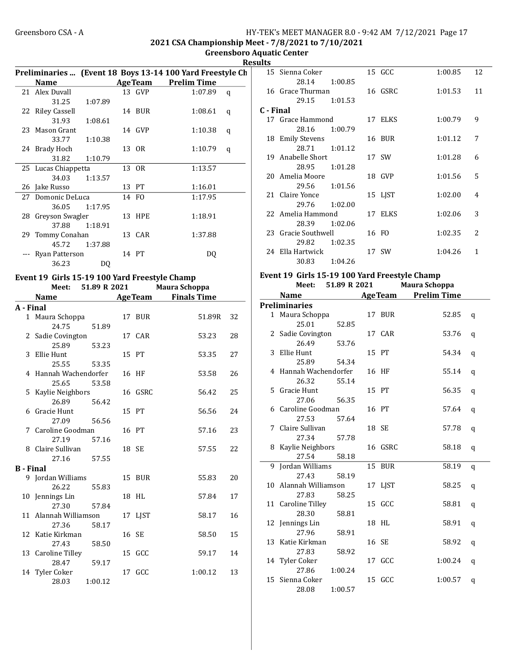2021 CSA Championship Meet - 7/8/2021 to 7/10/2021

Greensboro Aquatic Center Results

|           |                                               |                           |               |        | Preliminaries  (Event 18 Boys 13-14 100 Yard Freestyle Ch |              |
|-----------|-----------------------------------------------|---------------------------|---------------|--------|-----------------------------------------------------------|--------------|
|           | Name                                          |                           |               |        | <b>AgeTeam</b> Prelim Time                                |              |
|           | 21 Alex Duvall                                |                           |               | 13 GVP | 1:07.89                                                   | $\mathbf{q}$ |
|           | 31.25                                         | 1:07.89                   |               |        |                                                           |              |
|           | 22 Riley Cassell                              |                           |               | 14 BUR | 1:08.61                                                   | q            |
|           | 31.93                                         | 1:08.61                   |               |        |                                                           |              |
|           | 23 Mason Grant                                |                           |               | 14 GVP | 1:10.38                                                   | q            |
|           |                                               | 33.77 1:10.38             |               |        |                                                           |              |
|           | 24 Brady Hoch                                 |                           |               | 13 OR  | 1:10.79                                                   | q            |
|           | 31.82                                         | 1:10.79                   |               |        |                                                           |              |
|           | 25 Lucas Chiappetta                           |                           |               | 13 OR  | 1:13.57                                                   |              |
|           | 34.03                                         | 1:13.57                   |               |        |                                                           |              |
|           | 26 Jake Russo                                 |                           |               | 13 PT  | 1:16.01                                                   |              |
|           | 27 Domonic DeLuca                             |                           |               | 14 FO  | 1:17.95                                                   |              |
|           |                                               | 36.05 1:17.95             |               |        |                                                           |              |
|           | 28 Greyson Swagler                            |                           |               | 13 HPE | 1:18.91                                                   |              |
|           |                                               | 37.88 1:18.91             |               |        |                                                           |              |
|           | 29 Tommy Conahan                              |                           |               | 13 CAR | 1:37.88                                                   |              |
|           |                                               | 45.72 1:37.88             |               |        |                                                           |              |
|           | --- Ryan Patterson                            |                           |               | 14 PT  | D <sub>0</sub>                                            |              |
|           | 36.23                                         | D <sub>0</sub>            |               |        |                                                           |              |
|           | Event 19 Girls 15-19 100 Yard Freestyle Champ |                           |               |        |                                                           |              |
|           |                                               | Meet: 51.89 R 2021        |               |        | Maura Schoppa                                             |              |
|           | <b>Name</b>                                   | <b>Example 2 Age Team</b> |               |        | <b>Finals Time</b>                                        |              |
| A - Final |                                               |                           |               |        |                                                           |              |
|           | 1 Maura Schoppa                               |                           |               | 17 BUR | 51.89R                                                    | 32           |
|           |                                               | 24.75 51.89               |               |        |                                                           |              |
|           |                                               |                           | $4\pi$ $0\pi$ |        | $F^{\alpha}$                                              | $\Omega$     |

|                  | 24.75 51.89                       |         |         |         |    |
|------------------|-----------------------------------|---------|---------|---------|----|
|                  | 2 Sadie Covington                 |         | 17 CAR  | 53.23   | 28 |
|                  | 25.89 53.23                       |         |         |         |    |
|                  | 3 Ellie Hunt                      |         | 15 PT   | 53.35   | 27 |
|                  | 25.55 53.35                       |         |         |         |    |
|                  | 4 Hannah Wachendorfer             |         | 16 HF   | 53.58   | 26 |
|                  | 25.65                             | 53.58   |         |         |    |
|                  |                                   |         | 16 GSRC | 56.42   | 25 |
|                  | 5 Kaylie Neighbors<br>26.89 56.42 |         |         |         |    |
|                  | 6 Gracie Hunt                     |         | 15 PT   | 56.56   | 24 |
|                  | 27.09 56.56                       |         |         |         |    |
|                  | 7 Caroline Goodman                |         | 16 PT   | 57.16   | 23 |
|                  | 27.19 57.16                       |         |         |         |    |
|                  | 8 Claire Sullivan                 |         | 18 SE   | 57.55   | 22 |
|                  |                                   |         |         |         |    |
|                  | 27.16 57.55                       |         |         |         |    |
| <b>B</b> - Final |                                   |         |         |         |    |
|                  | 9 Jordan Williams                 |         | 15 BUR  | 55.83   | 20 |
|                  | 26.22                             | 55.83   |         |         |    |
|                  | 10 Jennings Lin                   |         | 18 HL   | 57.84   | 17 |
|                  | 27.30 57.84                       |         |         |         |    |
|                  | 11 Alannah Williamson             |         | 17 LJST | 58.17   | 16 |
|                  | 27.36                             | 58.17   |         |         |    |
|                  | 12 Katie Kirkman                  |         | 16 SE   | 58.50   | 15 |
|                  | 27.43 58.50                       |         |         |         |    |
|                  | 13 Caroline Tilley                |         | 15 GCC  | 59.17   | 14 |
|                  | 28.47 59.17                       |         |         |         |    |
|                  | 14 Tyler Coker                    |         | 17 GCC  | 1:00.12 | 13 |
|                  | 28.03                             | 1:00.12 |         |         |    |

| шэ        |                     |         |         |         |               |
|-----------|---------------------|---------|---------|---------|---------------|
|           | 15 Sienna Coker     |         | 15 GCC  | 1:00.85 | 12            |
|           | 28.14               | 1:00.85 |         |         |               |
|           | 16 Grace Thurman    |         | 16 GSRC | 1:01.53 | 11            |
|           | 29.15 1:01.53       |         |         |         |               |
| C - Final |                     |         |         |         |               |
|           | 17 Grace Hammond    |         | 17 ELKS | 1:00.79 | 9             |
|           | 28.16 1:00.79       |         |         |         |               |
|           | 18 Emily Stevens    |         | 16 BUR  | 1:01.12 | 7             |
|           | 28.71 1:01.12       |         |         |         |               |
|           | 19 Anabelle Short   |         | 17 SW   | 1:01.28 | 6             |
|           | 28.95               | 1:01.28 |         |         |               |
|           | 20 Amelia Moore     |         | 18 GVP  | 1:01.56 | 5             |
|           | 29.56 1:01.56       |         |         |         |               |
|           | 21 Claire Yonce     |         | 15 LJST | 1:02.00 | 4             |
|           | 29.76               | 1:02.00 |         |         |               |
|           | 22 Amelia Hammond   |         | 17 ELKS | 1:02.06 | 3             |
|           | 28.39 1:02.06       |         |         |         |               |
|           | 23 Gracie Southwell |         | 16 FO   | 1:02.35 | $\mathcal{L}$ |
|           | 29.82               | 1:02.35 |         |         |               |
|           | 24 Ella Hartwick    |         | 17 SW   | 1:04.26 | 1             |
|           | 30.83               | 1:04.26 |         |         |               |

#### Event 19 Girls 15-19 100 Yard Freestyle Champ Meet: 51.89 R 2021

|   | <b>Name</b>           |         | <b>AgeTeam</b> | <b>Prelim Time</b> |   |
|---|-----------------------|---------|----------------|--------------------|---|
|   | <b>Preliminaries</b>  |         |                |                    |   |
|   | 1 Maura Schoppa       |         | 17 BUR         | 52.85              | q |
|   | 25.01                 | 52.85   |                |                    |   |
|   | 2 Sadie Covington     |         | 17 CAR         | 53.76              | q |
|   | 26.49                 | 53.76   |                |                    |   |
| 3 | Ellie Hunt            |         | 15 PT          | 54.34              | q |
|   | 25.89                 | 54.34   |                |                    |   |
|   | 4 Hannah Wachendorfer |         | 16 HF          | 55.14              | q |
|   | 26.32                 | 55.14   |                |                    |   |
|   | 5 Gracie Hunt         |         | 15 PT          | 56.35              | q |
|   | 27.06                 | 56.35   |                |                    |   |
|   | 6 Caroline Goodman    |         | 16 PT          | 57.64              | q |
|   | 27.53                 | 57.64   |                |                    |   |
| 7 | Claire Sullivan       |         | 18 SE          | 57.78              | q |
|   | 27.34                 | 57.78   |                |                    |   |
|   | 8 Kaylie Neighbors    |         | 16 GSRC        | 58.18              | q |
|   | 27.54                 | 58.18   |                |                    |   |
|   | 9 Jordan Williams     |         | 15 BUR         | 58.19              | q |
|   | 27.43                 | 58.19   |                |                    |   |
|   | 10 Alannah Williamson |         | 17 LJST        | 58.25              | q |
|   | 27.83                 | 58.25   |                |                    |   |
|   | 11 Caroline Tilley    |         | 15 GCC         | 58.81              | q |
|   | 28.30                 | 58.81   |                |                    |   |
|   | 12 Jennings Lin       |         | 18 HL          | 58.91              | q |
|   | 27.96                 | 58.91   |                |                    |   |
|   | 13 Katie Kirkman      |         | 16 SE          | 58.92              | q |
|   | 27.83                 | 58.92   |                |                    |   |
|   | 14 Tyler Coker        |         | 17 GCC         | 1:00.24            | q |
|   | 27.86                 | 1:00.24 |                |                    |   |
|   | 15 Sienna Coker       |         | 15 GCC         | 1:00.57            | q |
|   | 28.08                 | 1:00.57 |                |                    |   |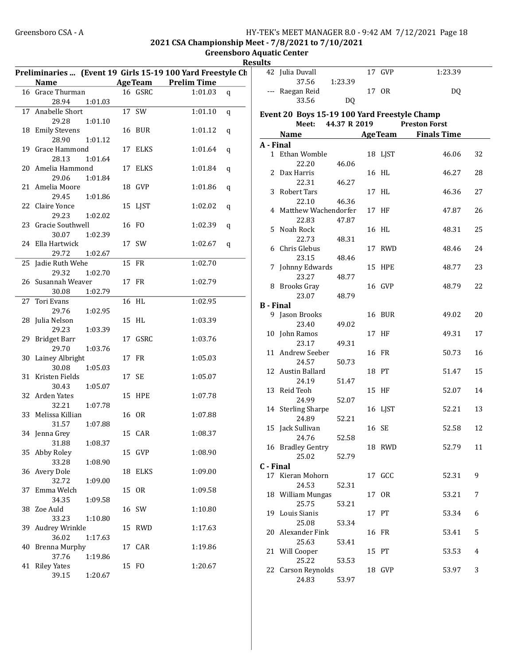#### Greensboro CSA - A 
HY-TEK's MEET MANAGER 8.0 - 9:42 AM 7/12/2021 Page 18 2021 CSA Championship Meet - 7/8/2021 to 7/10/2021

Greensboro Aquatic Center Results

|    | Name                |         |               | Preliminaries  (Event 19 Girls 15-19 100 Yard Freestyle Ch<br><b>AgeTeam</b> Prelim Time |         |
|----|---------------------|---------|---------------|------------------------------------------------------------------------------------------|---------|
|    | 16 Grace Thurman    |         | 16 GSRC       | 1:01.03                                                                                  | q       |
|    | 28.94               | 1:01.03 |               |                                                                                          |         |
|    | 17 Anabelle Short   |         | 17 SW         | 1:01.10                                                                                  | q       |
|    | 29.28               | 1:01.10 |               |                                                                                          |         |
|    | 18 Emily Stevens    |         | 16 BUR        | 1:01.12                                                                                  |         |
|    | 28.90               | 1:01.12 |               |                                                                                          | $\bf q$ |
|    |                     |         |               | 1:01.64                                                                                  |         |
|    | 19 Grace Hammond    |         | 17 ELKS       |                                                                                          | q       |
|    | 28.13               | 1:01.64 | 17 ELKS       |                                                                                          |         |
|    | 20 Amelia Hammond   |         |               | 1:01.84                                                                                  | q       |
|    | 29.06               | 1:01.84 |               |                                                                                          |         |
|    | 21 Amelia Moore     |         | 18 GVP        | 1:01.86                                                                                  | q       |
|    | 29.45               | 1:01.86 |               |                                                                                          |         |
|    | 22 Claire Yonce     |         | 15 LJST       | 1:02.02                                                                                  | q       |
|    | 29.23               | 1:02.02 |               |                                                                                          |         |
|    | 23 Gracie Southwell |         | 16 FO         | 1:02.39                                                                                  | q       |
|    | 30.07               | 1:02.39 |               |                                                                                          |         |
|    | 24 Ella Hartwick    |         | 17 SW         | 1:02.67                                                                                  | q       |
|    | 29.72               | 1:02.67 |               |                                                                                          |         |
|    | 25 Jadie Ruth Wehe  |         | 15 FR         | 1:02.70                                                                                  |         |
|    | 29.32               | 1:02.70 |               |                                                                                          |         |
|    | 26 Susannah Weaver  |         | 17 FR         | 1:02.79                                                                                  |         |
|    | 30.08               | 1:02.79 |               |                                                                                          |         |
|    | 27 Tori Evans       |         | 16 HL         | 1:02.95                                                                                  |         |
|    | 29.76               | 1:02.95 |               |                                                                                          |         |
|    | 28 Julia Nelson     |         | 15 HL         | 1:03.39                                                                                  |         |
|    | 29.23               | 1:03.39 |               |                                                                                          |         |
|    | 29 Bridget Barr     |         | 17 GSRC       | 1:03.76                                                                                  |         |
|    | 29.70               | 1:03.76 |               |                                                                                          |         |
|    | 30 Lainey Albright  |         | 17 FR         | 1:05.03                                                                                  |         |
|    | 30.08               | 1:05.03 |               |                                                                                          |         |
|    | 31 Kristen Fields   |         | 17 SE         | 1:05.07                                                                                  |         |
|    | 30.43               | 1:05.07 |               |                                                                                          |         |
|    | 32 Arden Yates      |         | <b>15 HPE</b> | 1:07.78                                                                                  |         |
|    | 32.21               | 1:07.78 |               |                                                                                          |         |
|    | 33 Melissa Killian  |         | 16 OR         | 1:07.88                                                                                  |         |
|    | 31.57               | 1:07.88 |               |                                                                                          |         |
|    | 34 Jenna Grey       |         | 15 CAR        | 1:08.37                                                                                  |         |
|    | 31.88               | 1:08.37 |               |                                                                                          |         |
|    | 35 Abby Roley       |         | 15 GVP        | 1:08.90                                                                                  |         |
|    | 33.28               | 1:08.90 |               |                                                                                          |         |
|    | 36 Avery Dole       |         | 18 ELKS       | 1:09.00                                                                                  |         |
|    | 32.72               | 1:09.00 |               |                                                                                          |         |
| 37 | Emma Welch          |         | 15 OR         | 1:09.58                                                                                  |         |
|    | 34.35               | 1:09.58 |               |                                                                                          |         |
|    | 38 Zoe Auld         |         | 16 SW         | 1:10.80                                                                                  |         |
|    | 33.23               | 1:10.80 |               |                                                                                          |         |
|    | 39 Audrey Wrinkle   |         | 15 RWD        | 1:17.63                                                                                  |         |
|    |                     |         |               |                                                                                          |         |
|    | 36.02               | 1:17.63 |               |                                                                                          |         |
|    | 40 Brenna Murphy    |         | 17 CAR        | 1:19.86                                                                                  |         |
|    | 37.76               | 1:19.86 |               |                                                                                          |         |
|    | 41 Riley Yates      |         | 15 FO         | 1:20.67                                                                                  |         |
|    | 39.15               | 1:20.67 |               |                                                                                          |         |

|                  | 42 Julia Duvall                              |         | 17 GVP        | 1:23.39                  |    |
|------------------|----------------------------------------------|---------|---------------|--------------------------|----|
|                  | 37.56                                        | 1:23.39 |               |                          |    |
|                  | --- Raegan Reid                              |         | 17 OR         | DQ                       |    |
|                  | 33.56                                        | DQ      |               |                          |    |
|                  |                                              |         |               |                          |    |
|                  | Event 20 Boys 15-19 100 Yard Freestyle Champ |         |               |                          |    |
|                  | Meet: 44.37 R 2019                           |         |               | <b>Preston Forst</b>     |    |
|                  |                                              |         |               | Name AgeTeam Finals Time |    |
| A - Final        |                                              |         |               |                          |    |
|                  | 1 Ethan Womble                               |         | 18 LJST       | 46.06                    | 32 |
|                  | 22.20                                        | 46.06   |               |                          |    |
|                  | 2 Dax Harris                                 |         | 16 HL         | 46.27                    | 28 |
|                  | 22.31                                        | 46.27   |               |                          |    |
|                  | 3 Robert Tars                                |         | 17 HL         | 46.36                    | 27 |
|                  | 22.10                                        | 46.36   |               |                          |    |
|                  | 4 Matthew Wachendorfer                       |         | 17 HF         | 47.87                    | 26 |
|                  | 22.83                                        | 47.87   |               |                          |    |
|                  | 5 Noah Rock                                  |         | 16 HL         | 48.31                    | 25 |
|                  | 22.73                                        | 48.31   |               |                          |    |
|                  | 6 Chris Glebus                               |         | 17 RWD        | 48.46                    | 24 |
|                  | 23.15                                        |         |               |                          |    |
|                  |                                              | 48.46   | <b>15 HPE</b> |                          |    |
| 7                | Johnny Edwards                               |         |               | 48.77                    | 23 |
|                  | 23.27                                        | 48.77   |               |                          |    |
|                  | 8 Brooks Gray                                |         | 16 GVP        | 48.79                    | 22 |
|                  | 23.07                                        | 48.79   |               |                          |    |
| <b>B</b> - Final |                                              |         |               |                          |    |
|                  | 9 Jason Brooks                               |         | 16 BUR        | 49.02                    | 20 |
|                  | 23.40                                        | 49.02   |               |                          |    |
|                  | 10 John Ramos                                |         | 17 HF         | 49.31                    | 17 |
|                  | 23.17                                        | 49.31   |               |                          |    |
|                  | 11 Andrew Seeber                             |         | 16 FR         | 50.73                    | 16 |
|                  | 24.57                                        | 50.73   |               |                          |    |
|                  | 12 Austin Ballard                            |         | 18 PT         | 51.47                    | 15 |
|                  | 24.19                                        | 51.47   |               |                          |    |
|                  | 13 Reid Teoh                                 |         | 15 HF         | 52.07                    | 14 |
|                  | 24.99                                        | 52.07   |               |                          |    |
|                  | 14 Sterling Sharpe                           |         | 16 LJST       | 52.21                    | 13 |
|                  | 24.89                                        | 52.21   |               |                          |    |
|                  | 15 Jack Sullivan                             |         | 16 SE         | 52.58                    | 12 |
|                  | 24.76                                        | 52.58   |               |                          |    |
|                  | 16 Bradley Gentry                            |         | 18 RWD        | 52.79                    | 11 |
|                  | 25.02                                        | 52.79   |               |                          |    |
| C - Final        |                                              |         |               |                          |    |
| 17               | Kieran Mohorn                                |         | 17 GCC        | 52.31                    | 9  |
|                  | 24.53                                        | 52.31   |               |                          |    |
|                  | 18 William Mungas                            |         | 17 OR         | 53.21                    | 7  |
|                  | 25.75                                        | 53.21   |               |                          |    |
| 19               | Louis Sianis                                 |         | 17 PT         | 53.34                    | 6  |
|                  | 25.08                                        | 53.34   |               |                          |    |
| 20               | Alexander Fink                               |         | 16 FR         | 53.41                    | 5  |
|                  | 25.63                                        | 53.41   |               |                          |    |
| 21               | Will Cooper                                  |         | 15 PT         | 53.53                    | 4  |
|                  | 25.22                                        | 53.53   |               |                          |    |
|                  | 22 Carson Reynolds                           |         | 18 GVP        | 53.97                    | 3  |
|                  | 24.83                                        | 53.97   |               |                          |    |
|                  |                                              |         |               |                          |    |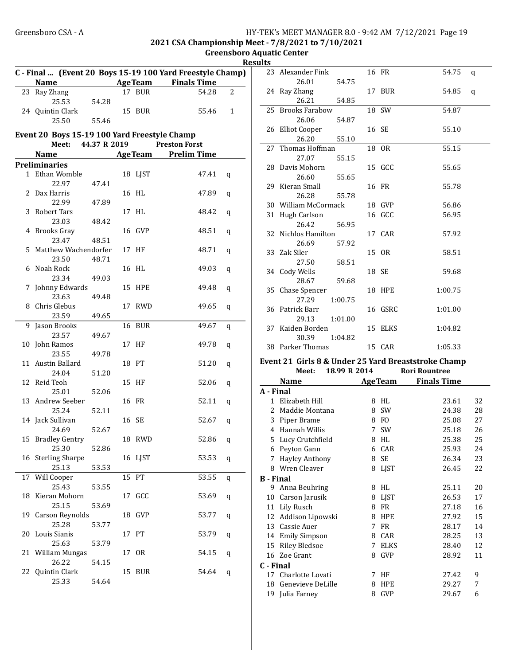2021 CSA Championship Meet - 7/8/2021 to 7/10/2021

Greensboro Aquatic Center sults **Sults** 

|    |                                              |       |                | C - Final  (Event 20 Boys 15-19 100 Yard Freestyle Champ) |                |
|----|----------------------------------------------|-------|----------------|-----------------------------------------------------------|----------------|
|    | Name                                         |       |                | <b>Example 2 Age Team</b> Finals Time                     |                |
|    | 23 Ray Zhang                                 |       | 17 BUR         | 54.28                                                     | $\overline{2}$ |
|    | 25.53                                        | 54.28 |                |                                                           |                |
|    | 24 Quintin Clark                             |       | 15 BUR         | 55.46                                                     | 1              |
|    | 25.50                                        | 55.46 |                |                                                           |                |
|    | Event 20 Boys 15-19 100 Yard Freestyle Champ |       |                |                                                           |                |
|    | Meet: 44.37 R 2019                           |       |                | <b>Preston Forst</b>                                      |                |
|    | <b>Name</b>                                  |       | <b>AgeTeam</b> | <b>Prelim Time</b>                                        |                |
|    | <b>Preliminaries</b>                         |       |                |                                                           |                |
|    | 1 Ethan Womble                               |       | 18 LJST        | 47.41                                                     |                |
|    |                                              |       |                |                                                           | q              |
|    | 22.97                                        | 47.41 |                |                                                           |                |
|    | 2 Dax Harris                                 |       | 16 HL          | 47.89                                                     | q              |
|    | 22.99                                        | 47.89 |                |                                                           |                |
| 3  | Robert Tars                                  |       | 17 HL          | 48.42                                                     | q              |
|    | 23.03                                        | 48.42 |                |                                                           |                |
|    | 4 Brooks Gray                                |       | 16 GVP         | 48.51                                                     | q              |
|    | 23.47                                        | 48.51 |                |                                                           |                |
|    | 5 Matthew Wachendorfer                       |       | 17 HF          | 48.71                                                     | q              |
|    | 23.50                                        | 48.71 |                |                                                           |                |
| 6  | Noah Rock                                    |       | 16 HL          | 49.03                                                     | q              |
|    | 23.34                                        | 49.03 |                |                                                           |                |
| 7  | Johnny Edwards                               |       | <b>15 HPE</b>  | 49.48                                                     | q              |
|    | 23.63                                        | 49.48 |                |                                                           |                |
|    | 8 Chris Glebus                               |       | 17 RWD         | 49.65                                                     | q              |
|    | 23.59                                        | 49.65 |                |                                                           |                |
| 9  | Jason Brooks                                 |       | 16 BUR         | 49.67                                                     |                |
|    | 23.57                                        |       |                |                                                           | q              |
|    |                                              | 49.67 |                |                                                           |                |
| 10 | John Ramos                                   |       | 17 HF          | 49.78                                                     | q              |
|    | 23.55                                        | 49.78 |                |                                                           |                |
|    | 11 Austin Ballard                            |       | 18 PT          | 51.20                                                     | q              |
|    | 24.04                                        | 51.20 |                |                                                           |                |
|    | 12 Reid Teoh                                 |       | 15 HF          | 52.06                                                     | q              |
|    | 25.01                                        | 52.06 |                |                                                           |                |
|    | 13 Andrew Seeber                             |       | 16 FR          | 52.11                                                     | q              |
|    | 25.24                                        | 52.11 |                |                                                           |                |
|    | 14 Jack Sullivan                             |       | 16 SE          | 52.67                                                     | q              |
|    | 24.69                                        | 52.67 |                |                                                           |                |
|    | 15 Bradley Gentry                            |       | 18 RWD         | 52.86                                                     | q              |
|    | 25.30                                        | 52.86 |                |                                                           |                |
|    | 16 Sterling Sharpe                           |       | 16 LJST        | 53.53                                                     | q              |
|    | 25.13                                        | 53.53 |                |                                                           |                |
|    | 17 Will Cooper                               |       | 15 PT          | 53.55                                                     |                |
|    | 25.43                                        | 53.55 |                |                                                           | q              |
| 18 | Kieran Mohorn                                |       | 17 GCC         | 53.69                                                     |                |
|    | 25.15                                        |       |                |                                                           | q              |
|    |                                              | 53.69 |                |                                                           |                |
|    | 19 Carson Reynolds                           |       | 18 GVP         | 53.77                                                     | q              |
|    | 25.28                                        | 53.77 |                |                                                           |                |
| 20 | Louis Sianis                                 |       | 17 PT          | 53.79                                                     | q              |
|    | 25.63                                        | 53.79 |                |                                                           |                |
|    | 21 William Mungas                            |       | 17 OR          | 54.15                                                     | q              |
|    | 26.22                                        | 54.15 |                |                                                           |                |
|    | 22 Quintin Clark                             |       | 15 BUR         | 54.64                                                     | q              |
|    | 25.33                                        | 54.64 |                |                                                           |                |

|                  | 23 Alexander Fink                                   |              |       | 16 FR         | 54.75                      | q  |
|------------------|-----------------------------------------------------|--------------|-------|---------------|----------------------------|----|
|                  | 26.01                                               | 54.75        |       |               |                            |    |
|                  | 24 Ray Zhang                                        |              |       | 17 BUR        | 54.85                      | q  |
|                  | 26.21                                               | 54.85        |       |               |                            |    |
|                  | 25 Brooks Farabow                                   |              |       | 18 SW         | 54.87                      |    |
|                  | 26.06                                               | 54.87        |       |               |                            |    |
|                  | 26 Elliot Cooper                                    |              | 16 SE |               | 55.10                      |    |
|                  | 26.20                                               | 55.10        |       |               |                            |    |
| 27               | Thomas Hoffman                                      |              |       | 18 OR         | 55.15                      |    |
|                  | 27.07                                               | 55.15        |       |               |                            |    |
|                  | 28 Davis Mohorn                                     |              |       | 15 GCC        | 55.65                      |    |
|                  | 26.60                                               | 55.65        |       |               |                            |    |
|                  | 29 Kieran Small                                     |              | 16 FR |               | 55.78                      |    |
|                  | 26.28                                               | 55.78        |       |               |                            |    |
|                  | 30 William McCormack                                |              |       | 18 GVP        | 56.86                      |    |
|                  | 31 Hugh Carlson                                     |              |       | 16 GCC        | 56.95                      |    |
|                  | 26.42                                               | 56.95        |       |               |                            |    |
|                  | 32 Nichlos Hamilton                                 |              |       | 17 CAR        | 57.92                      |    |
|                  | 26.69                                               | 57.92        |       |               |                            |    |
|                  | 33 Zak Siler                                        |              |       | 15 OR         | 58.51                      |    |
|                  | 27.50                                               | 58.51        |       |               |                            |    |
|                  | 34 Cody Wells                                       |              | 18 SE |               | 59.68                      |    |
|                  | 28.67                                               | 59.68        |       |               |                            |    |
|                  | 35 Chase Spencer                                    |              |       | <b>18 HPE</b> | 1:00.75                    |    |
|                  | 27.29                                               | 1:00.75      |       |               |                            |    |
|                  | 36 Patrick Barr                                     |              |       | 16 GSRC       | 1:01.00                    |    |
|                  | 29.13                                               | 1:01.00      |       |               |                            |    |
|                  | 37 Kaiden Borden                                    |              |       | 15 ELKS       | 1:04.82                    |    |
|                  | 30.39                                               | 1:04.82      |       |               |                            |    |
|                  | 38 Parker Thomas                                    |              |       | 15 CAR        | 1:05.33                    |    |
|                  | Event 21 Girls 8 & Under 25 Yard Breaststroke Champ |              |       |               |                            |    |
|                  | Meet:                                               | 18.99 R 2014 |       |               | <b>Rori Rountree</b>       |    |
|                  | <b>Name</b>                                         |              |       |               | <b>AgeTeam</b> Finals Time |    |
| A - Final        |                                                     |              |       |               |                            |    |
|                  | 1 Elizabeth Hill                                    |              |       | 8 HL          | 23.61                      | 32 |
|                  | 2 Maddie Montana                                    |              |       | 8 SW          | 24.38                      | 28 |
|                  | 3 Piper Brame                                       |              |       | 8 FO          | 25.08                      | 27 |
|                  | 4 Hannah Willis                                     |              |       | 7 SW          | 25.18                      | 26 |
|                  | 5 Lucy Crutchfield                                  |              |       | 8 HL          | 25.38                      | 25 |
|                  | 6 Peyton Gann                                       |              | 6     | CAR           | 25.93                      | 24 |
| 7                | <b>Hayley Anthony</b>                               |              | 8     | SE            | 26.34                      | 23 |
| 8                | Wren Cleaver                                        |              | 8     | LJST          | 26.45                      | 22 |
| <b>B</b> - Final |                                                     |              |       |               |                            |    |
| 9                | Anna Beuhring                                       |              | 8     | HL            | 25.11                      | 20 |
| 10               | Carson Jarusik                                      |              | 8     | LJST          | 26.53                      | 17 |
| 11               | Lily Rusch                                          |              | 8     | FR            | 27.18                      | 16 |
| 12               | Addison Lipowski                                    |              | 8     | <b>HPE</b>    | 27.92                      | 15 |
| 13               | Cassie Auer                                         |              | 7     | FR            | 28.17                      | 14 |
| 14               | <b>Emily Simpson</b>                                |              | 8     | CAR           | 28.25                      | 13 |
|                  |                                                     |              |       |               |                            |    |

15 Riley Bledsoe 7 ELKS 28.40 12<br>16 Zoe Grant 8 GVP 28.92 11 16 Zoe Grant 8 GVP 28.92 11

17 Charlotte Lovati 7 HF 27.42 9 18 Genevieve DeLille 8 HPE 29.27 7 19 Julia Farney 8 GVP 29.67 6

C - Final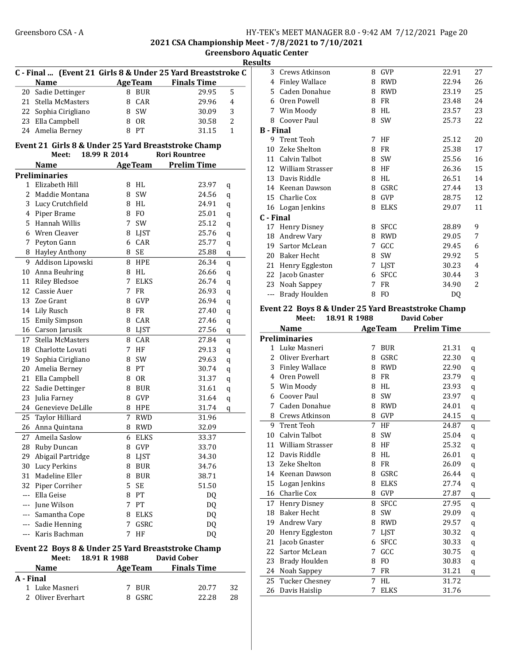2021 CSA Championship Meet - 7/8/2021 to 7/10/2021

Greensboro Aquatic Center Results

|    |                      |              |                 | C - Final  (Event 21 Girls 8 & Under 25 Yard Breaststroke C |              |
|----|----------------------|--------------|-----------------|-------------------------------------------------------------|--------------|
|    | <b>Name</b>          |              | <b>AgeTeam</b>  | <b>Finals Time</b>                                          |              |
| 20 | Sadie Dettinger      |              | 8 BUR           | 29.95                                                       | 5            |
|    | 21 Stella McMasters  |              | 8 CAR           | 29.96                                                       | 4            |
|    | 22 Sophia Cirigliano |              | 8 SW            | 30.09                                                       | 3            |
|    | 23 Ella Campbell     |              | 8 OR            | 30.58                                                       | 2            |
|    | 24 Amelia Berney     |              | 8 PT            | 31.15                                                       | $\mathbf{1}$ |
|    |                      |              |                 | Event 21 Girls 8 & Under 25 Yard Breaststroke Champ         |              |
|    | Meet:                | 18.99 R 2014 |                 | <b>Rori Rountree</b>                                        |              |
|    | <b>Name</b>          |              | <b>AgeTeam</b>  | <b>Prelim Time</b>                                          |              |
|    | <b>Preliminaries</b> |              |                 |                                                             |              |
|    | 1 Elizabeth Hill     |              | 8 HL            | 23.97                                                       | q            |
|    | 2 Maddie Montana     |              | 8 SW            | 24.56                                                       | q            |
|    | 3 Lucy Crutchfield   |              | 8 HL            | 24.91                                                       | q            |
|    | 4 Piper Brame        |              | 8 FO            | 25.01                                                       | q            |
|    | 5 Hannah Willis      | 7            | SW              | 25.12                                                       |              |
|    | 6 Wren Cleaver       |              | 8 LJST          | 25.76                                                       | q            |
|    | 7 Peyton Gann        |              | 6 CAR           | 25.77                                                       | q            |
|    |                      |              |                 |                                                             | q            |
|    | 8 Hayley Anthony     |              | 8 SE            | 25.88                                                       | q            |
| 9  | Addison Lipowski     |              | 8 HPE           | 26.34                                                       | q            |
| 10 | Anna Beuhring        |              | 8 HL            | 26.66                                                       | q            |
| 11 | <b>Riley Bledsoe</b> | 7            | <b>ELKS</b>     | 26.74                                                       | q            |
|    | 12 Cassie Auer       | 7            | <b>FR</b>       | 26.93                                                       | q            |
|    | 13 Zoe Grant         | 8            | GVP             | 26.94                                                       | q            |
|    | 14 Lily Rusch        |              | 8 FR            | 27.40                                                       | q            |
|    | 15 Emily Simpson     |              | 8 CAR           | 27.46                                                       | q            |
|    | 16 Carson Jarusik    |              | 8 LJST          | 27.56                                                       | q            |
| 17 | Stella McMasters     |              | 8 CAR           | 27.84                                                       | q            |
|    | 18 Charlotte Lovati  |              | 7 HF            | 29.13                                                       | q            |
|    | 19 Sophia Cirigliano | 8            | SW              | 29.63                                                       | q            |
|    | 20 Amelia Berney     |              | 8 PT            | 30.74                                                       | q            |
|    | 21 Ella Campbell     |              | 8 OR            | 31.37                                                       | q            |
| 22 | Sadie Dettinger      |              | 8 BUR           | 31.61                                                       | q            |
| 23 | Julia Farney         |              | 8 GVP           | 31.64                                                       | q            |
|    | 24 Genevieve DeLille |              | 8 HPE           | 31.74                                                       | q            |
| 25 | Taylor Hilliard      | 7            | <b>RWD</b>      | 31.96                                                       |              |
| 26 | Anna Quintana        |              | 8 RWD           | 32.09                                                       |              |
| 27 | Ameila Saslow        | 6            | <b>ELKS</b>     |                                                             |              |
|    |                      |              |                 | 33.37                                                       |              |
| 28 | Ruby Duncan          |              | 8 GVP           | 33.70                                                       |              |
| 29 | Abigail Partridge    |              | 8 LJST          | 34.30                                                       |              |
|    | 30 Lucy Perkins      |              | 8 BUR           | 34.76                                                       |              |
|    | 31 Madeline Eller    |              | 8 BUR           | 38.71                                                       |              |
|    | 32 Piper Corriher    |              | 5 SE            | 51.50                                                       |              |
|    | --- Ella Geise       |              | 8 PT            | DQ                                                          |              |
|    | --- June Wilson      |              | 7 PT            | DQ                                                          |              |
|    | --- Samantha Cope    |              | 8 ELKS          | DQ                                                          |              |
|    | --- Sadie Henning    | 7            | GSRC            | DQ                                                          |              |
|    | --- Karis Bachman    | 7            | HF              | DQ                                                          |              |
|    |                      |              |                 | Event 22 Boys 8 & Under 25 Yard Breaststroke Champ          |              |
|    | Meet:                | 18.91 R 1988 |                 | <b>David Cober</b>                                          |              |
|    | Name                 |              | <b>Age Team</b> | <b>Finals Time</b>                                          |              |
|    | A - Final            |              |                 |                                                             |              |
|    | 1 Luke Masneri       |              | 7 BUR           | 20.77                                                       | 32           |
|    | 2 Oliver Everhart    |              | 8 GSRC          | 22.28                                                       | 28           |
|    |                      |              |                 |                                                             |              |

| 3         | Crews Atkinson        | 8 | GVP            | 22.91 | 27 |
|-----------|-----------------------|---|----------------|-------|----|
| 4         | <b>Finley Wallace</b> | 8 | <b>RWD</b>     | 22.94 | 26 |
| 5.        | Caden Donahue         | 8 | <b>RWD</b>     | 23.19 | 25 |
| 6         | Oren Powell           | 8 | FR             | 23.48 | 24 |
| 7         | Win Moody             | 8 | HL             | 23.57 | 23 |
| 8         | Coover Paul           | 8 | SW             | 25.73 | 22 |
| B - Final |                       |   |                |       |    |
| 9         | Trent Teoh            | 7 | HF             | 25.12 | 20 |
| 10        | Zeke Shelton          | 8 | <b>FR</b>      | 25.38 | 17 |
|           | 11 Calvin Talbot      | 8 | SW             | 25.56 | 16 |
| 12        | William Strasser      | 8 | HF             | 26.36 | 15 |
| 13        | Davis Riddle          | 8 | HL             | 26.51 | 14 |
| 14        | Keenan Dawson         | 8 | GSRC           | 27.44 | 13 |
| 15        | Charlie Cox           | 8 | GVP            | 28.75 | 12 |
| 16        | Logan Jenkins         | 8 | <b>ELKS</b>    | 29.07 | 11 |
| C - Final |                       |   |                |       |    |
| 17        | Henry Disney          | 8 | <b>SFCC</b>    | 28.89 | 9  |
| 18        | Andrew Vary           | 8 | <b>RWD</b>     | 29.05 | 7  |
| 19        | Sartor McLean         | 7 | GCC            | 29.45 | 6  |
| 20        | Baker Hecht           | 8 | SW             | 29.92 | 5  |
| 21        | Henry Eggleston       | 7 | LJST           | 30.23 | 4  |
| 22        | Jacob Gnaster         | 6 | <b>SFCC</b>    | 30.44 | 3  |
| 23        | Noah Sappey           | 7 | <b>FR</b>      | 34.90 | 2  |
|           | Brady Houlden         | 8 | F <sub>O</sub> | DQ    |    |
|           |                       |   |                |       |    |

#### Event 22 Boys 8 & Under 25 Yard Breaststroke Champ Meet: 18.91 R 1988

|              | <b>Name</b>             |   | <b>AgeTeam</b> | <b>Prelim Time</b> |   |
|--------------|-------------------------|---|----------------|--------------------|---|
|              | Preliminaries           |   |                |                    |   |
| $\mathbf{1}$ | Luke Masneri            | 7 | <b>BUR</b>     | 21.31              | q |
| 2            | Oliver Everhart         | 8 | GSRC           | 22.30              | q |
| 3            | <b>Finley Wallace</b>   | 8 | <b>RWD</b>     | 22.90              | q |
| 4            | Oren Powell             | 8 | <b>FR</b>      | 23.79              | q |
| 5            | Win Moody               | 8 | HI.            | 23.93              | q |
| 6            | Coover Paul             | 8 | <b>SW</b>      | 23.97              | q |
| 7            | Caden Donahue           | 8 | <b>RWD</b>     | 24.01              | q |
| 8            | Crews Atkinson          | 8 | <b>GVP</b>     | 24.15              | q |
| 9            | <b>Trent Teoh</b>       | 7 | HF             | 24.87              | q |
| 10           | Calvin Talbot           | 8 | <b>SW</b>      | 25.04              | q |
| 11           | <b>William Strasser</b> | 8 | HF             | 25.32              | q |
| 12           | Davis Riddle            | 8 | HL             | 26.01              | q |
| 13           | Zeke Shelton            | 8 | <b>FR</b>      | 26.09              | q |
| 14           | Keenan Dawson           | 8 | GSRC           | 26.44              | q |
| 15           | Logan Jenkins           | 8 | <b>ELKS</b>    | 27.74              | q |
| 16           | Charlie Cox             | 8 | <b>GVP</b>     | 27.87              | q |
| 17           | <b>Henry Disney</b>     | 8 | <b>SFCC</b>    | 27.95              | q |
| 18           | <b>Baker Hecht</b>      | 8 | SW             | 29.09              | q |
| 19           | Andrew Vary             | 8 | <b>RWD</b>     | 29.57              | q |
| 20           | Henry Eggleston         | 7 | <b>LIST</b>    | 30.32              | q |
| 21           | Jacob Gnaster           | 6 | <b>SFCC</b>    | 30.33              | q |
| 22           | Sartor McLean           | 7 | GCC            | 30.75              | q |
| 23           | Brady Houlden           | 8 | F <sub>O</sub> | 30.83              | q |
| 24           | Noah Sappey             | 7 | <b>FR</b>      | 31.21              | q |
| 25           | <b>Tucker Chesney</b>   | 7 | <b>HL</b>      | 31.72              |   |
| 26           | Davis Haislip           | 7 | <b>ELKS</b>    | 31.76              |   |
|              |                         |   |                |                    |   |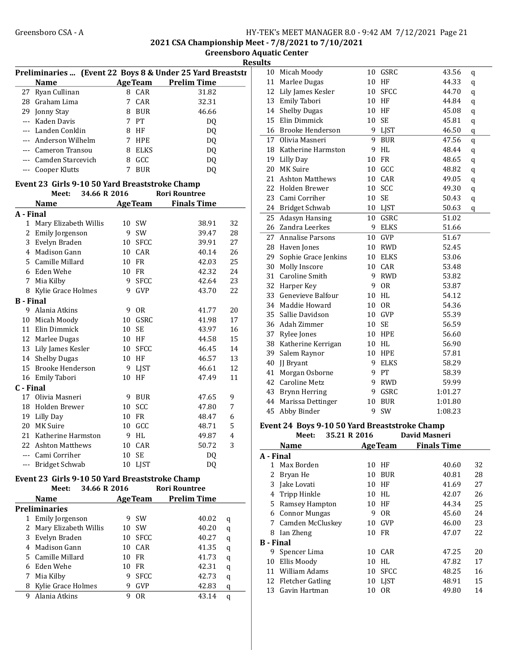2021 CSA Championship Meet - 7/8/2021 to 7/10/2021

Greensboro Aquatic Center Results

|                                                | Preliminaries  (Event 22 Boys 8 & Under 25 Yard Breaststr |  |                |                      |    | 10           | Mica        |
|------------------------------------------------|-----------------------------------------------------------|--|----------------|----------------------|----|--------------|-------------|
|                                                | <b>Name</b>                                               |  | <b>AgeTeam</b> | <b>Prelim Time</b>   |    | 11           | Marl        |
|                                                | 27 Ryan Cullinan                                          |  | 8 CAR          | 31.82                |    |              | 12 Lily     |
|                                                | 28 Graham Lima                                            |  | 7 CAR          | 32.31                |    |              | 13 Emil     |
|                                                | 29 Jonny Stay                                             |  | 8 BUR          | 46.66                |    |              | 14 Shell    |
|                                                | --- Kaden Davis                                           |  | 7 PT           | DO.                  |    | 15           | Elin        |
|                                                | --- Landen Conklin                                        |  | 8 HF           | DQ                   |    | 16           | <b>Broo</b> |
|                                                | --- Anderson Wilhelm                                      |  | 7 HPE          | DQ                   |    | 17           | Olivi       |
|                                                | --- Cameron Transou                                       |  | 8 ELKS         | DQ                   |    | 18           | Kath        |
|                                                | --- Camden Starcevich                                     |  | 8 GCC          | DQ                   |    | 19           | Lilly       |
|                                                | --- Cooper Klutts                                         |  | 7 BUR          | DQ                   |    |              | 20 MKS      |
|                                                | Event 23 Girls 9-10 50 Yard Breaststroke Champ            |  |                |                      |    |              | 21 Asht     |
|                                                | Meet:<br>34.66 R 2016                                     |  |                | <b>Rori Rountree</b> |    |              | 22 Hold     |
|                                                | <b>Name</b>                                               |  | <b>AgeTeam</b> | <b>Finals Time</b>   |    | 23           | Cam         |
| A - Final                                      |                                                           |  |                |                      |    |              | 24 Brid     |
|                                                | 1 Mary Elizabeth Willis                                   |  | 10 SW          | 38.91                | 32 | 25           | Adas        |
|                                                | 2 Emily Jorgenson                                         |  | 9 SW           | 39.47                | 28 | 26           | Zanc        |
|                                                | 3 Evelyn Braden                                           |  | 10 SFCC        | 39.91                | 27 | 27           | Anna        |
|                                                | 4 Madison Gann                                            |  | 10 CAR         | 40.14                | 26 |              | 28 Have     |
|                                                | 5 Camille Millard                                         |  | 10 FR          | 42.03                | 25 | 29           | Soph        |
|                                                | 6 Eden Wehe                                               |  | 10 FR          | 42.32                | 24 | 30           | Moll        |
|                                                | 7 Mia Kilby                                               |  | 9 SFCC         | 42.64                | 23 | 31           | Caro        |
|                                                | 8 Kylie Grace Holmes                                      |  | 9 GVP          | 43.70                | 22 |              | 32 Harp     |
| <b>B</b> - Final                               |                                                           |  |                |                      |    | 33           | Gene        |
|                                                | 9 Alania Atkins                                           |  | 9 OR           | 41.77                | 20 | 34           | Mad         |
|                                                | 10 Micah Moody                                            |  | 10 GSRC        | 41.98                | 17 | 35           | Salli       |
|                                                | 11 Elin Dimmick                                           |  | 10 SE          | 43.97                | 16 |              | 36 Adal     |
|                                                | 12 Marlee Dugas                                           |  | 10 HF          | 44.58                | 15 | 37           | Ryle        |
|                                                | 13 Lily James Kesler                                      |  | 10 SFCC        | 46.45                | 14 | 38           | Kath        |
|                                                | 14 Shelby Dugas                                           |  | 10 HF          | 46.57                | 13 | 39           | Saler       |
|                                                | 15 Brooke Henderson                                       |  | 9 LJST         | 46.61                | 12 |              | 40 JJ Br    |
|                                                | 16 Emily Tabori                                           |  | 10 HF          | 47.49                | 11 | 41           | Morg        |
| C - Final                                      |                                                           |  |                |                      |    | 42           | Caro        |
|                                                | 17 Olivia Masneri                                         |  | 9 BUR          | 47.65                | 9  |              | 43 Bryn     |
|                                                | 18 Holden Brewer                                          |  | 10 SCC         | 47.80                | 7  |              | 44 Mari     |
|                                                | 19 Lilly Day                                              |  | 10 FR          | 48.47                | 6  | 45           | Abby        |
|                                                | 20 MK Suire                                               |  | 10 GCC         | 48.71                | 5  | Event 24     |             |
|                                                | 21 Katherine Harmston                                     |  | 9 HL           | 49.87                | 4  |              |             |
|                                                | 22 Ashton Matthews                                        |  | 10 CAR         | 50.72                | 3  |              | Nan         |
|                                                | --- Cami Corriher                                         |  | 10 SE          | DQ                   |    | A - Final    |             |
|                                                | --- Bridget Schwab                                        |  | 10 LJST        | DQ                   |    | $\mathbf{1}$ | Max         |
|                                                |                                                           |  |                |                      |    | 2            | Brya        |
| Event 23 Girls 9-10 50 Yard Breaststroke Champ |                                                           |  |                |                      |    |              | $3$ Jake    |

|   | Meet:                 | 34.66 R 2016 |    |                | <b>Rori Rountree</b> |   |
|---|-----------------------|--------------|----|----------------|----------------------|---|
|   | <b>Name</b>           |              |    | <b>AgeTeam</b> | <b>Prelim Time</b>   |   |
|   | <b>Preliminaries</b>  |              |    |                |                      |   |
| 1 | Emily Jorgenson       |              | 9  | <b>SW</b>      | 40.02                | q |
| 2 | Mary Elizabeth Willis |              | 10 | .SW            | 40.20                | q |
| 3 | Evelyn Braden         |              | 10 | SFCC           | 40.27                | q |
| 4 | Madison Gann          |              | 10 | CAR            | 41.35                | q |
|   | 5 Camille Millard     |              | 10 | FR             | 41.73                | q |
|   | Eden Wehe             |              | 10 | FR             | 42.31                | q |
| 7 | Mia Kilby             |              | 9  | <b>SFCC</b>    | 42.73                | q |
| 8 | Kylie Grace Holmes    |              | 9  | GVP            | 42.83                | q |
| 9 | Alania Atkins         |              | 9  | 0R             | 43.14                | q |
|   |                       |              |    |                |                      |   |

| !! LS |                         |    |             |         |         |  |
|-------|-------------------------|----|-------------|---------|---------|--|
| 10    | Micah Moody             | 10 | GSRC        | 43.56   | q       |  |
| 11    | Marlee Dugas            | 10 | HF          | 44.33   | q       |  |
| 12    | Lily James Kesler       | 10 | <b>SFCC</b> | 44.70   | q       |  |
| 13    | Emily Tabori            | 10 | HF          | 44.84   | q       |  |
| 14    | <b>Shelby Dugas</b>     | 10 | HF          | 45.08   | q       |  |
| 15    | Elin Dimmick            | 10 | SE          | 45.81   | q       |  |
| 16    | <b>Brooke Henderson</b> | 9  | LJST        | 46.50   | q       |  |
| 17    | Olivia Masneri          | 9  | <b>BUR</b>  | 47.56   | q       |  |
| 18    | Katherine Harmston      | 9  | HL          | 48.44   | $\bf q$ |  |
| 19    | <b>Lilly Day</b>        | 10 | FR          | 48.65   | $\bf q$ |  |
| 20    | <b>MK Suire</b>         | 10 | GCC         | 48.82   | q       |  |
| 21    | <b>Ashton Matthews</b>  | 10 | CAR         | 49.05   | q       |  |
| 22    | Holden Brewer           | 10 | SCC         | 49.30   | q       |  |
| 23    | Cami Corriher           | 10 | SE          | 50.43   | $\bf q$ |  |
| 24    | <b>Bridget Schwab</b>   | 10 | LJST        | 50.63   | q       |  |
| 25    | <b>Adasyn Hansing</b>   | 10 | GSRC        | 51.02   |         |  |
| 26    | Zandra Leerkes          | 9  | <b>ELKS</b> | 51.66   |         |  |
| 27    | <b>Annalise Parsons</b> | 10 | GVP         | 51.67   |         |  |
| 28    | Haven Jones             | 10 | <b>RWD</b>  | 52.45   |         |  |
| 29    | Sophie Grace Jenkins    | 10 | <b>ELKS</b> | 53.06   |         |  |
| 30    | Molly Inscore           | 10 | CAR         | 53.48   |         |  |
| 31    | Caroline Smith          | 9  | <b>RWD</b>  | 53.82   |         |  |
| 32    | Harper Key              | 9  | <b>OR</b>   | 53.87   |         |  |
| 33    | Genevieve Balfour       | 10 | <b>HL</b>   | 54.12   |         |  |
| 34    | Maddie Howard           | 10 | <b>OR</b>   | 54.36   |         |  |
| 35    | Sallie Davidson         | 10 | GVP         | 55.39   |         |  |
| 36    | Adah Zimmer             | 10 | <b>SE</b>   | 56.59   |         |  |
| 37    | Rylee Jones             | 10 | <b>HPE</b>  | 56.60   |         |  |
| 38    | Katherine Kerrigan      | 10 | HL          | 56.90   |         |  |
| 39    | Salem Raynor            | 10 | <b>HPE</b>  | 57.81   |         |  |
| 40    | JJ Bryant               | 9  | <b>ELKS</b> | 58.29   |         |  |
| 41    | Morgan Osborne          | 9  | PT          | 58.39   |         |  |
| 42    | <b>Caroline Metz</b>    | 9  | <b>RWD</b>  | 59.99   |         |  |
| 43    | <b>Brynn Herring</b>    | 9  | GSRC        | 1:01.27 |         |  |
| 44    | Marissa Dettinger       | 10 | <b>BUR</b>  | 1:01.80 |         |  |
| 45    | Abby Binder             | 9  | SW          | 1:08.23 |         |  |
|       |                         |    |             |         |         |  |

### Event 24 Boys 9-10 50 Yard Breaststroke Champ

|                  | Meet:               | 35.21 R 2016 |                | <b>David Masneri</b> |    |
|------------------|---------------------|--------------|----------------|----------------------|----|
|                  | Name                |              | <b>AgeTeam</b> | <b>Finals Time</b>   |    |
| A - Final        |                     |              |                |                      |    |
|                  | 1 Max Borden        |              | 10 HF          | 40.60                | 32 |
|                  | 2 Bryan He          | 10           | <b>BUR</b>     | 40.81                | 28 |
|                  | 3 Jake Lovati       | 10           | HF             | 41.69                | 27 |
|                  | 4 Tripp Hinkle      | 10           | HL             | 42.07                | 26 |
|                  | 5 Ramsey Hampton    |              | 10 HF          | 44.34                | 25 |
| 6                | Connor Mungas       | 9            | 0R             | 45.60                | 24 |
|                  | 7 Camden McCluskey  | 10           | GVP            | 46.00                | 23 |
| 8                | Ian Zheng           |              | 10 FR          | 47.07                | 22 |
| <b>B</b> - Final |                     |              |                |                      |    |
|                  | 9 Spencer Lima      | 10           | CAR            | 47.25                | 20 |
| 10               | Ellis Moody         | 10           | HL             | 47.82                | 17 |
|                  | 11 William Adams    |              | 10 SFCC        | 48.25                | 16 |
|                  | 12 Fletcher Gatling |              | 10 LJST        | 48.91                | 15 |
|                  | 13 Gavin Hartman    | 10           | 0 <sub>R</sub> | 49.80                | 14 |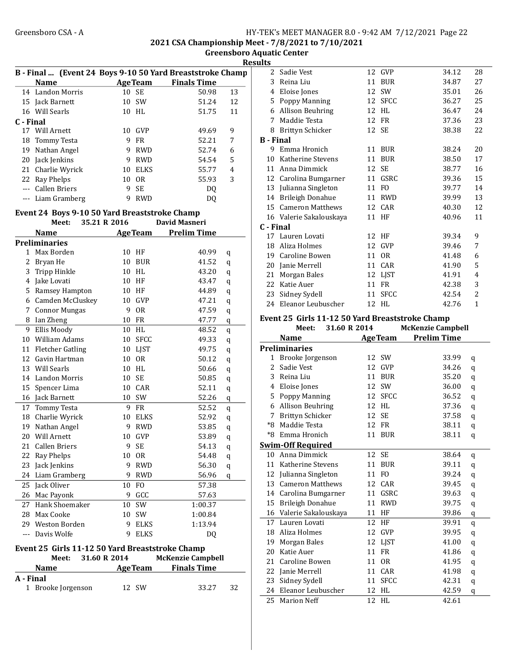2021 CSA Championship Meet - 7/8/2021 to 7/10/2021

Greensboro Aquatic Center

**Results** 

|           | B - Final  (Event 24 Boys 9-10 50 Yard Breaststroke Champ |    |                |                    |    |
|-----------|-----------------------------------------------------------|----|----------------|--------------------|----|
|           | <b>Name</b>                                               |    | <b>AgeTeam</b> | <b>Finals Time</b> |    |
|           | 14 Landon Morris                                          | 10 | <b>SE</b>      | 50.98              | 13 |
|           | 15 Jack Barnett                                           | 10 | <b>SW</b>      | 51.24              | 12 |
|           | 16 Will Searls                                            | 10 | HI.            | 51.75              | 11 |
| C - Final |                                                           |    |                |                    |    |
|           | 17 Will Arnett                                            | 10 | GVP            | 49.69              | 9  |
| 18        | Tommy Testa                                               | 9  | <b>FR</b>      | 52.21              | 7  |
| 19        | Nathan Angel                                              | 9  | <b>RWD</b>     | 52.74              | 6  |
| 20        | Jack Jenkins                                              | 9  | <b>RWD</b>     | 54.54              | 5  |
|           | 21 Charlie Wyrick                                         | 10 | <b>ELKS</b>    | 55.77              | 4  |
| 22        | Ray Phelps                                                | 10 | 0 <sub>R</sub> | 55.93              | 3  |
|           | Callen Briers                                             | 9  | <b>SE</b>      | DO                 |    |
|           | Liam Gramberg                                             |    | RWD            | DO                 |    |

#### Event 24 Boys 9-10 50 Yard Breaststroke Champ

|                | Meet:                   | 35.21 R 2016 |    |                 | <b>David Masneri</b> |         |
|----------------|-------------------------|--------------|----|-----------------|----------------------|---------|
|                | <b>Name</b>             |              |    | <b>Age Team</b> | <b>Prelim Time</b>   |         |
|                | <b>Preliminaries</b>    |              |    |                 |                      |         |
| 1              | Max Borden              |              |    | 10 HF           | 40.99                | q       |
| $\overline{c}$ | Bryan He                |              | 10 | <b>BUR</b>      | 41.52                | q       |
| 3              | Tripp Hinkle            |              | 10 | <b>HL</b>       | 43.20                | q       |
| 4              | Jake Lovati             |              | 10 | HF              | 43.47                | q       |
| 5              | Ramsey Hampton          |              | 10 | HF              | 44.89                | q       |
| 6              | Camden McCluskey        |              | 10 | <b>GVP</b>      | 47.21                | q       |
| 7              | <b>Connor Mungas</b>    |              | 9  | <b>OR</b>       | 47.59                | $\bf q$ |
| 8              | Ian Zheng               |              | 10 | FR              | 47.77                | q       |
| 9              | Ellis Moody             |              | 10 | HL              | 48.52                | q       |
| 10             | William Adams           |              | 10 | <b>SFCC</b>     | 49.33                | q       |
| 11             | <b>Fletcher Gatling</b> |              | 10 | <b>LJST</b>     | 49.75                | q       |
|                | 12 Gavin Hartman        |              |    | 10 OR           | 50.12                | q       |
| 13             | Will Searls             |              | 10 | HL              | 50.66                | q       |
| 14             | Landon Morris           |              | 10 | <b>SE</b>       | 50.85                | q       |
| 15             | Spencer Lima            |              | 10 | CAR             | 52.11                | q       |
|                | 16 Jack Barnett         |              | 10 | SW              | 52.26                | q       |
|                | 17 Tommy Testa          |              | 9  | <b>FR</b>       | 52.52                | q       |
| 18             | Charlie Wyrick          |              | 10 | <b>ELKS</b>     | 52.92                | q       |
| 19             | Nathan Angel            |              | 9  | <b>RWD</b>      | 53.85                | q       |
| 20             | Will Arnett             |              | 10 | <b>GVP</b>      | 53.89                | q       |
| 21             | <b>Callen Briers</b>    |              | 9  | SE              | 54.13                | q       |
| 22             | Ray Phelps              |              | 10 | <b>OR</b>       | 54.48                | q       |
| 23             | Jack Jenkins            |              | 9  | <b>RWD</b>      | 56.30                | q       |
| 24             | Liam Gramberg           |              | 9  | <b>RWD</b>      | 56.96                | q       |
| 25             | Jack Oliver             |              | 10 | F <sub>O</sub>  | 57.38                |         |
| 26             | Mac Payonk              |              | 9  | GCC             | 57.63                |         |
| 27             | Hank Shoemaker          |              | 10 | SW              | 1:00.37              |         |
| 28             | Max Cooke               |              | 10 | SW              | 1:00.84              |         |
| 29             | Weston Borden           |              | 9  | <b>ELKS</b>     | 1:13.94              |         |
| $\overline{a}$ | Davis Wolfe             |              | 9  | <b>ELKS</b>     | DQ                   |         |

#### Event 25 Girls 11-12 50 Yard Breaststroke Champ Meet: 31.60 R 2014

| <b>Name</b>        | <b>AgeTeam</b> | .<br><b>Finals Time</b> |    |
|--------------------|----------------|-------------------------|----|
| A - Final          |                |                         |    |
| 1 Brooke Jorgenson | 12 SW          | 33.27                   | 32 |

| $\overline{2}$ | Sadie Vest              | 12 | GVP            | 34.12 | 28           |
|----------------|-------------------------|----|----------------|-------|--------------|
| 3              | Reina Liu               | 11 | <b>BUR</b>     | 34.87 | 27           |
| 4              | Eloise Jones            | 12 | <b>SW</b>      | 35.01 | 26           |
| 5              | Poppy Manning           | 12 | <b>SFCC</b>    | 36.27 | 25           |
| 6              | Allison Beuhring        | 12 | <b>HL</b>      | 36.47 | 24           |
| 7              | Maddie Testa            | 12 | <b>FR</b>      | 37.36 | 23           |
| 8              | Brittyn Schicker        |    | 12 SE          | 38.38 | 22           |
| B - Final      |                         |    |                |       |              |
| 9              | Emma Hronich            | 11 | <b>BUR</b>     | 38.24 | 20           |
| 10             | Katherine Stevens       | 11 | <b>BUR</b>     | 38.50 | 17           |
| 11             | Anna Dimmick            | 12 | SE             | 38.77 | 16           |
| 12             | Carolina Bumgarner      | 11 | GSRC           | 39.36 | 15           |
| 13             | Julianna Singleton      | 11 | F <sub>O</sub> | 39.77 | 14           |
| 14             | Brileigh Donahue        | 11 | <b>RWD</b>     | 39.99 | 13           |
| 15             | Cameron Matthews        | 12 | CAR            | 40.30 | 12           |
|                | 16 Valerie Sakalouskaya | 11 | HF             | 40.96 | 11           |
| C - Final      |                         |    |                |       |              |
| 17             | Lauren Lovati           | 12 | HF             | 39.34 | 9            |
| 18             | Aliza Holmes            | 12 | GVP            | 39.46 | 7            |
| 19             | Caroline Bowen          | 11 | 0 <sub>R</sub> | 41.48 | 6            |
| 20             | Janie Merrell           | 11 | CAR            | 41.90 | 5            |
| 21             | Morgan Bales            | 12 | <b>LIST</b>    | 41.91 | 4            |
| 22             | Katie Auer              | 11 | <b>FR</b>      | 42.38 | 3            |
| 23             | Sidney Sydell           | 11 | <b>SFCC</b>    | 42.54 | 2            |
| 24             | Eleanor Leubuscher      | 12 | HL             | 42.76 | $\mathbf{1}$ |

#### Event 25 Girls 11-12 50 Yard Breaststroke Champ Meet: 31.60 R 2014

|              |                         |                 |                | <b>TIGHTLING</b> CHILD |   |
|--------------|-------------------------|-----------------|----------------|------------------------|---|
|              | <b>Name</b>             | <b>AgeTeam</b>  |                | <b>Prelim Time</b>     |   |
|              | <b>Preliminaries</b>    |                 |                |                        |   |
| $\mathbf{1}$ | Brooke Jorgenson        | 12 SW           |                | 33.99                  | q |
| 2            | Sadie Vest              | 12              | <b>GVP</b>     | 34.26                  | q |
| 3            | Reina Liu               | 11              | <b>BUR</b>     | 35.20                  | q |
| 4            | Eloise Jones            | 12              | <b>SW</b>      | 36.00                  | q |
| 5            | Poppy Manning           | 12 SFCC         |                | 36.52                  | q |
| 6            | Allison Beuhring        | <b>HL</b><br>12 |                | 37.36                  | q |
| 7            | Brittyn Schicker        | 12 SE           |                | 37.58                  | q |
| *8           | Maddie Testa            | 12 FR           |                | 38.11                  | q |
| *8           | Emma Hronich            | 11              | <b>BUR</b>     | 38.11                  | q |
|              | Swim-Off Required       |                 |                |                        |   |
| 10           | Anna Dimmick            | 12<br><b>SE</b> |                | 38.64                  | q |
| 11           | Katherine Stevens       | 11              | <b>BUR</b>     | 39.11                  | q |
| 12           | Julianna Singleton      | 11 FO           |                | 39.24                  | q |
| 13           | <b>Cameron Matthews</b> | 12 CAR          |                | 39.45                  | q |
|              | 14 Carolina Bumgarner   | 11              | GSRC           | 39.63                  | q |
| 15           | Brileigh Donahue        | 11              | <b>RWD</b>     | 39.75                  | q |
| 16           | Valerie Sakalouskaya    | HF<br>11        |                | 39.86                  | q |
| 17           | Lauren Lovati           | 12<br>HF        |                | 39.91                  | q |
| 18           | Aliza Holmes            | 12              | <b>GVP</b>     | 39.95                  | q |
| 19           | Morgan Bales            | 12              | LJST           | 41.00                  | q |
| 20           | Katie Auer              | <b>FR</b><br>11 |                | 41.86                  | q |
| 21           | Caroline Bowen          | 11              | 0 <sub>R</sub> | 41.95                  | q |
| 22           | Janie Merrell           | 11              | CAR            | 41.98                  | q |
| 23           | Sidney Sydell           | 11              | <b>SFCC</b>    | 42.31                  | q |
| 24           | Eleanor Leubuscher      | HL<br>12        |                | 42.59                  | q |
| 25           | <b>Marion Neff</b>      | 12 HL           |                | 42.61                  |   |
|              |                         |                 |                |                        |   |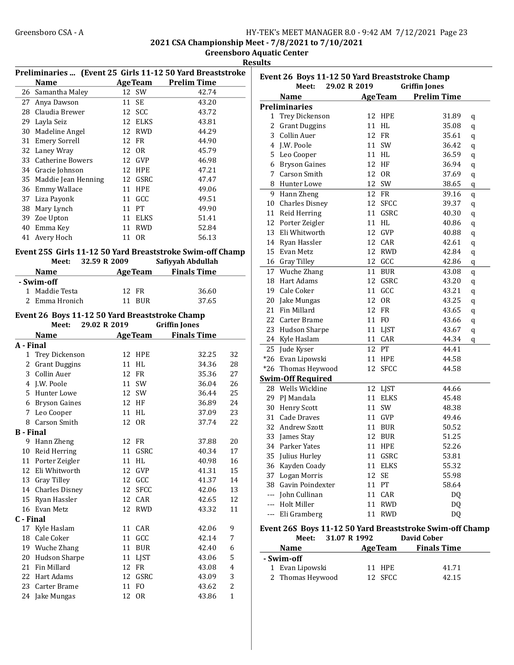2021 CSA Championship Meet - 7/8/2021 to 7/10/2021

Greensboro Aquatic Center Results

|                  | Preliminaries  (Event 25 Girls 11-12 50 Yard Breaststroke |                |                |                                       |              | Even           |
|------------------|-----------------------------------------------------------|----------------|----------------|---------------------------------------|--------------|----------------|
|                  | <b>Name</b>                                               |                |                | AgeTeam Prelim Time                   |              |                |
|                  | 26 Samantha Maley                                         | 12 SW          |                | 42.74                                 |              |                |
|                  | 27 Anya Dawson                                            | 11 SE          |                | 43.20                                 |              | Preli          |
|                  | 28 Claudia Brewer                                         | 12 SCC         |                | 43.72                                 |              | 1              |
|                  | 29 Layla Seiz                                             |                | 12 ELKS        | 43.81                                 |              | 2              |
|                  | 30 Madeline Angel                                         |                | 12 RWD         | 44.29                                 |              | 3              |
|                  | 31 Emery Sorrell                                          | 12 FR          |                | 44.90                                 |              | $\overline{4}$ |
|                  | 32 Laney Wray                                             | 12 OR          |                | 45.79                                 |              |                |
|                  | 33 Catherine Bowers                                       | 12 GVP         |                | 46.98                                 |              | 5              |
|                  | 34 Gracie Johnson                                         | 12 HPE         |                | 47.21                                 |              | 6              |
|                  | 35 Maddie Jean Henning                                    |                | 12 GSRC        | 47.47                                 |              | 7              |
|                  | 36 Emmy Wallace                                           | 11 HPE         |                | 49.06                                 |              | 8              |
|                  | 37 Liza Payonk                                            | 11 GCC         |                | 49.51                                 |              | 9              |
|                  | 38 Mary Lynch                                             | 11 PT          |                | 49.90                                 |              | 10             |
|                  | 39 Zoe Upton                                              |                | 11 ELKS        | 51.41                                 |              | 11             |
|                  | 40 Emma Key                                               | 11 RWD         |                | 52.84                                 |              | 12             |
|                  | 41 Avery Hoch                                             | 11 OR          |                | 56.13                                 |              | 13             |
|                  |                                                           |                |                |                                       |              | 14             |
|                  | Event 25S Girls 11-12 50 Yard Breaststroke Swim-off Champ |                |                |                                       |              | 15             |
|                  | Meet:                                                     | 32.59 R 2009   |                | Safiyyah Abdullah                     |              | 16             |
|                  | <b>Name</b>                                               |                |                | <b>Example 2 Age Team</b> Finals Time |              | 17             |
|                  | - Swim-off                                                |                |                |                                       |              | 18             |
|                  | 1 Maddie Testa                                            | 12 FR          |                | 36.60                                 |              | 19             |
|                  | 2 Emma Hronich                                            | 11 BUR         |                | 37.65                                 |              | 20             |
|                  |                                                           |                |                |                                       |              | 21             |
|                  | Event 26 Boys 11-12 50 Yard Breaststroke Champ            |                |                |                                       |              | 22             |
|                  | 29.02 R 2019<br>Meet:                                     |                |                | <b>Griffin Jones</b>                  |              | 23             |
|                  | <b>Name</b>                                               | <b>AgeTeam</b> |                | <b>Finals Time</b>                    |              | 24             |
| A - Final        |                                                           |                |                |                                       |              | 25             |
| $\mathbf{1}$     | Trey Dickenson                                            | 12 HPE         |                | 32.25                                 | 32           | $*26$          |
|                  | 2 Grant Duggins                                           | 11 HL          |                | 34.36                                 | 28           | $*26$          |
|                  | 3 Collin Auer                                             | 12 FR          |                | 35.36                                 | 27           | Swin           |
|                  | 4 J.W. Poole                                              | 11 SW          |                | 36.04                                 | 26           | 28             |
|                  | 5 Hunter Lowe                                             | 12 SW          |                | 36.44                                 | 25           | 29             |
|                  | 6 Bryson Gaines                                           | 12 HF          |                | 36.89                                 | 24           | 30             |
|                  | 7 Leo Cooper                                              | 11 HL          |                | 37.09                                 | 23           | 31             |
|                  | 8 Carson Smith                                            | 12 OR          |                | 37.74                                 | 22           | 32             |
| <b>B</b> - Final |                                                           |                |                |                                       |              | 33             |
|                  | 9 Hann Zheng                                              | 12 FR          |                | 37.88                                 | 20           |                |
|                  | 10 Reid Herring                                           |                | 11 GSRC        | 40.34                                 | 17           | 34             |
|                  | 11 Porter Zeigler                                         | 11             | HL             | 40.98                                 | 16           | 35             |
| 12               | Eli Whitworth                                             | 12             | GVP            | 41.31                                 | 15           | 36             |
|                  | 13 Gray Tilley                                            | 12             | GCC            | 41.37                                 | 14           | 37             |
|                  | 14 Charles Disney                                         | 12             | <b>SFCC</b>    | 42.06                                 | 13           | 38             |
|                  | 15 Ryan Hassler                                           | 12             | CAR            | 42.65                                 | 12           |                |
|                  | 16 Evan Metz                                              | 12             | <b>RWD</b>     | 43.32                                 | 11           |                |
| C - Final        |                                                           |                |                |                                       |              | ---            |
|                  | 17 Kyle Haslam                                            | 11             | CAR            | 42.06                                 | 9            | Even           |
|                  | 18 Cale Coker                                             | 11 GCC         |                | 42.14                                 | 7            |                |
|                  |                                                           |                |                |                                       |              |                |
|                  | 19 Wuche Zhang                                            | 11             | BUR            | 42.40                                 | 6            |                |
|                  | 20 Hudson Sharpe                                          | 11             | LJST           | 43.06                                 | 5            | - Sw           |
| 21               | Fin Millard                                               | 12 FR          |                | 43.08                                 | 4            | $\mathbf{1}$   |
|                  | 22 Hart Adams                                             | 12             | GSRC           | 43.09                                 | 3            | 2              |
| 23               | Carter Brame                                              | 11             | F <sub>O</sub> | 43.62                                 | 2            |                |
|                  | 24 Jake Mungas                                            | 12             | 0R             | 43.86                                 | $\mathbf{1}$ |                |

| Event 26 Boys 11-12 50 Yard Breaststroke Champ |                                                          |                   |                            |             |  |  |
|------------------------------------------------|----------------------------------------------------------|-------------------|----------------------------|-------------|--|--|
|                                                | Meet:                                                    | 29.02 R 2019      | <b>Griffin Jones</b>       |             |  |  |
|                                                | <b>Name</b>                                              | <b>AgeTeam</b>    | <b>Prelim Time</b>         |             |  |  |
|                                                | Preliminaries                                            |                   |                            |             |  |  |
| 1                                              | Trey Dickenson                                           | 12 HPE            | 31.89                      | q           |  |  |
| 2                                              | <b>Grant Duggins</b>                                     | 11 HL             | 35.08                      | q           |  |  |
| 3                                              | Collin Auer                                              | 12 FR             | 35.61                      | q           |  |  |
| $\overline{4}$                                 | J.W. Poole                                               | 11 SW             | 36.42                      | q           |  |  |
| 5                                              | Leo Cooper                                               | 11 HL             | 36.59                      | $\bf q$     |  |  |
| 6                                              | <b>Bryson Gaines</b>                                     | 12 HF             | 36.94                      | $\bf q$     |  |  |
| 7                                              | Carson Smith                                             | 12 OR             | 37.69                      | q           |  |  |
| 8                                              | Hunter Lowe                                              | 12 SW             | 38.65                      | $\mathbf q$ |  |  |
| 9                                              | Hann Zheng                                               | 12 FR             | 39.16                      | q           |  |  |
| 10                                             | <b>Charles Disney</b>                                    | 12<br><b>SFCC</b> | 39.37                      | q           |  |  |
| 11                                             | Reid Herring                                             | GSRC<br>11        | 40.30                      | q           |  |  |
| 12                                             | Porter Zeigler                                           | 11<br>HL          | 40.86                      | q           |  |  |
| 13                                             | Eli Whitworth                                            | 12 GVP            | 40.88                      | q           |  |  |
| 14                                             | Ryan Hassler                                             | 12 CAR            | 42.61                      | q           |  |  |
| 15                                             | Evan Metz                                                | 12 RWD            | 42.84                      |             |  |  |
| 16                                             | <b>Gray Tilley</b>                                       | 12 GCC            | 42.86                      | q           |  |  |
| 17                                             | Wuche Zhang                                              | 11 BUR            | 43.08                      | q           |  |  |
| 18                                             | Hart Adams                                               | 12 GSRC           | 43.20                      | q           |  |  |
| 19                                             | Cale Coker                                               | 11<br>GCC         | 43.21                      | q           |  |  |
| 20                                             |                                                          | 12<br>0R          |                            | $\bf q$     |  |  |
| 21                                             | Jake Mungas<br>Fin Millard                               | 12 FR             | 43.25<br>43.65             | q           |  |  |
| 22                                             |                                                          |                   |                            | q           |  |  |
|                                                | Carter Brame                                             | 11 FO             | 43.66                      | $\bf q$     |  |  |
| 23                                             | <b>Hudson Sharpe</b>                                     | <b>LJST</b><br>11 | 43.67                      | $\bf q$     |  |  |
| 24                                             | Kyle Haslam                                              | 11<br>CAR         | 44.34                      | q           |  |  |
| 25                                             | Jude Kyser                                               | 12<br>PT          | 44.41                      |             |  |  |
| $*26$                                          | Evan Lipowski                                            | 11<br><b>HPE</b>  | 44.58                      |             |  |  |
| $*26$                                          | Thomas Heywood                                           | 12<br><b>SFCC</b> | 44.58                      |             |  |  |
|                                                | <b>Swim-Off Required</b>                                 |                   |                            |             |  |  |
| 28                                             | Wells Wickline                                           | 12 LJST           | 44.66                      |             |  |  |
| 29                                             | PJ Mandala                                               | 11 ELKS           | 45.48                      |             |  |  |
| 30                                             | <b>Henry Scott</b>                                       | 11 SW             | 48.38                      |             |  |  |
| 31                                             | Cade Draves                                              | 11 GVP            | 49.46                      |             |  |  |
| 32                                             | Andrew Szott                                             | 11 BUR            | 50.52                      |             |  |  |
| 33                                             | James Stay                                               | 12 BUR            | 51.25                      |             |  |  |
|                                                | 34 Parker Yates                                          | 11 HPE            | 52.26                      |             |  |  |
|                                                | 35 Julius Hurley                                         | 11 GSRC           | 53.81                      |             |  |  |
|                                                | 36 Kayden Coady                                          | 11<br>ELKS        | 55.32                      |             |  |  |
|                                                | 37 Logan Morris                                          | 12<br>SE          | 55.98                      |             |  |  |
|                                                | 38 Gavin Poindexter                                      | 11 PT             | 58.64                      |             |  |  |
|                                                | --- John Cullinan                                        | 11<br>CAR         | <b>DQ</b>                  |             |  |  |
|                                                | --- Holt Miller                                          | 11<br><b>RWD</b>  | DQ                         |             |  |  |
|                                                | --- Eli Gramberg                                         | <b>RWD</b><br>11  | DQ                         |             |  |  |
|                                                | Event 26S Boys 11-12 50 Yard Breaststroke Swim-off Champ |                   |                            |             |  |  |
|                                                | Meet: 31.07 R 1992                                       |                   | <b>David Cober</b>         |             |  |  |
|                                                | <b>Name</b>                                              |                   | <b>AgeTeam</b> Finals Time |             |  |  |
|                                                | - Swim-off                                               |                   |                            |             |  |  |
|                                                | 1 Evan Lipowski                                          | 11 HPE            | 41.71                      |             |  |  |

2 Thomas Heywood 12 SFCC 42.15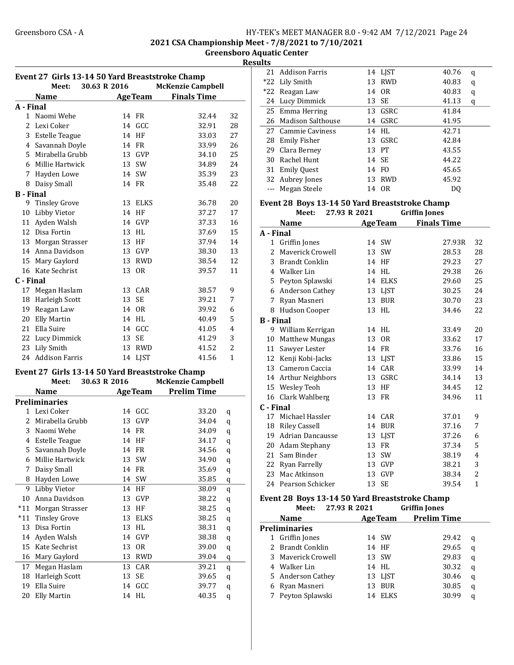#### Greensboro CSA - A <br>HY-TEK's MEET MANAGER 8.0 - 9:42 AM 7/12/2021 Page 24 2021 CSA Championship Meet - 7/8/2021 to 7/10/2021

Greensboro Aquatic Center

**Results** 

| Event 27 Girls 13-14 50 Yard Breaststroke Champ |                                                 |    |                |                          |                |  |
|-------------------------------------------------|-------------------------------------------------|----|----------------|--------------------------|----------------|--|
|                                                 | 30.63 R 2016<br>Meet:                           |    |                | <b>McKenzie Campbell</b> |                |  |
|                                                 | <b>Name</b>                                     |    | <b>AgeTeam</b> | <b>Finals Time</b>       |                |  |
| A - Final                                       |                                                 |    |                |                          |                |  |
|                                                 | 1 Naomi Wehe                                    |    | 14 FR          | 32.44                    | 32             |  |
|                                                 | 2 Lexi Coker                                    | 14 | GCC            | 32.91                    | 28             |  |
|                                                 | 3 Estelle Teague                                | 14 | HF             | 33.03                    | 27             |  |
|                                                 | 4 Savannah Doyle                                |    | 14 FR          | 33.99                    | 26             |  |
|                                                 | 5 Mirabella Grubb                               |    | 13 GVP         | 34.10                    | 25             |  |
|                                                 | 6 Millie Hartwick                               |    | 13 SW          | 34.89                    | 24             |  |
|                                                 | 7 Hayden Lowe                                   |    | 14 SW          | 35.39                    | 23             |  |
|                                                 | 8 Daisy Small                                   |    | 14 FR          | 35.48                    | 22             |  |
| <b>B</b> - Final                                |                                                 |    |                |                          |                |  |
|                                                 | 9 Tinsley Grove                                 |    | 13 ELKS        | 36.78                    | 20             |  |
|                                                 | 10 Libby Vietor                                 |    | 14 HF          | 37.27                    | 17             |  |
|                                                 | 11 Ayden Walsh                                  |    | 14 GVP         | 37.33                    | 16             |  |
|                                                 | 12 Disa Fortin                                  |    | 13 HL          | 37.69                    | 15             |  |
|                                                 | 13 Morgan Strasser                              |    | 13 HF          | 37.94                    | 14             |  |
|                                                 | 14 Anna Davidson                                |    | 13 GVP         | 38.30                    | 13             |  |
|                                                 | 15 Mary Gaylord                                 |    | 13 RWD         | 38.54                    | 12             |  |
|                                                 | 16 Kate Sechrist                                | 13 | 0R             | 39.57                    | 11             |  |
| C - Final                                       |                                                 |    |                |                          |                |  |
|                                                 | 17 Megan Haslam                                 |    | 13 CAR         | 38.57                    | 9              |  |
|                                                 | 18 Harleigh Scott                               | 13 | <b>SE</b>      | 39.21                    | 7              |  |
|                                                 | 19 Reagan Law                                   |    | 14 OR          | 39.92                    | 6              |  |
|                                                 | 20 Elly Martin                                  |    | 14 HL          | 40.49                    | 5              |  |
|                                                 | 21 Ella Suire                                   |    | 14 GCC         | 41.05                    | 4              |  |
|                                                 |                                                 |    | <b>SE</b>      |                          | 3              |  |
|                                                 | 22 Lucy Dimmick                                 | 13 |                | 41.29                    | $\overline{2}$ |  |
|                                                 | 23 Lily Smith<br>24 Addison Farris              | 13 | <b>RWD</b>     | 41.52                    | $\mathbf{1}$   |  |
|                                                 |                                                 |    | 14 LJST        | 41.56                    |                |  |
|                                                 | Event 27 Girls 13-14 50 Yard Breaststroke Champ |    |                |                          |                |  |
|                                                 | 30.63 R 2016<br>Meet:                           |    |                | <b>McKenzie Campbell</b> |                |  |
|                                                 | <b>Name</b>                                     |    | <b>AgeTeam</b> | <b>Prelim Time</b>       |                |  |
|                                                 | <b>Preliminaries</b>                            |    |                |                          |                |  |
| 1                                               | Lexi Coker                                      | 14 | GCC            | 33.20                    | q              |  |
| 2                                               | Mirabella Grubb                                 |    | 13 GVP         | 34.04                    | q              |  |
| 3                                               | Naomi Wehe                                      | 14 | <b>FR</b>      | 34.09                    | q              |  |
| 4                                               | <b>Estelle Teague</b>                           | 14 | HF             | 34.17                    | q              |  |
| 5                                               | Savannah Doyle                                  |    | 14 FR          | 34.56                    | q              |  |
| 6                                               | Millie Hartwick                                 | 13 | SW             | 34.90                    | $\mathbf q$    |  |
| 7                                               | Daisy Small                                     | 14 | FR             | 35.69                    | $\bf q$        |  |
| 8                                               | Hayden Lowe                                     | 14 | SW             | 35.85                    | q              |  |
| 9                                               | Libby Vietor                                    | 14 | HF             | 38.09                    | $\mathbf q$    |  |
| 10                                              | Anna Davidson                                   | 13 | GVP            | 38.22                    | $\mathbf q$    |  |
| $*11$                                           | Morgan Strasser                                 | 13 | HF             | 38.25                    | q              |  |
| $*11$                                           | <b>Tinsley Grove</b>                            | 13 | ELKS           | 38.25                    | q              |  |
|                                                 | 13 Disa Fortin                                  | 13 | HL             | 38.31                    | $\bf q$        |  |
|                                                 | 14 Ayden Walsh                                  | 14 | GVP            | 38.38                    | q              |  |
|                                                 | 15 Kate Sechrist                                | 13 | 0R             | 39.00                    | $\bf q$        |  |
|                                                 | 16 Mary Gaylord                                 | 13 | <b>RWD</b>     | 39.04                    | $\mathbf q$    |  |
| 17                                              | Megan Haslam                                    | 13 | CAR            | 39.21                    | q              |  |
| 18                                              | <b>Harleigh Scott</b>                           | 13 | SE             | 39.65                    | q              |  |
| 19                                              | Ella Suire                                      | 14 | GCC            | 39.77                    | q              |  |
|                                                 | 20 Elly Martin                                  |    | 14 HL          | 40.35                    | q              |  |

| ullo |                    |    |                |       |   |
|------|--------------------|----|----------------|-------|---|
|      | 21 Addison Farris  |    | 14 LJST        | 40.76 | q |
|      | *22 Lily Smith     | 13 | RWD            | 40.83 | q |
|      | *22 Reagan Law     |    | 14 OR          | 40.83 | q |
|      | 24 Lucy Dimmick    |    | 13 SE          | 41.13 | q |
|      | 25 Emma Herring    |    | 13 GSRC        | 41.84 |   |
| 26   | Madison Salthouse  | 14 | GSRC           | 41.95 |   |
|      | 27 Cammie Caviness | 14 | HL             | 42.71 |   |
| 28   | Emily Fisher       |    | 13 GSRC        | 42.84 |   |
| 29   | Clara Bernev       |    | 13 PT          | 43.55 |   |
| 30   | Rachel Hunt        |    | 14 SE          | 44.22 |   |
| 31   | <b>Emily Quest</b> | 14 | FO.            | 45.65 |   |
|      | 32 Aubrey Jones    | 13 | RWD            | 45.92 |   |
|      | Megan Steele       | 14 | 0 <sub>R</sub> | D0    |   |
|      |                    |    |                |       |   |

### Event 28 Boys 13-14 50 Yard Breaststroke Champ

|                  | Meet:                 | 27.93 R 2021 |                | <b>Griffin Jones</b> |              |
|------------------|-----------------------|--------------|----------------|----------------------|--------------|
|                  | <b>Name</b>           |              | <b>AgeTeam</b> | <b>Finals Time</b>   |              |
| A - Final        |                       |              |                |                      |              |
| $\mathbf{1}$     | Griffin Jones         | 14           | <b>SW</b>      | 27.93R               | 32           |
|                  | 2 Mayerick Crowell    | 13           | SW             | 28.53                | 28           |
| 3                | <b>Brandt Conklin</b> | 14           | HF             | 29.23                | 27           |
| 4                | Walker Lin            | 14           | HL             | 29.38                | 26           |
|                  | 5 Peyton Splawski     | 14           | <b>ELKS</b>    | 29.60                | 25           |
|                  | 6 Anderson Cathey     |              | 13 LJST        | 30.25                | 24           |
| 7                | Ryan Masneri          | 13           | <b>BUR</b>     | 30.70                | 23           |
|                  | 8 Hudson Cooper       |              | 13 HL          | 34.46                | 22           |
| <b>B</b> - Final |                       |              |                |                      |              |
|                  | 9 William Kerrigan    | 14           | HL             | 33.49                | 20           |
| 10               | <b>Matthew Mungas</b> | 13           | 0 <sub>R</sub> | 33.62                | 17           |
| 11               | Sawyer Lester         |              | 14 FR          | 33.76                | 16           |
|                  | 12 Kenji Kobi-Jacks   |              | 13 LJST        | 33.86                | 15           |
| 13               | Cameron Caccia        | 14           | CAR            | 33.99                | 14           |
|                  | 14 Arthur Neighbors   | 13           | GSRC           | 34.14                | 13           |
|                  | 15 Wesley Teoh        | 13           | HF             | 34.45                | 12           |
|                  | 16 Clark Wahlberg     | 13           | FR             | 34.96                | 11           |
| C - Final        |                       |              |                |                      |              |
|                  | 17 Michael Hassler    |              | 14 CAR         | 37.01                | 9            |
| 18               | Riley Cassell         | 14           | <b>BUR</b>     | 37.16                | 7            |
| 19               | Adrian Dancausse      | 13           | <b>LIST</b>    | 37.26                | 6            |
| 20               | Adam Stephany         | 13           | FR             | 37.34                | 5            |
| 21               | Sam Binder            | 13           | SW             | 38.19                | 4            |
|                  | 22 Ryan Farrelly      | 13           | GVP            | 38.21                | 3            |
| 23               | Mac Atkinson          | 13           | <b>GVP</b>     | 38.34                | 2            |
|                  | 24 Pearson Schicker   | 13           | SE             | 39.54                | $\mathbf{1}$ |
|                  |                       |              |                |                      |              |

#### Event 28 Boys 13-14 50 Yard Breaststroke Champ Meet: 27.93 R 2021 Griffin Jones

| wee.<br>47.JJ IN 4041 |    |                | an muu tomes       |   |
|-----------------------|----|----------------|--------------------|---|
| <b>Name</b>           |    | <b>AgeTeam</b> | <b>Prelim Time</b> |   |
| <b>Preliminaries</b>  |    |                |                    |   |
| 1 Griffin Jones       |    | 14 SW          | 29.42              | q |
| 2 Brandt Conklin      |    | 14 HF          | 29.65              | q |
| 3 Mayerick Crowell    |    | 13 SW          | 29.83              | q |
| 4 Walker Lin          |    | 14 HL          | 30.32              | q |
| 5 Anderson Cathey     |    | 13 LIST        | 30.46              | q |
| 6 Ryan Masneri        | 13 | <b>BUR</b>     | 30.85              | q |
| 7 Peyton Splawski     | 14 | <b>ELKS</b>    | 30.99              | a |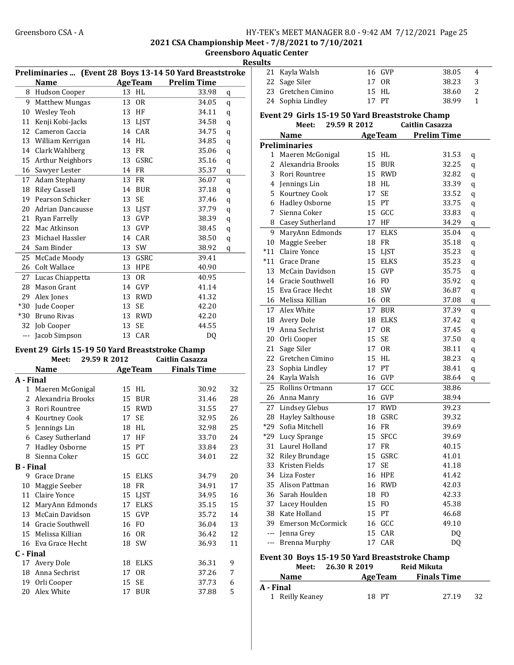2021 CSA Championship Meet - 7/8/2021 to 7/10/2021

Greensboro Aquatic Center Resu

|                  |                                                                          |    |                   | Preliminaries  (Event 28 Boys 13-14 50 Yard Breaststroke | 21             |
|------------------|--------------------------------------------------------------------------|----|-------------------|----------------------------------------------------------|----------------|
|                  | <b>Name</b>                                                              |    |                   | <b>AgeTeam</b> Prelim Time                               | 22             |
| 8                | Hudson Cooper                                                            |    | 13 HL             | 33.98<br>q                                               | 23             |
| 9                | <b>Matthew Mungas</b>                                                    | 13 | <b>OR</b>         | 34.05                                                    | 24             |
| 10               | <b>Wesley Teoh</b>                                                       |    | 13 HF             | q<br>34.11                                               |                |
| 11               |                                                                          |    |                   | q<br>34.58                                               | Even           |
| 12               | Kenji Kobi-Jacks<br>Cameron Caccia                                       |    | 13 LJST<br>14 CAR | q<br>34.75                                               |                |
|                  |                                                                          |    | 14 HL             | q<br>34.85                                               |                |
|                  | 13 William Kerrigan<br>14 Clark Wahlberg                                 |    | 13 FR             | q<br>35.06                                               | Preli          |
| 15               |                                                                          |    | 13 GSRC           | q<br>35.16                                               | 1              |
|                  | <b>Arthur Neighbors</b>                                                  |    |                   | q                                                        | 2              |
|                  | 16 Sawyer Lester                                                         |    | 14 FR             | 35.37<br>q                                               | 3              |
| 17               | Adam Stephany                                                            |    | 13 FR             | 36.07<br>q                                               | $\overline{4}$ |
|                  | 18 Riley Cassell                                                         |    | 14 BUR            | 37.18<br>$\bf q$                                         | 5              |
| 19               | Pearson Schicker                                                         | 13 | <b>SE</b>         | 37.46<br>q                                               | 6              |
| 20               | Adrian Dancausse                                                         | 13 | <b>LJST</b>       | 37.79<br>q                                               | 7              |
| 21               | Ryan Farrelly                                                            |    | 13 GVP            | 38.39<br>q                                               | 8              |
| 22               | Mac Atkinson                                                             | 13 | <b>GVP</b>        | 38.45<br>q                                               | 9              |
| 23               | Michael Hassler                                                          | 14 | CAR               | 38.50<br>q                                               | 10             |
| 24               | Sam Binder                                                               | 13 | SW                | 38.92<br>q                                               | $*11$          |
| 25               | McCade Moody                                                             | 13 | GSRC              | 39.41                                                    | $^*11$         |
| 26               | Colt Wallace                                                             |    | 13 HPE            | 40.90                                                    | 13             |
| 27               | Lucas Chiappetta                                                         | 13 | <b>OR</b>         | 40.95                                                    | 14             |
| 28               | <b>Mason Grant</b>                                                       |    | 14 GVP            | 41.14                                                    | 15             |
|                  | 29 Alex Jones                                                            |    | 13 RWD            | 41.32                                                    | 16             |
|                  | *30 Jude Cooper                                                          | 13 | <b>SE</b>         | 42.20                                                    | 17             |
|                  | *30 Bruno Rivas                                                          |    | 13 RWD            | 42.20                                                    | 18             |
|                  | 32 Job Cooper                                                            | 13 | <b>SE</b>         | 44.55                                                    | 19             |
|                  | --- Jacob Simpson                                                        |    | 13 CAR            | DQ                                                       | 20             |
|                  |                                                                          |    |                   |                                                          | 21             |
|                  | Event 29 Girls 15-19 50 Yard Breaststroke Champ<br>29.59 R 2012<br>Meet: |    |                   | <b>Caitlin Casazza</b>                                   | 22             |
|                  | <b>Name</b>                                                              |    |                   |                                                          | 23             |
|                  |                                                                          |    | <b>AgeTeam</b>    | <b>Finals Time</b>                                       | 24             |
| A - Final        |                                                                          |    |                   |                                                          | 25             |
| 1                | Maeren McGonigal                                                         |    | 15 HL             | 32<br>30.92                                              | 26             |
| 2                | Alexandria Brooks                                                        |    | 15 BUR            | 31.46<br>28                                              | 27             |
| 3                | Rori Rountree                                                            |    | 15 RWD            | 31.55<br>27                                              |                |
| 4                | Kourtney Cook                                                            | 17 | <b>SE</b>         | 32.95<br>26                                              | 28             |
| 5                | Jennings Lin                                                             |    | 18 HL             | 32.98<br>25                                              | *29            |
|                  | 6 Casey Sutherland                                                       |    | 17 HF             | 33.70<br>24                                              | *29            |
|                  | 7 Hadley Osborne                                                         |    | 15 PT             | 23<br>33.84                                              | 31             |
| 8                | Sienna Coker                                                             |    | 15 GCC            | 22<br>34.01                                              | 32             |
| <b>B</b> - Final |                                                                          |    |                   |                                                          | 33             |
| 9                | Grace Drane                                                              | 15 | <b>ELKS</b>       | 20<br>34.79                                              | 34             |
| 10               | Maggie Seeber                                                            |    | 18 FR             | 17<br>34.91                                              | 35             |
|                  | 11 Claire Yonce                                                          | 15 | <b>LJST</b>       | 34.95<br>16                                              | 36             |
| 12               | MaryAnn Edmonds                                                          | 17 | <b>ELKS</b>       | 35.15<br>15                                              | 37             |
| 13               | McCain Davidson                                                          | 15 | GVP               | 35.72<br>14                                              | 38             |
|                  | 14 Gracie Southwell                                                      | 16 | FO                | 13<br>36.04                                              | 39             |
|                  | 15 Melissa Killian                                                       |    | 16 OR             | 12<br>36.42                                              | ---            |
|                  | 16 Eva Grace Hecht                                                       | 18 | SW                | 36.93<br>11                                              | ---            |
| C - Final        |                                                                          |    |                   |                                                          | Even           |
|                  | 17 Avery Dole                                                            |    | 18 ELKS           | 36.31<br>9                                               |                |
|                  | 18 Anna Sechrist                                                         | 17 | <b>OR</b>         | 37.26<br>7                                               |                |
|                  | 19 Orli Cooper                                                           | 15 | SE                | 37.73<br>6                                               | A - Fi         |
| 20               | Alex White                                                               | 17 | <b>BUR</b>        | 5<br>37.88                                               | $\mathbf{1}$   |

| ılts      |                                                 |    |                |                        |              |
|-----------|-------------------------------------------------|----|----------------|------------------------|--------------|
| 21        | Kayla Walsh                                     | 16 | GVP            | 38.05                  | 4            |
| 22        | Sage Siler                                      | 17 | <b>OR</b>      | 38.23                  | 3            |
| 23        | Gretchen Cimino                                 | 15 | HL             | 38.60                  | 2            |
| 24        | Sophia Lindley                                  | 17 | PT             | 38.99                  | $\mathbf{1}$ |
|           |                                                 |    |                |                        |              |
|           | Event 29 Girls 15-19 50 Yard Breaststroke Champ |    |                |                        |              |
|           | 29.59 R 2012<br>Meet:                           |    |                | <b>Caitlin Casazza</b> |              |
|           | <b>Name</b>                                     |    | <b>AgeTeam</b> | <b>Prelim Time</b>     |              |
|           | <b>Preliminaries</b>                            |    |                |                        |              |
|           | 1 Maeren McGonigal                              | 15 | HL             | 31.53                  | q            |
|           | 2 Alexandria Brooks                             |    | 15 BUR         | 32.25                  | q            |
| 3         | Rori Rountree                                   | 15 | <b>RWD</b>     | 32.82                  | q            |
| 4         | Jennings Lin                                    |    | 18 HL          | 33.39                  | q            |
| 5         | Kourtney Cook                                   | 17 | SE             | 33.52                  | q            |
| 6         | Hadley Osborne                                  |    | 15 PT          | 33.75                  | q            |
| 7         | Sienna Coker                                    | 15 | GCC            | 33.83                  | q            |
| 8         | Casey Sutherland                                | 17 | HF             | 34.29                  | q            |
| 9         | MaryAnn Edmonds                                 | 17 | <b>ELKS</b>    | 35.04                  | q            |
| 10        | Maggie Seeber                                   |    | 18 FR          | 35.18                  | q            |
| $*11$     | Claire Yonce                                    |    | 15 LJST        | 35.23                  | q            |
| $*11$     | Grace Drane                                     |    | 15 ELKS        | 35.23                  | q            |
|           | 13 McCain Davidson                              |    | 15 GVP         | 35.75                  | q            |
|           | 14 Gracie Southwell                             |    | 16 FO          | 35.92                  | q            |
| 15        | Eva Grace Hecht                                 |    | 18 SW          | 36.87                  | q            |
|           | 16 Melissa Killian                              |    | 16 OR          | 37.08                  | q            |
| 17        | Alex White                                      | 17 | <b>BUR</b>     | 37.39                  | q            |
| 18        | Avery Dole                                      | 18 | <b>ELKS</b>    | 37.42                  | q            |
| 19        | Anna Sechrist                                   | 17 | <b>OR</b>      | 37.45                  | q            |
| 20        | Orli Cooper                                     | 15 | <b>SE</b>      | 37.50                  | q            |
| 21        | Sage Siler                                      | 17 | 0 <sub>R</sub> | 38.11                  | q            |
| 22        | Gretchen Cimino                                 | 15 | HL             | 38.23                  | q            |
| 23        | Sophia Lindley                                  | 17 | PT             | 38.41                  | q            |
| 24        | Kayla Walsh                                     |    | 16 GVP         | 38.64                  | q            |
| 25        | Rollins Ortmann                                 | 17 | GCC            | 38.86                  |              |
|           | 26 Anna Manry                                   | 16 | GVP            | 38.94                  |              |
|           | 27 Lindsey Glebus                               | 17 | <b>RWD</b>     | 39.23                  |              |
|           | 28 Hayley Salthouse                             | 18 | GSRC           | 39.32                  |              |
| *29       | Sofia Mitchell                                  | 16 | FR             | 39.69                  |              |
|           | *29 Lucy Sprange                                |    | 15 SFCC        | 39.69                  |              |
|           | 31 Laurel Holland                               |    | 17 FR          | 40.15                  |              |
|           | 32 Riley Brundage                               | 15 | GSRC           | 41.01                  |              |
|           | 33 Kristen Fields                               |    | 17 SE          | 41.18                  |              |
|           | 34 Liza Foster                                  |    | <b>16 HPE</b>  | 41.42                  |              |
|           | 35 Alison Pattman                               |    | 16 RWD         | 42.03                  |              |
|           | 36 Sarah Houlden                                |    | 18 FO          | 42.33                  |              |
|           | 37 Lacey Houlden                                |    | 15 FO          | 45.38                  |              |
|           | 38 Kate Holland                                 |    | 15 PT          | 46.68                  |              |
|           | 39 Emerson McCormick                            |    | 16 GCC         | 49.10                  |              |
|           | --- Jenna Grey                                  | 15 | CAR            | D <sub>0</sub>         |              |
|           | --- Brenna Murphy                               | 17 | CAR            | DQ                     |              |
|           | Event 30 Boys 15-19 50 Yard Breaststroke Champ  |    |                |                        |              |
|           | 26.30 R 2019<br>Meet:                           |    |                | <b>Reid Mikuta</b>     |              |
|           | <b>Name</b>                                     |    | <b>AgeTeam</b> | <b>Finals Time</b>     |              |
| A - Final |                                                 |    |                |                        |              |
|           | 1 Reilly Keaney                                 |    | 18 PT          | 27.19                  | 32           |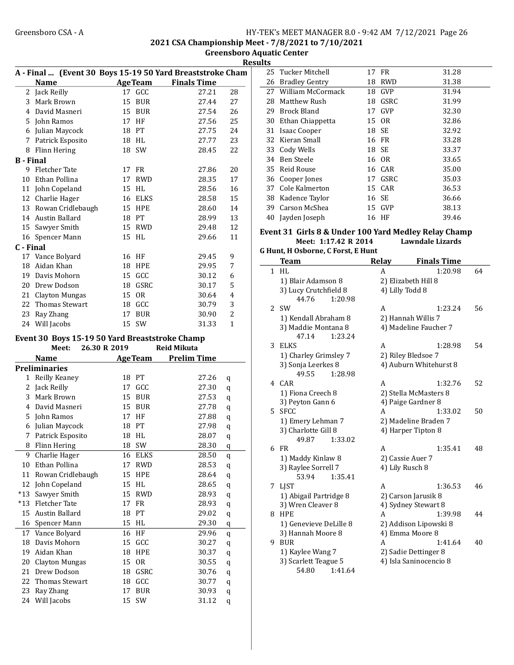2021 CSA Championship Meet - 7/8/2021 to 7/10/2021

Greensboro Aquatic Center **Results** 

|                  | A - Final  (Event 30 Boys 15-19 50 Yard Breaststroke Cham |              |                |                    |                |
|------------------|-----------------------------------------------------------|--------------|----------------|--------------------|----------------|
|                  | <b>Name</b>                                               |              | <b>AgeTeam</b> | <b>Finals Time</b> |                |
|                  | 2 Jack Reilly                                             |              | 17 GCC         | 27.21              | 28             |
|                  | 3 Mark Brown                                              | 15           | <b>BUR</b>     | 27.44              | 27             |
|                  | 4 David Masneri                                           |              | 15 BUR         | 27.54              | 26             |
|                  | 5 John Ramos                                              |              | 17 HF          | 27.56              | 25             |
|                  | 6 Julian Maycock                                          |              | 18 PT          | 27.75              | 24             |
|                  | 7 Patrick Esposito                                        |              | 18 HL          | 27.77              | 23             |
|                  | 8 Flinn Hering                                            |              | 18 SW          | 28.45              | 22             |
| <b>B</b> - Final |                                                           |              |                |                    |                |
|                  | 9 Fletcher Tate                                           |              | 17 FR          | 27.86              | 20             |
|                  | 10 Ethan Pollina                                          |              | 17 RWD         | 28.35              | 17             |
|                  | 11 John Copeland                                          |              | 15 HL          | 28.56              | 16             |
|                  | 12 Charlie Hager                                          |              | 16 ELKS        | 28.58              | 15             |
|                  | 13 Rowan Cridlebaugh                                      |              | <b>15 HPE</b>  | 28.60              | 14             |
|                  | 14 Austin Ballard                                         |              | 18 PT          | 28.99              | 13             |
|                  | 15 Sawyer Smith                                           |              | 15 RWD         | 29.48              | 12             |
|                  | 16 Spencer Mann                                           |              | 15 HL          | 29.66              | 11             |
| C - Final        |                                                           |              |                |                    |                |
| 17               | Vance Bolyard                                             |              | 16 HF          | 29.45              | 9              |
|                  | 18 Aidan Khan                                             |              | <b>18 HPE</b>  | 29.95              | 7              |
|                  | 19 Davis Mohorn                                           |              | 15 GCC         | 30.12              | 6              |
|                  | 20 Drew Dodson                                            |              | 18 GSRC        | 30.17              | 5              |
|                  | 21 Clayton Mungas                                         |              | 15 OR          | 30.64              | $\overline{4}$ |
|                  | 22 Thomas Stewart                                         |              | 18 GCC         | 30.79              | 3              |
|                  | 23 Ray Zhang                                              |              | 17 BUR         | 30.90              | $\overline{2}$ |
|                  | 24 Will Jacobs                                            |              | 15 SW          | 31.33              | $\mathbf{1}$   |
|                  |                                                           |              |                |                    |                |
|                  | Event 30 Boys 15-19 50 Yard Breaststroke Champ<br>Meet:   | 26.30 R 2019 |                | <b>Reid Mikuta</b> |                |
|                  | Name                                                      |              | <b>AgeTeam</b> | <b>Prelim Time</b> |                |
|                  | <b>Preliminaries</b>                                      |              |                |                    |                |
| 1                | Reilly Keaney                                             |              | 18 PT          | 27.26              | q              |
| 2                | Jack Reilly                                               |              | 17 GCC         | 27.30              | q              |
| 3                | Mark Brown                                                |              | 15 BUR         | 27.53              | q              |
|                  | 4 David Masneri                                           |              | 15 BUR         | 27.78              | q              |
|                  | 5 John Ramos                                              |              | 17 HF          | 27.88              |                |
|                  | 6 Julian Maycock                                          |              | 18 PT          | 27.98              | q              |
| 7                | Patrick Esposito                                          |              | 18 HL          | 28.07              | q              |
| 8                | Flinn Hering                                              | 18           | SW             | 28.30              | q              |
|                  |                                                           |              |                |                    | q              |
| 9                | Charlie Hager                                             | 16           | <b>ELKS</b>    | 28.50              | q              |
| 10               | Ethan Pollina                                             | 17           | <b>RWD</b>     | 28.53              | q              |
| 11               | Rowan Cridlebaugh                                         | 15           | HPE            | 28.64              | $\mathbf q$    |
| 12               | John Copeland                                             | 15           | HL             | 28.65              | q              |
| $*13$            | Sawyer Smith                                              | 15           | <b>RWD</b>     | 28.93              | q              |
| $*13$            | Fletcher Tate                                             | 17           | FR             | 28.93              | q              |
| 15               | Austin Ballard                                            | 18           | PT             | 29.02              | q              |
| 16               | Spencer Mann                                              | 15           | HL             | 29.30              | q              |
| 17               | Vance Bolyard                                             | 16           | HF             | 29.96              | q              |
| 18               | Davis Mohorn                                              | 15           | GCC            | 30.27              | q              |
| 19               | Aidan Khan                                                | 18           | HPE            | 30.37              | q              |
| 20               | Clayton Mungas                                            | 15           | 0R             | 30.55              | q              |
| 21               | Drew Dodson                                               | 18           | GSRC           | 30.76              | q              |
| 22               | Thomas Stewart                                            |              | 18 GCC         | 30.77              | q              |
| 23               | Ray Zhang                                                 | 17           | <b>BUR</b>     | 30.93              | q              |
| 24               | Will Jacobs                                               |              | 15 SW          | 31.12              | q              |

| шэ |                       |    |         |       |
|----|-----------------------|----|---------|-------|
|    | 25 Tucker Mitchell    |    | 17 FR   | 31.28 |
| 26 | <b>Bradley Gentry</b> | 18 | RWD     | 31.38 |
|    | 27 William McCormack  |    | 18 GVP  | 31.94 |
| 28 | Matthew Rush          | 18 | GSRC    | 31.99 |
| 29 | Brock Bland           | 17 | GVP     | 32.30 |
| 30 | Ethan Chiappetta      |    | 15 OR   | 32.86 |
| 31 | <b>Isaac Cooper</b>   |    | 18 SE   | 32.92 |
| 32 | Kieran Small          |    | 16 FR   | 33.28 |
| 33 | Cody Wells            |    | 18 SE   | 33.37 |
| 34 | Ben Steele            |    | 16 OR   | 33.65 |
|    | 35 Reid Rouse         |    | 16 CAR  | 35.00 |
| 36 | Cooper Jones          |    | 17 GSRC | 35.03 |
| 37 | Cole Kalmerton        |    | 15 CAR  | 36.53 |
| 38 | Kadence Taylor        |    | 16 SE   | 36.66 |
| 39 | Carson McShea         |    | 15 GVP  | 38.13 |
| 40 | Jayden Joseph         |    | 16 HF   | 39.46 |
|    |                       |    |         |       |

#### Event 31 Girls 8 & Under 100 Yard Medley Relay Champ Meet: 1:17.42 R 2014 Lawndale Lizards

G Hunt, H Osborne, C Forst, E Hunt

|              | <b>Team</b>            | Relay                | <b>Finals Time</b>     |    |  |  |
|--------------|------------------------|----------------------|------------------------|----|--|--|
| $\mathbf{1}$ | HI.                    | A                    | 1:20.98                | 64 |  |  |
|              | 1) Blair Adamson 8     |                      | 2) Elizabeth Hill 8    |    |  |  |
|              | 3) Lucy Crutchfield 8  | 4) Lilly Todd 8      |                        |    |  |  |
|              | 44.76<br>1:20.98       |                      |                        |    |  |  |
| 2            | <b>SW</b>              | A                    | 1:23.24                | 56 |  |  |
|              | 1) Kendall Abraham 8   |                      | 2) Hannah Willis 7     |    |  |  |
|              | 3) Maddie Montana 8    |                      | 4) Madeline Faucher 7  |    |  |  |
|              | 47.14<br>1:23.24       |                      |                        |    |  |  |
| 3            | <b>ELKS</b>            | A                    | 1:28.98                | 54 |  |  |
|              | 1) Charley Grimsley 7  |                      | 2) Riley Bledsoe 7     |    |  |  |
|              | 3) Sonja Leerkes 8     |                      | 4) Auburn Whitehurst 8 |    |  |  |
|              | 49.55<br>1:28.98       |                      |                        |    |  |  |
|              | 4 CAR                  | A                    | 1:32.76                | 52 |  |  |
|              | 1) Fiona Creech 8      |                      | 2) Stella McMasters 8  |    |  |  |
|              | 3) Peyton Gann 6       |                      | 4) Paige Gardner 8     |    |  |  |
| 5            | <b>SFCC</b>            | A                    | 1:33.02                | 50 |  |  |
|              | 1) Emery Lehman 7      | 2) Madeline Braden 7 |                        |    |  |  |
|              | 3) Charlotte Gill 8    |                      | 4) Harper Tipton 8     |    |  |  |
|              | 1:33.02<br>49.87       |                      |                        |    |  |  |
| 6            | FR                     | A                    | 1:35.41                | 48 |  |  |
|              | 1) Maddy Kinlaw 8      |                      | 2) Cassie Auer 7       |    |  |  |
|              | 3) Raylee Sorrell 7    | 4) Lily Rusch 8      |                        |    |  |  |
|              | 53.94<br>1:35.41       |                      |                        |    |  |  |
| 7            | <b>LIST</b>            | A                    | 1:36.53                | 46 |  |  |
|              | 1) Abigail Partridge 8 |                      | 2) Carson Jarusik 8    |    |  |  |
|              | 3) Wren Cleaver 8      |                      | 4) Sydney Stewart 8    |    |  |  |
| 8            | <b>HPE</b>             | A                    | 1:39.98                | 44 |  |  |
|              | 1) Genevieve DeLille 8 |                      | 2) Addison Lipowski 8  |    |  |  |
|              | 3) Hannah Moore 8      |                      | 4) Emma Moore 8        |    |  |  |
| 9            | <b>BUR</b>             | A                    | 1:41.64                | 40 |  |  |
|              | 1) Kaylee Wang 7       |                      | 2) Sadie Dettinger 8   |    |  |  |
|              | 3) Scarlett Teague 5   |                      | 4) Isla Saninocencio 8 |    |  |  |
|              | 54.80<br>1:41.64       |                      |                        |    |  |  |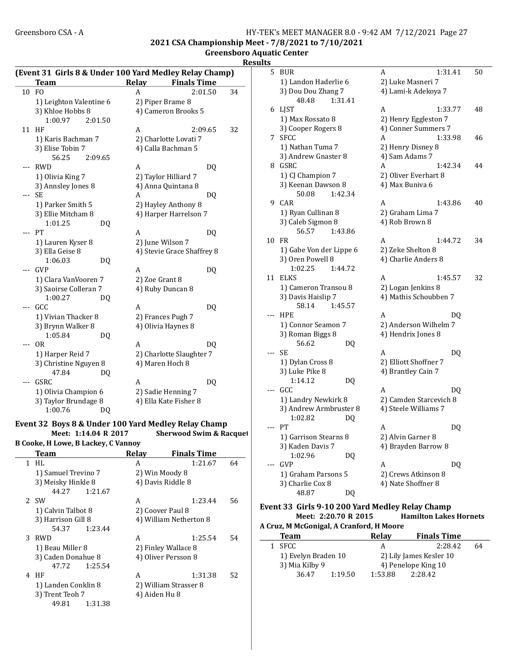#### Greensboro CSA - A HY-TEK's MEET MANAGER 8.0 - 9:42 AM 7/12/2021 Page 27 2021 CSA Championship Meet - 7/8/2021 to 7/10/2021

Greensboro Aquatic Center

L.

Team Relay Finals Time 10 FO A 2:01.50 34 1) Leighton Valentine 6 2) Piper Brame 8 3) Khloe Hobbs 8 4) Cameron Brooks 5 1:00.97 2:01.50 11 HF A 2:09.65 32 1) Karis Bachman 7 2) Charlotte Lovati 7 3) Elise Tobin 7 4) Calla Bachman 5 56.25 2:09.65 --- RWD A DO 1) Olivia King 7 2) Taylor Hilliard 7 3) Annsley Jones 8 4) Anna Quintana 8  $-$ --SE A DQ 1) Parker Smith 5 2) Hayley Anthony 8 3) Ellie Mitcham 8 4) Harper Harrelson 7 1:01.25 DQ --- PT A DQ 1) Lauren Kyser 8 2) June Wilson 7 3) Ella Geise 8 4) Stevie Grace Shaffrey 8 1:06.03 DQ --- GVP A DQ 1) Clara VanVooren 7 2) Zoe Grant 8 3) Saoirse Colleran 7 4) Ruby Duncan 8 1:00.27 DQ --- GCC A DQ 1) Vivian Thacker 8 2) Frances Pugh 7 3) Brynn Walker 8 4) Olivia Haynes 8 1:05.84 DQ  $-$ -- OR A DQ 1) Harper Reid 7 2) Charlotte Slaughter 7 3) Christine Nguyen 8 4) Maren Hoch 8 47.84 DQ -- GSRC A DQ 1) Olivia Champion 6 2) Sadie Henning 7 3) Taylor Brundage 8 4) Ella Kate Fisher 8 1:00.76 DQ

#### Event 32 Boys 8 & Under 100 Yard Medley Relay Champ

Meet: 1:14.04 R 2017 Sherwood Swim & Racquet

B Cooke, H Lowe, B Lackey, C Vannoy Team Relay Finals Time 1 HL A 1:21.67 64 1) Samuel Trevino 7 2) Win Moody 8 3) Meisky Hinkle 8 4) Davis Riddle 8 44.27 1:21.67 2 SW A 1:23.44 56 1) Calvin Talbot 8 2) Coover Paul 8 3) Harrison Gill 8  $\qquad$  4) William Netherton 8  $\qquad$  54.37  $\qquad$  1:23.44 1:23.44 3 RWD A 1:25.54 54 1) Beau Miller 8 2) Finley Wallace 8 3) Caden Donahue 8 4) Oliver Persson 8 47.72 1:25.54 4 HF A 1:31.38 52 1) Landen Conklin 8 2) William Strasser 8 3) Trent Teoh 7 4) Aiden Hu 8 49.81 1:31.38

|     | <b>Results</b> |                                        |    |                                             |    |
|-----|----------------|----------------------------------------|----|---------------------------------------------|----|
|     | 5              | <b>BUR</b>                             |    | 1:31.41<br>A                                | 50 |
|     |                | 1) Landon Haderlie 6                   |    | 2) Luke Masneri 7                           |    |
|     |                | 3) Dou Dou Zhang 7                     |    | 4) Lami-k Adekoya 7                         |    |
|     |                | 1:31.41<br>48.48                       |    |                                             |    |
|     |                | 6 LJST                                 |    | A<br>1:33.77                                | 48 |
|     |                | 1) Max Rossato 8                       |    | 2) Henry Eggleston 7                        |    |
|     |                | 3) Cooper Rogers 8                     |    | 4) Conner Summers 7                         |    |
|     |                | 7 SFCC                                 |    | 1:33.98<br>A                                | 46 |
|     |                | 1) Nathan Tuma 7                       |    | 2) Henry Disney 8                           |    |
|     |                | 3) Andrew Gnaster 8                    |    | 4) Sam Adams 7                              |    |
|     |                | 8 GSRC                                 |    | A<br>1:42.34                                | 44 |
|     |                | 1) CJ Champion 7                       |    | 2) Oliver Everhart 8                        |    |
|     |                | 3) Keenan Dawson 8                     |    | 4) Max Buniva 6                             |    |
|     |                | 50.08<br>1:42.34                       |    |                                             |    |
|     | q              | CAR                                    |    | 1:43.86<br>A                                | 40 |
|     |                | 1) Ryan Cullinan 8                     |    | 2) Graham Lima 7                            |    |
|     |                | 3) Caleb Sigmon 8                      |    | 4) Rob Brown 8                              |    |
|     |                | 56.57<br>1:43.86                       |    |                                             |    |
|     | 10             | FR                                     |    | 1:44.72<br>A                                | 34 |
|     |                | 1) Gabe Von der Lippe 6                |    | 2) Zeke Shelton 8                           |    |
|     |                | 3) Oren Powell 8<br>1:02.25<br>1:44.72 |    | 4) Charlie Anders 8                         |    |
|     | 11             | <b>ELKS</b>                            |    | A<br>1:45.57                                | 32 |
|     |                | 1) Cameron Transou 8                   |    |                                             |    |
|     |                | 3) Davis Haislip 7                     |    | 2) Logan Jenkins 8<br>4) Mathis Schoubben 7 |    |
|     |                | 1:45.57<br>58.14                       |    |                                             |    |
|     |                | <b>HPE</b>                             |    | A                                           | DQ |
|     |                | 1) Connor Seamon 7                     |    | 2) Anderson Wilhelm 7                       |    |
|     |                | 3) Roman Biggs 8                       |    | 4) Hendrix Jones 8                          |    |
|     |                | 56.62                                  | DQ |                                             |    |
|     | $- - -$        | SE                                     |    | A                                           | DQ |
|     |                | 1) Dylan Cross 8                       |    | 2) Elliott Shoffner 7                       |    |
|     |                | 3) Luke Pike 8                         |    | 4) Brantley Cain 7                          |    |
|     |                | 1:14.12                                | DQ |                                             |    |
|     | $---$          | GCC                                    |    | A                                           | DQ |
|     |                | 1) Landry Newkirk 8                    |    | 2) Camden Starcevich 8                      |    |
|     |                | 3) Andrew Armbruster 8                 |    | 4) Steele Williams 7                        |    |
|     |                | 1:02.82                                | DQ |                                             |    |
| ıet | ---            | PT                                     |    | A                                           | DQ |
|     |                | 1) Garrison Stearns 8                  |    | 2) Alvin Garner 8                           |    |
|     |                | 3) Kaden Davis 7                       |    | 4) Brayden Barrow 8                         |    |
|     |                | 1:02.96                                | DQ |                                             |    |
|     |                | GVP                                    |    | A                                           | DQ |
|     |                | 1) Graham Parsons 5                    |    | 2) Crews Atkinson 8                         |    |
|     |                | 3) Charlie Cox 8                       |    | 4) Nate Shoffner 8                          |    |
|     |                | 48.87                                  | DQ |                                             |    |

#### Event 33 Girls 9-10 200 Yard Medley Relay Champ Meet: 2:20.70 R 2015 Hamilton Lakes Hornets A Cruz, M McGonigal, A Cranford, H Moore

| <b>Team</b>         |         | Relay   | <b>Finals Time</b>      |    |
|---------------------|---------|---------|-------------------------|----|
| 1 SFCC              |         | А       | 2:28.42                 | 64 |
| 1) Evelyn Braden 10 |         |         | 2) Lily James Kesler 10 |    |
| 3) Mia Kilby 9      |         |         | 4) Penelope King 10     |    |
| 36.47               | 1:19.50 | 1:53.88 | 2:28.42                 |    |

#### (Event 31 Girls 8 & Under 100 Yard Medley Relay Champ)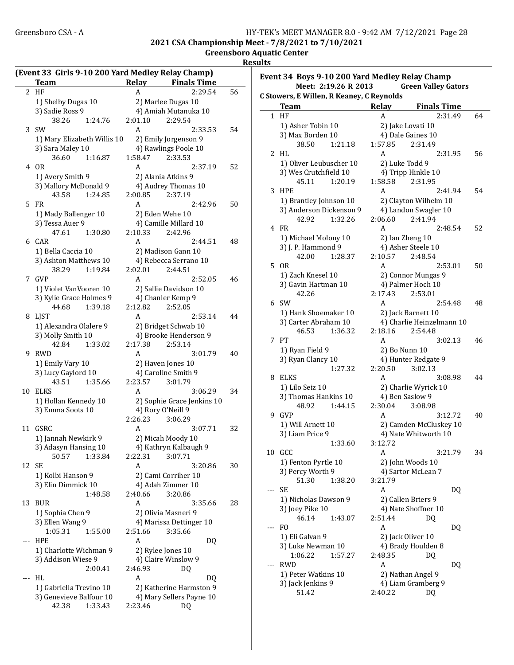2021 CSA Championship Meet - 7/8/2021 to 7/10/2021

Greensboro Aquatic Center

Results

|                | (Event 33 Girls 9-10 200 Yard Medley Relay Champ)<br>Team |         | Relay   | <b>Finals Time</b>         |    |
|----------------|-----------------------------------------------------------|---------|---------|----------------------------|----|
| $\overline{2}$ | HF                                                        |         | A       | 2:29.54                    | 56 |
|                |                                                           |         |         |                            |    |
|                | 1) Shelby Dugas 10                                        |         |         | 2) Marlee Dugas 10         |    |
|                | 3) Sadie Ross 9                                           |         |         | 4) Amiah Mutanuka 10       |    |
|                | 38.26                                                     | 1:24.76 | 2:01.10 | 2:29.54                    |    |
| 3              | <b>SW</b>                                                 |         | A       | 2:33.53                    | 54 |
|                | 1) Mary Elizabeth Willis 10                               |         |         | 2) Emily Jorgenson 9       |    |
|                | 3) Sara Maley 10                                          |         |         | 4) Rawlings Poole 10       |    |
|                | 36.60                                                     | 1:16.87 | 1:58.47 | 2:33.53                    |    |
|                | 4 OR                                                      |         | A       | 2:37.19                    | 52 |
|                | 1) Avery Smith 9                                          |         |         | 2) Alania Atkins 9         |    |
|                | 3) Mallory McDonald 9                                     |         |         | 4) Audrey Thomas 10        |    |
|                | 43.58                                                     | 1:24.85 | 2:00.85 | 2:37.19                    |    |
| 5              | FR                                                        |         | A       | 2:42.96                    | 50 |
|                | 1) Mady Ballenger 10                                      |         |         | 2) Eden Wehe 10            |    |
|                | 3) Tessa Auer 9                                           |         |         | 4) Camille Millard 10      |    |
|                | 47.61                                                     | 1:30.80 | 2:10.33 | 2:42.96                    |    |
| 6              | CAR                                                       |         | A       | 2:44.51                    | 48 |
|                | 1) Bella Caccia 10                                        |         |         | 2) Madison Gann 10         |    |
|                | 3) Ashton Matthews 10                                     |         |         | 4) Rebecca Serrano 10      |    |
|                | 38.29                                                     | 1:19.84 | 2:02.01 | 2:44.51                    |    |
| 7              | <b>GVP</b>                                                |         | A       | 2:52.05                    | 46 |
|                |                                                           |         |         |                            |    |
|                | 1) Violet VanVooren 10                                    |         |         | 2) Sallie Davidson 10      |    |
|                | 3) Kylie Grace Holmes 9                                   |         |         | 4) Chanler Kemp 9          |    |
|                | 44.68                                                     | 1:39.18 | 2:12.82 | 2:52.05                    |    |
| 8              | <b>LIST</b>                                               |         | A       | 2:53.14                    | 44 |
|                | 1) Alexandra Olalere 9                                    |         |         | 2) Bridget Schwab 10       |    |
|                | 3) Molly Smith 10                                         |         |         | 4) Brooke Henderson 9      |    |
|                | 42.84                                                     | 1:33.02 | 2:17.38 | 2:53.14                    |    |
| 9              | RWD                                                       |         | Α       | 3:01.79                    | 40 |
|                | 1) Emily Vary 10                                          |         |         | 2) Haven Jones 10          |    |
|                | 3) Lucy Gaylord 10                                        |         |         | 4) Caroline Smith 9        |    |
|                | 43.51                                                     | 1:35.66 | 2:23.57 | 3:01.79                    |    |
| 10             | <b>ELKS</b>                                               |         | A       | 3:06.29                    | 34 |
|                | 1) Hollan Kennedy 10                                      |         |         | 2) Sophie Grace Jenkins 10 |    |
|                | 3) Emma Soots 10                                          |         |         | 4) Rory O'Neill 9          |    |
|                |                                                           |         | 2:26.23 | 3:06.29                    |    |
| 11             | GSRC                                                      |         | A       | 3:07.71                    | 32 |
|                | 1) Jannah Newkirk 9                                       |         |         | 2) Micah Moody 10          |    |
|                | 3) Adasyn Hansing 10                                      |         |         | 4) Kathryn Kalbaugh 9      |    |
|                | 50.57                                                     | 1:33.84 | 2:22.31 | 3:07.71                    |    |
| 12             | SE                                                        |         | A       | 3:20.86                    | 30 |
|                | 1) Kolbi Hanson 9                                         |         |         | 2) Cami Corriher 10        |    |
|                | 3) Elin Dimmick 10                                        |         |         | 4) Adah Zimmer 10          |    |
|                |                                                           | 1:48.58 | 2:40.66 | 3:20.86                    |    |
| 13             | <b>BUR</b>                                                |         | A       | 3:35.66                    | 28 |
|                | 1) Sophia Chen 9                                          |         |         | 2) Olivia Masneri 9        |    |
|                | 3) Ellen Wang 9                                           |         |         | 4) Marissa Dettinger 10    |    |
|                | 1:05.31                                                   | 1:55.00 | 2:51.66 | 3:35.66                    |    |
| ---            | <b>HPE</b>                                                |         | A       | DQ                         |    |
|                | 1) Charlotte Wichman 9                                    |         |         | 2) Rylee Jones 10          |    |
|                | 3) Addison Wiese 9                                        |         |         | 4) Claire Winslow 9        |    |
|                |                                                           | 2:00.41 | 2:46.93 | DQ                         |    |
| $---$          | HL                                                        |         | A       | DQ                         |    |
|                |                                                           |         |         |                            |    |
|                | 1) Gabriella Trevino 10                                   |         |         | 2) Katherine Harmston 9    |    |
|                | 3) Genevieve Balfour 10                                   |         |         | 4) Mary Sellers Payne 10   |    |
|                | 42.38                                                     | 1:33.43 | 2:23.46 | DQ                         |    |

|     | Meet: 2:19.26 R 2013                      | Event 34 Boys 9-10 200 Yard Medley Relay Champ<br><b>Green Valley Gators</b> |    |
|-----|-------------------------------------------|------------------------------------------------------------------------------|----|
|     | C Stowers, E Willen, R Keaney, C Reynolds |                                                                              |    |
| 1   | <b>Team</b><br>HF                         | Relay<br><b>Finals Time</b>                                                  | 64 |
|     |                                           | A<br>2:31.49                                                                 |    |
|     | 1) Asher Tobin 10                         | 2) Jake Lovati 10                                                            |    |
|     | 3) Max Borden 10<br>38.50<br>1:21.18      | 4) Dale Gaines 10<br>1:57.85<br>2:31.49                                      |    |
| 2   | HL.                                       | A<br>2:31.95                                                                 | 56 |
|     | 1) Oliver Leubuscher 10                   | 2) Luke Todd 9                                                               |    |
|     | 3) Wes Crutchfield 10                     | 4) Tripp Hinkle 10                                                           |    |
|     | 45.11<br>1:20.19                          | 1:58.58<br>2:31.95                                                           |    |
| 3   | HPE                                       | A<br>2:41.94                                                                 | 54 |
|     | 1) Brantley Johnson 10                    | 2) Clayton Wilhelm 10                                                        |    |
|     | 3) Anderson Dickenson 9                   | 4) Landon Swagler 10                                                         |    |
|     | 42.92<br>1:32.26                          | 2:06.60<br>2:41.94                                                           |    |
|     | 4 FR                                      | A<br>2:48.54                                                                 | 52 |
|     | 1) Michael Molony 10                      | 2) Ian Zheng 10                                                              |    |
|     | 3) J. P. Hammond 9                        | 4) Asher Steele 10                                                           |    |
|     | 42.00<br>1:28.37                          | 2:10.57<br>2:48.54                                                           |    |
| 5   | 0 <sub>R</sub>                            | 2:53.01<br>A                                                                 | 50 |
|     | 1) Zach Knesel 10                         | 2) Connor Mungas 9                                                           |    |
|     | 3) Gavin Hartman 10                       | 4) Palmer Hoch 10                                                            |    |
|     | 42.26                                     | 2:53.01<br>2:17.43                                                           |    |
| 6   | <b>SW</b>                                 | 2:54.48<br>A                                                                 | 48 |
|     | 1) Hank Shoemaker 10                      | 2) Jack Barnett 10                                                           |    |
|     | 3) Carter Abraham 10                      | 4) Charlie Heinzelmann 10                                                    |    |
|     | 46.53<br>1:36.32                          | 2:18.16<br>2:54.48                                                           |    |
| 7   | PT                                        | A<br>3:02.13                                                                 | 46 |
|     | 1) Ryan Field 9                           | 2) Bo Nunn 10                                                                |    |
|     | 3) Ryan Clancy 10                         | 4) Hunter Redgate 9                                                          |    |
|     | 1:27.32                                   | 2:20.50<br>3:02.13                                                           |    |
|     | 8 ELKS                                    | A<br>3:08.98                                                                 | 44 |
|     | 1) Lilo Seiz 10                           | 2) Charlie Wyrick 10                                                         |    |
|     | 3) Thomas Hankins 10                      | 4) Ben Saslow 9                                                              |    |
|     | 48.92<br>1:44.15                          | 2:30.04<br>3:08.98                                                           |    |
| 9   | GVP                                       | A<br>3:12.72                                                                 | 40 |
|     | 1) Will Arnett 10                         | 2) Camden McCluskey 10                                                       |    |
|     | 3) Liam Price 9                           | 4) Nate Whitworth 10                                                         |    |
|     | 1:33.60                                   | 3:12.72                                                                      |    |
|     | 10 GCC                                    | A<br>3:21.79                                                                 | 34 |
|     | 1) Fenton Pyrtle 10                       | 2) John Woods 10                                                             |    |
|     | 3) Percy Worth 9                          | 4) Sartor McLean 7                                                           |    |
|     | 51.30<br>1:38.20                          | 3:21.79                                                                      |    |
| --- | <b>SE</b>                                 | A<br>DQ                                                                      |    |
|     | 1) Nicholas Dawson 9                      | 2) Callen Briers 9                                                           |    |
|     | 3) Joey Pike 10<br>46.14<br>1:43.07       | 4) Nate Shoffner 10<br>2:51.44<br>DQ                                         |    |
| --- | F <sub>O</sub>                            | A<br>DQ                                                                      |    |
|     | 1) Eli Galvan 9                           | 2) Jack Oliver 10                                                            |    |
|     | 3) Luke Newman 10                         | 4) Brady Houlden 8                                                           |    |
|     | 1:06.22<br>1:57.27                        | 2:48.35<br>DQ                                                                |    |
| --- | <b>RWD</b>                                | A<br>DQ                                                                      |    |
|     | 1) Peter Watkins 10                       | 2) Nathan Angel 9                                                            |    |
|     | 3) Jack Jenkins 9                         | 4) Liam Gramberg 9                                                           |    |
|     | 51.42                                     | 2:40.22<br>DQ                                                                |    |
|     |                                           |                                                                              |    |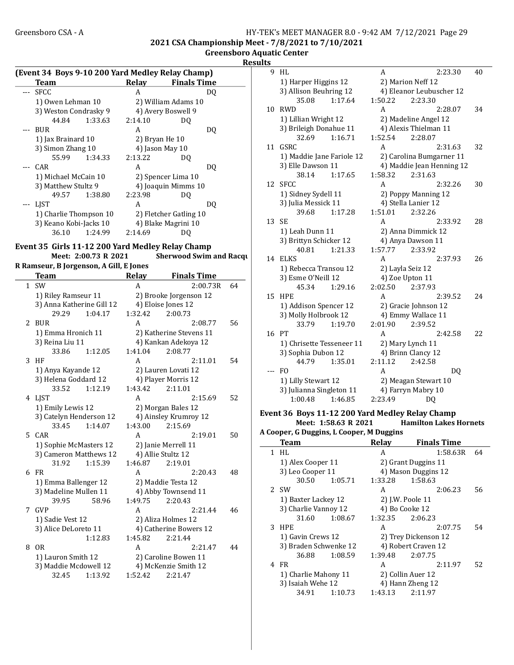#### Greensboro CSA - A <br>HY-TEK's MEET MANAGER 8.0 - 9:42 AM 7/12/2021 Page 29 2021 CSA Championship Meet - 7/8/2021 to 7/10/2021

Greensboro Aquatic Center

**Results** 

| (Event 34 Boys 9-10 200 Yard Medley Relay Champ) |         |                 |                        |     |
|--------------------------------------------------|---------|-----------------|------------------------|-----|
| <b>Team</b>                                      |         | Relav           | <b>Finals Time</b>     |     |
| --- SFCC                                         |         | A               |                        | DO. |
| 1) Owen Lehman 10                                |         |                 | 2) William Adams 10    |     |
| 3) Weston Condrasky 9                            |         |                 | 4) Avery Boswell 9     |     |
| 44.84                                            | 1:33.63 | 2:14.10         | DO                     |     |
| BUR                                              |         | A               |                        | DO  |
| 1) Jax Brainard 10                               |         | 2) Bryan He 10  |                        |     |
| 3) Simon Zhang 10                                |         | 4) Jason May 10 |                        |     |
| 55.99 1:34.33                                    |         | 2:13.22         | DO                     |     |
| --- CAR                                          |         | A               |                        | DO  |
| 1) Michael McCain 10                             |         |                 | 2) Spencer Lima 10     |     |
| 3) Matthew Stultz 9                              |         |                 | 4) Joaquin Mimms 10    |     |
| 49.57 1:38.80                                    |         | 2:23.98         | DO                     |     |
| <b>LIST</b>                                      |         | A               |                        | DO. |
| 1) Charlie Thompson 10                           |         |                 | 2) Fletcher Gatling 10 |     |
| 3) Keano Kobi-Jacks 10                           |         |                 | 4) Blake Magrini 10    |     |
| 36.10                                            | 1:24.99 | 2:14.69         | DO.                    |     |

#### Event 35 Girls 11-12 200 Yard Medley Relay Champ

Meet: 2:00.73 R 2021 Sherwood Swim and Racquet

R Ramseur, B Jorgenson, A Gill, E Jones

|                | <b>Team</b>               | Relay   | <b>Finals Time</b>      |    |
|----------------|---------------------------|---------|-------------------------|----|
|                | $1$ SW                    | A       | 2:00.73R                | 64 |
|                | 1) Riley Ramseur 11       |         | 2) Brooke Jorgenson 12  |    |
|                | 3) Anna Katherine Gill 12 |         | 4) Eloise Jones 12      |    |
|                | 29.29<br>1:04.17          | 1:32.42 | 2:00.73                 |    |
| $\overline{2}$ | <b>BUR</b>                | A       | 2:08.77                 | 56 |
|                | 1) Emma Hronich 11        |         | 2) Katherine Stevens 11 |    |
|                | 3) Reina Liu 11           |         | 4) Kankan Adekoya 12    |    |
|                | 33.86<br>1:12.05          | 1:41.04 | 2:08.77                 |    |
| 3              | HF                        | A       | 2:11.01                 | 54 |
|                | 1) Anya Kayande 12        |         | 2) Lauren Lovati 12     |    |
|                | 3) Helena Goddard 12      |         | 4) Player Morris 12     |    |
|                | 33.52<br>1:12.19          | 1:43.42 | 2:11.01                 |    |
| 4              | LIST                      | A       | 2:15.69                 | 52 |
|                | 1) Emily Lewis 12         |         | 2) Morgan Bales 12      |    |
|                | 3) Catelyn Henderson 12   |         | 4) Ainsley Krumroy 12   |    |
|                | 33.45<br>1:14.07          | 1:43.00 | 2:15.69                 |    |
|                | 5 CAR                     | A       | 2:19.01                 | 50 |
|                | 1) Sophie McMasters 12    |         | 2) Janie Merrell 11     |    |
|                | 3) Cameron Matthews 12    |         | 4) Allie Stultz 12      |    |
|                | 31.92<br>1:15.39          | 1:46.87 | 2:19.01                 |    |
| 6              | FR                        | A       | 2:20.43                 | 48 |
|                | 1) Emma Ballenger 12      |         | 2) Maddie Testa 12      |    |
|                | 3) Madeline Mullen 11     |         | 4) Abby Townsend 11     |    |
|                | 39.95<br>58.96            | 1:49.75 | 2:20.43                 |    |
|                | 7 GVP                     | A       | 2:21.44                 | 46 |
|                | 1) Sadie Vest 12          |         | 2) Aliza Holmes 12      |    |
|                | 3) Alice DeLoreto 11      |         | 4) Catherine Bowers 12  |    |
|                | 1:12.83                   | 1:45.82 | 2:21.44                 |    |
| 8              | <b>OR</b>                 | A       | 2:21.47                 | 44 |
|                | 1) Lauron Smith 12        |         | 2) Caroline Bowen 11    |    |
|                | 3) Maddie Mcdowell 12     |         | 4) McKenzie Smith 12    |    |
|                | 1:13.92<br>32.45          | 1:52.42 | 2:21.47                 |    |

| 9   | HL                        |         | A                 | 2:23.30                   | 40 |
|-----|---------------------------|---------|-------------------|---------------------------|----|
|     | 1) Harper Higgins 12      |         | 2) Marion Neff 12 |                           |    |
|     | 3) Allison Beuhring 12    |         |                   | 4) Eleanor Leubuscher 12  |    |
|     | 35.08                     | 1:17.64 | 1:50.22           | 2:23.30                   |    |
| 10  | <b>RWD</b>                |         | A                 | 2:28.07                   | 34 |
|     | 1) Lillian Wright 12      |         |                   | 2) Madeline Angel 12      |    |
|     | 3) Brileigh Donahue 11    |         |                   | 4) Alexis Thielman 11     |    |
|     | 32.69                     | 1:16.71 | 1:52.54           | 2:28.07                   |    |
| 11  | GSRC                      |         | A                 | 2:31.63                   | 32 |
|     | 1) Maddie Jane Fariole 12 |         |                   | 2) Carolina Bumgarner 11  |    |
|     | 3) Elle Dawson 11         |         |                   | 4) Maddie Jean Henning 12 |    |
|     | 38.14                     | 1:17.65 | 1:58.32           | 2:31.63                   |    |
| 12  | <b>SFCC</b>               |         | A                 | 2:32.26                   | 30 |
|     | 1) Sidney Sydell 11       |         |                   | 2) Poppy Manning 12       |    |
|     | 3) Julia Messick 11       |         |                   | 4) Stella Lanier 12       |    |
|     | 39.68                     | 1:17.28 | 1:51.01           | 2:32.26                   |    |
| 13  | <b>SE</b>                 |         | А                 | 2:33.92                   | 28 |
|     | 1) Leah Dunn 11           |         |                   | 2) Anna Dimmick 12        |    |
|     | 3) Brittyn Schicker 12    |         |                   | 4) Anya Dawson 11         |    |
|     | 40.81                     | 1:21.33 | 1:57.77           | 2:33.92                   |    |
| 14  | <b>ELKS</b>               |         | A                 | 2:37.93                   | 26 |
|     | 1) Rebecca Transou 12     |         |                   | 2) Layla Seiz 12          |    |
|     | 3) Esme O'Neill 12        |         |                   | 4) Zoe Upton 11           |    |
|     | 45.34                     | 1:29.16 | 2:02.50           | 2:37.93                   |    |
| 15  | <b>HPE</b>                |         | A                 | 2:39.52                   | 24 |
|     | 1) Addison Spencer 12     |         |                   | 2) Gracie Johnson 12      |    |
|     | 3) Molly Holbrook 12      |         |                   | 4) Emmy Wallace 11        |    |
|     | 33.79                     | 1:19.70 | 2:01.90           | 2:39.52                   |    |
| 16  | PT                        |         | A                 | 2:42.58                   | 22 |
|     | 1) Chrisette Tesseneer 11 |         |                   | 2) Mary Lynch 11          |    |
|     | 3) Sophia Dubon 12        |         |                   | 4) Brinn Clancy 12        |    |
|     | 44.79                     | 1:35.01 | 2:11.12           | 2:42.58                   |    |
| --- | F <sub>O</sub>            |         | A                 | D <sub>0</sub>            |    |
|     | 1) Lilly Stewart 12       |         |                   | 2) Meagan Stewart 10      |    |
|     | 3) Julianna Singleton 11  |         |                   | 4) Farryn Mabry 10        |    |
|     | 1:00.48                   | 1:46.85 | 2:23.49           | DO                        |    |

#### Event 36 Boys 11-12 200 Yard Medley Relay Champ Hamilton Lakes Hornets

A Cooper, G Duggins, L Cooper, M Duggins

| Team                  |         | <b>Relay</b> | <b>Finals Time</b>   |    |
|-----------------------|---------|--------------|----------------------|----|
| $1$ HL                |         | A            | 1:58.63R             | 64 |
| 1) Alex Cooper 11     |         |              | 2) Grant Duggins 11  |    |
| 3) Leo Cooper 11      |         |              | 4) Mason Duggins 12  |    |
| 30.50                 | 1:05.71 | 1:33.28      | 1:58.63              |    |
| 2 SW                  |         | A            | 2:06.23              | 56 |
| 1) Baxter Lackey 12   |         |              | 2) J.W. Poole 11     |    |
| 3) Charlie Vannoy 12  |         |              | 4) Bo Cooke 12       |    |
| 31.60                 | 1:08.67 | 1:32.35      | 2:06.23              |    |
| 3 HPE                 |         | A            | 2:07.75              | 54 |
| 1) Gavin Crews 12     |         |              | 2) Trey Dickenson 12 |    |
| 3) Braden Schwenke 12 |         |              | 4) Robert Craven 12  |    |
| 36.88                 | 1:08.59 | 1:39.48      | 2:07.75              |    |
| 4 FR                  |         | A            | 2:11.97              | 52 |
| 1) Charlie Mahony 11  |         |              | 2) Collin Auer 12    |    |
| 3) Isaiah Wehe 12     |         |              | 4) Hann Zheng 12     |    |
| 34.91                 | 1:10.73 | 1:43.13      | 2:11.97              |    |
|                       |         |              |                      |    |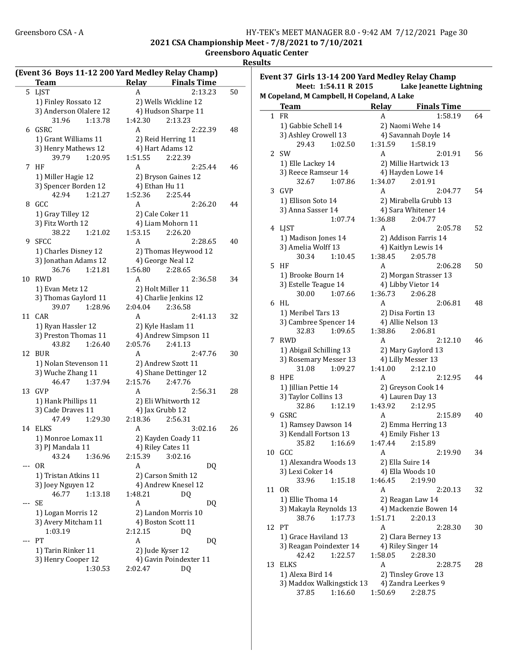Event 37 Girls 13-14 200 Yard Medley Relay Champ

2021 CSA Championship Meet - 7/8/2021 to 7/10/2021

Greensboro Aquatic Center

Results

|       | <b>Team</b>            |         | Relay   | (Event 36 Boys 11-12 200 Yard Medley Relay Champ)<br><b>Finals Time</b> |    |
|-------|------------------------|---------|---------|-------------------------------------------------------------------------|----|
| 5     | <b>LJST</b>            |         | A       | 2:13.23                                                                 | 50 |
|       | 1) Finley Rossato 12   |         |         | 2) Wells Wickline 12                                                    |    |
|       | 3) Anderson Olalere 12 |         |         | 4) Hudson Sharpe 11                                                     |    |
|       | 31.96                  | 1:13.78 | 1:42.30 | 2:13.23                                                                 |    |
| 6     | <b>GSRC</b>            |         | A       | 2:22.39                                                                 | 48 |
|       | 1) Grant Williams 11   |         |         | 2) Reid Herring 11                                                      |    |
|       | 3) Henry Mathews 12    |         |         | 4) Hart Adams 12                                                        |    |
|       | 39.79                  | 1:20.95 | 1:51.55 | 2:22.39                                                                 |    |
| 7     | HF                     |         | A       | 2:25.44                                                                 | 46 |
|       | 1) Miller Hagie 12     |         |         | 2) Bryson Gaines 12                                                     |    |
|       | 3) Spencer Borden 12   |         |         | 4) Ethan Hu 11                                                          |    |
|       | 42.94                  | 1:21.27 | 1:52.36 | 2:25.44                                                                 |    |
| 8     | GCC                    |         | A       | 2:26.20                                                                 | 44 |
|       | 1) Gray Tilley 12      |         |         | 2) Cale Coker 11                                                        |    |
|       | 3) Fitz Worth 12       |         |         | 4) Liam Mohorn 11                                                       |    |
|       | 38.22                  | 1:21.02 | 1:53.15 | 2:26.20                                                                 |    |
| 9     | <b>SFCC</b>            |         | A       | 2:28.65                                                                 | 40 |
|       | 1) Charles Disney 12   |         |         | 2) Thomas Heywood 12                                                    |    |
|       | 3) Jonathan Adams 12   |         |         | 4) George Neal 12                                                       |    |
|       | 36.76                  | 1:21.81 | 1:56.80 | 2:28.65                                                                 |    |
| 10    | <b>RWD</b>             |         | A       | 2:36.58                                                                 | 34 |
|       | 1) Evan Metz 12        |         |         | 2) Holt Miller 11                                                       |    |
|       | 3) Thomas Gaylord 11   |         |         | 4) Charlie Jenkins 12                                                   |    |
|       | 39.07                  | 1:28.96 | 2:04.04 | 2:36.58                                                                 |    |
| 11    | <b>CAR</b>             |         | A       | 2:41.13                                                                 | 32 |
|       | 1) Ryan Hassler 12     |         |         | 2) Kyle Haslam 11                                                       |    |
|       | 3) Preston Thomas 11   |         |         | 4) Andrew Simpson 11                                                    |    |
|       | 43.82                  | 1:26.40 | 2:05.76 | 2:41.13                                                                 |    |
| 12    | <b>BUR</b>             |         | Α       | 2:47.76                                                                 | 30 |
|       | 1) Nolan Stevenson 11  |         |         | 2) Andrew Szott 11                                                      |    |
|       | 3) Wuche Zhang 11      |         |         | 4) Shane Dettinger 12                                                   |    |
|       | 46.47                  | 1:37.94 | 2:15.76 | 2:47.76                                                                 |    |
| 13    | <b>GVP</b>             |         | A       | 2:56.31                                                                 | 28 |
|       | 1) Hank Phillips 11    |         |         | 2) Eli Whitworth 12                                                     |    |
|       | 3) Cade Draves 11      |         |         | 4) Jax Grubb 12                                                         |    |
|       | 47.49                  | 1:29.30 | 2:18.36 | 2:56.31                                                                 |    |
| 14    | <b>ELKS</b>            |         | A       | 3:02.16                                                                 | 26 |
|       | 1) Monroe Lomax 11     |         |         | 2) Kayden Coady 11                                                      |    |
|       | 3) PJ Mandala 11       |         |         | 4) Riley Cates 11                                                       |    |
|       | 43.24                  | 1:36.96 | 2:15.39 | 3:02.16                                                                 |    |
|       | 0 <sub>R</sub>         |         | A       | DQ                                                                      |    |
|       | 1) Tristan Atkins 11   |         |         | 2) Carson Smith 12                                                      |    |
|       | 3) Joey Nguyen 12      |         |         | 4) Andrew Knesel 12                                                     |    |
|       | 46.77                  | 1:13.18 | 1:48.21 | DQ                                                                      |    |
| $---$ | SE                     |         | A       | DQ                                                                      |    |
|       | 1) Logan Morris 12     |         |         | 2) Landon Morris 10                                                     |    |
|       | 3) Avery Mitcham 11    |         |         | 4) Boston Scott 11                                                      |    |
|       | 1:03.19                |         | 2:12.15 | DO.                                                                     |    |
| ---   | PT                     |         | Α       | DQ                                                                      |    |
|       | 1) Tarin Rinker 11     |         |         | 2) Jude Kyser 12                                                        |    |
|       | 3) Henry Cooper 12     |         |         | 4) Gavin Poindexter 11                                                  |    |
|       |                        | 1:30.53 | 2:02.47 | DQ                                                                      |    |

|              |                                            | Meet: 1:54.11 R 2015 |         | Lake Jeanette Lightning |    |
|--------------|--------------------------------------------|----------------------|---------|-------------------------|----|
|              | M Copeland, M Campbell, H Copeland, A Lake |                      |         |                         |    |
|              | Team                                       |                      | Relay   | <b>Finals Time</b>      |    |
| $\mathbf{1}$ | <b>FR</b>                                  |                      | A       | 1:58.19                 | 64 |
|              | 1) Gabbie Schell 14                        |                      |         | 2) Naomi Wehe 14        |    |
|              | 3) Ashley Crowell 13                       |                      |         | 4) Savannah Doyle 14    |    |
|              | 29.43                                      | 1:02.50              | 1:31.59 | 1:58.19                 |    |
| 2            | <b>SW</b>                                  |                      | A       | 2:01.91                 | 56 |
|              | 1) Elle Lackey 14                          |                      |         | 2) Millie Hartwick 13   |    |
|              | 3) Reece Ramseur 14                        |                      |         | 4) Hayden Lowe 14       |    |
|              | 32.67                                      | 1:07.86              | 1:34.07 | 2:01.91                 |    |
|              | 3 GVP                                      |                      | A       | 2:04.77                 | 54 |
|              | 1) Ellison Soto 14                         |                      |         | 2) Mirabella Grubb 13   |    |
|              | 3) Anna Sasser 14                          |                      |         | 4) Sara Whitener 14     |    |
|              |                                            | 1:07.74              | 1:36.88 | 2:04.77                 |    |
|              | 4 LJST                                     |                      | A       | 2:05.78                 | 52 |
|              | 1) Madison Jones 14                        |                      |         | 2) Addison Farris 14    |    |
|              | 3) Amelia Wolff 13                         |                      |         | 4) Kaitlyn Lewis 14     |    |
|              | 30.34                                      | 1:10.45              | 1:38.45 | 2:05.78                 |    |
|              | 5 HF                                       |                      | A       | 2:06.28                 | 50 |
|              | 1) Brooke Bourn 14                         |                      |         | 2) Morgan Strasser 13   |    |
|              | 3) Estelle Teague 14                       |                      |         | 4) Libby Vietor 14      |    |
|              | 30.00                                      | 1:07.66              | 1:36.73 | 2:06.28                 |    |
|              | 6 HL                                       |                      | A       | 2:06.81                 | 48 |
|              | 1) Meribel Tars 13                         |                      |         | 2) Disa Fortin 13       |    |
|              | 3) Cambree Spencer 14                      |                      |         | 4) Allie Nelson 13      |    |
|              | 32.83                                      | 1:09.65              | 1:38.86 | 2:06.81                 |    |
| 7            | <b>RWD</b>                                 |                      | A       | 2:12.10                 | 46 |
|              | 1) Abigail Schilling 13                    |                      |         | 2) Mary Gaylord 13      |    |
|              | 3) Rosemary Messer 13                      |                      |         | 4) Lilly Messer 13      |    |
|              | 31.08                                      | 1:09.27              | 1:41.00 | 2:12.10                 |    |
| 8.           | HPE                                        |                      | A       | 2:12.95                 | 44 |
|              | 1) Jillian Pettie 14                       |                      |         | 2) Greyson Cook 14      |    |
|              | 3) Taylor Collins 13                       |                      |         | 4) Lauren Day 13        |    |
|              | 32.86                                      | 1:12.19              | 1:43.92 | 2:12.95                 |    |
| 9            | GSRC                                       |                      | A       | 2:15.89                 | 40 |
|              | 1) Ramsey Dawson 14                        |                      |         | 2) Emma Herring 13      |    |
|              | 3) Kendall Fortson 13                      |                      |         | 4) Emily Fisher 13      |    |
|              | 35.82                                      | 1:16.69              | 1:47.44 | 2:15.89                 |    |
|              | 10 GCC                                     |                      | Α       | 2:19.90                 | 34 |
|              | 1) Alexandra Woods 13                      |                      |         | 2) Ella Suire 14        |    |
|              | 3) Lexi Coker 14                           |                      |         | 4) Ella Woods 10        |    |
|              | 33.96                                      | 1:15.18              | 1:46.45 | 2:19.90                 |    |
| 11           | 0 <sub>R</sub>                             |                      | A       | 2:20.13                 | 32 |
|              | 1) Ellie Thoma 14                          |                      |         | 2) Reagan Law 14        |    |
|              | 3) Makayla Reynolds 13                     |                      |         | 4) Mackenzie Bowen 14   |    |
|              | 38.76                                      | 1:17.73              | 1:51.71 | 2:20.13                 |    |
| 12           | PT                                         |                      | A       | 2:28.30                 | 30 |
|              | 1) Grace Haviland 13                       |                      |         | 2) Clara Berney 13      |    |
|              | 3) Reagan Poindexter 14                    |                      |         | 4) Riley Singer 14      |    |
|              | 42.42                                      | 1:22.57              | 1:58.05 | 2:28.30                 |    |
| 13           | <b>ELKS</b>                                |                      | A       | 2:28.75                 | 28 |
|              | 1) Alexa Bird 14                           |                      |         | 2) Tinsley Grove 13     |    |
|              | 3) Maddox Walkingstick 13                  |                      |         | 4) Zandra Leerkes 9     |    |
|              | 37.85                                      | 1:16.60              | 1:50.69 | 2:28.75                 |    |
|              |                                            |                      |         |                         |    |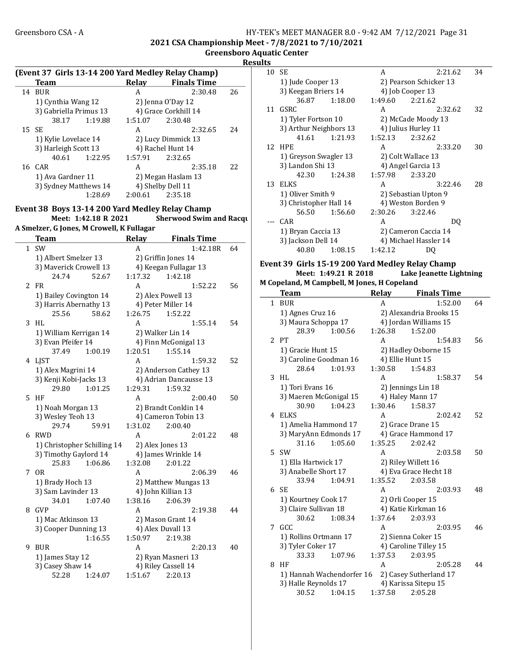#### Greensboro CSA - A 
HY-TEK's MEET MANAGER 8.0 - 9:42 AM 7/12/2021 Page 31 2021 CSA Championship Meet - 7/8/2021 to 7/10/2021

Greensboro Aquatic Center Results

|    | (Event 37 Girls 13-14 200 Yard Medley Relay Champ) |         |                                |    |
|----|----------------------------------------------------|---------|--------------------------------|----|
|    | <b>Team</b>                                        |         | Relay Finals Time              |    |
|    | 14 BUR                                             | A       | 2:30.48                        | 26 |
|    | 1) Cynthia Wang 12                                 |         | 2) Jenna O'Day 12              |    |
|    | 3) Gabriella Primus 13                             |         | 4) Grace Corkhill 14           |    |
|    | 38.17<br>1:19.88                                   | 1:51.07 | 2:30.48                        |    |
| 15 | <b>SE</b>                                          | A       | 2:32.65                        | 24 |
|    | 1) Kylie Lovelace 14                               |         | 2) Lucy Dimmick 13             |    |
|    | 3) Harleigh Scott 13                               |         | 4) Rachel Hunt 14              |    |
|    | 40.61<br>1:22.95                                   | 1:57.91 | 2:32.65                        |    |
|    | 16 CAR                                             | A       | 2:35.18                        | 22 |
|    | 1) Ava Gardner 11                                  |         | 2) Megan Haslam 13             |    |
|    | 3) Sydney Matthews 14                              |         | 4) Shelby Dell 11              |    |
|    | 1:28.69                                            | 2:00.61 | 2:35.18                        |    |
|    |                                                    |         |                                |    |
|    | Event 38 Boys 13-14 200 Yard Medley Relay Champ    |         |                                |    |
|    | Meet: 1:42.18 R 2021                               |         | <b>Sherwood Swim and Racqu</b> |    |
|    | A Smelzer, G Jones, M Crowell, K Fullagar          |         |                                |    |
|    | <b>Team</b>                                        |         | Relay Finals Time              |    |
|    | 1 SW                                               | A       | 1:42.18R                       | 64 |
|    | 1) Albert Smelzer 13                               |         | 2) Griffin Jones 14            |    |
|    | 3) Maverick Crowell 13                             |         | 4) Keegan Fullagar 13          |    |
|    | 52.67<br>24.74                                     | 1:17.32 | 1:42.18                        |    |
|    | $2$ FR                                             | A       | 1:52.22                        | 56 |
|    | 1) Bailey Covington 14                             |         | 2) Alex Powell 13              |    |
|    | 3) Harris Abernathy 13                             |         | 4) Peter Miller 14             |    |
|    | 25.56<br>58.62                                     | 1:26.75 | 1:52.22                        |    |
| 3  | HL.                                                | A       | 1:55.14                        | 54 |
|    | 1) William Kerrigan 14                             |         | 2) Walker Lin 14               |    |
|    | 3) Evan Pfeifer 14                                 |         | 4) Finn McGonigal 13           |    |
|    | 37.49<br>1:00.19                                   | 1:20.51 | 1:55.14                        |    |
|    |                                                    | A       | 1:59.32                        | 52 |
|    | 4 LJST                                             |         |                                |    |
|    | 1) Alex Magrini 14                                 |         | 2) Anderson Cathey 13          |    |
|    | 3) Kenji Kobi-Jacks 13                             |         | 4) Adrian Dancausse 13         |    |
|    | 29.80<br>1:01.25                                   | 1:29.31 | 1:59.32                        |    |
| 5. | HF                                                 | A       | 2:00.40                        | 50 |
|    | 1) Noah Morgan 13                                  |         | 2) Brandt Conklin 14           |    |
|    | 3) Wesley Teoh 13                                  |         | 4) Cameron Tobin 13            |    |
|    | 29.74<br>59.91                                     | 1:31.02 | 2:00.40                        |    |
| 6  | RWD                                                | A       | 2:01.22                        | 48 |
|    | 1) Christopher Schilling 14                        |         | 2) Alex Jones 13               |    |
|    | 3) Timothy Gaylord 14                              |         | 4) James Wrinkle 14            |    |
|    | 25.83<br>1:06.86                                   | 1:32.08 | 2:01.22                        |    |
|    | 7 OR                                               | A       | 2:06.39                        | 46 |
|    | 1) Brady Hoch 13                                   |         | 2) Matthew Mungas 13           |    |
|    | 3) Sam Lavinder 13                                 |         | 4) John Killian 13             |    |
|    | 34.01<br>1:07.40                                   | 1:38.16 | 2:06.39                        |    |
| 8  | GVP                                                | A       | 2:19.38                        | 44 |
|    | 1) Mac Atkinson 13                                 |         | 2) Mason Grant 14              |    |
|    | 3) Cooper Dunning 13                               |         | 4) Alex Duvall 13              |    |
|    | 1:16.55                                            | 1:50.97 | 2:19.38                        |    |
| 9  | <b>BUR</b>                                         | A       | 2:20.13                        | 40 |
|    | 1) James Stay 12                                   |         | 2) Ryan Masneri 13             |    |
|    | 3) Casey Shaw 14                                   |         | 4) Riley Cassell 14            |    |
|    | 52.28<br>1:24.07                                   | 1:51.67 | 2:20.13                        |    |
|    |                                                    |         |                                |    |

| 1 L.J |                                                  |         |                         |    |
|-------|--------------------------------------------------|---------|-------------------------|----|
| 10    | SЕ                                               | A       | 2:21.62                 | 34 |
|       | 1) Jude Cooper 13                                |         | 2) Pearson Schicker 13  |    |
|       | 3) Keegan Briers 14                              |         | 4) Job Cooper 13        |    |
|       | 36.87<br>1:18.00                                 | 1:49.60 | 2:21.62                 |    |
| 11    | GSRC                                             | А       | 2:32.62                 | 32 |
|       | 1) Tyler Fortson 10                              |         | 2) McCade Moody 13      |    |
|       | 3) Arthur Neighbors 13                           |         | 4) Julius Hurley 11     |    |
|       | 41.61<br>1:21.93                                 | 1:52.13 | 2:32.62                 |    |
| 12    | <b>HPE</b>                                       | A       | 2:33.20                 | 30 |
|       | 1) Greyson Swagler 13                            |         | 2) Colt Wallace 13      |    |
|       | 3) Landon Shi 13                                 |         | 4) Angel Garcia 13      |    |
|       | 42.30<br>1:24.38                                 | 1:57.98 | 2:33.20                 |    |
| 13    | <b>ELKS</b>                                      | A       | 3:22.46                 | 28 |
|       | 1) Oliver Smith 9                                |         | 2) Sebastian Upton 9    |    |
|       | 3) Christopher Hall 14                           |         | 4) Weston Borden 9      |    |
|       | 56.50<br>1:56.60                                 | 2:30.26 | 3:22.46                 |    |
|       | CAR                                              | A       | DQ                      |    |
|       | 1) Bryan Caccia 13                               |         | 2) Cameron Caccia 14    |    |
|       | 3) Jackson Dell 14                               |         | 4) Michael Hassler 14   |    |
|       | 40.80<br>1:08.15                                 | 1:42.12 | DQ                      |    |
|       |                                                  |         |                         |    |
|       | Event 39 Girls 15-19 200 Yard Medley Relay Champ |         |                         |    |
|       | Meet: 1:49.21 R 2018                             |         | Lake Jeanette Lightning |    |
|       | M Copeland, M Campbell, M Jones, H Copeland      |         |                         |    |
|       | <b>Team</b>                                      |         | Relay Finals Time       |    |
|       | 1 BUR                                            | A       | 1:52.00                 | 64 |
|       | 1) Agnes Cruz 16                                 |         | 2) Alexandria Brooks 15 |    |
|       | 3) Maura Schoppa 17                              |         | 4) Jordan Williams 15   |    |
|       | 28.39<br>1:00.56                                 | 1:26.38 | 1:52.00                 |    |
|       | 2 PT                                             | A       | 1:54.83                 | 56 |
|       | 1) Gracie Hunt 15                                |         | 2) Hadley Osborne 15    |    |
|       | 3) Caroline Goodman 16                           |         | 4) Ellie Hunt 15        |    |
|       | 28.64<br>1:01.93                                 | 1:30.58 | 1:54.83                 |    |
| 3     | HL                                               | А       | 1:58.37                 | 54 |
|       | 1) Tori Evans 16                                 |         | 2) Jennings Lin 18      |    |
|       | 3) Maeren McGonigal 15                           |         | 4) Haley Mann 17        |    |
|       | 30.90<br>1:04.23                                 | 1:30.46 | 1:58.37                 |    |
| 4     | ELKS                                             | A       | 2:02.42                 | 52 |
|       | 1) Amelia Hammond 17                             |         | 2) Grace Drane 15       |    |
|       | 3) MaryAnn Edmonds 17                            |         | 4) Grace Hammond 17     |    |
|       | 31.16<br>1:05.60                                 | 1:35.25 | 2:02.42                 |    |
|       | 5 SW                                             | A       | 2:03.58                 | 50 |
|       | 1) Ella Hartwick 17                              |         | 2) Riley Willett 16     |    |
|       | 3) Anabelle Short 17                             |         | 4) Eva Grace Hecht 18   |    |
|       | 33.94<br>1:04.91                                 | 1:35.52 | 2:03.58                 |    |
|       | 6 SE                                             | A       | 2:03.93                 | 48 |
|       | 1) Kourtney Cook 17                              |         | 2) Orli Cooper 15       |    |
|       | 3) Claire Sullivan 18                            |         | 4) Katie Kirkman 16     |    |
|       | 30.62<br>1:08.34                                 | 1:37.64 | 2:03.93                 |    |
| 7     | GCC                                              | A       | 2:03.95                 | 46 |
|       | 1) Rollins Ortmann 17                            |         | 2) Sienna Coker 15      |    |
|       | 3) Tyler Coker 17                                |         | 4) Caroline Tilley 15   |    |
|       | 33.33<br>1:07.96                                 | 1:37.53 | 2:03.95                 |    |
| 8     | HF                                               | A       | 2:05.28                 | 44 |
|       | 1) Hannah Wachendorfer 16                        |         | 2) Casey Sutherland 17  |    |
|       | 3) Halle Reynolds 17                             |         | 4) Karissa Sitepu 15    |    |
|       |                                                  |         |                         |    |
|       | 30.52<br>1:04.15                                 | 1:37.58 | 2:05.28                 |    |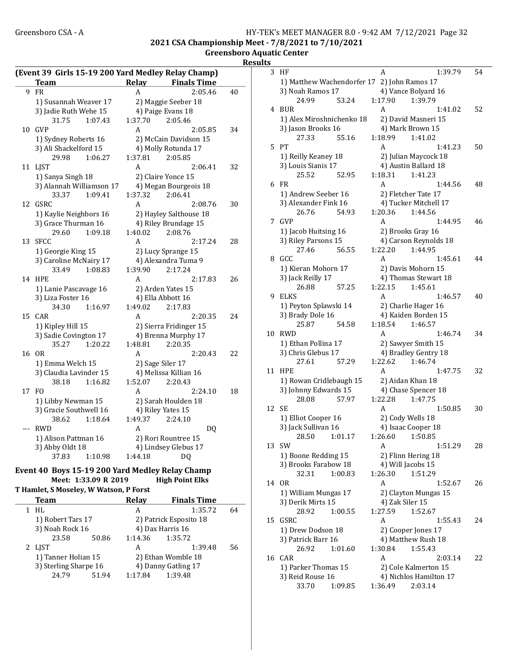#### Greensboro CSA - A 
HY-TEK's MEET MANAGER 8.0 - 9:42 AM 7/12/2021 Page 32 2021 CSA Championship Meet - 7/8/2021 to 7/10/2021 Greensboro Aquatic Center

**Results** 

|     | (Event 39 Girls 15-19 200 Yard Medley Relay Champ) |         |                        |    |
|-----|----------------------------------------------------|---------|------------------------|----|
|     | Team                                               | Relay   | <b>Finals Time</b>     |    |
| 9   | FR                                                 | Α       | 2:05.46                | 40 |
|     | 1) Susannah Weaver 17                              |         | 2) Maggie Seeber 18    |    |
|     | 3) Jadie Ruth Wehe 15                              |         | 4) Paige Evans 18      |    |
|     | 31.75<br>1:07.43                                   | 1:37.70 | 2:05.46                |    |
| 10  | GVP                                                | A       | 2:05.85                | 34 |
|     | 1) Sydney Roberts 16                               |         | 2) McCain Davidson 15  |    |
|     | 3) Ali Shackelford 15                              |         | 4) Molly Rotunda 17    |    |
|     | 29.98<br>1:06.27                                   | 1:37.81 | 2:05.85                |    |
| 11  | <b>LJST</b>                                        | A       | 2:06.41                | 32 |
|     | 1) Sanya Singh 18                                  |         | 2) Claire Yonce 15     |    |
|     | 3) Alannah Williamson 17                           |         | 4) Megan Bourgeois 18  |    |
|     | 33.37<br>1:09.41                                   | 1:37.32 | 2:06.41                |    |
| 12  | GSRC                                               | A       | 2:08.76                | 30 |
|     | 1) Kaylie Neighbors 16                             |         | 2) Hayley Salthouse 18 |    |
|     | 3) Grace Thurman 16                                |         | 4) Riley Brundage 15   |    |
|     | 29.60<br>1:09.18                                   | 1:40.02 | 2:08.76                |    |
| 13  | SFCC                                               | Α       | 2:17.24                | 28 |
|     | 1) Georgie King 15                                 |         | 2) Lucy Sprange 15     |    |
|     | 3) Caroline McNairy 17                             |         | 4) Alexandra Tuma 9    |    |
|     | 33.49<br>1:08.83                                   | 1:39.90 | 2:17.24                |    |
| 14  | <b>HPE</b>                                         | A       | 2:17.83                | 26 |
|     | 1) Lanie Pascavage 16                              |         | 2) Arden Yates 15      |    |
|     | 3) Liza Foster 16                                  |         | 4) Ella Abbott 16      |    |
|     | 34.30<br>1:16.97                                   | 1:49.02 | 2:17.83                |    |
| 15  | CAR                                                | A       | 2:20.35                | 24 |
|     | 1) Kipley Hill 15                                  |         | 2) Sierra Fridinger 15 |    |
|     | 3) Sadie Covington 17                              |         | 4) Brenna Murphy 17    |    |
|     | 35.27<br>1:20.22                                   | 1:48.81 | 2:20.35                |    |
| 16  | 0 <sub>R</sub>                                     | A       | 2:20.43                | 22 |
|     | 1) Emma Welch 15                                   |         | 2) Sage Siler 17       |    |
|     | 3) Claudia Lavinder 15                             |         | 4) Melissa Killian 16  |    |
|     | 38.18<br>1:16.82                                   | 1:52.07 | 2:20.43                |    |
| 17  | FO.                                                | A       | 2:24.10                | 18 |
|     | 1) Libby Newman 15                                 |         | 2) Sarah Houlden 18    |    |
|     | 3) Gracie Southwell 16                             |         | 4) Riley Yates 15      |    |
|     | 38.62<br>1:18.64                                   | 1:49.37 | 2:24.10                |    |
| --- | <b>RWD</b>                                         | A       | DQ                     |    |
|     | 1) Alison Pattman 16                               |         | 2) Rori Rountree 15    |    |
|     | 3) Abby Oldt 18                                    |         | 4) Lindsey Glebus 17   |    |
|     | 37.83<br>1:10.98                                   | 1:44.18 | DQ                     |    |

### Event 40 Boys 15-19 200 Yard Medley Relay Champ Meet: 1:33.09 R 2019

T Hamlet, S Moseley, W Watson, P Forst

| Team                  |       | <b>Relav</b> | <b>Finals Time</b>     |    |
|-----------------------|-------|--------------|------------------------|----|
| 1 HL                  |       | А            | 1:35.72                | 64 |
| 1) Robert Tars 17     |       |              | 2) Patrick Esposito 18 |    |
| 3) Noah Rock 16       |       |              | 4) Dax Harris 16       |    |
| 23.58                 | 50.86 | 1:14.36      | 1:35.72                |    |
| 2 LIST                |       | А            | 1:39.48                | 56 |
| 1) Tanner Holian 15   |       |              | 2) Ethan Womble 18     |    |
| 3) Sterling Sharpe 16 |       |              | 4) Danny Gatling 17    |    |
| 24.79                 | 51.94 | 1:17.84      | 1:39.48                |    |
|                       |       |              |                        |    |

| S  |                                             |                                                |    |
|----|---------------------------------------------|------------------------------------------------|----|
| 3  | HF                                          | A<br>1:39.79                                   | 54 |
|    | 1) Matthew Wachendorfer 17 2) John Ramos 17 |                                                |    |
|    | 3) Noah Ramos 17                            | 4) Vance Bolyard 16                            |    |
|    | 24.99<br>53.24                              | 1:39.79<br>1:17.90                             |    |
| 4  | <b>BUR</b>                                  | A<br>1:41.02                                   | 52 |
|    | 1) Alex Miroshnichenko 18                   | 2) David Masneri 15                            |    |
|    | 3) Jason Brooks 16                          | 4) Mark Brown 15                               |    |
|    | 55.16<br>27.33                              | 1:18.99<br>1:41.02                             |    |
| 5  | PТ                                          | A<br>1:41.23                                   | 50 |
|    | 1) Reilly Keaney 18                         | 2) Julian Maycock 18                           |    |
|    | 3) Louis Sianis 17                          | 4) Austin Ballard 18                           |    |
|    | 25.52<br>52.95                              | 1:18.31<br>1:41.23                             |    |
| 6  | FR                                          | 1:44.56<br>A                                   | 48 |
|    | 1) Andrew Seeber 16                         | 2) Fletcher Tate 17                            |    |
|    | 3) Alexander Fink 16                        | 4) Tucker Mitchell 17                          |    |
|    | 26.76<br>54.93                              | 1:20.36<br>1:44.56                             |    |
| 7  | <b>GVP</b>                                  | A<br>1:44.95                                   | 46 |
|    | 1) Jacob Huitsing 16                        | 2) Brooks Gray 16                              |    |
|    | 3) Riley Parsons 15                         | 4) Carson Reynolds 18                          |    |
|    | 27.46<br>56.55                              | 1:22.20<br>1:44.95                             |    |
| 8  | GCC                                         | А<br>1:45.61                                   | 44 |
|    | 1) Kieran Mohorn 17                         | 2) Davis Mohorn 15                             |    |
|    | 3) Jack Reilly 17                           | 4) Thomas Stewart 18                           |    |
|    | 26.88<br>57.25                              | 1:22.15<br>1:45.61                             |    |
| 9  | ELKS                                        | A<br>1:46.57                                   | 40 |
|    | 1) Peyton Splawski 14                       | 2) Charlie Hager 16                            |    |
|    | 3) Brady Dole 16                            | 4) Kaiden Borden 15                            |    |
|    | 25.87<br>54.58                              | 1:18.54<br>1:46.57                             |    |
| 10 | <b>RWD</b>                                  | A<br>1:46.74                                   | 34 |
|    | 1) Ethan Pollina 17                         | 2) Sawyer Smith 15                             |    |
|    | 3) Chris Glebus 17                          | 4) Bradley Gentry 18                           |    |
|    | 27.61<br>57.29                              | 1:22.62<br>1:46.74                             |    |
| 11 | <b>HPE</b>                                  | A<br>1:47.75                                   | 32 |
|    | 1) Rowan Cridlebaugh 15                     | 2) Aidan Khan 18                               |    |
|    | 3) Johnny Edwards 15                        | 4) Chase Spencer 18                            |    |
|    | 28.08<br>57.97                              | 1:47.75<br>1:22.28                             |    |
| 12 | SE                                          | А<br>1:50.85                                   | 30 |
|    | 1) Elliot Cooper 16                         | 2) Cody Wells 18                               |    |
|    | 3) Jack Sullivan 16                         | 4) Isaac Cooper 18                             |    |
|    | 28.50   1:01.17                             | 1:26.60  1:50.85                               |    |
| 13 | SW                                          | 1:51.29<br>A                                   | 28 |
|    | 1) Boone Redding 15                         | 2) Flinn Hering 18                             |    |
|    | 3) Brooks Farabow 18                        | 4) Will Jacobs 15                              |    |
|    | 32.31<br>1:00.83                            | 1:26.30<br>1:51.29                             |    |
| 14 | 0R                                          | A<br>1:52.67                                   | 26 |
|    | 1) William Mungas 17                        | 2) Clayton Mungas 15                           |    |
|    | 3) Derik Mirts 15                           | 4) Zak Siler 15                                |    |
|    | 28.92<br>1:00.55<br>GSRC                    | 1:27.59<br>1:52.67                             |    |
| 15 |                                             | A<br>1:55.43                                   | 24 |
|    | 1) Drew Dodson 18                           | 2) Cooper Jones 17                             |    |
|    | 3) Patrick Barr 16                          | 4) Matthew Rush 18                             |    |
|    | 26.92<br>1:01.60<br>CAR                     | 1:30.84<br>1:55.43<br>A                        |    |
| 16 |                                             | 2:03.14                                        | 22 |
|    | 1) Parker Thomas 15                         | 2) Cole Kalmerton 15<br>4) Nichlos Hamilton 17 |    |
|    | 3) Reid Rouse 16<br>33.70<br>1:09.85        | 1:36.49<br>2:03.14                             |    |
|    |                                             |                                                |    |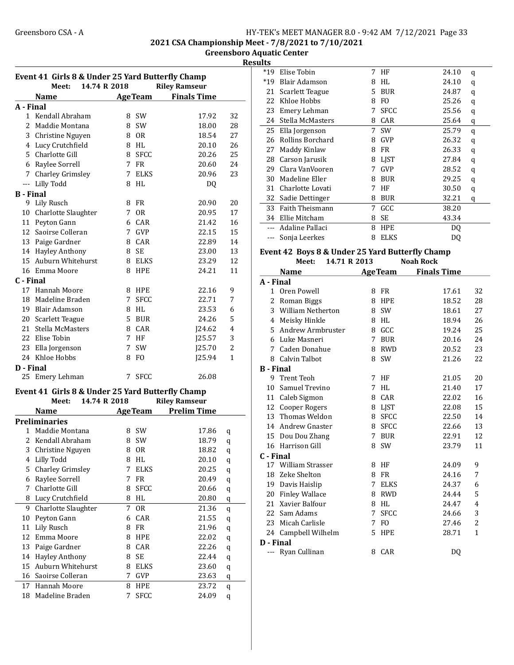2021 CSA Championship Meet - 7/8/2021 to 7/10/2021

Greensboro Aquatic Center Results

| Event 41 Girls 8 & Under 25 Yard Butterfly Champ |                                                  |             |                        |                      |                |
|--------------------------------------------------|--------------------------------------------------|-------------|------------------------|----------------------|----------------|
|                                                  | 14.74 R 2018<br>Meet:                            |             |                        | <b>Riley Ramseur</b> |                |
|                                                  | <b>Name</b>                                      |             | <b>AgeTeam</b>         | <b>Finals Time</b>   |                |
| A - Final                                        |                                                  |             |                        |                      |                |
|                                                  | 1 Kendall Abraham                                | 8           | <b>SW</b>              | 17.92                | 32             |
|                                                  | 2 Maddie Montana                                 | 8           | <b>SW</b>              | 18.00                | 28             |
|                                                  | 3 Christine Nguyen                               |             | 8 OR                   | 18.54                | 27             |
|                                                  | 4 Lucy Crutchfield                               |             | 8 HL                   | 20.10                | 26             |
|                                                  | 5 Charlotte Gill                                 | 8           | <b>SFCC</b>            | 20.26                | 25             |
|                                                  | 6 Raylee Sorrell                                 | 7           | <b>FR</b>              | 20.60                | 24             |
|                                                  | 7 Charley Grimsley                               | 7           | <b>ELKS</b>            | 20.96                | 23             |
|                                                  | --- Lilly Todd                                   | 8           | HL                     | DQ                   |                |
| <b>B</b> - Final                                 |                                                  |             |                        |                      |                |
| 9                                                | Lily Rusch                                       |             | 8 FR                   | 20.90                | 20             |
|                                                  | 10 Charlotte Slaughter                           | 7           | 0 <sub>R</sub>         | 20.95                | 17             |
|                                                  | 11 Peyton Gann                                   |             | 6 CAR                  | 21.42                | 16             |
|                                                  | 12 Saoirse Colleran                              |             | 7 GVP                  | 22.15                | 15             |
|                                                  | 13 Paige Gardner                                 |             | 8 CAR                  | 22.89                | 14             |
|                                                  | 14 Hayley Anthony                                | 8           | <b>SE</b>              | 23.00                | 13             |
|                                                  | 15 Auburn Whitehurst                             |             | 8 ELKS                 | 23.29                | 12             |
|                                                  | 16 Emma Moore                                    | 8           | <b>HPE</b>             | 24.21                | 11             |
| C - Final                                        |                                                  |             |                        |                      |                |
| 17                                               | Hannah Moore                                     |             | 8 HPE                  | 22.16                | 9              |
| 18                                               | Madeline Braden                                  | 7           | <b>SFCC</b>            | 22.71                | 7              |
|                                                  | 19 Blair Adamson                                 |             | 8 HL                   | 23.53                | 6              |
|                                                  | 20 Scarlett Teague                               |             | 5 BUR                  | 24.26                | 5              |
|                                                  | 21 Stella McMasters                              |             | 8 CAR                  | J24.62               | 4              |
|                                                  | 22 Elise Tobin                                   | $7^{\circ}$ | HF                     | J25.57               | 3              |
| 23                                               | Ella Jorgenson                                   | 7           | <b>SW</b>              | J25.70               | $\overline{2}$ |
|                                                  | 24 Khloe Hobbs                                   | 8           | FO.                    | J25.94               | 1              |
| D - Final                                        |                                                  |             |                        |                      |                |
| 25                                               | Emery Lehman                                     | 7           | <b>SFCC</b>            | 26.08                |                |
|                                                  |                                                  |             |                        |                      |                |
|                                                  | Event 41 Girls 8 & Under 25 Yard Butterfly Champ |             |                        |                      |                |
|                                                  | 14.74 R 2018<br>Meet:                            |             |                        | <b>Riley Ramseur</b> |                |
|                                                  | <b>Name</b>                                      |             | <b>AgeTeam</b>         | <b>Prelim Time</b>   |                |
|                                                  | <b>Preliminaries</b>                             |             |                        |                      |                |
| 1                                                | Maddie Montana                                   | 8           | <b>SW</b>              | 17.86                | q              |
| 2                                                | Kendall Abraham                                  | 8           | SW                     | 18.79                | q              |
| 3                                                | Christine Nguyen                                 | 8           | 0R                     | 18.82                | q              |
| 4                                                | Lilly Todd                                       | 8           | $\mathbf{H}\mathbf{L}$ | 20.10                | q              |
| 5                                                | <b>Charley Grimsley</b>                          | 7           | <b>ELKS</b>            | 20.25                | q              |
| 6                                                | Raylee Sorrell                                   | 7           | FR                     | 20.49                | q              |
| 7                                                | Charlotte Gill                                   | 8           | <b>SFCC</b>            | 20.66                | q              |
| 8                                                | Lucy Crutchfield                                 | 8           | $\mathbf{H}\mathbf{L}$ | 20.80                | $\mathbf q$    |
| 9                                                | Charlotte Slaughter                              | 7           | 0R                     | 21.36                | q              |
| 10                                               | Peyton Gann                                      | 6           | CAR                    | 21.55                | q              |
| 11                                               | <b>Lily Rusch</b>                                | 8           | FR                     | 21.96                | q              |
| 12                                               | Emma Moore                                       | 8           | HPE                    | 22.02                | q              |
| 13                                               | Paige Gardner                                    | 8           | CAR                    | 22.26                | q              |
| 14                                               | <b>Hayley Anthony</b>                            | 8           | <b>SE</b>              | 22.44                | q              |
| 15                                               | Auburn Whitehurst                                | 8           | <b>ELKS</b>            | 23.60                | q              |
| 16                                               | Saoirse Colleran                                 | 7           | GVP                    | 23.63                | q              |
| 17                                               | Hannah Moore                                     | 8           | HPE                    | 23.72                | q              |
| 18                                               | Madeline Braden                                  | 7           | <b>SFCC</b>            | 24.09                | q              |

| ultə  |                  |    |             |       |   |  |
|-------|------------------|----|-------------|-------|---|--|
| $*19$ | Elise Tobin      | 7  | HF          | 24.10 | q |  |
| $*19$ | Blair Adamson    | 8  | HL          | 24.10 | q |  |
| 21    | Scarlett Teague  | 5. | <b>BUR</b>  | 24.87 | q |  |
| 22    | Khloe Hobbs      | 8  | FO.         | 25.26 | q |  |
| 23    | Emery Lehman     | 7  | SFCC        | 25.56 | q |  |
| 24    | Stella McMasters | 8  | CAR         | 25.64 | q |  |
| 25    | Ella Jorgenson   | 7  | <b>SW</b>   | 25.79 | q |  |
| 26    | Rollins Borchard | 8  | <b>GVP</b>  | 26.32 | q |  |
| 27    | Maddy Kinlaw     | 8  | FR          | 26.33 | q |  |
| 28    | Carson Jarusik   | 8  | <b>LIST</b> | 27.84 | q |  |
| 29    | Clara VanVooren  | 7  | <b>GVP</b>  | 28.52 | q |  |
| 30    | Madeline Eller   | 8  | <b>BUR</b>  | 29.25 | q |  |
| 31    | Charlotte Lovati | 7  | HF          | 30.50 | q |  |
| 32    | Sadie Dettinger  | 8  | BUR         | 32.21 | q |  |
| 33    | Faith Theismann  | 7  | GCC         | 38.20 |   |  |
| 34    | Ellie Mitcham    | 8  | SE          | 43.34 |   |  |
|       | Adaline Pallaci  | 8  | <b>HPE</b>  | DO    |   |  |
|       | Sonja Leerkes    | 8  | <b>ELKS</b> | DQ    |   |  |
|       |                  |    |             |       |   |  |

#### Event 42 Boys 8 & Under 25 Yard Butterfly Champ Meet: 14.71 R 2013 Noah Rock

|                  | <b>Name</b>             |   | <b>AgeTeam</b> | <b>Finals Time</b> |                |
|------------------|-------------------------|---|----------------|--------------------|----------------|
| A - Final        |                         |   |                |                    |                |
| 1                | Oren Powell             | 8 | FR             | 17.61              | 32             |
| 2                | Roman Biggs             | 8 | <b>HPE</b>     | 18.52              | 28             |
| 3                | William Netherton       | 8 | <b>SW</b>      | 18.61              | 27             |
| 4                | Meisky Hinkle           | 8 | HL             | 18.94              | 26             |
| 5                | Andrew Armbruster       | 8 | GCC            | 19.24              | 25             |
| 6                | Luke Masneri            | 7 | <b>BUR</b>     | 20.16              | 24             |
| 7                | Caden Donahue           | 8 | RWD            | 20.52              | 23             |
| 8                | Calvin Talbot           | 8 | <b>SW</b>      | 21.26              | 22             |
| <b>B</b> - Final |                         |   |                |                    |                |
| 9                | <b>Trent Teoh</b>       | 7 | HF             | 21.05              | 20             |
| 10               | Samuel Trevino          | 7 | HL             | 21.40              | 17             |
| 11               | Caleb Sigmon            | 8 | CAR            | 22.02              | 16             |
| 12               | Cooper Rogers           |   | 8 LJST         | 22.08              | 15             |
| 13               | Thomas Weldon           | 8 | <b>SFCC</b>    | 22.50              | 14             |
| 14               | Andrew Gnaster          | 8 | <b>SFCC</b>    | 22.66              | 13             |
| 15               | Dou Dou Zhang           | 7 | <b>BUR</b>     | 22.91              | 12             |
|                  | 16 Harrison Gill        | 8 | SW             | 23.79              | 11             |
| C - Final        |                         |   |                |                    |                |
| 17               | <b>William Strasser</b> | 8 | HF             | 24.09              | 9              |
| 18               | Zeke Shelton            | 8 | FR             | 24.16              | 7              |
| 19               | Davis Haislip           | 7 | <b>ELKS</b>    | 24.37              | 6              |
| 20               | <b>Finley Wallace</b>   | 8 | <b>RWD</b>     | 24.44              | 5              |
| 21               | Xavier Balfour          | 8 | HL             | 24.47              | $\overline{4}$ |
| 22               | Sam Adams               | 7 | <b>SFCC</b>    | 24.66              | 3              |
| 23               | Micah Carlisle          | 7 | F <sub>O</sub> | 27.46              | 2              |
|                  | 24 Campbell Wilhelm     | 5 | <b>HPE</b>     | 28.71              | $\mathbf{1}$   |
| D - Final        |                         |   |                |                    |                |
| ---              | Ryan Cullinan           | 8 | CAR            | DQ                 |                |
|                  |                         |   |                |                    |                |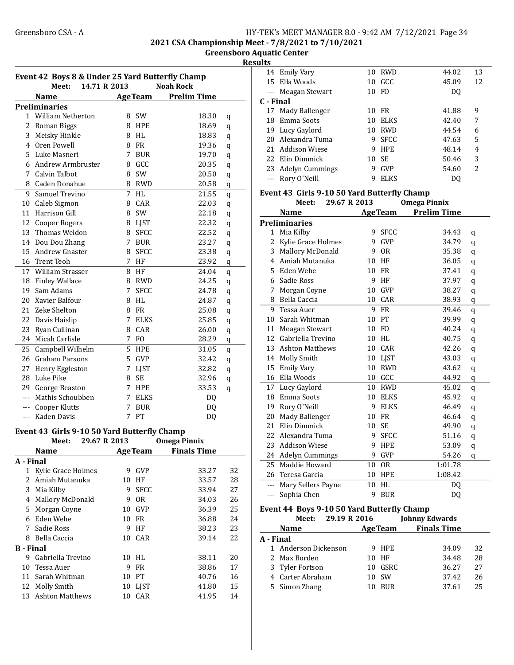#### Greensboro CSA - A <br>HY-TEK's MEET MANAGER 8.0 - 9:42 AM 7/12/2021 Page 34 2021 CSA Championship Meet - 7/8/2021 to 7/10/2021

Greensboro Aquatic Center

## Results

| Event 42 Boys 8 & Under 25 Yard Butterfly Champ |                                             |             |                 |                     |    |  |  |
|-------------------------------------------------|---------------------------------------------|-------------|-----------------|---------------------|----|--|--|
|                                                 | 14.71 R 2013<br>Meet:                       |             |                 | <b>Noah Rock</b>    |    |  |  |
|                                                 | <b>Name</b>                                 |             | <b>AgeTeam</b>  | <b>Prelim Time</b>  |    |  |  |
|                                                 | <b>Preliminaries</b>                        |             |                 |                     |    |  |  |
|                                                 | 1 William Netherton                         | 8           | SW              | 18.30               | q  |  |  |
| 2                                               | Roman Biggs                                 |             | 8 HPE           | 18.69               | q  |  |  |
| 3                                               | Meisky Hinkle                               | 8           | HL              | 18.83               | q  |  |  |
| 4                                               | Oren Powell                                 | 8           | <b>FR</b>       | 19.36               | q  |  |  |
| 5                                               | Luke Masneri                                | 7           | <b>BUR</b>      | 19.70               | q  |  |  |
| 6                                               | Andrew Armbruster                           | 8           | GCC             | 20.35               | q  |  |  |
|                                                 | 7 Calvin Talbot                             | 8           | SW              | 20.50               | q  |  |  |
|                                                 | 8 Caden Donahue                             | 8           | <b>RWD</b>      | 20.58               | q  |  |  |
| 9                                               | Samuel Trevino                              | 7           | HL              | 21.55               | q  |  |  |
|                                                 | 10 Caleb Sigmon                             | 8           | CAR             | 22.03               | q  |  |  |
|                                                 | 11 Harrison Gill                            | 8           | SW              | 22.18               | q  |  |  |
|                                                 | 12 Cooper Rogers                            |             | 8 LJST          | 22.32               | q  |  |  |
|                                                 | 13 Thomas Weldon                            |             | 8 SFCC          | 22.52               | q  |  |  |
| 14                                              | Dou Dou Zhang                               | $7^{\circ}$ | <b>BUR</b>      | 23.27               | q  |  |  |
| 15                                              | Andrew Gnaster                              | 8           | <b>SFCC</b>     | 23.38               | q  |  |  |
|                                                 | 16 Trent Teoh                               | 7           | HF              | 23.92               | q  |  |  |
|                                                 | 17 William Strasser                         | 8           | HF              | 24.04               | q  |  |  |
| 18                                              | <b>Finley Wallace</b>                       | 8           | <b>RWD</b>      | 24.25               | q  |  |  |
|                                                 | 19 Sam Adams                                | 7           | SFCC            | 24.78               | q  |  |  |
|                                                 | 20 Xavier Balfour                           | 8           | HL              | 24.87               | q  |  |  |
|                                                 | 21 Zeke Shelton                             | 8           | <b>FR</b>       | 25.08               | q  |  |  |
|                                                 | 22 Davis Haislip                            | 7           | <b>ELKS</b>     | 25.85               | q  |  |  |
| 23                                              | Ryan Cullinan                               | 8           | CAR             | 26.00               | q  |  |  |
| 24                                              | Micah Carlisle                              | 7           | F <sub>O</sub>  | 28.29               | q  |  |  |
|                                                 | 25 Campbell Wilhelm                         | 5           | <b>HPE</b>      | 31.05               | q  |  |  |
|                                                 | 26 Graham Parsons                           | 5           | GVP             | 32.42               | q  |  |  |
|                                                 | 27 Henry Eggleston                          | 7           | <b>LJST</b>     | 32.82               | q  |  |  |
| 28                                              | Luke Pike                                   | 8           | <b>SE</b>       | 32.96               | q  |  |  |
|                                                 | 29 George Beaston                           | 7           | <b>HPE</b>      | 33.53               | q  |  |  |
|                                                 | --- Mathis Schoubben                        | 7           | <b>ELKS</b>     | DQ                  |    |  |  |
| $---$                                           | Cooper Klutts                               | 7           | <b>BUR</b>      | DQ                  |    |  |  |
| ---                                             | Kaden Davis                                 | 7           | PT              | DQ                  |    |  |  |
|                                                 |                                             |             |                 |                     |    |  |  |
|                                                 | Event 43 Girls 9-10 50 Yard Butterfly Champ |             |                 |                     |    |  |  |
|                                                 | 29.67 R 2013<br>Meet:                       |             |                 | <b>Omega Pinnix</b> |    |  |  |
|                                                 | Name                                        |             | <u>Age Team</u> | <b>Finals Time</b>  |    |  |  |
| A - Final                                       |                                             |             |                 |                     |    |  |  |
| 1                                               | Kylie Grace Holmes                          |             | 9 GVP           | 33.27               | 32 |  |  |
|                                                 | 2 Amiah Mutanuka                            | 10          | HF              | 33.57               | 28 |  |  |
|                                                 | 3 Mia Kilby                                 | 9           | <b>SFCC</b>     | 33.94               | 27 |  |  |
|                                                 | 4 Mallory McDonald                          | 9           | 0R              | 34.03               | 26 |  |  |
|                                                 | 5 Morgan Coyne                              | 10          | GVP             | 36.39               | 25 |  |  |
| 6                                               | Eden Wehe                                   | 10          | FR              | 36.88               | 24 |  |  |
| 7                                               | Sadie Ross                                  | 9           | HF              | 38.23               | 23 |  |  |
|                                                 | 8 Bella Caccia                              | 10          | CAR             | 39.14               | 22 |  |  |
| <b>B</b> - Final                                |                                             |             |                 |                     |    |  |  |
|                                                 | 9 Gabriella Trevino                         | 10          | HL              | 38.11               | 20 |  |  |
| 10                                              | Tessa Auer                                  | 9           | ${\rm FR}$      | 38.86               | 17 |  |  |
|                                                 | 11 Sarah Whitman                            | 10          | PT              | 40.76               | 16 |  |  |
|                                                 | 12 Molly Smith                              | 10          | LJST            | 41.80               | 15 |  |  |
| 13                                              | <b>Ashton Matthews</b>                      | 10          | CAR             | 41.95               | 14 |  |  |

| u. 60     |                    |    |             |       |                          |
|-----------|--------------------|----|-------------|-------|--------------------------|
|           | 14 Emily Vary      | 10 | RWD         | 44.02 | 13                       |
|           | 15 Ella Woods      | 10 | GCC         | 45.09 | 12                       |
|           | --- Meagan Stewart |    | 10 FO       | DQ    |                          |
| C - Final |                    |    |             |       |                          |
|           | 17 Mady Ballenger  |    | 10 FR       | 41.88 | 9                        |
|           | 18 Emma Soots      | 10 | ELKS        | 42.40 | 7                        |
|           | 19 Lucy Gaylord    | 10 | RWD         | 44.54 | 6                        |
|           | 20 Alexandra Tuma  | 9  | -SFCC       | 47.63 | 5                        |
|           | 21 Addison Wiese   | q  | <b>HPE</b>  | 48.14 | 4                        |
|           | 22 Elin Dimmick    |    | 10 SE       | 50.46 | 3                        |
|           | 23 Adelyn Cummings | q  | GVP         | 54.60 | $\overline{\mathcal{L}}$ |
|           | --- Rory O'Neill   | q  | <b>ELKS</b> | D0    |                          |

#### Event 43 Girls 9-10 50 Yard Butterfly Champ

|     | 29.67 R 2013<br>Meet:  |    |                | <b>Omega Pinnix</b> |   |
|-----|------------------------|----|----------------|---------------------|---|
|     | Name                   |    | <b>AgeTeam</b> | <b>Prelim Time</b>  |   |
|     | <b>Preliminaries</b>   |    |                |                     |   |
| 1   | Mia Kilby              | 9  | <b>SFCC</b>    | 34.43               | q |
| 2   | Kylie Grace Holmes     | 9  | <b>GVP</b>     | 34.79               | q |
| 3   | Mallory McDonald       | 9  | 0 <sub>R</sub> | 35.38               | q |
| 4   | Amiah Mutanuka         | 10 | HF             | 36.05               | q |
| 5   | Eden Wehe              | 10 | <b>FR</b>      | 37.41               | q |
| 6   | Sadie Ross             | 9  | HF             | 37.97               | q |
| 7   | Morgan Coyne           | 10 | GVP            | 38.27               | q |
| 8   | Bella Caccia           | 10 | CAR            | 38.93               | q |
| 9   | Tessa Auer             | 9  | <b>FR</b>      | 39.46               | q |
| 10  | Sarah Whitman          | 10 | PT             | 39.99               | q |
| 11  | Meagan Stewart         | 10 | F <sub>O</sub> | 40.24               | q |
| 12  | Gabriella Trevino      | 10 | HL             | 40.75               | q |
| 13  | <b>Ashton Matthews</b> | 10 | CAR            | 42.26               | q |
| 14  | <b>Molly Smith</b>     | 10 | LJST           | 43.03               | q |
| 15  | <b>Emily Vary</b>      | 10 | <b>RWD</b>     | 43.62               | q |
| 16  | Ella Woods             | 10 | GCC            | 44.92               | q |
| 17  | Lucy Gaylord           | 10 | <b>RWD</b>     | 45.02               | q |
| 18  | Emma Soots             | 10 | <b>ELKS</b>    | 45.92               | q |
| 19  | Rory O'Neill           | 9  | <b>ELKS</b>    | 46.49               | q |
| 20  | Mady Ballenger         | 10 | <b>FR</b>      | 46.64               | q |
| 21  | Elin Dimmick           | 10 | <b>SE</b>      | 49.90               | q |
| 22  | Alexandra Tuma         | 9  | SFCC           | 51.16               | q |
| 23  | <b>Addison Wiese</b>   | 9  | <b>HPE</b>     | 53.09               | q |
| 24  | <b>Adelyn Cummings</b> | 9  | <b>GVP</b>     | 54.26               | q |
| 25  | Maddie Howard          | 10 | <b>OR</b>      | 1:01.78             |   |
| 26  | Teresa Garcia          | 10 | <b>HPE</b>     | 1:08.42             |   |
| --- | Mary Sellers Payne     | 10 | HL             | DQ                  |   |
| --- | Sophia Chen            | 9  | <b>BUR</b>     | DQ                  |   |

#### Event 44 Boys 9-10 50 Yard Butterfly Champ

| Meet:                | 29.19 R 2016 |                | <b>Johnny Edwards</b> |     |
|----------------------|--------------|----------------|-----------------------|-----|
| <b>Name</b>          |              | <b>AgeTeam</b> | <b>Finals Time</b>    |     |
| A - Final            |              |                |                       |     |
| 1 Anderson Dickenson |              | 9 HPE          | 34.09                 | 32  |
| 2 Max Borden         |              | 10 HF          | 34.48                 | 28  |
| 3 Tyler Fortson      |              | 10 GSRC        | 36.27                 | 2.7 |
| 4 Carter Abraham     |              | 10 SW          | 37.42                 | 26  |
| 5 Simon Zhang        | 10           | <b>BUR</b>     | 37.61                 | 25  |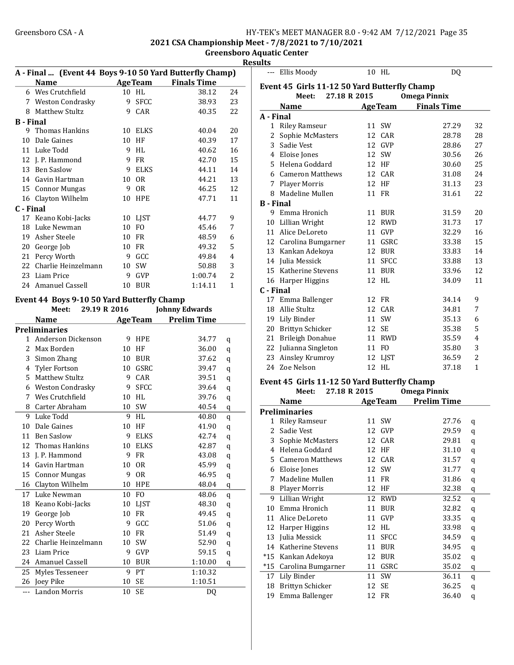2021 CSA Championship Meet - 7/8/2021 to 7/10/2021

Greensboro Aquatic Center Results

|                  |                                            |    |                |                                                         | KG: |
|------------------|--------------------------------------------|----|----------------|---------------------------------------------------------|-----|
|                  |                                            |    |                | A - Final  (Event 44 Boys 9-10 50 Yard Butterfly Champ) |     |
|                  | <b>Name</b>                                |    | <b>AgeTeam</b> | <b>Finals Time</b>                                      |     |
|                  | 6 Wes Crutchfield                          |    | 10 HL          | 38.12                                                   | 24  |
|                  | 7 Weston Condrasky                         |    | 9 SFCC         | 38.93                                                   | 23  |
|                  | 8 Matthew Stultz                           |    | 9 CAR          | 40.35                                                   | 22  |
| <b>B</b> - Final |                                            |    |                |                                                         |     |
|                  | 9 Thomas Hankins                           | 10 | <b>ELKS</b>    | 40.04                                                   | 20  |
|                  | 10 Dale Gaines                             | 10 | HF             | 40.39                                                   | 17  |
|                  | 11 Luke Todd                               | 9  | HL             | 40.62                                                   | 16  |
|                  | 12 J. P. Hammond                           |    | 9 FR           | 42.70                                                   | 15  |
|                  | 13 Ben Saslow                              |    | 9 ELKS         | 44.11                                                   | 14  |
|                  | 14 Gavin Hartman                           |    | 10 OR          | 44.21                                                   | 13  |
|                  | 15 Connor Mungas                           |    | 9 OR           | 46.25                                                   | 12  |
|                  | 16 Clayton Wilhelm                         |    | 10 HPE         | 47.71                                                   | 11  |
| C - Final        |                                            |    |                |                                                         |     |
|                  | 17 Keano Kobi-Jacks                        |    | 10 LJST        | 44.77<br>9                                              |     |
|                  | 18 Luke Newman                             |    | 10 FO          | 45.46<br>7                                              |     |
|                  | 19 Asher Steele                            |    | 10 FR          | 48.59<br>6                                              |     |
|                  | 20 George Job                              |    | 10 FR          | 5<br>49.32                                              |     |
|                  | 21 Percy Worth                             |    | 9 GCC          | 49.84<br>4                                              |     |
|                  | 22 Charlie Heinzelmann                     |    | 10 SW          | 50.88<br>3                                              |     |
|                  | 23 Liam Price                              |    | 9 GVP          | $\overline{2}$<br>1:00.74                               |     |
| 24               | Amanuel Cassell                            | 10 | <b>BUR</b>     | 1:14.11<br>1                                            |     |
|                  |                                            |    |                |                                                         |     |
|                  | Event 44 Boys 9-10 50 Yard Butterfly Champ |    |                |                                                         |     |
|                  | Meet: 29.19 R 2016                         |    |                | <b>Johnny Edwards</b>                                   |     |
|                  | <b>Name</b>                                |    | <b>AgeTeam</b> | <b>Prelim Time</b>                                      |     |
|                  | <b>Preliminaries</b>                       |    |                |                                                         |     |
|                  | 1 Anderson Dickenson                       |    | 9 HPE          | 34.77<br>q                                              |     |
|                  | 2 Max Borden                               |    | 10 HF          | 36.00<br>q                                              |     |
|                  | 3 Simon Zhang                              |    | 10 BUR         | 37.62<br>q                                              |     |
|                  | 4 Tyler Fortson                            |    | 10 GSRC        | 39.47<br>$\bf q$                                        |     |
|                  | 5 Matthew Stultz                           | 9  | CAR            | 39.51<br>$\bf q$                                        |     |
|                  | 6 Weston Condrasky                         | 9  | <b>SFCC</b>    | 39.64<br>$\bf q$                                        |     |
|                  | 7 Wes Crutchfield                          | 10 | HL             | 39.76<br>$\bf q$                                        |     |
|                  | 8 Carter Abraham                           | 10 | SW             | 40.54<br>q                                              |     |
| 9                | Luke Todd                                  | 9  | HL             | 40.80<br>q                                              |     |
| 10               | Dale Gaines                                | 10 | HF             | 41.90<br>q                                              |     |
| 11               | <b>Ben Saslow</b>                          | 9  | <b>ELKS</b>    | 42.74<br>q                                              |     |
| 12               | Thomas Hankins                             | 10 | <b>ELKS</b>    | 42.87<br>q                                              |     |
| 13               | J. P. Hammond                              | 9  | FR             | 43.08<br>$\mathbf q$                                    |     |
| 14               | Gavin Hartman                              | 10 | <b>OR</b>      | 45.99<br>$\mathbf q$                                    |     |
| 15               | <b>Connor Mungas</b>                       | 9  | <b>OR</b>      | 46.95<br>$\mathbf q$                                    |     |
| 16               | Clayton Wilhelm                            | 10 | HPE            | 48.04<br>q                                              |     |
| 17               | Luke Newman                                | 10 | FO             | 48.06<br>$\bf q$                                        |     |
| 18               | Keano Kobi-Jacks                           | 10 | LJST           | 48.30<br>$\mathbf q$                                    |     |
| 19               | George Job                                 | 10 | FR             | 49.45<br>$\mathbf q$                                    |     |
| 20               | Percy Worth                                | 9  | GCC            | 51.06<br>$\mathbf q$                                    |     |
| 21               | Asher Steele                               | 10 | FR             | 51.49<br>$\mathbf q$                                    |     |
| 22               | Charlie Heinzelmann                        | 10 | SW             | 52.90<br>q                                              |     |
| 23               | Liam Price                                 | 9  | GVP            | 59.15<br>q                                              |     |
| 24               | Amanuel Cassell                            | 10 | <b>BUR</b>     | 1:10.00<br>q                                            |     |
| 25               | Myles Tesseneer                            | 9  | PT             | 1:10.32                                                 |     |
| 26               | Joey Pike                                  | 10 | SE             | 1:10.51                                                 |     |

--- Landon Morris 10 SE DQ

|                  | --- Ellis Moody                              |    | 10 HL          | DQ                  |              |
|------------------|----------------------------------------------|----|----------------|---------------------|--------------|
|                  | Event 45 Girls 11-12 50 Yard Butterfly Champ |    |                |                     |              |
|                  | Meet: 27.18 R 2015                           |    |                | <b>Omega Pinnix</b> |              |
|                  | <b>Name</b>                                  |    | <b>AgeTeam</b> | <b>Finals Time</b>  |              |
| A - Final        |                                              |    |                |                     |              |
| $\mathbf{1}$     | <b>Riley Ramseur</b>                         |    | 11 SW          | 27.29               | 32           |
| 2                | Sophie McMasters                             | 12 | CAR            | 28.78               | 28           |
|                  | 3 Sadie Vest                                 |    | 12 GVP         | 28.86               | 27           |
|                  | 4 Eloise Jones                               |    | 12 SW          | 30.56               | 26           |
|                  | 5 Helena Goddard                             |    | 12 HF          | 30.60               | 25           |
|                  | 6 Cameron Matthews                           |    | 12 CAR         | 31.08               | 24           |
| 7                | <b>Player Morris</b>                         | 12 | HF             | 31.13               | 23           |
| 8                | Madeline Mullen                              | 11 | <b>FR</b>      | 31.61               | 22           |
| <b>B</b> - Final |                                              |    |                |                     |              |
|                  | 9 Emma Hronich                               | 11 | <b>BUR</b>     | 31.59               | 20           |
| 10               | Lillian Wright                               | 12 | <b>RWD</b>     | 31.73               | 17           |
|                  | 11 Alice DeLoreto                            | 11 | <b>GVP</b>     | 32.29               | 16           |
|                  | 12 Carolina Bumgarner                        | 11 | GSRC           | 33.38               | 15           |
|                  | 13 Kankan Adekoya                            | 12 | <b>BUR</b>     | 33.83               | 14           |
|                  | 14 Julia Messick                             | 11 | <b>SFCC</b>    | 33.88               | 13           |
|                  | 15 Katherine Stevens                         |    | 11 BUR         | 33.96               | 12           |
|                  | 16 Harper Higgins                            |    | 12 HL          | 34.09               | 11           |
| C - Final        |                                              |    |                |                     |              |
| 17               | Emma Ballenger                               | 12 | <b>FR</b>      | 34.14               | 9            |
|                  | 18 Allie Stultz                              | 12 | CAR            | 34.81               | 7            |
|                  | 19 Lily Binder                               | 11 | SW             | 35.13               | 6            |
|                  | 20 Brittyn Schicker                          |    | 12 SE          | 35.38               | 5            |
|                  | 21 Brileigh Donahue                          | 11 | <b>RWD</b>     | 35.59               | 4            |
| 22               | Julianna Singleton                           | 11 | F <sub>O</sub> | 35.80               | 3            |
| 23               | Ainsley Krumroy                              | 12 | LJST           | 36.59               | 2            |
|                  | 24 Zoe Nelson                                |    | 12 HL          | 37.18               | $\mathbf{1}$ |
|                  | Event 45 Girls 11-12 50 Yard Butterfly Champ |    |                |                     |              |
|                  | 27.18 R 2015<br>Meet:                        |    |                | <b>Omega Pinnix</b> |              |
|                  |                                              |    |                | .                   |              |

|       | Name                    |    | <b>AgeTeam</b> | <b>Prelim Time</b> |   |
|-------|-------------------------|----|----------------|--------------------|---|
|       | <b>Preliminaries</b>    |    |                |                    |   |
| 1     | Riley Ramseur           | 11 | <b>SW</b>      | 27.76              | q |
| 2     | Sadie Vest              | 12 | GVP            | 29.59              | q |
| 3     | Sophie McMasters        | 12 | CAR            | 29.81              | q |
| 4     | Helena Goddard          | 12 | HF             | 31.10              | q |
| 5     | <b>Cameron Matthews</b> | 12 | CAR            | 31.57              | q |
| 6     | Eloise Jones            | 12 | SW             | 31.77              | q |
| 7     | Madeline Mullen         | 11 | FR             | 31.86              | q |
| 8     | Player Morris           | 12 | HF             | 32.38              | q |
| 9     | Lillian Wright          | 12 | <b>RWD</b>     | 32.52              | q |
| 10    | Emma Hronich            | 11 | <b>BUR</b>     | 32.82              | q |
| 11    | Alice DeLoreto          | 11 | GVP            | 33.35              | q |
| 12    | Harper Higgins          | 12 | HL             | 33.98              | q |
| 13    | Julia Messick           | 11 | <b>SFCC</b>    | 34.59              | q |
| 14    | Katherine Stevens       | 11 | BUR            | 34.95              | q |
| $*15$ | Kankan Adekoya          | 12 | <b>BUR</b>     | 35.02              | q |
| $*15$ | Carolina Bumgarner      | 11 | GSRC           | 35.02              | q |
| 17    | Lily Binder             | 11 | SW             | 36.11              | q |
| 18    | Brittyn Schicker        | 12 | SE             | 36.25              | q |
| 19    | Emma Ballenger          | 12 | FR             | 36.40              | q |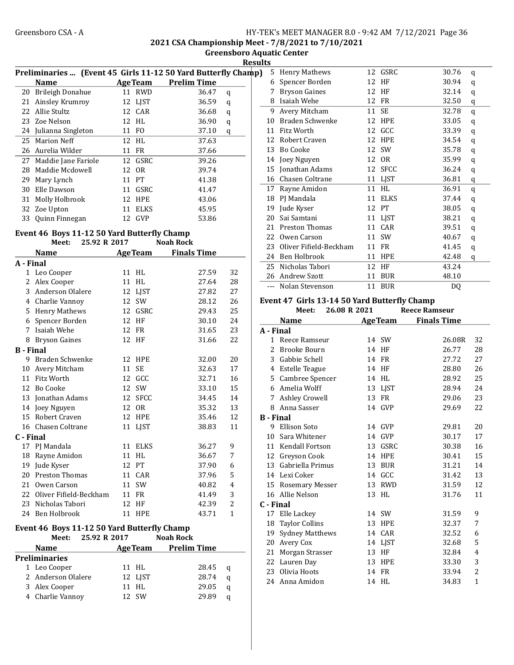2021 CSA Championship Meet - 7/8/2021 to 7/10/2021

Greensboro Aquatic Center

**Results** 

|    | Preliminaries  (Event 45 Girls 11-12 50 Yard Butterfly Champ) |    |                |                    |   |  |
|----|---------------------------------------------------------------|----|----------------|--------------------|---|--|
|    | <b>Name</b>                                                   |    | <b>AgeTeam</b> | <b>Prelim Time</b> |   |  |
| 20 | Brileigh Donahue                                              | 11 | <b>RWD</b>     | 36.47              | q |  |
| 21 | Ainsley Krumroy                                               |    | 12 LJST        | 36.59              | q |  |
|    | 22 Allie Stultz                                               |    | 12 CAR         | 36.68              | q |  |
|    | 23 Zoe Nelson                                                 |    | 12 HL          | 36.90              | q |  |
|    | 24 Julianna Singleton                                         | 11 | FO.            | 37.10              | q |  |
|    | 25 Marion Neff                                                |    | 12 HL          | 37.63              |   |  |
|    | 26 Aurelia Wilder                                             |    | 11 FR          | 37.66              |   |  |
|    | 27 Maddie Jane Fariole                                        |    | 12 GSRC        | 39.26              |   |  |
| 28 | Maddie Mcdowell                                               |    | 12 OR          | 39.74              |   |  |
| 29 | Mary Lynch                                                    |    | 11 PT          | 41.38              |   |  |
| 30 | Elle Dawson                                                   | 11 | GSRC           | 41.47              |   |  |
| 31 | Molly Holbrook                                                |    | 12 HPE         | 43.06              |   |  |
|    | 32 Zoe Upton                                                  | 11 | <b>ELKS</b>    | 45.95              |   |  |
| 33 | Quinn Finnegan                                                | 12 | GVP            | 53.86              |   |  |

# Event 46 Boys 11-12 50 Yard Butterfly Champ<br>Meet: 25.92 R 2017 Noah Rock

Meet: 25.92 R 2017

|                  | <b>Name</b>               |    | <b>AgeTeam</b> | <b>Finals Time</b> |              |
|------------------|---------------------------|----|----------------|--------------------|--------------|
| A - Final        |                           |    |                |                    |              |
| 1                | Leo Cooper                |    | 11 HL          | 27.59              | 32           |
| 2                | Alex Cooper               | 11 | HL             | 27.64              | 28           |
| 3                | Anderson Olalere          | 12 | LJST           | 27.82              | 27           |
| 4                | Charlie Vannoy            | 12 | <b>SW</b>      | 28.12              | 26           |
| 5                | <b>Henry Mathews</b>      | 12 | GSRC           | 29.43              | 25           |
| 6                | Spencer Borden            | 12 | HF             | 30.10              | 24           |
| 7                | Isaiah Wehe               | 12 | <b>FR</b>      | 31.65              | 23           |
| 8                | <b>Bryson Gaines</b>      | 12 | HF             | 31.66              | 22           |
| <b>B</b> - Final |                           |    |                |                    |              |
| 9                | Braden Schwenke           | 12 | <b>HPE</b>     | 32.00              | 20           |
| 10               | Avery Mitcham             | 11 | <b>SE</b>      | 32.63              | 17           |
| 11               | Fitz Worth                | 12 | GCC            | 32.71              | 16           |
| 12               | Bo Cooke                  | 12 | <b>SW</b>      | 33.10              | 15           |
| 13               | Jonathan Adams            | 12 | <b>SFCC</b>    | 34.45              | 14           |
| 14               | Joey Nguyen               | 12 | 0 <sub>R</sub> | 35.32              | 13           |
| 15               | Robert Craven             | 12 | HPE            | 35.46              | 12           |
|                  | 16 Chasen Coltrane        | 11 | <b>LIST</b>    | 38.83              | 11           |
| C - Final        |                           |    |                |                    |              |
| 17               | PJ Mandala                | 11 | <b>ELKS</b>    | 36.27              | 9            |
| 18               | Rayne Amidon              | 11 | HL             | 36.67              | 7            |
| 19               | Jude Kyser                |    | 12 PT          | 37.90              | 6            |
| 20               | Preston Thomas            | 11 | CAR            | 37.96              | 5            |
| 21               | Owen Carson               | 11 | SW             | 40.82              | 4            |
|                  | 22 Oliver Fifield-Beckham |    | 11 FR          | 41.49              | 3            |
| 23               | Nicholas Tabori           | 12 | HF             | 42.39              | 2            |
| 2.4              | <b>Ben Holbrook</b>       | 11 | <b>HPE</b>     | 43.71              | $\mathbf{1}$ |

#### Event 46 Boys 11-12 50 Yard Butterfly Champ<br>Meet: 25.92 R 2017 Noah Rock Meet: 25.92 R 2017

|               | <b>Name</b>        |  | <b>AgeTeam</b> | <b>Prelim Time</b> |   |  |
|---------------|--------------------|--|----------------|--------------------|---|--|
| Preliminaries |                    |  |                |                    |   |  |
|               | 1 Leo Cooper       |  | 11 HL          | 28.45              | a |  |
|               | 2 Anderson Olalere |  | 12 LIST        | 28.74              | a |  |
|               | 3 Alex Cooper      |  | $11$ HI.       | 29.05              | a |  |
|               | 4 Charlie Vannov   |  | 12 SW          | 29.89              | a |  |

| 5     | <b>Henry Mathews</b>   |    | 12 GSRC        | 30.76 | q |
|-------|------------------------|----|----------------|-------|---|
| 6     | Spencer Borden         | 12 | HF             | 30.94 | q |
| 7     | <b>Bryson Gaines</b>   | 12 | HF             | 32.14 | q |
| 8     | Isaiah Wehe            | 12 | FR             | 32.50 | q |
| 9     | Avery Mitcham          | 11 | SE             | 32.78 | q |
| 10    | Braden Schwenke        | 12 | <b>HPE</b>     | 33.05 | q |
| 11    | Fitz Worth             | 12 | GCC            | 33.39 | q |
| 12    | Robert Craven          | 12 | <b>HPE</b>     | 34.54 | q |
| 13    | <b>Bo Cooke</b>        | 12 | <b>SW</b>      | 35.78 | q |
| 14    | Joey Nguyen            | 12 | 0 <sub>R</sub> | 35.99 | q |
| 15    | Jonathan Adams         | 12 | <b>SFCC</b>    | 36.24 | q |
| 16    | Chasen Coltrane        | 11 | <b>LIST</b>    | 36.81 | q |
| 17    | Rayne Amidon           | 11 | <b>HL</b>      | 36.91 | q |
| 18    | PJ Mandala             | 11 | <b>ELKS</b>    | 37.44 | q |
| 19    | Jude Kyser             | 12 | PT             | 38.05 | q |
| 20    | Sai Samtani            | 11 | <b>LIST</b>    | 38.21 | q |
| 21    | <b>Preston Thomas</b>  | 11 | CAR            | 39.51 | q |
| 22    | Owen Carson            | 11 | SW             | 40.67 | q |
| 23    | Oliver Fifield-Beckham | 11 | <b>FR</b>      | 41.45 | q |
| 24    | Ben Holbrook           | 11 | <b>HPE</b>     | 42.48 | q |
| 25    | Nicholas Tabori        | 12 | HF             | 43.24 |   |
| 26    | <b>Andrew Szott</b>    | 11 | <b>BUR</b>     | 48.10 |   |
| $---$ | Nolan Stevenson        | 11 | <b>BUR</b>     | DQ    |   |

#### Event 47 Girls 13-14 50 Yard Butterfly Champ

| Meet:        |                                                                                                                                                                                                                                              |                                                                                                                                                                                                                  |            | <b>Reece Ramseur</b>                                                                                                                                                     |              |
|--------------|----------------------------------------------------------------------------------------------------------------------------------------------------------------------------------------------------------------------------------------------|------------------------------------------------------------------------------------------------------------------------------------------------------------------------------------------------------------------|------------|--------------------------------------------------------------------------------------------------------------------------------------------------------------------------|--------------|
| Name         |                                                                                                                                                                                                                                              |                                                                                                                                                                                                                  |            | <b>Finals Time</b>                                                                                                                                                       |              |
|              |                                                                                                                                                                                                                                              |                                                                                                                                                                                                                  |            |                                                                                                                                                                          |              |
|              |                                                                                                                                                                                                                                              |                                                                                                                                                                                                                  |            | 26.08R                                                                                                                                                                   | 32           |
| Brooke Bourn |                                                                                                                                                                                                                                              | 14                                                                                                                                                                                                               |            | 26.77                                                                                                                                                                    | 28           |
|              |                                                                                                                                                                                                                                              | 14                                                                                                                                                                                                               |            | 27.72                                                                                                                                                                    | 27           |
|              |                                                                                                                                                                                                                                              | 14                                                                                                                                                                                                               |            | 28.80                                                                                                                                                                    | 26           |
|              |                                                                                                                                                                                                                                              | 14                                                                                                                                                                                                               |            | 28.92                                                                                                                                                                    | 25           |
|              |                                                                                                                                                                                                                                              | 13                                                                                                                                                                                                               |            | 28.94                                                                                                                                                                    | 24           |
|              |                                                                                                                                                                                                                                              | 13                                                                                                                                                                                                               | <b>FR</b>  | 29.06                                                                                                                                                                    | 23           |
| Anna Sasser  |                                                                                                                                                                                                                                              |                                                                                                                                                                                                                  |            | 29.69                                                                                                                                                                    | 22           |
|              |                                                                                                                                                                                                                                              |                                                                                                                                                                                                                  |            |                                                                                                                                                                          |              |
| Ellison Soto |                                                                                                                                                                                                                                              |                                                                                                                                                                                                                  |            | 29.81                                                                                                                                                                    | 20           |
|              |                                                                                                                                                                                                                                              | 14                                                                                                                                                                                                               |            | 30.17                                                                                                                                                                    | 17           |
|              |                                                                                                                                                                                                                                              | 13                                                                                                                                                                                                               | GSRC       | 30.38                                                                                                                                                                    | 16           |
|              |                                                                                                                                                                                                                                              | 14                                                                                                                                                                                                               |            | 30.41                                                                                                                                                                    | 15           |
|              |                                                                                                                                                                                                                                              | 13                                                                                                                                                                                                               | <b>BUR</b> | 31.21                                                                                                                                                                    | 14           |
|              |                                                                                                                                                                                                                                              |                                                                                                                                                                                                                  |            | 31.42                                                                                                                                                                    | 13           |
|              |                                                                                                                                                                                                                                              | 13                                                                                                                                                                                                               | <b>RWD</b> | 31.59                                                                                                                                                                    | 12           |
|              |                                                                                                                                                                                                                                              | 13                                                                                                                                                                                                               | HL         | 31.76                                                                                                                                                                    | 11           |
|              |                                                                                                                                                                                                                                              |                                                                                                                                                                                                                  |            |                                                                                                                                                                          |              |
|              |                                                                                                                                                                                                                                              |                                                                                                                                                                                                                  |            | 31.59                                                                                                                                                                    | 9            |
|              |                                                                                                                                                                                                                                              | 13                                                                                                                                                                                                               | <b>HPE</b> | 32.37                                                                                                                                                                    | 7            |
|              |                                                                                                                                                                                                                                              | 14                                                                                                                                                                                                               | CAR        | 32.52                                                                                                                                                                    | 6            |
| Avery Cox    |                                                                                                                                                                                                                                              | 14                                                                                                                                                                                                               |            | 32.68                                                                                                                                                                    | 5            |
|              |                                                                                                                                                                                                                                              | 13                                                                                                                                                                                                               | HF         | 32.84                                                                                                                                                                    | 4            |
|              |                                                                                                                                                                                                                                              | 13                                                                                                                                                                                                               |            | 33.30                                                                                                                                                                    | 3            |
| Olivia Hoots |                                                                                                                                                                                                                                              | 14                                                                                                                                                                                                               |            | 33.94                                                                                                                                                                    | 2            |
|              |                                                                                                                                                                                                                                              |                                                                                                                                                                                                                  |            | 34.83                                                                                                                                                                    | $\mathbf{1}$ |
|              | A - Final<br>$\mathbf{1}$<br>3 Gabbie Schell<br>6 Amelia Wolff<br>8.<br><b>B</b> - Final<br>12 Greyson Cook<br>13<br>14 Lexi Coker<br>16 Allie Nelson<br>C - Final<br>17 Elle Lackey<br>18 Taylor Collins<br>22 Lauren Day<br>24 Anna Amidon | Reece Ramseur<br>4 Estelle Teague<br>5 Cambree Spencer<br><b>Ashley Crowell</b><br>Sara Whitener<br>11 Kendall Fortson<br>Gabriella Primus<br>15 Rosemary Messer<br><b>Sydney Matthews</b><br>21 Morgan Strasser |            | 26.08 R 2021<br><b>AgeTeam</b><br>14 SW<br>HF<br>FR<br>HF<br>HL<br>LIST<br>14 GVP<br>14 GVP<br>GVP<br><b>HPE</b><br>14 GCC<br>14 SW<br>LIST<br><b>HPE</b><br>FR<br>14 HL |              |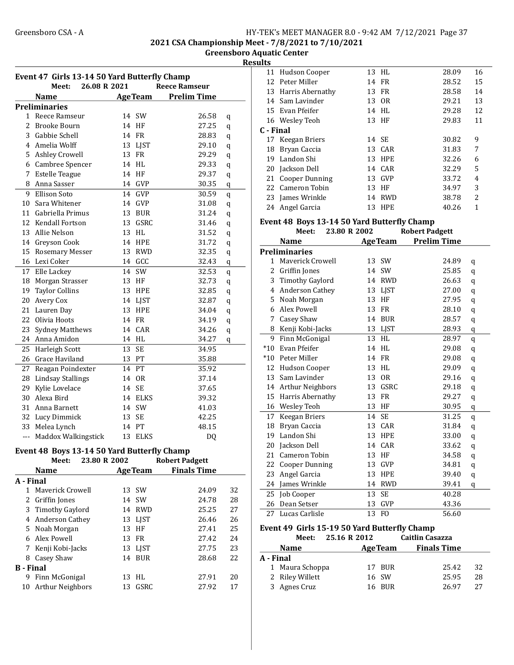2021 CSA Championship Meet - 7/8/2021 to 7/10/2021

Greensboro Aquatic Center **Results** 

| Event 47 Girls 13-14 50 Yard Butterfly Champ |                                               |                   |                    |  |  |  |  |  |
|----------------------------------------------|-----------------------------------------------|-------------------|--------------------|--|--|--|--|--|
|                                              | <b>Reece Ramseur</b><br>Meet:<br>26.08 R 2021 |                   |                    |  |  |  |  |  |
|                                              | <b>Name</b>                                   | <b>AgeTeam</b>    | <b>Prelim Time</b> |  |  |  |  |  |
|                                              | <b>Preliminaries</b>                          |                   |                    |  |  |  |  |  |
| 1                                            | Reece Ramseur                                 | 14 SW             | 26.58<br>q         |  |  |  |  |  |
| $\overline{2}$                               | Brooke Bourn                                  | 14 HF             | 27.25<br>q         |  |  |  |  |  |
| 3                                            | Gabbie Schell                                 | 14 FR             | 28.83<br>q         |  |  |  |  |  |
| 4                                            | Amelia Wolff                                  | 13 LJST           | 29.10<br>q         |  |  |  |  |  |
| 5                                            | <b>Ashley Crowell</b>                         | 13<br>FR          | 29.29<br>q         |  |  |  |  |  |
|                                              | 6 Cambree Spencer                             | 14 HL             | 29.33<br>q         |  |  |  |  |  |
| 7                                            | <b>Estelle Teague</b>                         | 14<br>HF          | 29.37<br>q         |  |  |  |  |  |
| 8                                            | Anna Sasser                                   | 14 GVP            | 30.35<br>q         |  |  |  |  |  |
| 9                                            | Ellison Soto                                  | 14 GVP            | 30.59<br>q         |  |  |  |  |  |
| 10                                           | Sara Whitener                                 | 14 GVP            | 31.08<br>q         |  |  |  |  |  |
| 11                                           | Gabriella Primus                              | 13 BUR            | 31.24<br>q         |  |  |  |  |  |
| 12                                           | Kendall Fortson                               | 13 GSRC           | 31.46<br>q         |  |  |  |  |  |
| 13                                           | Allie Nelson                                  | 13 HL             | 31.52<br>q         |  |  |  |  |  |
|                                              | 14 Greyson Cook                               | 14 HPE            | 31.72<br>q         |  |  |  |  |  |
| 15                                           | Rosemary Messer                               | 13 RWD            | 32.35<br>q         |  |  |  |  |  |
| 16                                           | Lexi Coker                                    | 14 GCC            | 32.43<br>q         |  |  |  |  |  |
| 17                                           | Elle Lackey                                   | 14<br>SW          | 32.53<br>q         |  |  |  |  |  |
| 18                                           | Morgan Strasser                               | 13 HF             | 32.73<br>q         |  |  |  |  |  |
| 19                                           | <b>Taylor Collins</b>                         | 13<br>HPE         | 32.85<br>q         |  |  |  |  |  |
| 20                                           | Avery Cox                                     | 14 LJST           | 32.87<br>q         |  |  |  |  |  |
| 21                                           | Lauren Day                                    | 13<br><b>HPE</b>  | 34.04<br>q         |  |  |  |  |  |
| 22                                           | Olivia Hoots                                  | 14 FR             | 34.19<br>q         |  |  |  |  |  |
| 23                                           | <b>Sydney Matthews</b>                        | 14 CAR            | 34.26<br>q         |  |  |  |  |  |
| 24                                           | Anna Amidon                                   | 14 HL             | 34.27<br>q         |  |  |  |  |  |
| 25                                           | Harleigh Scott                                | 13<br><b>SE</b>   | 34.95              |  |  |  |  |  |
| 26                                           | Grace Haviland                                | 13 PT             | 35.88              |  |  |  |  |  |
| 27                                           | Reagan Poindexter                             | 14 PT             | 35.92              |  |  |  |  |  |
| 28                                           | <b>Lindsay Stallings</b>                      | <b>OR</b><br>14   | 37.14              |  |  |  |  |  |
| 29                                           | Kylie Lovelace                                | 14<br><b>SE</b>   | 37.65              |  |  |  |  |  |
| 30                                           | Alexa Bird                                    | 14 ELKS           | 39.32              |  |  |  |  |  |
| 31                                           | Anna Barnett                                  | 14 SW             | 41.03              |  |  |  |  |  |
| 32                                           | Lucy Dimmick                                  | 13<br><b>SE</b>   | 42.25              |  |  |  |  |  |
| 33                                           | Melea Lynch                                   | 14 PT             | 48.15              |  |  |  |  |  |
| ---                                          | Maddox Walkingstick                           | 13<br><b>ELKS</b> | <b>DQ</b>          |  |  |  |  |  |

#### Event 48 Boys 13-14 50 Yard Butterfly Champ

|                  | Meet:                   |  | 23.80 R 2002 |                | <b>Robert Padgett</b> |    |
|------------------|-------------------------|--|--------------|----------------|-----------------------|----|
|                  | <b>Name</b>             |  |              | <b>AgeTeam</b> | <b>Finals Time</b>    |    |
| A - Final        |                         |  |              |                |                       |    |
| $\mathbf{1}$     | Maverick Crowell        |  |              | 13 SW          | 24.09                 | 32 |
| 2                | Griffin Jones           |  |              | 14 SW          | 24.78                 | 28 |
|                  | 3 Timothy Gaylord       |  |              | 14 RWD         | 25.25                 | 27 |
| 4                | Anderson Cathey         |  |              | 13 LJST        | 26.46                 | 26 |
|                  | 5 Noah Morgan           |  |              | 13 HF          | 27.41                 | 25 |
| 6                | Alex Powell             |  |              | 13 FR          | 27.42                 | 24 |
|                  | 7 Kenji Kobi-Jacks      |  |              | 13 LJST        | 27.75                 | 23 |
| 8                | Casey Shaw              |  |              | 14 BUR         | 28.68                 | 22 |
| <b>B</b> - Final |                         |  |              |                |                       |    |
| 9                | Finn McGonigal          |  |              | 13 HL          | 27.91                 | 20 |
| 10               | <b>Arthur Neighbors</b> |  |              | 13 GSRC        | 27.92                 | 17 |
|                  |                         |  |              |                |                       |    |

|    | 11 Hudson Cooper    |       | 13 HL      | 28.09 | 16 |
|----|---------------------|-------|------------|-------|----|
|    | 12 Peter Miller     |       | 14 FR      | 28.52 | 15 |
|    | 13 Harris Abernathy |       | 13 FR      | 28.58 | 14 |
|    | 14 Sam Lavinder     |       | 13 OR      | 29.21 | 13 |
|    | 15 Evan Pfeifer     |       | 14 HL      | 29.28 | 12 |
|    | 16 Wesley Teoh      |       | 13 HF      | 29.83 | 11 |
|    | C - Final           |       |            |       |    |
|    | 17 Keegan Briers    | 14 SE |            | 30.82 | 9  |
| 18 | Bryan Caccia        |       | 13 CAR     | 31.83 | 7  |
| 19 | Landon Shi          |       | 13 HPE     | 32.26 | 6  |
|    | 20 Jackson Dell     |       | 14 CAR     | 32.29 | 5  |
|    | 21 Cooper Dunning   |       | 13 GVP     | 33.72 | 4  |
|    | 22 Cameron Tobin    | 13    | HF         | 34.97 | 3  |
|    | 23 James Wrinkle    | 14    | <b>RWD</b> | 38.78 | 2  |
|    | 24 Angel Garcia     | 13    | <b>HPE</b> | 40.26 | 1  |

#### Event 48 Boys 13-14 50 Yard Butterfly Champ Meet: 23.80 R 2002 Robert Padgett

|       | <b>Name</b>             |    | <b>AgeTeam</b> | <b>Prelim Time</b> |   |
|-------|-------------------------|----|----------------|--------------------|---|
|       | <b>Preliminaries</b>    |    |                |                    |   |
| 1     | <b>Maverick Crowell</b> |    | 13 SW          | 24.89              | q |
| 2     | Griffin Jones           | 14 | SW             | 25.85              | q |
| 3     | <b>Timothy Gaylord</b>  | 14 | <b>RWD</b>     | 26.63              | q |
| 4     | Anderson Cathey         | 13 | LJST           | 27.00              | q |
| 5     | Noah Morgan             | 13 | HF             | 27.95              | q |
| 6     | Alex Powell             | 13 | <b>FR</b>      | 28.10              | q |
| 7     | Casey Shaw              | 14 | <b>BUR</b>     | 28.57              | q |
| 8     | Kenji Kobi-Jacks        |    | 13 LJST        | 28.93              | q |
| 9     | Finn McGonigal          | 13 | HL             | 28.97              | q |
| $*10$ | Evan Pfeifer            | 14 | <b>HL</b>      | 29.08              | q |
| $*10$ | Peter Miller            | 14 | <b>FR</b>      | 29.08              | q |
| 12    | Hudson Cooper           | 13 | HL             | 29.09              | q |
| 13    | Sam Lavinder            | 13 | <b>OR</b>      | 29.16              | q |
| 14    | <b>Arthur Neighbors</b> | 13 | GSRC           | 29.18              | q |
| 15    | Harris Abernathy        | 13 | <b>FR</b>      | 29.27              | q |
| 16    | Wesley Teoh             | 13 | HF             | 30.95              | q |
| 17    | Keegan Briers           | 14 | <b>SE</b>      | 31.25              | q |
| 18    | Bryan Caccia            | 13 | CAR            | 31.84              | q |
| 19    | Landon Shi              | 13 | HPE            | 33.00              | q |
| 20    | Jackson Dell            | 14 | CAR            | 33.62              | q |
| 21    | Cameron Tobin           | 13 | HF             | 34.58              | q |
| 22    | Cooper Dunning          | 13 | <b>GVP</b>     | 34.81              | q |
| 23    | Angel Garcia            | 13 | <b>HPE</b>     | 39.40              | q |
| 24    | James Wrinkle           | 14 | <b>RWD</b>     | 39.41              | q |
| 25    | Job Cooper              | 13 | <b>SE</b>      | 40.28              |   |
| 26    | Dean Setser             | 13 | <b>GVP</b>     | 43.36              |   |
| 27    | Lucas Carlisle          | 13 | F <sub>O</sub> | 56.60              |   |

#### Event 49 Girls 15-19 50 Yard Butterfly Champ  $M = 25.25$

|           | меет:           | 25.16 R 2012 |                | Caitlin Casazza    |    |  |  |
|-----------|-----------------|--------------|----------------|--------------------|----|--|--|
|           | <b>Name</b>     |              | <b>AgeTeam</b> | <b>Finals Time</b> |    |  |  |
| A - Final |                 |              |                |                    |    |  |  |
|           | 1 Maura Schoppa |              | 17 BUR         | 25.42              | 32 |  |  |
|           | 2 Riley Willett |              | 16 SW          | 25.95              | 28 |  |  |
|           | 3 Agnes Cruz    |              | 16 BUR         | 26.97              | 27 |  |  |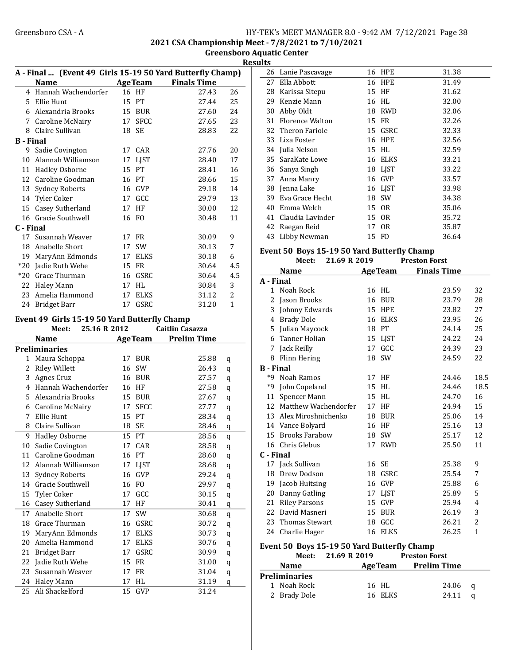2021 CSA Championship Meet - 7/8/2021 to 7/10/2021

Greensboro Aquatic Center **Results** 

|                  | A - Final  (Event 49 Girls 15-19 50 Yard Butterfly Champ)<br><b>Name</b> |    | <b>AgeTeam</b> | <b>Finals Time</b>     |                  |
|------------------|--------------------------------------------------------------------------|----|----------------|------------------------|------------------|
|                  | 4 Hannah Wachendorfer                                                    |    | 16 HF          | 27.43                  | 26               |
|                  |                                                                          |    |                |                        |                  |
|                  | 5 Ellie Hunt                                                             | 15 | PT             | 27.44                  | 25               |
|                  | 6 Alexandria Brooks                                                      |    | 15 BUR         | 27.60                  | 24               |
|                  | 7 Caroline McNairy                                                       |    | 17 SFCC        | 27.65                  | 23               |
| 8                | Claire Sullivan                                                          | 18 | SE             | 28.83                  | 22               |
| <b>B</b> - Final |                                                                          |    |                |                        |                  |
|                  | 9 Sadie Covington                                                        | 17 | CAR            | 27.76                  | 20               |
|                  | 10 Alannah Williamson                                                    | 17 | LJST           | 28.40                  | 17               |
|                  | 11 Hadley Osborne                                                        | 15 | PT             | 28.41                  | 16               |
|                  | 12 Caroline Goodman                                                      |    | 16 PT          | 28.66                  | 15               |
|                  | 13 Sydney Roberts                                                        |    | 16 GVP         | 29.18                  | 14               |
|                  | 14 Tyler Coker                                                           |    | 17 GCC         | 29.79                  | 13               |
| 15               | Casey Sutherland                                                         | 17 | HF             | 30.00                  | 12               |
|                  | 16 Gracie Southwell                                                      | 16 | FO.            | 30.48                  | 11               |
| C - Final        |                                                                          |    |                |                        |                  |
| 17               | Susannah Weaver                                                          |    | 17 FR          | 30.09                  | 9                |
|                  | 18 Anabelle Short                                                        | 17 | SW             | 30.13                  | 7                |
|                  | 19 MaryAnn Edmonds                                                       |    | 17 ELKS        | 30.18                  | 6                |
|                  | *20 Jadie Ruth Wehe                                                      |    | 15 FR          | 30.64                  | 4.5              |
|                  | *20 Grace Thurman                                                        |    | 16 GSRC        | 30.64                  | 4.5              |
|                  | 22 Haley Mann                                                            |    | 17 HL          | 30.84                  | 3                |
| 23               | Amelia Hammond                                                           | 17 | ELKS           | 31.12                  | $\overline{2}$   |
|                  | 24 Bridget Barr                                                          | 17 | GSRC           | 31.20                  | $\mathbf 1$      |
|                  |                                                                          |    |                |                        |                  |
|                  | Event 49 Girls 15-19 50 Yard Butterfly Champ                             |    |                |                        |                  |
|                  | 25.16 R 2012<br>Meet:                                                    |    |                | <b>Caitlin Casazza</b> |                  |
|                  | <b>Name</b>                                                              |    | <b>AgeTeam</b> | <b>Prelim Time</b>     |                  |
|                  | <b>Preliminaries</b>                                                     |    |                |                        |                  |
| 1                | Maura Schoppa                                                            | 17 | <b>BUR</b>     | 25.88                  | q                |
| 2                | <b>Riley Willett</b>                                                     |    | 16 SW          | 26.43                  | q                |
| 3                | Agnes Cruz                                                               | 16 | BUR            | 27.57                  | q                |
|                  | 4 Hannah Wachendorfer                                                    |    | 16 HF          | 27.58                  | q                |
|                  | 5 Alexandria Brooks                                                      |    | 15 BUR         | 27.67                  | q                |
|                  | 6 Caroline McNairy                                                       |    | 17 SFCC        | 27.77                  | q                |
| 7                | Ellie Hunt                                                               | 15 | PT             | 28.34                  | q                |
| 8                | Claire Sullivan                                                          | 18 | SE             | 28.46                  | q                |
| 9                | Hadley Osborne                                                           | 15 | PT             | 28.56                  | q                |
| 10               | Sadie Covington                                                          | 17 | CAR            | 28.58                  | q                |
| 11               | Caroline Goodman                                                         | 16 | PT             | 28.60                  | q                |
| 12               | Alannah Williamson                                                       | 17 | <b>LJST</b>    | 28.68                  | q                |
| 13               | Sydney Roberts                                                           | 16 | GVP            | 29.24                  | q                |
| 14               | Gracie Southwell                                                         | 16 | FO             | 29.97                  | q                |
| 15               | Tyler Coker                                                              | 17 | GCC            | 30.15                  | q                |
| 16               | Casey Sutherland                                                         | 17 | HF             | 30.41                  | q                |
| 17               | Anabelle Short                                                           | 17 | SW             | 30.68                  | q                |
| 18               | Grace Thurman                                                            | 16 | GSRC           | 30.72                  | q                |
| 19               | MaryAnn Edmonds                                                          | 17 | ELKS           | 30.73                  | q                |
| 20               | Amelia Hammond                                                           | 17 | ELKS           | 30.76                  | q                |
| 21               | <b>Bridget Barr</b>                                                      | 17 | GSRC           | 30.99                  | q                |
| 22               | Jadie Ruth Wehe                                                          | 15 | FR             | 31.00                  | q                |
| 23               | Susannah Weaver                                                          | 17 | FR             | 31.04                  |                  |
| 24               | Haley Mann                                                               | 17 | HL             | 31.19                  | $\mathbf q$<br>q |
| 25               | Ali Shackelford                                                          | 15 | GVP            | 31.24                  |                  |
|                  |                                                                          |    |                |                        |                  |

| uits |                    |    |                |       |
|------|--------------------|----|----------------|-------|
|      | 26 Lanie Pascavage |    | 16 HPE         | 31.38 |
| 27   | Ella Abbott        |    | 16 HPE         | 31.49 |
| 28   | Karissa Sitepu     | 15 | HF             | 31.62 |
| 29   | Kenzie Mann        | 16 | HI.            | 32.00 |
| 30   | Abby Oldt          | 18 | <b>RWD</b>     | 32.06 |
| 31   | Florence Walton    | 15 | <b>FR</b>      | 32.26 |
|      | 32 Theron Fariole  | 15 | GSRC           | 32.33 |
| 33   | Liza Foster        | 16 | <b>HPE</b>     | 32.56 |
| 34   | Julia Nelson       | 15 | HL             | 32.59 |
| 35   | SaraKate Lowe      | 16 | <b>ELKS</b>    | 33.21 |
| 36   | Sanya Singh        | 18 | LIST           | 33.22 |
| 37   | Anna Manry         | 16 | GVP            | 33.57 |
| 38   | Jenna Lake         |    | 16 LJST        | 33.98 |
| 39   | Eva Grace Hecht    | 18 | SW             | 34.38 |
| 40   | Emma Welch         | 15 | 0 <sub>R</sub> | 35.06 |
| 41   | Claudia Lavinder   | 15 | 0 <sub>R</sub> | 35.72 |
| 42   | Raegan Reid        | 17 | 0R             | 35.87 |
| 43   | Libby Newman       | 15 | F0             | 36.64 |
|      |                    |    |                |       |

#### Event 50 Boys 15-19 50 Yard Butterfly Champ<br>Meet 21.69 B 2019 Preston Forst  $M$ eet:  $21.69$  R  $2019$

|                  | меес:<br>41.09 K 4019                                                                                                                                                                         |    |                | Preston Forst      |              |
|------------------|-----------------------------------------------------------------------------------------------------------------------------------------------------------------------------------------------|----|----------------|--------------------|--------------|
|                  | <b>Name</b>                                                                                                                                                                                   |    | <b>AgeTeam</b> | <b>Finals Time</b> |              |
| A - Final        |                                                                                                                                                                                               |    |                |                    |              |
| $\mathbf{1}$     | Noah Rock                                                                                                                                                                                     |    | 16 HL          | 23.59              | 32           |
| 2                | Jason Brooks                                                                                                                                                                                  | 16 | BUR            | 23.79              | 28           |
| 3                | Johnny Edwards                                                                                                                                                                                | 15 | <b>HPE</b>     | 23.82              | 27           |
| 4                | <b>Brady Dole</b>                                                                                                                                                                             |    | 16 ELKS        | 23.95              | 26           |
|                  | 5 Julian Maycock                                                                                                                                                                              |    | 18 PT          | 24.14              | 25           |
| 6                | <b>Tanner Holian</b>                                                                                                                                                                          |    | 15 LJST        | 24.22              | 24           |
| 7                | Jack Reilly                                                                                                                                                                                   | 17 | GCC            | 24.39              | 23           |
| 8                | Flinn Hering                                                                                                                                                                                  | 18 | SW             | 24.59              | 22           |
| <b>B</b> - Final |                                                                                                                                                                                               |    |                |                    |              |
| *9               | Noah Ramos                                                                                                                                                                                    |    | 17 HF          | 24.46              | 18.5         |
| $*9$             | John Copeland                                                                                                                                                                                 | 15 | <b>HL</b>      | 24.46              | 18.5         |
| 11               | Spencer Mann                                                                                                                                                                                  | 15 | HL             | 24.70              | 16           |
| 12               | Matthew Wachendorfer                                                                                                                                                                          |    | 17 HF          | 24.94              | 15           |
| 13               | Alex Miroshnichenko                                                                                                                                                                           | 18 | BUR            | 25.06              | 14           |
|                  | 14 Vance Bolyard                                                                                                                                                                              | 16 | HF             | 25.16              | 13           |
| 15               | <b>Brooks Farabow</b>                                                                                                                                                                         | 18 | <b>SW</b>      | 25.17              | 12           |
|                  | 16 Chris Glebus                                                                                                                                                                               |    | 17 RWD         | 25.50              | 11           |
| C - Final        |                                                                                                                                                                                               |    |                |                    |              |
|                  | 17 Jack Sullivan                                                                                                                                                                              | 16 | <b>SE</b>      | 25.38              | 9            |
| 18               | Drew Dodson                                                                                                                                                                                   | 18 | GSRC           | 25.54              | 7            |
| 19               | Jacob Huitsing                                                                                                                                                                                | 16 | GVP            | 25.88              | 6            |
| 20               | Danny Gatling                                                                                                                                                                                 | 17 | <b>LJST</b>    | 25.89              | 5            |
| 21               | <b>Riley Parsons</b>                                                                                                                                                                          | 15 | GVP            | 25.94              | 4            |
| 22               | David Masneri                                                                                                                                                                                 | 15 | <b>BUR</b>     | 26.19              | 3            |
| 23               | <b>Thomas Stewart</b>                                                                                                                                                                         | 18 | GCC            | 26.21              | 2            |
| 24               | Charlie Hager                                                                                                                                                                                 | 16 | ELKS           | 26.25              | $\mathbf{1}$ |
|                  | Event 50 Boys 15-19 50 Yard Butterfly Champ<br>$\mathbf{v}$ $\mathbf{v}$ $\mathbf{v}$ $\mathbf{v}$ $\mathbf{v}$ $\mathbf{v}$ $\mathbf{v}$ $\mathbf{v}$ $\mathbf{v}$ $\mathbf{v}$ $\mathbf{v}$ |    |                |                    |              |

|                      | Meet: 21.69 R 2019 | <b>Preston Forst</b> |          |
|----------------------|--------------------|----------------------|----------|
| <b>Name</b>          |                    | AgeTeam Prelim Time  |          |
| <b>Preliminaries</b> |                    |                      |          |
| 1 Noah Rock          | 16 HL              | 24.06                | <b>a</b> |
| 2 Brady Dole         | 16 ELKS            | 24.11                |          |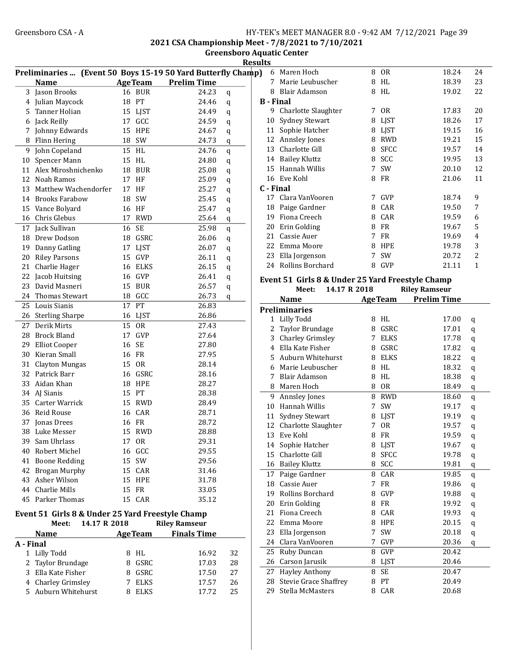2021 CSA Championship Meet - 7/8/2021 to 7/10/2021

Greensboro Aquatic Center

|                           | Preliminaries  (Event 50 Boys 15-19 50 Yard Butterfly Champ)              |    |                |                      |             |   |
|---------------------------|---------------------------------------------------------------------------|----|----------------|----------------------|-------------|---|
|                           | <b>Name</b>                                                               |    | <b>AgeTeam</b> | <b>Prelim Time</b>   |             |   |
| 3                         | Jason Brooks                                                              | 16 | <b>BUR</b>     | 24.23                | q           |   |
| 4                         | Julian Maycock                                                            | 18 | PT             | 24.46                | q           | E |
| 5.                        | Tanner Holian                                                             | 15 | LJST           | 24.49                | q           |   |
| 6                         | Jack Reilly                                                               |    | 17 GCC         | 24.59                | q           |   |
| 7                         | Johnny Edwards                                                            |    | <b>15 HPE</b>  | 24.67                | q           |   |
| 8                         | Flinn Hering                                                              |    | 18 SW          | 24.73                | q           |   |
| 9                         | John Copeland                                                             | 15 | HL             | 24.76                | $\bf q$     |   |
| 10                        | Spencer Mann                                                              |    | 15 HL          | 24.80                | $\bf q$     |   |
| 11                        | Alex Miroshnichenko                                                       |    | 18 BUR         | 25.08                | $\bf q$     |   |
| 12                        | Noah Ramos                                                                | 17 | HF             | 25.09                | $\bf q$     |   |
| 13                        | Matthew Wachendorfer                                                      | 17 | HF             | 25.27                | q           | C |
| 14                        | Brooks Farabow                                                            | 18 | SW             | 25.45                | q           |   |
| 15                        | Vance Bolyard                                                             | 16 | HF             | 25.47                | q           |   |
| 16                        | Chris Glebus                                                              | 17 | <b>RWD</b>     | 25.64                | $\mathbf q$ |   |
| 17                        | Jack Sullivan                                                             | 16 | <b>SE</b>      | 25.98                | q           |   |
| 18                        | Drew Dodson                                                               | 18 | GSRC           | 26.06                | q           |   |
| 19                        | Danny Gatling                                                             |    | 17 LJST        | 26.07                | q           |   |
| 20                        | <b>Riley Parsons</b>                                                      |    | 15 GVP         | 26.11                | q           |   |
| 21                        | Charlie Hager                                                             |    | 16 ELKS        | 26.15                | q           |   |
| 22                        | Jacob Huitsing                                                            |    | 16 GVP         | 26.41                | q           |   |
| 23                        | David Masneri                                                             | 15 | <b>BUR</b>     | 26.57                | q           | E |
| 24                        | <b>Thomas Stewart</b>                                                     |    | 18 GCC         | 26.73                | q           |   |
| 25                        | Louis Sianis                                                              | 17 | PT             | 26.83                |             |   |
| 26                        | <b>Sterling Sharpe</b>                                                    | 16 | LJST           | 26.86                |             | P |
| 27                        | Derik Mirts                                                               | 15 | <b>OR</b>      | 27.43                |             |   |
| 28                        | <b>Brock Bland</b>                                                        | 17 | GVP            | 27.64                |             |   |
| 29                        | <b>Elliot Cooper</b>                                                      | 16 | <b>SE</b>      | 27.80                |             |   |
| 30                        | Kieran Small                                                              | 16 | FR             | 27.95                |             |   |
| 31                        | Clayton Mungas                                                            | 15 | <b>OR</b>      | 28.14                |             |   |
| 32                        | Patrick Barr                                                              | 16 | GSRC           | 28.16                |             |   |
| 33                        | Aidan Khan                                                                | 18 | HPE            | 28.27                |             |   |
| 34                        | AJ Sianis                                                                 | 15 | PT             | 28.38                |             |   |
|                           | 35 Carter Warrick                                                         |    | 15 RWD         | 28.49                |             |   |
|                           | 36 Reid Rouse                                                             |    | 16 CAR         | 28.71                |             |   |
| 37                        | Jonas Drees                                                               |    | 16 FR          | 28.72                |             |   |
| 38                        | Luke Messer                                                               | 15 | <b>RWD</b>     | 28.88                |             |   |
|                           | 39 Sam Uhrlass                                                            |    | 17 OR          | 29.31                |             |   |
| 40                        | Robert Michel                                                             |    | 16 GCC         | 29.55                |             |   |
| 41                        | <b>Boone Redding</b>                                                      | 15 | SW             | 29.56                |             |   |
| 42                        | <b>Brogan Murphy</b>                                                      | 15 | CAR            | 31.46                |             |   |
| 43                        | Asher Wilson                                                              | 15 | <b>HPE</b>     | 31.78                |             |   |
|                           | 44 Charlie Mills                                                          | 15 | <b>FR</b>      | 33.05                |             |   |
| 45                        | Parker Thomas                                                             | 15 | CAR            | 35.12                |             |   |
|                           |                                                                           |    |                |                      |             |   |
|                           | Event 51 Girls 8 & Under 25 Yard Freestyle Champ<br>14.17 R 2018<br>Meet: |    |                | <b>Riley Ramseur</b> |             |   |
|                           |                                                                           |    |                | <b>Finals Time</b>   |             |   |
|                           | <b>Name</b>                                                               |    | <b>AgeTeam</b> |                      |             |   |
| A - Final<br>$\mathbf{1}$ | Lilly Todd                                                                |    | 8 HL           | 16.92                | 32          |   |
| 2                         | Taylor Brundage                                                           | 8  | GSRC           | 17.03                | 28          |   |
|                           |                                                                           |    |                |                      |             |   |

3 Ella Kate Fisher 8 GSRC 17.50 27 4 Charley Grimsley 7 ELKS 17.57 26 5 Auburn Whitehurst 8 ELKS 17.72 25

|      | <b>Results</b> |    |                       |   |                |       |                |
|------|----------------|----|-----------------------|---|----------------|-------|----------------|
| amp) |                | 6  | Maren Hoch            | 8 | 0 <sub>R</sub> | 18.24 | 24             |
|      |                | 7  | Marie Leubuscher      | 8 | HL             | 18.39 | 23             |
|      |                | 8  | <b>Blair Adamson</b>  | 8 | <b>HL</b>      | 19.02 | 22             |
|      |                |    | <b>B</b> - Final      |   |                |       |                |
|      |                | 9  | Charlotte Slaughter   | 7 | 0 <sub>R</sub> | 17.83 | 20             |
|      |                | 10 | <b>Sydney Stewart</b> | 8 | <b>LJST</b>    | 18.26 | 17             |
|      |                | 11 | Sophie Hatcher        | 8 | <b>LJST</b>    | 19.15 | 16             |
|      |                | 12 | <b>Annsley Jones</b>  | 8 | <b>RWD</b>     | 19.21 | 15             |
|      |                | 13 | Charlotte Gill        | 8 | <b>SFCC</b>    | 19.57 | 14             |
|      |                | 14 | Bailey Kluttz         | 8 | <b>SCC</b>     | 19.95 | 13             |
|      |                | 15 | Hannah Willis         | 7 | <b>SW</b>      | 20.10 | 12             |
|      |                | 16 | Eve Kohl              | 8 | <b>FR</b>      | 21.06 | 11             |
|      |                |    | C - Final             |   |                |       |                |
|      |                | 17 | Clara VanVooren       | 7 | GVP            | 18.74 | 9              |
|      |                | 18 | Paige Gardner         | 8 | CAR            | 19.50 | 7              |
|      |                | 19 | Fiona Creech          | 8 | CAR            | 19.59 | 6              |
|      |                | 20 | Erin Golding          | 8 | FR             | 19.67 | 5              |
|      |                | 21 | Cassie Auer           | 7 | FR             | 19.69 | 4              |
|      |                | 22 | Emma Moore            | 8 | <b>HPE</b>     | 19.78 | 3              |
|      |                | 23 | Ella Jorgenson        | 7 | <b>SW</b>      | 20.72 | $\overline{c}$ |
|      |                | 24 | Rollins Borchard      | 8 | <b>GVP</b>     | 21.11 | 1              |
|      |                |    |                       |   |                |       |                |

#### Event 51 Girls 8 & Under 25 Yard Freestyle Champ Meet: 14.17 R 2018

|                | <b>Name</b>                  |   | <b>AgeTeam</b> | <b>Prelim Time</b> |         |
|----------------|------------------------------|---|----------------|--------------------|---------|
|                | <b>Preliminaries</b>         |   |                |                    |         |
| 1              | Lilly Todd                   | 8 | HL             | 17.00              | q       |
| $\overline{2}$ | Taylor Brundage              | 8 | GSRC           | 17.01              | q       |
| 3              | <b>Charley Grimsley</b>      | 7 | <b>ELKS</b>    | 17.78              | q       |
| 4              | Ella Kate Fisher             | 8 | GSRC           | 17.82              | q       |
| 5.             | Auburn Whitehurst            | 8 | <b>ELKS</b>    | 18.22              | q       |
| 6              | Marie Leubuscher             | 8 | HL             | 18.32              | q       |
| 7              | <b>Blair Adamson</b>         | 8 | <b>HL</b>      | 18.38              | q       |
| 8              | Maren Hoch                   | 8 | <b>OR</b>      | 18.49              | q       |
| 9              | Annsley Jones                | 8 | <b>RWD</b>     | 18.60              | q       |
| 10             | Hannah Willis                | 7 | SW             | 19.17              | q       |
| 11             | <b>Sydney Stewart</b>        | 8 | LJST           | 19.19              | q       |
| 12             | Charlotte Slaughter          | 7 | 0 <sub>R</sub> | 19.57              | q       |
| 13             | Eve Kohl                     | 8 | <b>FR</b>      | 19.59              | q       |
| 14             | Sophie Hatcher               | 8 | <b>LIST</b>    | 19.67              | q       |
| 15             | Charlotte Gill               | 8 | <b>SFCC</b>    | 19.78              | $\bf q$ |
| 16             | <b>Bailey Kluttz</b>         | 8 | SCC            | 19.81              | q       |
| 17             | Paige Gardner                | 8 | CAR            | 19.85              | q       |
| 18             | Cassie Auer                  | 7 | <b>FR</b>      | 19.86              | q       |
| 19             | Rollins Borchard             | 8 | <b>GVP</b>     | 19.88              | q       |
| 20             | Erin Golding                 | 8 | <b>FR</b>      | 19.92              | q       |
| 21             | Fiona Creech                 | 8 | CAR            | 19.93              | q       |
| 22             | Emma Moore                   | 8 | <b>HPE</b>     | 20.15              | q       |
| 23             | Ella Jorgenson               | 7 | SW             | 20.18              | q       |
| 24             | Clara VanVooren              | 7 | GVP            | 20.36              | q       |
| 25             | Ruby Duncan                  | 8 | <b>GVP</b>     | 20.42              |         |
| 26             | Carson Jarusik               | 8 | <b>LJST</b>    | 20.46              |         |
| 27             | <b>Hayley Anthony</b>        | 8 | <b>SE</b>      | 20.47              |         |
| 28             | <b>Stevie Grace Shaffrey</b> | 8 | <b>PT</b>      | 20.49              |         |
| 29             | Stella McMasters             | 8 | CAR            | 20.68              |         |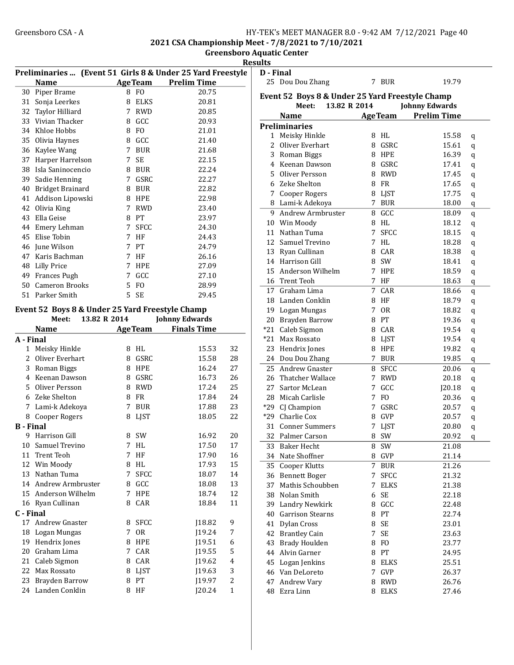2021 CSA Championship Meet - 7/8/2021 to 7/10/2021

Greensboro Aquatic Center Results

|                  |                                                 |             |                  |                                                                                  | <u>nesults</u> |
|------------------|-------------------------------------------------|-------------|------------------|----------------------------------------------------------------------------------|----------------|
|                  | <b>Name</b>                                     |             | <b>AgeTeam</b>   | Preliminaries  (Event 51 Girls 8 & Under 25 Yard Freestyle<br><b>Prelim Time</b> | D - Fil<br>25  |
|                  | 30 Piper Brame                                  |             | 8 FO             | 20.75                                                                            |                |
|                  | 31 Sonja Leerkes                                |             | 8 ELKS           | 20.81                                                                            | <b>Event</b>   |
|                  | 32 Taylor Hilliard                              |             | 7 RWD            | 20.85                                                                            |                |
|                  | 33 Vivian Thacker                               |             | 8 GCC            | 20.93                                                                            |                |
|                  | 34 Khloe Hobbs                                  |             | 8 FO             | 21.01                                                                            | Prelin         |
|                  | 35 Olivia Haynes                                |             | 8 GCC            | 21.40                                                                            | 1              |
| 36               | Kaylee Wang                                     | 7           | BUR              | 21.68                                                                            | 2              |
| 37               | Harper Harrelson                                | 7           | <b>SE</b>        | 22.15                                                                            | 3              |
| 38               | Isla Saninocencio                               |             | 8 BUR            | 22.24                                                                            | $\overline{4}$ |
|                  | 39 Sadie Henning                                |             | 7 GSRC           | 22.27                                                                            | 5              |
|                  | 40 Bridget Brainard                             |             | 8 BUR            | 22.82                                                                            | 6              |
|                  | 41 Addison Lipowski                             |             | 8 HPE            | 22.98                                                                            | 7              |
|                  | 42 Olivia King                                  | 7           | RWD              | 23.40                                                                            | 8              |
|                  | 43 Ella Geise                                   |             | 8 PT             | 23.97                                                                            | 9              |
|                  | 44 Emery Lehman                                 | $7^{\circ}$ | <b>SFCC</b>      | 24.30                                                                            | 10             |
|                  | 45 Elise Tobin                                  | 7           | HF               | 24.43                                                                            | 11             |
|                  | 46 June Wilson                                  | 7           | PT               | 24.79                                                                            | 12             |
|                  | 47 Karis Bachman                                | 7           | HF               | 26.16                                                                            | 13             |
|                  | 48 Lilly Price                                  | 7           | HPE              | 27.09                                                                            | 14             |
|                  | 49 Frances Pugh                                 | 7           | GCC              | 27.10                                                                            | 15             |
|                  | 50 Cameron Brooks                               | 5           | FO               | 28.99                                                                            | 16             |
|                  | 51 Parker Smith                                 | 5           | SE               | 29.45                                                                            | 17             |
|                  |                                                 |             |                  |                                                                                  | 18             |
|                  | Event 52 Boys 8 & Under 25 Yard Freestyle Champ |             |                  |                                                                                  | 19             |
|                  | 13.82 R 2014<br>Meet:                           |             |                  | <b>Johnny Edwards</b>                                                            | 20             |
|                  | <b>Example 2</b> Age Team<br><b>Name</b>        |             |                  | <b>Finals Time</b>                                                               | $*21$          |
| A - Final        |                                                 |             |                  |                                                                                  | $*21$          |
|                  | 1 Meisky Hinkle                                 |             | 8 HL             | 15.53<br>32                                                                      | 23             |
|                  | 2 Oliver Everhart                               |             | 8 GSRC           | 28<br>15.58                                                                      | 24             |
|                  | 3 Roman Biggs                                   |             | 8 HPE            | 16.24<br>27                                                                      | 25             |
|                  | 4 Keenan Dawson                                 |             | 8 GSRC           | 16.73<br>26                                                                      | 26             |
|                  | 5 Oliver Persson                                | 8           | RWD              | 17.24<br>25                                                                      | 27             |
|                  | 6 Zeke Shelton                                  | 8           | FR               | 17.84<br>24                                                                      | 28             |
|                  | 7 Lami-k Adekoya                                | 7           | BUR              | 17.88<br>23                                                                      | *29            |
|                  | 8 Cooper Rogers                                 | 8           | LJST             | 18.05<br>22                                                                      | $*29$          |
| <b>B</b> - Final |                                                 |             |                  |                                                                                  | 31             |
| 9                | Harrison Gill                                   |             | 8 SW             | 16.92<br>20                                                                      | 32             |
|                  | 10 Samuel Trevino                               | 7           | HL               | 17.50<br>17                                                                      | 33             |
| 11               | Trent Teoh                                      | 7           | HF               | 17.90<br>16                                                                      | 34             |
|                  | 12 Win Moody                                    | 8           | HL               | 15<br>17.93                                                                      | 35             |
| 13               | Nathan Tuma                                     | 7           | <b>SFCC</b>      | 18.07<br>14                                                                      | 36             |
| 14               | Andrew Armbruster                               | 8           | GCC              | 13<br>18.08                                                                      | 37             |
| 15               | Anderson Wilhelm                                | 7           | HPE              | 18.74<br>12                                                                      | 38             |
|                  | 16 Ryan Cullinan                                | 8           | CAR              | 18.84<br>11                                                                      | 39             |
| C - Final        | <b>Andrew Gnaster</b>                           |             |                  |                                                                                  | 40             |
| 17               |                                                 | 8           | <b>SFCC</b>      | J18.82<br>9                                                                      | 41             |
|                  | 18 Logan Mungas<br>19 Hendrix Jones             | 7<br>8      | <b>OR</b><br>HPE | J19.24<br>7<br>J19.51<br>6                                                       | 42             |
|                  | 20 Graham Lima                                  | 7           | CAR              | 5<br>J19.55                                                                      | 43             |
|                  | 21 Caleb Sigmon                                 | 8           | CAR              | J19.62<br>$\overline{4}$                                                         | 44             |
|                  | 22 Max Rossato                                  | 8           | LJST             | 3<br>J19.63                                                                      | 45             |
| 23               | Brayden Barrow                                  | 8           | PT               | $\mathbf{2}$<br>J19.97                                                           | 46             |
|                  | 24 Landen Conklin                               |             | 8 HF             | J20.24<br>$\mathbf{1}$                                                           | 47             |
|                  |                                                 |             |                  |                                                                                  | 48             |

| D - Final             |                                                                          |    |                |                       |   |  |  |
|-----------------------|--------------------------------------------------------------------------|----|----------------|-----------------------|---|--|--|
|                       | 25 Dou Dou Zhang                                                         |    | 7 BUR          | 19.79                 |   |  |  |
|                       | Event 52 Boys 8 & Under 25 Yard Freestyle Champ<br>13.82 R 2014<br>Meet: |    |                | <b>Johnny Edwards</b> |   |  |  |
|                       | <b>Name</b>                                                              |    | <b>AgeTeam</b> | <b>Prelim Time</b>    |   |  |  |
|                       | <b>Preliminaries</b>                                                     |    |                |                       |   |  |  |
|                       | 1 Meisky Hinkle                                                          |    | 8 HL           | 15.58                 | q |  |  |
| $\mathbf{2}^{\prime}$ | Oliver Everhart                                                          | 8  | GSRC           | 15.61                 | q |  |  |
| 3                     | Roman Biggs                                                              |    | 8 HPE          | 16.39                 | q |  |  |
|                       | 4 Keenan Dawson                                                          | 8  | GSRC           | 17.41                 | q |  |  |
|                       | 5 Oliver Persson                                                         |    | 8 RWD          | 17.45                 | q |  |  |
|                       | 6 Zeke Shelton                                                           | 8. | FR             | 17.65                 | q |  |  |
|                       | 7 Cooper Rogers                                                          |    | 8 LJST         | 17.75                 | q |  |  |
|                       | 8 Lami-k Adekoya                                                         | 7  | <b>BUR</b>     | 18.00                 | q |  |  |
|                       | 9 Andrew Armbruster                                                      | 8  | GCC            | 18.09                 | q |  |  |
|                       | 10 Win Moody                                                             |    | 8 HL           | 18.12                 | q |  |  |
|                       | 11 Nathan Tuma                                                           | 7  | <b>SFCC</b>    | 18.15                 | q |  |  |
|                       | 12 Samuel Trevino                                                        | 7  | HL             | 18.28                 | q |  |  |
|                       | 13 Ryan Cullinan                                                         |    | 8 CAR          | 18.38                 | q |  |  |
|                       | 14 Harrison Gill                                                         | 8  | SW             | 18.41                 | q |  |  |
|                       | 15 Anderson Wilhelm                                                      | 7  | <b>HPE</b>     | 18.59                 | q |  |  |
|                       | 16 Trent Teoh                                                            | 7  | HF             | 18.63                 | q |  |  |
|                       | 17 Graham Lima                                                           | 7  | CAR            | 18.66                 |   |  |  |
|                       | 18 Landen Conklin                                                        | 8  | HF             | 18.79                 | q |  |  |
|                       |                                                                          | 7  | 0R             | 18.82                 | q |  |  |
|                       | 19 Logan Mungas                                                          |    |                |                       | q |  |  |
|                       | 20 Brayden Barrow                                                        | 8  | PT             | 19.36                 | q |  |  |
|                       | *21 Caleb Sigmon                                                         | 8  | CAR            | 19.54                 | q |  |  |
|                       | *21 Max Rossato                                                          |    | 8 LJST         | 19.54                 | q |  |  |
|                       | 23 Hendrix Jones                                                         |    | 8 HPE          | 19.82                 | q |  |  |
|                       | 24 Dou Dou Zhang                                                         | 7  | <b>BUR</b>     | 19.85                 | q |  |  |
| 25                    | Andrew Gnaster                                                           | 8  | <b>SFCC</b>    | 20.06                 | q |  |  |
|                       | 26 Thatcher Wallace                                                      | 7  | RWD            | 20.18                 | q |  |  |
|                       | 27 Sartor McLean                                                         | 7  | GCC            | J20.18                | q |  |  |
| 28                    | Micah Carlisle                                                           | 7  | F <sub>O</sub> | 20.36                 | q |  |  |
|                       | *29 CJ Champion                                                          | 7  | GSRC           | 20.57                 | q |  |  |
|                       | *29 Charlie Cox                                                          | 8  | <b>GVP</b>     | 20.57                 | q |  |  |
|                       | 31 Conner Summers                                                        | 7  | LJST           | 20.80                 | q |  |  |
| 32                    | Palmer Carson                                                            | 8  | SW             | 20.92                 | q |  |  |
| 33                    | <b>Baker Hecht</b>                                                       | 8  | <b>SW</b>      | 21.08                 |   |  |  |
| 34                    | Nate Shoffner                                                            | 8  | GVP            | 21.14                 |   |  |  |
|                       | 35 Cooper Klutts                                                         | 7  | <b>BUR</b>     | 21.26                 |   |  |  |
|                       | 36 Bennett Boger                                                         | 7  | <b>SFCC</b>    | 21.32                 |   |  |  |
|                       | 37 Mathis Schoubben                                                      | 7  | <b>ELKS</b>    | 21.38                 |   |  |  |
|                       | 38 Nolan Smith                                                           | 6  | SE             | 22.18                 |   |  |  |
|                       | 39 Landry Newkirk                                                        |    | 8 GCC          | 22.48                 |   |  |  |
|                       | 40 Garrison Stearns                                                      | 8  | PT             | 22.74                 |   |  |  |
| 41                    | Dylan Cross                                                              | 8  | SE             | 23.01                 |   |  |  |
| 42                    | <b>Brantley Cain</b>                                                     | 7  | SE             | 23.63                 |   |  |  |
| 43                    | Brady Houlden                                                            | 8  | F <sub>O</sub> | 23.77                 |   |  |  |
| 44                    | Alvin Garner                                                             | 8  | PT             | 24.95                 |   |  |  |
| 45                    | Logan Jenkins                                                            | 8  | <b>ELKS</b>    | 25.51                 |   |  |  |
|                       | 46 Van DeLoreto                                                          | 7  | GVP            | 26.37                 |   |  |  |
| 47                    | Andrew Vary                                                              | 8  | <b>RWD</b>     | 26.76                 |   |  |  |
| 48                    | Ezra Linn                                                                | 8  | <b>ELKS</b>    | 27.46                 |   |  |  |
|                       |                                                                          |    |                |                       |   |  |  |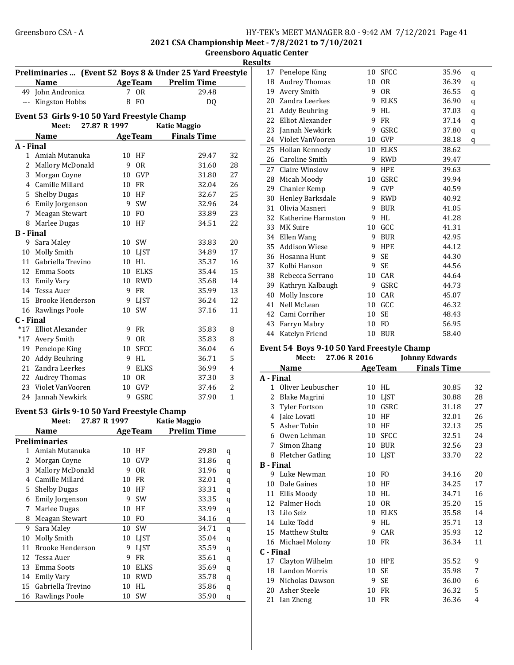2021 CSA Championship Meet - 7/8/2021 to 7/10/2021 Center

| ensboro Aquatic ( |  |
|-------------------|--|
| <b>Results</b>    |  |
|                   |  |

| Preliminaries  (Event 52 Boys 8 & Under 25 Yard Freestyle |                                                |    |                |                     |                | 17                      |
|-----------------------------------------------------------|------------------------------------------------|----|----------------|---------------------|----------------|-------------------------|
|                                                           | <b>Name</b>                                    |    |                | AgeTeam Prelim Time |                | 18                      |
|                                                           | 49 John Andronica                              |    | 7 OR           | 29.48               |                | 19                      |
|                                                           | --- Kingston Hobbs                             |    | 8 FO           | DQ                  |                | 20                      |
|                                                           | Event 53 Girls 9-10 50 Yard Freestyle Champ    |    |                |                     |                | 21                      |
|                                                           | 27.87 R 1997<br>Meet:                          |    |                | <b>Katie Maggio</b> |                | 22                      |
|                                                           |                                                |    |                | <b>Finals Time</b>  |                | 23                      |
|                                                           | <b>Name</b>                                    |    | <b>AgeTeam</b> |                     |                | 24                      |
| A - Final                                                 | 1 Amiah Mutanuka                               |    | 10 HF          | 29.47               | 32             | 25                      |
|                                                           | 2 Mallory McDonald                             | 9  | <b>OR</b>      | 31.60               | 28             | 26                      |
|                                                           | 3 Morgan Coyne                                 |    | 10 GVP         | 31.80               | 27             | 27                      |
|                                                           | 4 Camille Millard                              |    | 10 FR          | 32.04               | 26             | 28                      |
|                                                           | 5 Shelby Dugas                                 |    | 10 HF          | 32.67               | 25             | 29                      |
|                                                           | 6 Emily Jorgenson                              |    | 9 SW           | 32.96               | 24             | 30                      |
| 7                                                         | Meagan Stewart                                 |    | 10 FO          | 33.89               | 23             | 31                      |
| 8                                                         | Marlee Dugas                                   |    | 10 HF          | 34.51               | 22             | 32                      |
| <b>B</b> - Final                                          |                                                |    |                |                     |                | 33                      |
| 9                                                         | Sara Maley                                     |    | 10 SW          | 33.83               | 20             | 34                      |
| 10                                                        | Molly Smith                                    | 10 | LJST           | 34.89               | 17             | 35                      |
| 11                                                        | Gabriella Trevino                              |    | 10 HL          | 35.37               | 16             | 36                      |
|                                                           | 12 Emma Soots                                  |    | 10 ELKS        | 35.44               | 15             | 37                      |
| 13                                                        | Emily Vary                                     |    | 10 RWD         | 35.68               | 14             | 38                      |
|                                                           | 14 Tessa Auer                                  |    | 9 FR           | 35.99               | 13             | 39                      |
|                                                           | 15 Brooke Henderson                            |    | 9 LJST         | 36.24               | 12             | 40                      |
|                                                           | 16 Rawlings Poole                              |    | 10 SW          | 37.16               | 11             | 41                      |
| C - Final                                                 |                                                |    |                |                     |                | 42                      |
|                                                           | *17 Elliot Alexander                           | 9  | FR             | 35.83               | 8              | 43                      |
| $*17$                                                     | Avery Smith                                    | 9  | <b>OR</b>      | 35.83               | 8              | 44                      |
| 19                                                        | Penelope King                                  |    | 10 SFCC        | 36.04               | 6              | <b>Event</b>            |
| 20                                                        | Addy Beuhring                                  | 9  | HL             | 36.71               | 5              |                         |
| 21                                                        | Zandra Leerkes                                 | 9  | <b>ELKS</b>    | 36.99               | $\overline{4}$ |                         |
| 22                                                        | <b>Audrey Thomas</b>                           |    | 10 OR          | 37.30               | 3              | A - Fil                 |
| 23                                                        | Violet VanVooren                               |    | 10 GVP         | 37.46               | $\overline{c}$ | $\mathbf{1}$            |
|                                                           | 24 Jannah Newkirk                              |    | 9 GSRC         | 37.90               | $\mathbf{1}$   | $\overline{\mathbf{c}}$ |
|                                                           |                                                |    |                |                     |                | 3                       |
|                                                           | Evant $E2$ Cirls 0.10 $E0$ Vard Exectule Champ |    |                |                     |                |                         |

#### Event 53 Girls 9-10 50 Yard Freestyle Champ

|    | Meet:                | 27.87 R 1997 |                 | <b>Katie Maggio</b> |   |
|----|----------------------|--------------|-----------------|---------------------|---|
|    | Name                 |              | <b>Age Team</b> | <b>Prelim Time</b>  |   |
|    | <b>Preliminaries</b> |              |                 |                     |   |
| 1  | Amiah Mutanuka       |              | 10 HF           | 29.80               | q |
| 2  | Morgan Coyne         | 10           | GVP             | 31.86               | q |
| 3  | Mallory McDonald     | 9            | 0R              | 31.96               | q |
| 4  | Camille Millard      | 10           | FR              | 32.01               | q |
| 5  | <b>Shelby Dugas</b>  | 10           | HF              | 33.31               | q |
| 6  | Emily Jorgenson      | 9            | SW              | 33.35               | q |
| 7  | Marlee Dugas         | 10           | HF              | 33.99               | q |
| 8  | Meagan Stewart       | 10           | FO              | 34.16               | q |
| 9  | Sara Maley           | 10           | <b>SW</b>       | 34.71               | q |
| 10 | Molly Smith          | 10           | <b>LIST</b>     | 35.04               | q |
| 11 | Brooke Henderson     | 9            | <b>LIST</b>     | 35.59               | q |
| 12 | Tessa Auer           | 9            | FR              | 35.61               | q |
| 13 | Emma Soots           | 10           | <b>ELKS</b>     | 35.69               | q |
| 14 | Emily Vary           | 10           | <b>RWD</b>      | 35.78               | q |
| 15 | Gabriella Trevino    | 10           | HL              | 35.86               | q |
| 16 | Rawlings Poole       | 10           | SW              | 35.90               | q |

| ແເວ |                      |    |                |       |   |  |
|-----|----------------------|----|----------------|-------|---|--|
| 17  | Penelope King        | 10 | <b>SFCC</b>    | 35.96 | q |  |
| 18  | <b>Audrey Thomas</b> | 10 | <b>OR</b>      | 36.39 | q |  |
| 19  | Avery Smith          |    | 0 <sub>R</sub> | 36.55 | q |  |
| 20  | Zandra Leerkes       | 9  | <b>ELKS</b>    | 36.90 | q |  |
| 21  | <b>Addy Beuhring</b> | 9  | HL             | 37.03 | q |  |
| 22  | Elliot Alexander     | 9  | <b>FR</b>      | 37.14 | q |  |
| 23  | Jannah Newkirk       | 9  | GSRC           | 37.80 | q |  |
| 24  | Violet VanVooren     | 10 | <b>GVP</b>     | 38.18 | q |  |
| 25  | Hollan Kennedy       | 10 | <b>ELKS</b>    | 38.62 |   |  |
| 26  | Caroline Smith       | 9  | <b>RWD</b>     | 39.47 |   |  |
| 27  | Claire Winslow       | 9  | <b>HPE</b>     | 39.63 |   |  |
| 28  | Micah Moody          | 10 | GSRC           | 39.94 |   |  |
| 29  | Chanler Kemp         | 9  | <b>GVP</b>     | 40.59 |   |  |
| 30  | Henley Barksdale     | 9  | <b>RWD</b>     | 40.92 |   |  |
| 31  | Olivia Masneri       | 9  | <b>BUR</b>     | 41.05 |   |  |
| 32  | Katherine Harmston   | 9  | <b>HL</b>      | 41.28 |   |  |
| 33  | MK Suire             | 10 | GCC            | 41.31 |   |  |
| 34  | Ellen Wang           | 9  | <b>BUR</b>     | 42.95 |   |  |
| 35  | <b>Addison Wiese</b> | 9  | <b>HPE</b>     | 44.12 |   |  |
| 36  | Hosanna Hunt         | 9  | <b>SE</b>      | 44.30 |   |  |
| 37  | Kolbi Hanson         | 9  | SE             | 44.56 |   |  |
| 38  | Rebecca Serrano      | 10 | CAR            | 44.64 |   |  |
| 39  | Kathryn Kalbaugh     | 9  | <b>GSRC</b>    | 44.73 |   |  |
| 40  | Molly Inscore        | 10 | CAR            | 45.07 |   |  |
| 41  | Nell McLean          | 10 | GCC            | 46.32 |   |  |
| 42  | Cami Corriher        | 10 | <b>SE</b>      | 48.43 |   |  |
| 43  | Farryn Mabry         | 10 | FO             | 56.95 |   |  |
| 44  | Katelyn Friend       | 10 | <b>BUR</b>     | 58.40 |   |  |
|     |                      |    |                |       |   |  |

## Event 54 Boys 9-10 50 Yard Freestyle Champ

|              | Meet:              | 27.06 R 2016 |    |                | <b>Johnny Edwards</b> |    |
|--------------|--------------------|--------------|----|----------------|-----------------------|----|
|              | <b>Name</b>        |              |    | <b>AgeTeam</b> | <b>Finals Time</b>    |    |
| A - Final    |                    |              |    |                |                       |    |
| $\mathbf{1}$ | Oliver Leubuscher  |              | 10 | HL             | 30.85                 | 32 |
| 2            | Blake Magrini      |              |    | 10 LJST        | 30.88                 | 28 |
|              | 3 Tyler Fortson    |              |    | 10 GSRC        | 31.18                 | 27 |
| 4            | Jake Lovati        |              | 10 | HF             | 32.01                 | 26 |
|              | 5 Asher Tobin      |              | 10 | HF             | 32.13                 | 25 |
| 6            | Owen Lehman        |              | 10 | <b>SFCC</b>    | 32.51                 | 24 |
| 7            | Simon Zhang        |              |    | 10 BUR         | 32.56                 | 23 |
|              | 8 Fletcher Gatling |              |    | 10 LJST        | 33.70                 | 22 |
| B - Final    |                    |              |    |                |                       |    |
|              | 9 Luke Newman      |              |    | 10 FO          | 34.16                 | 20 |
| 10           | Dale Gaines        |              | 10 | HF             | 34.25                 | 17 |
| 11           | Ellis Moody        |              | 10 | HL             | 34.71                 | 16 |
|              | 12 Palmer Hoch     |              | 10 | <b>OR</b>      | 35.20                 | 15 |
|              | 13 Lilo Seiz       |              |    | 10 ELKS        | 35.58                 | 14 |
|              | 14 Luke Todd       |              | 9  | HL             | 35.71                 | 13 |
|              | 15 Matthew Stultz  |              | 9  | CAR            | 35.93                 | 12 |
|              | 16 Michael Molony  |              | 10 | FR             | 36.34                 | 11 |
| C - Final    |                    |              |    |                |                       |    |
|              | 17 Clayton Wilhelm |              |    | 10 HPE         | 35.52                 | 9  |
|              | 18 Landon Morris   |              | 10 | <b>SE</b>      | 35.98                 | 7  |
|              | 19 Nicholas Dawson |              | 9  | SE             | 36.00                 | 6  |
|              | 20 Asher Steele    |              | 10 | <b>FR</b>      | 36.32                 | 5  |
| 21           | Ian Zheng          |              | 10 | FR             | 36.36                 | 4  |
|              |                    |              |    |                |                       |    |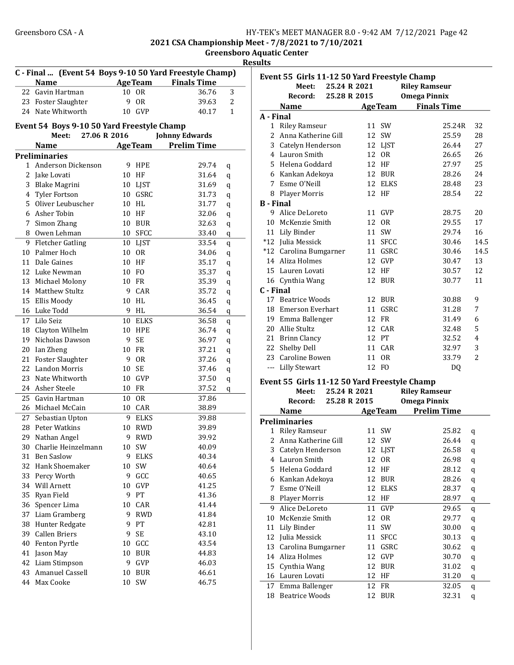2021 CSA Championship Meet - 7/8/2021 to 7/10/2021

Greensboro Aquatic Center <u>esults</u>

|    | C - Final  (Event 54 Boys 9-10 50 Yard Freestyle Champ)<br><b>Name</b> |    | <b>AgeTeam</b> | <b>Finals Time</b>    |   |
|----|------------------------------------------------------------------------|----|----------------|-----------------------|---|
| 22 | Gavin Hartman                                                          | 10 | 0 <sub>R</sub> | 36.76                 | 3 |
|    | 23 Foster Slaughter                                                    | 9  | <b>OR</b>      | 39.63                 | 2 |
|    | 24 Nate Whitworth                                                      | 10 | <b>GVP</b>     | 40.17                 | 1 |
|    | Event 54 Boys 9-10 50 Yard Freestyle Champ<br>27.06 R 2016<br>Meet:    |    |                | <b>Johnny Edwards</b> |   |
|    | <b>Name</b>                                                            |    | <b>AgeTeam</b> | <b>Prelim Time</b>    |   |
|    | <b>Preliminaries</b>                                                   |    |                |                       |   |
| 1  | Anderson Dickenson                                                     | 9  | <b>HPE</b>     | 29.74                 | q |
| 2  | Jake Lovati                                                            | 10 | HF             | 31.64                 | q |
| 3  | <b>Blake Magrini</b>                                                   | 10 | <b>LJST</b>    | 31.69                 | q |
| 4  | <b>Tyler Fortson</b>                                                   | 10 | GSRC           | 31.73                 | q |
| 5  | Oliver Leubuscher                                                      | 10 | HL             | 31.77                 | q |
| 6  | Asher Tobin                                                            | 10 | HF             | 32.06                 | q |
| 7  | Simon Zhang                                                            | 10 | <b>BUR</b>     | 32.63                 | q |
|    | 8 Owen Lehman                                                          | 10 | <b>SFCC</b>    | 33.40                 | q |
| 9  | <b>Fletcher Gatling</b>                                                |    | 10 LJST        | 33.54                 | q |
| 10 | Palmer Hoch                                                            | 10 | <b>OR</b>      | 34.06                 | q |
| 11 | Dale Gaines                                                            | 10 | HF             | 35.17                 | q |
|    | 12 Luke Newman                                                         |    | 10 FO          | 35.37                 | q |
|    | 13 Michael Molony                                                      |    | 10 FR          | 35.39                 | q |
|    | 14 Matthew Stultz                                                      | 9  | CAR            | 35.72                 | q |
|    | 15 Ellis Moody                                                         | 10 | HL             | 36.45                 | q |
|    | 16 Luke Todd                                                           | 9  | HL             | 36.54                 | q |
| 17 | Lilo Seiz                                                              | 10 | <b>ELKS</b>    | 36.58                 | q |
| 18 | Clayton Wilhelm                                                        | 10 | <b>HPE</b>     | 36.74                 | q |
| 19 | Nicholas Dawson                                                        | 9  | SE             | 36.97                 | q |
| 20 | Ian Zheng                                                              | 10 | <b>FR</b>      | 37.21                 | q |
| 21 | <b>Foster Slaughter</b>                                                | 9  | 0 <sub>R</sub> | 37.26                 | q |
| 22 | Landon Morris                                                          | 10 | <b>SE</b>      | 37.46                 | q |
| 23 | Nate Whitworth                                                         | 10 | <b>GVP</b>     | 37.50                 | q |
|    | 24 Asher Steele                                                        | 10 | FR             | 37.52                 | q |
| 25 | Gavin Hartman                                                          | 10 | <b>OR</b>      | 37.86                 |   |
|    | 26 Michael McCain                                                      |    | 10 CAR         | 38.89                 |   |
|    | 27 Sebastian Upton                                                     | 9  | <b>ELKS</b>    | 39.88                 |   |
| 28 | Peter Watkins                                                          | 10 | <b>RWD</b>     | 39.89                 |   |
|    | 29 Nathan Angel                                                        |    | 9 RWD          | 39.92                 |   |
|    | 30 Charlie Heinzelmann                                                 |    | 10 SW          | 40.09                 |   |
|    | 31 Ben Saslow                                                          | 9  | <b>ELKS</b>    | 40.34                 |   |
|    | 32 Hank Shoemaker                                                      | 10 | SW             | 40.64                 |   |
|    | 33 Percy Worth                                                         | 9  | GCC            | 40.65                 |   |
|    | 34 Will Arnett                                                         | 10 | GVP            | 41.25                 |   |
|    | 35 Ryan Field                                                          | 9  | PT             | 41.36                 |   |
|    | 36 Spencer Lima                                                        | 10 | CAR            | 41.44                 |   |
|    | 37 Liam Gramberg                                                       | 9  | <b>RWD</b>     | 41.84                 |   |
|    | 38 Hunter Redgate                                                      | 9  | PT             | 42.81                 |   |
|    | 39 Callen Briers                                                       | 9  | SE             | 43.10                 |   |
|    | 40 Fenton Pyrtle                                                       |    | 10 GCC         | 43.54                 |   |
| 41 | Jason May                                                              | 10 | <b>BUR</b>     | 44.83                 |   |
|    | 42 Liam Stimpson                                                       | 9  | GVP            | 46.03                 |   |
|    | 43 Amanuel Cassell                                                     | 10 | <b>BUR</b>     | 46.61                 |   |
|    | 44 Max Cooke                                                           |    |                |                       |   |
|    |                                                                        | 10 | SW             | 46.75                 |   |

|                  | Event 55 Girls 11-12 50 Yard Freestyle Champ |              |    |             |                                       |                |
|------------------|----------------------------------------------|--------------|----|-------------|---------------------------------------|----------------|
|                  | Meet:                                        | 25.24 R 2021 |    |             | <b>Riley Ramseur</b>                  |                |
|                  | Record:                                      | 25.28 R 2015 |    |             | <b>Omega Pinnix</b>                   |                |
|                  | <b>Name</b>                                  |              |    |             | <b>Example 2 Age Team</b> Finals Time |                |
| A - Final        |                                              |              |    |             |                                       |                |
|                  | 1 Riley Ramseur                              |              |    | 11 SW       | 25.24R                                | 32             |
|                  | 2 Anna Katherine Gill                        |              |    | 12 SW       | 25.59                                 | 28             |
|                  | 3 Catelyn Henderson                          |              |    | 12 LJST     | 26.44                                 | 27             |
|                  | 4 Lauron Smith                               |              |    | 12 OR       | 26.65                                 | 26             |
|                  | 5 Helena Goddard                             |              |    | 12 HF       | 27.97                                 | 25             |
|                  | 6 Kankan Adekoya                             |              |    | 12 BUR      | 28.26                                 | 24             |
|                  | 7 Esme O'Neill                               |              |    | 12 ELKS     | 28.48                                 | 23             |
|                  | 8 Player Morris                              |              |    | 12 HF       | 28.54                                 | 22             |
| <b>B</b> - Final |                                              |              |    |             |                                       |                |
|                  | 9 Alice DeLoreto                             |              |    | 11 GVP      | 28.75                                 | 20             |
|                  |                                              |              |    |             |                                       |                |
|                  | 10 McKenzie Smith                            |              |    | 12 OR       | 29.55                                 | 17             |
|                  | 11 Lily Binder                               |              |    | 11 SW       | 29.74                                 | 16             |
|                  | *12 Julia Messick                            |              |    | 11 SFCC     | 30.46                                 | 14.5           |
|                  | *12 Carolina Bumgarner                       |              |    | 11 GSRC     | 30.46                                 | 14.5           |
|                  | 14 Aliza Holmes                              |              |    | 12 GVP      | 30.47                                 | 13             |
|                  | 15 Lauren Lovati                             |              |    | 12 HF       | 30.57                                 | 12             |
|                  | 16 Cynthia Wang                              |              |    | 12 BUR      | 30.77                                 | 11             |
| C - Final        |                                              |              |    |             |                                       |                |
|                  | 17 Beatrice Woods                            |              |    | 12 BUR      | 30.88                                 | 9              |
|                  | 18 Emerson Everhart                          |              | 11 | GSRC        | 31.28                                 | 7              |
|                  | 19 Emma Ballenger                            |              |    | 12 FR       | 31.49                                 | 6              |
|                  | 20 Allie Stultz                              |              |    | 12 CAR      | 32.48                                 | 5              |
|                  | 21 Brinn Clancy                              |              |    | 12 PT       | 32.52                                 | $\overline{4}$ |
|                  | 22 Shelby Dell                               |              |    | 11 CAR      | 32.97                                 | 3              |
|                  | 23 Caroline Bowen                            |              |    | 11 OR       | 33.79                                 | $\overline{2}$ |
|                  | --- Lilly Stewart                            |              |    | 12 FO       | DQ                                    |                |
|                  | Event 55 Girls 11-12 50 Yard Freestyle Champ |              |    |             |                                       |                |
|                  | Meet:                                        | 25.24 R 2021 |    |             | <b>Riley Ramseur</b>                  |                |
|                  | Record:                                      | 25.28 R 2015 |    |             | <b>Omega Pinnix</b>                   |                |
|                  | <b>Name</b>                                  |              |    |             | <b>AgeTeam</b> Prelim Time            |                |
|                  |                                              |              |    |             |                                       |                |
|                  | <b>Preliminaries</b>                         |              |    |             |                                       |                |
|                  | 1 Riley Ramseur                              |              |    | 11 SW       | 25.82                                 | q              |
|                  | 2 Anna Katherine Gill                        |              |    | 12 SW       | 26.44                                 | q              |
|                  | 3 Catelyn Henderson                          |              |    | 12 LJST     | 26.58                                 | q              |
|                  | 4 Lauron Smith                               |              |    | 12 OR       | 26.98                                 | q              |
|                  | 5 Helena Goddard                             |              |    | 12 HF       | 28.12                                 | q              |
|                  | 6 Kankan Adekoya                             |              | 12 | <b>BUR</b>  | 28.26                                 | q              |
| 7                | Esme O'Neill                                 |              | 12 | ELKS        | 28.37                                 | q              |
|                  | 8 Player Morris                              |              | 12 | HF          | 28.97                                 | q              |
| 9                | Alice DeLoreto                               |              | 11 | GVP         | 29.65                                 | q              |
| 10               | McKenzie Smith                               |              | 12 | 0R          | 29.77                                 | q              |
| 11               | Lily Binder                                  |              | 11 | SW          | 30.00                                 | $\mathbf q$    |
| 12               | Julia Messick                                |              | 11 | <b>SFCC</b> | 30.13                                 | q              |
| 13               | Carolina Bumgarner                           |              | 11 | GSRC        | 30.62                                 | q              |
| 14               | Aliza Holmes                                 |              | 12 | GVP         | 30.70                                 | q              |
| 15               | Cynthia Wang                                 |              | 12 | <b>BUR</b>  | 31.02                                 | q              |
| 16               | Lauren Lovati                                |              | 12 | HF          | 31.20                                 | q              |
| 17               | Emma Ballenger                               |              | 12 | FR          | 32.05                                 | q              |
| 18               | <b>Beatrice Woods</b>                        |              | 12 | BUR         | 32.31                                 | $\mathbf q$    |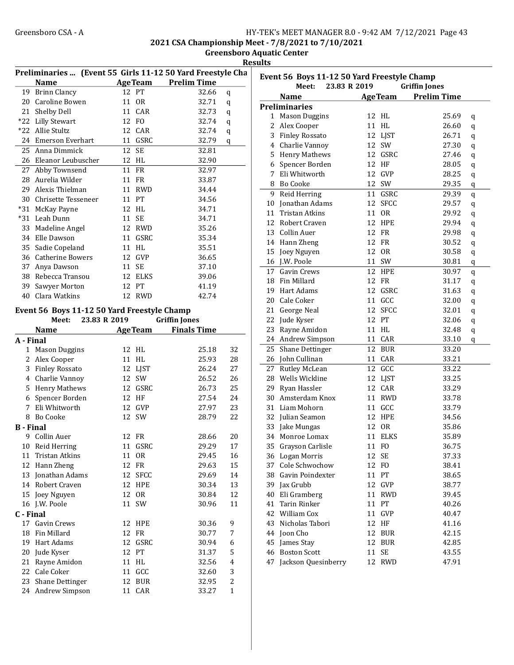2021 CSA Championship Meet - 7/8/2021 to 7/10/2021

Greensboro Aquatic Center Results

|                  |                                             |                 | Preliminaries  (Event 55 Girls 11-12 50 Yard Freestyle Cha<br>AgeTeam Prelim Time |                | E |
|------------------|---------------------------------------------|-----------------|-----------------------------------------------------------------------------------|----------------|---|
|                  | Name                                        | 12 PT           |                                                                                   |                |   |
|                  | 19 Brinn Clancy                             |                 | 32.66                                                                             | q              |   |
|                  | 20 Caroline Bowen                           | 11 OR           | 32.71                                                                             | q              | P |
|                  | 21 Shelby Dell                              | 11 CAR          | 32.73                                                                             | q              |   |
|                  | *22 Lilly Stewart                           | 12 FO           | 32.74                                                                             | q              |   |
|                  | *22 Allie Stultz                            | 12 CAR          | 32.74                                                                             | q              |   |
|                  | 24 Emerson Everhart                         | 11 GSRC         | 32.79                                                                             | q              |   |
|                  | 25 Anna Dimmick                             | 12<br><b>SE</b> | 32.81                                                                             |                |   |
|                  | 26 Eleanor Leubuscher                       | 12 HL           | 32.90                                                                             |                |   |
|                  | 27 Abby Townsend                            | 11 FR           | 32.97                                                                             |                |   |
|                  | 28 Aurelia Wilder                           | 11 FR           | 33.87                                                                             |                |   |
|                  | 29 Alexis Thielman                          | 11 RWD          | 34.44                                                                             |                |   |
|                  | 30 Chrisette Tesseneer                      | 11 PT           | 34.56                                                                             |                |   |
|                  | *31 McKay Payne                             | 12 HL           | 34.71                                                                             |                |   |
|                  | *31 Leah Dunn                               | 11 SE           | 34.71                                                                             |                |   |
|                  | 33 Madeline Angel                           | 12 RWD          | 35.26                                                                             |                |   |
|                  | 34 Elle Dawson                              | 11 GSRC         | 35.34                                                                             |                |   |
| 35               | Sadie Copeland                              | 11 HL           | 35.51                                                                             |                |   |
|                  | 36 Catherine Bowers                         | 12 GVP          | 36.65                                                                             |                |   |
|                  | 37 Anya Dawson                              | 11 SE           | 37.10                                                                             |                |   |
|                  | 38 Rebecca Transou                          | 12 ELKS         | 39.06                                                                             |                |   |
|                  | 39 Sawyer Morton                            | 12 PT           | 41.19                                                                             |                |   |
|                  | 40 Clara Watkins                            | 12 RWD          | 42.74                                                                             |                |   |
|                  | Event 56 Boys 11-12 50 Yard Freestyle Champ |                 |                                                                                   |                |   |
|                  | Meet:<br>23.83 R 2019                       |                 | <b>Griffin Jones</b>                                                              |                |   |
|                  | <b>Name</b>                                 | <b>AgeTeam</b>  | <b>Finals Time</b>                                                                |                |   |
| A - Final        |                                             |                 |                                                                                   |                |   |
|                  | 1 Mason Duggins                             | 12 HL           | 25.18                                                                             | 32             |   |
|                  | 2 Alex Cooper                               | 11 HL           | 25.93                                                                             | 28             |   |
|                  | 3 Finley Rossato                            | 12              | LJST<br>26.24                                                                     | 27             |   |
|                  | 4 Charlie Vannoy                            | 12 SW           | 26.52                                                                             | 26             |   |
|                  | 5 Henry Mathews                             | 12 GSRC         | 26.73                                                                             | 25             |   |
|                  | 6 Spencer Borden                            | 12 HF           | 27.54                                                                             | 24             |   |
|                  | 7 Eli Whitworth                             | 12 GVP          | 27.97                                                                             | 23             |   |
|                  | 8 Bo Cooke                                  | 12<br>SW        | 28.79                                                                             | 22             |   |
| <b>B</b> - Final |                                             |                 |                                                                                   |                |   |
|                  | 9 Collin Auer                               | 12 FR           | 28.66                                                                             | 20             |   |
|                  | 10 Reid Herring                             | 11              | GSRC<br>29.29                                                                     | 17             |   |
| 11               | Tristan Atkins                              | 11<br>0R        | 29.45                                                                             | 16             |   |
|                  | 12 Hann Zheng                               | 12 FR           | 29.63                                                                             | 15             |   |
|                  | 13 Jonathan Adams                           | 12              | <b>SFCC</b><br>29.69                                                              | 14             |   |
|                  | 14 Robert Craven                            | 12              | HPE<br>30.34                                                                      | 13             |   |
|                  | 15 Joey Nguyen                              | 12<br>0R        | 30.84                                                                             | 12             |   |
|                  | 16 J.W. Poole                               | 11<br>SW        | 30.96                                                                             | 11             |   |
| C - Final        |                                             |                 |                                                                                   |                |   |
|                  | 17 Gavin Crews                              | 12 HPE          | 30.36                                                                             | 9              |   |
|                  | 18 Fin Millard                              | 12 FR           | 30.77                                                                             | 7              |   |
|                  | 19 Hart Adams                               | 12 GSRC         | 30.94                                                                             | 6              |   |
|                  | 20 Jude Kyser                               | 12 PT           | 31.37                                                                             | 5              |   |
|                  | 21 Rayne Amidon                             | 11 HL           | 32.56                                                                             | $\overline{4}$ |   |
|                  | 22 Cale Coker                               | 11 GCC          | 32.60                                                                             | 3              |   |
| 23               | <b>Shane Dettinger</b>                      | 12 BUR          | 32.95                                                                             | 2              |   |
|                  | 24 Andrew Simpson                           | 11 CAR          | 33.27                                                                             | 1              |   |

| Event 56 Boys 11-12 50 Yard Freestyle Champ |                       |    |                |                      |         |  |
|---------------------------------------------|-----------------------|----|----------------|----------------------|---------|--|
|                                             | 23.83 R 2019<br>Meet: |    |                | <b>Griffin Jones</b> |         |  |
|                                             | <b>Name</b>           |    | <b>AgeTeam</b> | <b>Prelim Time</b>   |         |  |
|                                             | Preliminaries         |    |                |                      |         |  |
| 1                                           | <b>Mason Duggins</b>  | 12 | HL             | 25.69                | q       |  |
| 2                                           | Alex Cooper           | 11 | HL             | 26.60                | q       |  |
| 3                                           | <b>Finley Rossato</b> | 12 | <b>LJST</b>    | 26.71                | q       |  |
| 4                                           | Charlie Vannoy        | 12 | SW             | 27.30                | q       |  |
| 5                                           | <b>Henry Mathews</b>  | 12 | GSRC           | 27.46                | q       |  |
| 6                                           | Spencer Borden        |    | 12 HF          | 28.05                | q       |  |
| 7                                           | Eli Whitworth         | 12 | GVP            | 28.25                | q       |  |
| 8                                           | <b>Bo Cooke</b>       | 12 | SW             | 29.35                | q       |  |
| 9                                           | Reid Herring          |    | 11 GSRC        | 29.39                | $\bf q$ |  |
| 10                                          | Jonathan Adams        | 12 | <b>SFCC</b>    | 29.57                | q       |  |
| 11                                          | <b>Tristan Atkins</b> | 11 | <b>OR</b>      | 29.92                | q       |  |
| 12                                          | Robert Craven         |    | 12 HPE         | 29.94                | q       |  |
| 13                                          | Collin Auer           | 12 | FR             | 29.98                | q       |  |
| 14                                          | Hann Zheng            | 12 | FR             | 30.52                | q       |  |
| 15                                          | Joey Nguyen           | 12 | <b>OR</b>      | 30.58                | q       |  |
| 16                                          | J.W. Poole            | 11 | SW             | 30.81                | q       |  |
| 17                                          | Gavin Crews           | 12 | <b>HPE</b>     | 30.97                | q       |  |
| 18                                          | Fin Millard           | 12 | <b>FR</b>      | 31.17                | q       |  |
| 19                                          | Hart Adams            | 12 | GSRC           | 31.63                | q       |  |
| 20                                          | Cale Coker            | 11 | GCC            | 32.00                | q       |  |
| 21                                          | George Neal           | 12 | <b>SFCC</b>    | 32.01                | q       |  |
| 22                                          | Jude Kyser            |    | 12 PT          | 32.06                | q       |  |
| 23                                          | Rayne Amidon          |    | 11 HL          | 32.48                | $\bf q$ |  |
| 24                                          | Andrew Simpson        |    | 11 CAR         | 33.10                | q       |  |
| 25                                          | Shane Dettinger       | 12 | <b>BUR</b>     | 33.20                |         |  |
| 26                                          | John Cullinan         | 11 | CAR            | 33.21                |         |  |
| 27                                          | Rutley McLean         | 12 | GCC            | 33.22                |         |  |
| 28                                          | Wells Wickline        |    | 12 LJST        | 33.25                |         |  |
| 29                                          | Ryan Hassler          |    | 12 CAR         | 33.29                |         |  |
| 30                                          | Amsterdam Knox        | 11 | <b>RWD</b>     | 33.78                |         |  |
| 31                                          | Liam Mohorn           | 11 | GCC            | 33.79                |         |  |
| 32                                          | Julian Seamon         | 12 | <b>HPE</b>     | 34.56                |         |  |
| 33                                          | Jake Mungas           | 12 | 0R             | 35.86                |         |  |
| 34                                          | Monroe Lomax          | 11 | <b>ELKS</b>    | 35.89                |         |  |
| 35                                          | Grayson Carlisle      | 11 | F <sub>O</sub> | 36.75                |         |  |
| 36                                          | Logan Morris          | 12 | SE             | 37.33                |         |  |
| 37                                          | Cole Schwochow        | 12 | FO             | 38.41                |         |  |
| 38                                          | Gavin Poindexter      | 11 | PT             | 38.65                |         |  |
| 39                                          | Jax Grubb             |    | 12 GVP         | 38.77                |         |  |
| 40                                          | Eli Gramberg          | 11 | <b>RWD</b>     | 39.45                |         |  |
| 41                                          | <b>Tarin Rinker</b>   | 11 | PT             | 40.26                |         |  |
| 42                                          | William Cox           | 11 | GVP            | 40.47                |         |  |
| 43                                          | Nicholas Tabori       |    | 12 HF          | 41.16                |         |  |
| 44                                          | Joon Cho              | 12 | <b>BUR</b>     | 42.15                |         |  |
| 45                                          | James Stay            | 12 | <b>BUR</b>     | 42.85                |         |  |
| 46                                          | <b>Boston Scott</b>   | 11 | SE             | 43.55                |         |  |
| 47                                          | Jackson Quesinberry   | 12 | <b>RWD</b>     | 47.91                |         |  |
|                                             |                       |    |                |                      |         |  |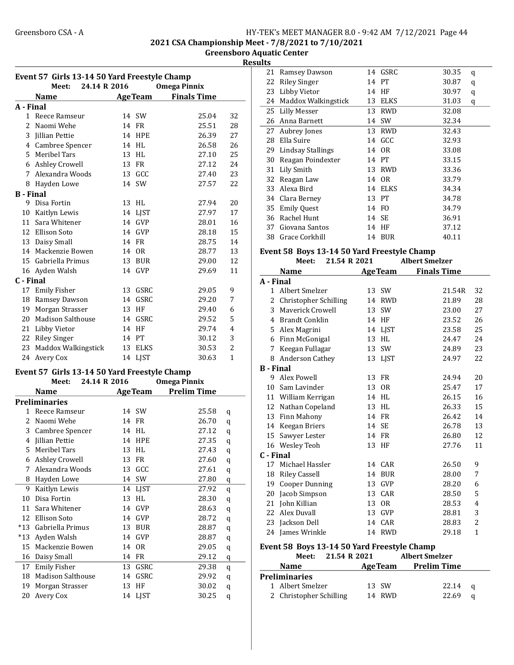2021 CSA Championship Meet - 7/8/2021 to 7/10/2021

Greensboro Aquatic Center **Results** 

| Event 57 Girls 13-14 50 Yard Freestyle Champ<br>24.14 R 2016<br><b>Omega Pinnix</b><br>Meet: |                                              |    |                |                     |                |
|----------------------------------------------------------------------------------------------|----------------------------------------------|----|----------------|---------------------|----------------|
|                                                                                              | Name                                         |    | <b>AgeTeam</b> | <b>Finals Time</b>  |                |
| A - Final                                                                                    |                                              |    |                |                     |                |
|                                                                                              | 1 Reece Ramseur                              |    | 14 SW          | 25.04               | 32             |
|                                                                                              | 2 Naomi Wehe                                 |    | 14 FR          | 25.51               | 28             |
|                                                                                              | 3 Jillian Pettie                             |    | 14 HPE         | 26.39               | 27             |
|                                                                                              | 4 Cambree Spencer                            |    | 14 HL          | 26.58               | 26             |
|                                                                                              | 5 Meribel Tars                               |    | 13 HL          | 27.10               | 25             |
|                                                                                              | 6 Ashley Crowell                             |    | 13 FR          | 27.12               | 24             |
|                                                                                              | 7 Alexandra Woods                            |    | 13 GCC         | 27.40               | 23             |
|                                                                                              | 8 Hayden Lowe                                |    | 14 SW          | 27.57               | 22             |
| <b>B</b> - Final                                                                             |                                              |    |                |                     |                |
|                                                                                              | 9 Disa Fortin                                |    | 13 HL          | 27.94               | 20             |
|                                                                                              | 10 Kaitlyn Lewis                             |    | 14 LJST        | 27.97               | 17             |
|                                                                                              | 11 Sara Whitener                             |    | 14 GVP         | 28.01               | 16             |
|                                                                                              | 12 Ellison Soto                              |    | 14 GVP         | 28.18               | 15             |
|                                                                                              | 13 Daisy Small                               |    | 14 FR          | 28.75               | 14             |
|                                                                                              | 14 Mackenzie Bowen                           |    | 14 OR          | 28.77               | 13             |
|                                                                                              | 15 Gabriella Primus                          |    | 13 BUR         | 29.00               | 12             |
|                                                                                              | 16 Ayden Walsh                               |    | 14 GVP         | 29.69               | 11             |
| C - Final                                                                                    |                                              |    |                |                     |                |
|                                                                                              | 17 Emily Fisher                              |    | 13 GSRC        | 29.05               | 9              |
|                                                                                              | 18 Ramsey Dawson                             |    | 14 GSRC        | 29.20               | 7              |
|                                                                                              | 19 Morgan Strasser                           |    | 13 HF          | 29.40               | 6              |
|                                                                                              | 20 Madison Salthouse                         |    | 14 GSRC        | 29.52               | 5              |
|                                                                                              | 21 Libby Vietor                              |    | 14 HF          | 29.74               | 4              |
|                                                                                              | 22 Riley Singer                              |    | 14 PT          | 30.12               | 3              |
|                                                                                              | 23 Maddox Walkingstick                       |    | 13 ELKS        | 30.53               | $\overline{2}$ |
|                                                                                              | 24 Avery Cox                                 |    | 14 LJST        | 30.63               | 1              |
|                                                                                              |                                              |    |                |                     |                |
|                                                                                              | Event 57 Girls 13-14 50 Yard Freestyle Champ |    |                |                     |                |
|                                                                                              | 24.14 R 2016<br>Meet:                        |    |                | <b>Omega Pinnix</b> |                |
|                                                                                              | <b>Name</b>                                  |    | <b>AgeTeam</b> | <b>Prelim Time</b>  |                |
|                                                                                              | <b>Preliminaries</b>                         |    |                |                     |                |
|                                                                                              | 1 Reece Ramseur                              |    | 14 SW          | 25.58               | q              |
| 2                                                                                            | Naomi Wehe                                   |    | 14 FR          | 26.70               | q              |
|                                                                                              | 3 Cambree Spencer                            |    | 14 HL          | 27.12               | q              |
| 4                                                                                            | Jillian Pettie                               |    | 14 HPE         | 27.35               | q              |
| 5                                                                                            | Meribel Tars                                 |    | 13 HL          | 27.43               | q              |
| 6                                                                                            | <b>Ashley Crowell</b>                        | 13 | FR             | 27.60               | q              |
| 7                                                                                            | Alexandra Woods                              | 13 | GCC            | 27.61               | q              |
| 8                                                                                            | Hayden Lowe                                  | 14 | SW             | 27.80               | q              |
| 9                                                                                            | Kaitlyn Lewis                                |    | 14 LJST        | 27.92               | q              |
| $10\,$                                                                                       | Disa Fortin                                  | 13 | HL             | 28.30               | q              |
| 11                                                                                           | Sara Whitener                                | 14 | GVP            | 28.63               | q              |
| 12                                                                                           | Ellison Soto                                 | 14 | GVP            | 28.72               | q              |
| $*13$                                                                                        | Gabriella Primus                             | 13 | <b>BUR</b>     | 28.87               | q              |
| $*13$                                                                                        | Ayden Walsh                                  | 14 | GVP            | 28.87               | q              |
| 15                                                                                           | Mackenzie Bowen                              | 14 | 0R             | 29.05               | q              |

16 29.12 q Daisy Small 14 FR 17 Emily Fisher 13 GSRC 29.38 q 18 Madison Salthouse 14 GSRC 29.92 q 19 Morgan Strasser 13 HF 30.02 q 20 Avery Cox 14 LJST 30.25 q

| IILS      |                                             |    |                 |                       |    |
|-----------|---------------------------------------------|----|-----------------|-----------------------|----|
| 21        | Ramsey Dawson                               |    | 14 GSRC         | 30.35                 | q  |
| 22        | <b>Riley Singer</b>                         |    | 14 PT           | 30.87                 | q  |
| 23        | Libby Vietor                                |    | 14 HF           | 30.97                 | q  |
| 24        | Maddox Walkingstick                         |    | 13 ELKS         | 31.03                 | q  |
| 25        | Lilly Messer                                |    | 13 RWD          | 32.08                 |    |
| 26        | Anna Barnett                                |    | 14 SW           | 32.34                 |    |
| 27        | Aubrey Jones                                |    | 13 RWD          | 32.43                 |    |
| 28        | Ella Suire                                  |    | 14 GCC          | 32.93                 |    |
|           | 29 Lindsay Stallings                        |    | 14 OR           | 33.08                 |    |
| 30        | Reagan Poindexter                           |    | 14 PT           | 33.15                 |    |
| 31        | Lily Smith                                  |    | 13 RWD          | 33.36                 |    |
| 32        | Reagan Law                                  |    | 14 OR           | 33.79                 |    |
|           | 33 Alexa Bird                               | 14 | ELKS            | 34.34                 |    |
| 34        | Clara Berney                                |    | 13 PT           | 34.78                 |    |
| 35        | <b>Emily Quest</b>                          |    | 14 FO           | 34.79                 |    |
| 36        | Rachel Hunt                                 |    | 14 SE           | 36.91                 |    |
| 37        | Giovana Santos                              |    | 14 HF           | 37.12                 |    |
| 38        | Grace Corkhill                              |    | 14 BUR          | 40.11                 |    |
|           | Event 58 Boys 13-14 50 Yard Freestyle Champ |    |                 |                       |    |
|           | 21.54 R 2021<br>Meet:                       |    |                 | <b>Albert Smelzer</b> |    |
|           | Name                                        |    | <b>Age Team</b> | <b>Finals Time</b>    |    |
| A - Final |                                             |    |                 |                       |    |
|           | 1 Albort Smolzor                            |    | $12$ CIM        | $21$ $5AD$            | つつ |

|                  | Name                  |    | age ream       | <b>Finals Time</b> |              |
|------------------|-----------------------|----|----------------|--------------------|--------------|
| A - Final        |                       |    |                |                    |              |
| $\mathbf{1}$     | Albert Smelzer        |    | 13 SW          | 21.54R             | 32           |
| 2                | Christopher Schilling | 14 | <b>RWD</b>     | 21.89              | 28           |
| 3                | Mayerick Crowell      | 13 | SW             | 23.00              | 27           |
| 4                | <b>Brandt Conklin</b> | 14 | HF             | 23.52              | 26           |
| 5                | Alex Magrini          |    | 14 LJST        | 23.58              | 25           |
| 6                | Finn McGonigal        | 13 | <b>HL</b>      | 24.47              | 24           |
| 7                | Keegan Fullagar       |    | 13 SW          | 24.89              | 23           |
| 8                | Anderson Cathey       |    | 13 LJST        | 24.97              | 22           |
| <b>B</b> - Final |                       |    |                |                    |              |
| 9                | Alex Powell           | 13 | <b>FR</b>      | 24.94              | 20           |
|                  | 10 Sam Lavinder       |    | 13 OR          | 25.47              | 17           |
|                  | 11 William Kerrigan   |    | 14 HL          | 26.15              | 16           |
| 12               | Nathan Copeland       | 13 | <b>HL</b>      | 26.33              | 15           |
|                  | 13 Finn Mahony        |    | 14 FR          | 26.42              | 14           |
|                  | 14 Keegan Briers      |    | 14 SE          | 26.78              | 13           |
| 15               | Sawyer Lester         |    | 14 FR          | 26.80              | 12           |
|                  | 16 Wesley Teoh        |    | 13 HF          | 27.76              | 11           |
| C - Final        |                       |    |                |                    |              |
| 17               | Michael Hassler       |    | 14 CAR         | 26.50              | 9            |
| 18               | <b>Riley Cassell</b>  | 14 | <b>BUR</b>     | 28.00              | 7            |
| 19               | <b>Cooper Dunning</b> | 13 | GVP            | 28.20              | 6            |
| 20               | Jacob Simpson         | 13 | CAR            | 28.50              | 5            |
| 21               | John Killian          | 13 | 0 <sub>R</sub> | 28.53              | 4            |
| 22               | Alex Duvall           | 13 | GVP            | 28.81              | 3            |
| 23               | Jackson Dell          | 14 | CAR            | 28.83              | 2            |
| 24               | James Wrinkle         | 14 | <b>RWD</b>     | 29.18              | $\mathbf{1}$ |

#### Event 58 Boys 13-14 50 Yard Freestyle Champ

| Meet:                   | 21.54 R 2021 |                | <b>Albert Smelzer</b> |                    |     |  |
|-------------------------|--------------|----------------|-----------------------|--------------------|-----|--|
| <b>Name</b>             |              | <b>AgeTeam</b> |                       | <b>Prelim Time</b> |     |  |
| <b>Preliminaries</b>    |              |                |                       |                    |     |  |
| 1 Albert Smelzer        |              | 13 SW          |                       | 22.14              | - a |  |
| 2 Christopher Schilling |              | 14 RWD         |                       | 22.69              | a   |  |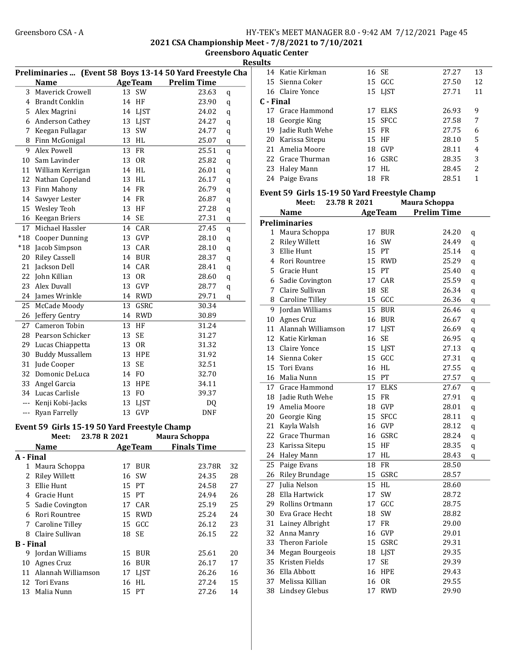2021 CSA Championship Meet - 7/8/2021 to 7/10/2021

Greensboro Aquatic Center Results

|                  |                                              |    |                | Preliminaries  (Event 58 Boys 13-14 50 Yard Freestyle Cha |   |
|------------------|----------------------------------------------|----|----------------|-----------------------------------------------------------|---|
|                  | Name                                         |    | <b>AgeTeam</b> | <b>Prelim Time</b>                                        |   |
| 3                | Mayerick Crowell                             |    | 13 SW          | 23.63<br>q                                                |   |
| 4                | <b>Brandt Conklin</b>                        |    | 14 HF          | 23.90<br>q                                                | C |
| 5.               | Alex Magrini                                 | 14 | LJST           | 24.02<br>q                                                |   |
| 6                | Anderson Cathey                              | 13 | LJST           | 24.27<br>q                                                |   |
| 7                | Keegan Fullagar                              | 13 | SW             | 24.77<br>q                                                |   |
| 8                | Finn McGonigal                               | 13 | HL             | 25.07<br>q                                                |   |
| 9                | Alex Powell                                  | 13 | <b>FR</b>      | 25.51<br>q                                                |   |
| 10               | Sam Lavinder                                 | 13 | - OR           | 25.82                                                     |   |
|                  | 11 William Kerrigan                          |    | 14 HL          | q<br>26.01                                                |   |
|                  |                                              |    | 13 HL          | q<br>26.17                                                |   |
|                  | 12 Nathan Copeland                           |    | 14 FR          | q<br>26.79                                                |   |
|                  | 13 Finn Mahony                               |    |                | q                                                         | Е |
|                  | 14 Sawyer Lester                             | 14 | FR             | 26.87<br>q                                                |   |
|                  | 15 Wesley Teoh                               | 13 | HF             | 27.28<br>q                                                |   |
| 16               | Keegan Briers                                |    | 14 SE          | 27.31<br>q                                                | P |
| 17               | Michael Hassler                              | 14 | CAR            | 27.45<br>q                                                |   |
| $*18$            | <b>Cooper Dunning</b>                        | 13 | GVP            | 28.10<br>q                                                |   |
| $*18$            | Jacob Simpson                                | 13 | CAR            | 28.10<br>q                                                |   |
| 20               | <b>Riley Cassell</b>                         | 14 | BUR            | 28.37<br>q                                                |   |
| 21               | Jackson Dell                                 | 14 | CAR            | 28.41<br>q                                                |   |
| 22               | John Killian                                 | 13 | <b>OR</b>      | 28.60<br>q                                                |   |
| 23               | Alex Duvall                                  | 13 | GVP            | 28.77<br>q                                                |   |
| 24               | James Wrinkle                                |    | 14 RWD         | 29.71<br>q                                                |   |
| 25               | McCade Moody                                 | 13 | GSRC           | 30.34                                                     |   |
| 26               | Jeffery Gentry                               | 14 | <b>RWD</b>     | 30.89                                                     |   |
| 27               | Cameron Tobin                                | 13 | HF             | 31.24                                                     |   |
| 28               | Pearson Schicker                             | 13 | SE             | 31.27                                                     |   |
| 29               | Lucas Chiappetta                             |    | 13 OR          | 31.32                                                     |   |
| 30               | <b>Buddy Mussallem</b>                       | 13 | HPE            | 31.92                                                     |   |
| 31               | Jude Cooper                                  | 13 | SE             | 32.51                                                     |   |
| 32               | Domonic DeLuca                               |    | 14 FO          | 32.70                                                     |   |
| 33               | Angel Garcia                                 | 13 | <b>HPE</b>     | 34.11                                                     |   |
|                  | 34 Lucas Carlisle                            | 13 | F <sub>O</sub> | 39.37                                                     |   |
| $---$            | Kenji Kobi-Jacks                             | 13 | <b>LJST</b>    | DQ                                                        |   |
| ---              | Ryan Farrelly                                | 13 | <b>GVP</b>     | <b>DNF</b>                                                |   |
|                  |                                              |    |                |                                                           |   |
|                  | Event 59 Girls 15-19 50 Yard Freestyle Champ |    |                |                                                           |   |
|                  | Meet:<br>23.78 R 2021                        |    |                | Maura Schoppa                                             |   |
|                  | <b>Name</b>                                  |    | <b>AgeTeam</b> | <b>Finals Time</b>                                        |   |
| A - Final        |                                              |    |                |                                                           |   |
|                  | 1 Maura Schoppa                              | 17 | <b>BUR</b>     | 23.78R<br>32                                              |   |
| $\overline{2}$   | <b>Riley Willett</b>                         | 16 | SW             | 28<br>24.35                                               |   |
| 3                | Ellie Hunt                                   | 15 | PT             | 24.58<br>27                                               |   |
| 4                | Gracie Hunt                                  | 15 | PT             | 24.94<br>26                                               |   |
| 5                | Sadie Covington                              | 17 | CAR            | 25<br>25.19                                               |   |
| 6                | Rori Rountree                                | 15 | <b>RWD</b>     | 25.24<br>24                                               |   |
| 7                | <b>Caroline Tilley</b>                       | 15 | GCC            | 26.12<br>23                                               |   |
|                  | 8 Claire Sullivan                            | 18 | <b>SE</b>      | 26.15<br>22                                               |   |
| <b>B</b> - Final |                                              |    |                |                                                           |   |
|                  | 9 Jordan Williams                            |    | 15 BUR         | 20<br>25.61                                               |   |
|                  | 10 Agnes Cruz                                | 16 |                | 17                                                        |   |
|                  |                                              |    | BUR            | 26.17                                                     |   |
|                  | 11 Alannah Williamson                        | 17 | LJST           | 26.26<br>16                                               |   |
|                  | 12 Tori Evans                                | 16 | HL             | 27.24<br>15                                               |   |
| 13               | Malia Nunn                                   |    | 15 PT          | 27.26<br>14                                               |   |

| ແເວ |    |                  |       |             |       |                          |
|-----|----|------------------|-------|-------------|-------|--------------------------|
|     |    | 14 Katie Kirkman | 16 SE |             | 27.27 | 13                       |
|     |    | 15 Sienna Coker  |       | 15 GCC      | 27.50 | 12                       |
|     |    | 16 Claire Yonce  |       | 15 LIST     | 27.71 | 11                       |
|     |    | C - Final        |       |             |       |                          |
|     |    | 17 Grace Hammond | 17    | <b>ELKS</b> | 26.93 | 9                        |
|     |    | 18 Georgie King  |       | 15 SFCC     | 27.58 | 7                        |
|     | 19 | Jadie Ruth Wehe  | 15 FR |             | 27.75 | 6                        |
|     | 20 | Karissa Sitepu   |       | 15 HF       | 28.10 | 5                        |
|     |    | 21 Amelia Moore  | 18    | GVP         | 28.11 | 4                        |
|     |    | 22 Grace Thurman |       | 16 GSRC     | 28.35 | 3                        |
|     |    | 23 Haley Mann    | 17    | HL.         | 28.45 | $\overline{\mathcal{L}}$ |
|     | 24 | Paige Evans      | 18    | <b>FR</b>   | 28.51 | 1                        |
|     |    |                  |       |             |       |                          |

#### Event 59 Girls 15-19 50 Yard Freestyle Champ Meet: 23.78 R 2021 Maura Schoppa

|                | Name                   |    | <b>AgeTeam</b> | <b>Prelim Time</b> |              |
|----------------|------------------------|----|----------------|--------------------|--------------|
|                | <b>Preliminaries</b>   |    |                |                    |              |
| 1              | Maura Schoppa          |    | 17 BUR         | 24.20              | q            |
| $\overline{2}$ | <b>Riley Willett</b>   | 16 | SW             | 24.49              | q            |
| 3              | Ellie Hunt             |    | 15 PT          | 25.14              | q            |
| $\overline{4}$ | Rori Rountree          | 15 | <b>RWD</b>     | 25.29              | q            |
| 5              | Gracie Hunt            | 15 | PT             | 25.40              | $\mathbf q$  |
| 6              | Sadie Covington        | 17 | CAR            | 25.59              | q            |
| 7              | Claire Sullivan        | 18 | SE             | 26.34              | $\mathbf q$  |
| 8              | <b>Caroline Tilley</b> |    | 15 GCC         | 26.36              | q            |
| 9              | Jordan Williams        |    | 15 BUR         | 26.46              | $\mathbf q$  |
| 10             | Agnes Cruz             |    | 16 BUR         | 26.67              | $\mathbf q$  |
| 11             | Alannah Williamson     | 17 | <b>LJST</b>    | 26.69              | $\mathbf q$  |
| 12             | Katie Kirkman          | 16 | SE             | 26.95              | q            |
| 13             | Claire Yonce           |    | 15 LJST        | 27.13              | q            |
| 14             | Sienna Coker           |    | 15 GCC         | 27.31              | $\mathbf q$  |
| 15             | Tori Evans             | 16 | HL             | 27.55              | $\mathbf{q}$ |
| 16             | Malia Nunn             |    | 15 PT          | 27.57              | $\mathbf q$  |
| 17             | Grace Hammond          | 17 | <b>ELKS</b>    | 27.67              | $\mathbf{q}$ |
| 18             | Jadie Ruth Wehe        | 15 | FR             | 27.91              | $\mathbf q$  |
| 19             | Amelia Moore           |    | 18 GVP         | 28.01              | q            |
| 20             | Georgie King           |    | 15 SFCC        | 28.11              | q            |
| 21             | Kayla Walsh            |    | 16 GVP         | 28.12              | q            |
| 22             | Grace Thurman          | 16 | GSRC           | 28.24              | q            |
| 23             | Karissa Sitepu         | 15 | HF             | 28.35              | q            |
| 24             | Haley Mann             | 17 | HL             | 28.43              | q            |
| 25             | Paige Evans            | 18 | FR             | 28.50              |              |
| 26             | <b>Riley Brundage</b>  | 15 | GSRC           | 28.57              |              |
| 27             | Julia Nelson           | 15 | HL             | 28.60              |              |
| 28             | Ella Hartwick          | 17 | SW             | 28.72              |              |
| 29             | Rollins Ortmann        | 17 | GCC            | 28.75              |              |
| 30             | Eva Grace Hecht        | 18 | SW             | 28.82              |              |
| 31             | Lainey Albright        | 17 | FR.            | 29.00              |              |
| 32             | Anna Manry             |    | 16 GVP         | 29.01              |              |
| 33             | <b>Theron Fariole</b>  |    | 15 GSRC        | 29.31              |              |
| 34             | Megan Bourgeois        | 18 | LJST           | 29.35              |              |
| 35             | Kristen Fields         | 17 | SE             | 29.39              |              |
| 36             | Ella Abbott            | 16 | HPE            | 29.43              |              |
| 37             | Melissa Killian        | 16 | <b>OR</b>      | 29.55              |              |
| 38             | <b>Lindsey Glebus</b>  | 17 | <b>RWD</b>     | 29.90              |              |
|                |                        |    |                |                    |              |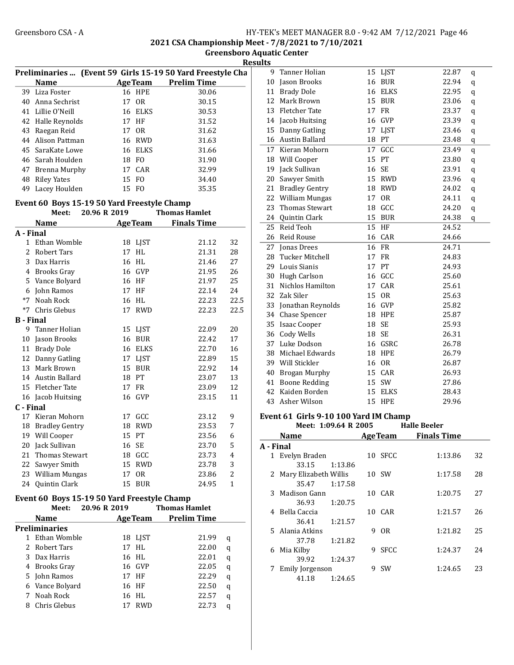2021 CSA Championship Meet - 7/8/2021 to 7/10/2021

Greensboro Aquatic Center Results

|                  |                                             |              |                |                                                                                          | <b>Resul</b> |
|------------------|---------------------------------------------|--------------|----------------|------------------------------------------------------------------------------------------|--------------|
|                  | <b>Name</b>                                 |              |                | Preliminaries  (Event 59 Girls 15-19 50 Yard Freestyle Cha<br><b>AgeTeam</b> Prelim Time |              |
|                  | 39 Liza Foster                              |              | <b>16 HPE</b>  | 30.06                                                                                    |              |
|                  | 40 Anna Sechrist                            |              | 17 OR          | 30.15                                                                                    |              |
|                  | 41 Lillie O'Neill                           |              | 16 ELKS        | 30.53                                                                                    |              |
|                  | 42 Halle Reynolds                           |              | 17 HF          | 31.52                                                                                    |              |
|                  | 43 Raegan Reid                              |              | 17 OR          | 31.62                                                                                    |              |
|                  | 44 Alison Pattman                           |              | 16 RWD         | 31.63                                                                                    |              |
|                  | 45 SaraKate Lowe                            |              | 16 ELKS        | 31.66                                                                                    |              |
|                  | 46 Sarah Houlden                            |              | 18 FO          | 31.90                                                                                    |              |
|                  | 47 Brenna Murphy                            |              | 17 CAR         | 32.99                                                                                    |              |
|                  | 48 Riley Yates                              |              | 15 FO          | 34.40                                                                                    |              |
|                  | 49 Lacey Houlden                            |              | 15 FO          | 35.35                                                                                    |              |
|                  |                                             |              |                |                                                                                          |              |
|                  | Event 60 Boys 15-19 50 Yard Freestyle Champ |              |                |                                                                                          |              |
|                  | Meet: 20.96 R 2019                          |              |                | <b>Thomas Hamlet</b>                                                                     |              |
|                  | <b>Name</b>                                 |              |                | <b>AgeTeam</b> Finals Time                                                               |              |
| A - Final        |                                             |              |                |                                                                                          |              |
|                  | 1 Ethan Womble                              |              | 18 LJST        | 21.12                                                                                    | 32           |
|                  | 2 Robert Tars                               |              | 17 HL          | 21.31                                                                                    | 28           |
|                  | 3 Dax Harris                                |              | 16 HL          | 21.46                                                                                    | 27           |
|                  | 4 Brooks Gray                               |              | 16 GVP         | 21.95                                                                                    | 26           |
|                  | 5 Vance Bolyard                             |              | 16 HF          | 21.97                                                                                    | 25           |
|                  | 6 John Ramos                                |              | 17 HF          | 22.14                                                                                    | 24           |
| *7               | Noah Rock                                   |              | 16 HL          | 22.23                                                                                    | 22.5         |
|                  | *7 Chris Glebus                             |              | 17 RWD         | 22.23                                                                                    | 22.5         |
| <b>B</b> - Final |                                             |              |                |                                                                                          |              |
| 9                | Tanner Holian                               |              | 15 LJST        | 22.09                                                                                    | 20           |
|                  | 10 Jason Brooks                             |              | <b>16 BUR</b>  | 22.42                                                                                    | 17           |
|                  | 11 Brady Dole                               |              | 16 ELKS        | 22.70                                                                                    | 16           |
|                  | 12 Danny Gatling                            |              | 17 LJST        | 22.89                                                                                    | 15           |
|                  | 13 Mark Brown                               |              | 15 BUR         | 22.92                                                                                    | 14           |
|                  | 14 Austin Ballard                           |              | 18 PT          | 23.07                                                                                    | 13           |
|                  | 15 Fletcher Tate                            |              | 17 FR          | 23.09                                                                                    | 12           |
|                  | 16 Jacob Huitsing                           |              | 16 GVP         | 23.15                                                                                    | 11           |
| C - Final        |                                             |              |                |                                                                                          |              |
|                  | 17 Kieran Mohorn                            |              | 17 GCC         | 23.12                                                                                    | 9            |
|                  | 18 Bradley Gentry                           |              | 18 RWD         | 23.53                                                                                    | 7            |
|                  | 19 Will Cooper                              | 15           | PT             | 23.56                                                                                    | 6            |
|                  | 20 Jack Sullivan                            |              | 16 SE          | 23.70                                                                                    | 5            |
| 21               | Thomas Stewart                              |              | 18 GCC         | 23.73                                                                                    | 4            |
|                  | 22 Sawyer Smith                             |              | 15 RWD         | 23.78                                                                                    | 3            |
|                  | 23 William Mungas                           |              | 17 OR          | 23.86                                                                                    | 2            |
|                  | 24 Quintin Clark                            | 15           | <b>BUR</b>     | 24.95                                                                                    | 1            |
|                  | Event 60 Boys 15-19 50 Yard Freestyle Champ |              |                |                                                                                          |              |
|                  | Meet:                                       | 20.96 R 2019 |                | <b>Thomas Hamlet</b>                                                                     |              |
|                  | <b>Name</b>                                 |              | <b>AgeTeam</b> | <b>Prelim Time</b>                                                                       |              |
|                  | <b>Preliminaries</b>                        |              |                |                                                                                          |              |
|                  | 1 Ethan Womble                              |              | 18 LJST        | 21.99                                                                                    | q            |
|                  | 2 Robert Tars                               |              | 17 HL          | 22.00                                                                                    | q            |
|                  | 3 Dax Harris                                |              | 16 HL          | 22.01                                                                                    | q            |
|                  | 4 Brooks Gray                               |              | 16 GVP         | 22.05                                                                                    | q            |
|                  | 5 John Ramos                                |              | 17 HF          | 22.29                                                                                    | q            |
|                  | 6 Vance Bolyard                             |              | 16 HF          | 22.50                                                                                    | q            |
| 7                | Noah Rock                                   |              | 16 HL          | 22.57                                                                                    | q            |
|                  |                                             |              |                |                                                                                          |              |
|                  | 8 Chris Glebus                              |              | 17 RWD         | 22.73                                                                                    | q            |

| աււծ      |                                       |       |                |                     |              |
|-----------|---------------------------------------|-------|----------------|---------------------|--------------|
|           | 9 Tanner Holian                       |       | 15 LJST        | 22.87               | q            |
|           | 10 Jason Brooks                       |       | <b>16 BUR</b>  | 22.94               | q            |
|           | 11 Brady Dole                         |       | 16 ELKS        | 22.95               | q            |
| 12        | Mark Brown                            |       | 15 BUR         | 23.06               | q            |
|           | 13 Fletcher Tate                      |       | 17 FR          | 23.37               | q            |
|           | 14 Jacob Huitsing                     |       | 16 GVP         | 23.39               | q            |
|           | 15 Danny Gatling                      |       | 17 LJST        | 23.46               | q            |
|           | 16 Austin Ballard                     | 18 PT |                | 23.48               | $\mathbf q$  |
| 17        | Kieran Mohorn                         |       | 17 GCC         | 23.49               | $\mathbf{q}$ |
|           | 18 Will Cooper                        |       | 15 PT          | 23.80               | q            |
|           | 19 Jack Sullivan                      | 16 SE |                | 23.91               | q            |
| 20        | Sawyer Smith                          |       | 15 RWD         | 23.96               | q            |
|           | 21 Bradley Gentry                     |       | 18 RWD         | 24.02               | q            |
|           | 22 William Mungas                     |       | 17 OR          | 24.11               | q            |
| 23        | <b>Thomas Stewart</b>                 |       | 18 GCC         | 24.20               | $\mathbf q$  |
| 24        | Quintin Clark                         |       | 15 BUR         | 24.38               | q            |
| 25        | Reid Teoh                             | 15    | HF             | 24.52               |              |
| 26        | <b>Reid Rouse</b>                     |       | 16 CAR         | 24.66               |              |
|           | 27 Jonas Drees                        |       | 16 FR          | 24.71               |              |
| 28        | <b>Tucker Mitchell</b>                | 17    | FR             | 24.83               |              |
|           | 29 Louis Sianis                       |       | 17 PT          | 24.93               |              |
|           | 30 Hugh Carlson                       |       | 16 GCC         | 25.60               |              |
|           | 31 Nichlos Hamilton                   |       | 17 CAR         | 25.61               |              |
|           | 32 Zak Siler                          |       | 15 OR          | 25.63               |              |
|           | 33 Jonathan Reynolds                  |       | 16 GVP         | 25.82               |              |
|           | 34 Chase Spencer                      |       | <b>18 HPE</b>  | 25.87               |              |
|           | 35 Isaac Cooper                       | 18 SE |                | 25.93               |              |
|           | 36 Cody Wells                         | 18 SE |                | 26.31               |              |
|           | 37 Luke Dodson                        |       | 16 GSRC        | 26.78               |              |
|           | 38 Michael Edwards                    |       | 18 HPE         | 26.79               |              |
|           | 39 Will Stickler                      |       | 16 OR          | 26.87               |              |
| 40        | Brogan Murphy                         |       | 15 CAR         | 26.93               |              |
| 41        | <b>Boone Redding</b>                  |       | 15 SW          | 27.86               |              |
|           | 42 Kaiden Borden                      |       | 15 ELKS        | 28.43               |              |
| 43        | Asher Wilson                          |       | 15 HPE         | 29.96               |              |
|           | Event 61 Girls 9-10 100 Yard IM Champ |       |                |                     |              |
|           | Meet: 1:09.64 R 2005                  |       |                | <b>Halle Beeler</b> |              |
|           | <b>Name</b>                           |       | <b>AgeTeam</b> | <b>Finals Time</b>  |              |
| A - Final |                                       |       |                |                     |              |

| <b>\</b> - Final |                         |         |   |                |         |     |
|------------------|-------------------------|---------|---|----------------|---------|-----|
|                  | Evelyn Braden           |         |   | 10 SFCC        | 1:13.86 | 32  |
|                  | 33.15                   | 1:13.86 |   |                |         |     |
|                  | 2 Mary Elizabeth Willis |         |   | 10 SW          | 1:17.58 | 28  |
|                  | 35.47                   | 1:17.58 |   |                |         |     |
|                  | 3 Madison Gann          |         |   | 10 CAR         | 1:20.75 | 27  |
|                  | 36.93                   | 1:20.75 |   |                |         |     |
| 4                | - Bella Caccia          |         |   | 10 CAR         | 1:21.57 | 26  |
|                  | 36.41                   | 1:21.57 |   |                |         |     |
|                  | 5 Alania Atkins         |         | 9 | 0 <sub>R</sub> | 1:21.82 | 25  |
|                  | 37.78                   | 1:21.82 |   |                |         |     |
| 6.               | Mia Kilby               |         | 9 | <b>SFCC</b>    | 1:24.37 | 2.4 |
|                  | 39.92                   | 1:24.37 |   |                |         |     |
|                  | Emily Jorgenson         |         | 9 | <b>SW</b>      | 1:24.65 | 23  |
|                  | 41.18                   | 1:24.65 |   |                |         |     |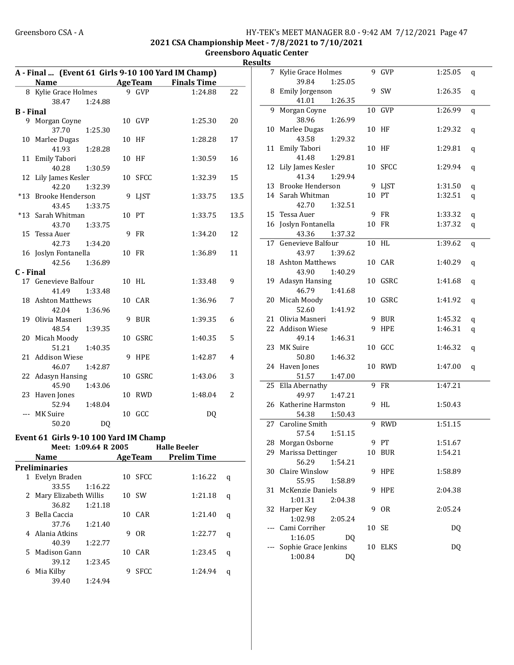#### Greensboro CSA - A <br>
HY-TEK's MEET MANAGER 8.0 - 9:42 AM 7/12/2021 Page 47 2021 CSA Championship Meet - 7/8/2021 to 7/10/2021

Greensboro Aquatic Center Results

|                  | A - Final  (Event 61 Girls 9-10 100 Yard IM Champ) |         |    |                |                     |      |  |  |
|------------------|----------------------------------------------------|---------|----|----------------|---------------------|------|--|--|
|                  | <b>Name</b>                                        |         |    |                | AgeTeam Finals Time |      |  |  |
|                  | 8 Kylie Grace Holmes                               |         |    | 9 GVP          | 1:24.88             | 22   |  |  |
|                  | 38.47                                              | 1:24.88 |    |                |                     |      |  |  |
| <b>B</b> - Final |                                                    |         |    |                |                     |      |  |  |
| 9                | Morgan Coyne                                       |         |    | 10 GVP         | 1:25.30             | 20   |  |  |
|                  | 37.70                                              | 1:25.30 |    |                |                     |      |  |  |
| 10               | Marlee Dugas                                       |         |    | 10 HF          | 1:28.28             | 17   |  |  |
|                  | 41.93                                              | 1:28.28 |    |                |                     |      |  |  |
| 11               | Emily Tabori                                       |         |    | 10 HF          | 1:30.59             | 16   |  |  |
|                  | 40.28                                              | 1:30.59 |    |                |                     |      |  |  |
| 12               | Lily James Kesler                                  |         |    | 10 SFCC        | 1:32.39             | 15   |  |  |
|                  | 42.20                                              | 1:32.39 |    |                |                     |      |  |  |
| $*13$            | Brooke Henderson                                   |         | 9  | LJST           | 1:33.75             | 13.5 |  |  |
|                  | 43.45                                              | 1:33.75 |    |                |                     |      |  |  |
| $*13$            | Sarah Whitman                                      |         |    | 10 PT          | 1:33.75             | 13.5 |  |  |
|                  | 43.70                                              | 1:33.75 |    |                |                     |      |  |  |
| 15               | Tessa Auer                                         |         |    | 9 FR           | 1:34.20             | 12   |  |  |
|                  | 42.73                                              | 1:34.20 |    |                |                     |      |  |  |
|                  | 16 Joslyn Fontanella                               |         |    | 10 FR          | 1:36.89             | 11   |  |  |
|                  | 42.56                                              | 1:36.89 |    |                |                     |      |  |  |
| C - Final        |                                                    |         |    |                |                     |      |  |  |
| 17               | Genevieve Balfour                                  |         |    | 10 HL          | 1:33.48             | 9    |  |  |
|                  |                                                    |         |    |                |                     |      |  |  |
|                  | 41.49                                              | 1:33.48 |    |                |                     |      |  |  |
| 18               | <b>Ashton Matthews</b>                             |         |    | 10 CAR         | 1:36.96             | 7    |  |  |
|                  | 42.04                                              | 1:36.96 |    |                |                     |      |  |  |
| 19               | Olivia Masneri                                     |         | 9  | <b>BUR</b>     | 1:39.35             | 6    |  |  |
|                  | 48.54                                              | 1:39.35 |    |                |                     |      |  |  |
| 20               | Micah Moody                                        |         | 10 | GSRC           | 1:40.35             | 5    |  |  |
|                  | 51.21                                              | 1:40.35 |    |                |                     |      |  |  |
| 21               | <b>Addison Wiese</b>                               |         | 9  | HPE            | 1:42.87             | 4    |  |  |
|                  | 46.07                                              | 1:42.87 |    |                |                     |      |  |  |
| 22               | <b>Adasyn Hansing</b>                              |         |    | 10 GSRC        | 1:43.06             | 3    |  |  |
|                  | 45.90                                              | 1:43.06 |    |                |                     |      |  |  |
| 23               | Haven Jones                                        |         |    | 10 RWD         | 1:48.04             | 2    |  |  |
|                  | 52.94                                              | 1:48.04 |    |                |                     |      |  |  |
| ---              | <b>MK Suire</b>                                    |         |    | 10 GCC         | DQ                  |      |  |  |
|                  | 50.20                                              | DQ      |    |                |                     |      |  |  |
|                  | Event 61 Girls 9-10 100 Yard IM Champ              |         |    |                |                     |      |  |  |
|                  | Meet: 1:09.64 R 2005                               |         |    |                | <b>Halle Beeler</b> |      |  |  |
|                  | Name                                               |         |    | <b>AgeTeam</b> | <b>Prelim Time</b>  |      |  |  |
|                  | <b>Preliminaries</b>                               |         |    |                |                     |      |  |  |
| $\mathbf{1}$     | Evelyn Braden                                      |         |    | 10 SFCC        | 1:16.22             |      |  |  |
|                  | 33.55                                              | 1:16.22 |    |                |                     | q    |  |  |
| 2                | Mary Elizabeth Willis                              |         |    | 10 SW          | 1:21.18             |      |  |  |
|                  | 36.82                                              | 1:21.18 |    |                |                     | q    |  |  |
|                  | Bella Caccia                                       |         |    | 10 CAR         | 1:21.40             |      |  |  |
| 3                | 37.76                                              |         |    |                |                     | q    |  |  |
|                  |                                                    | 1:21.40 |    |                |                     |      |  |  |
| 4                | Alania Atkins                                      |         |    | 9 OR           | 1:22.77             | q    |  |  |
|                  | 40.39                                              | 1:22.77 |    |                |                     |      |  |  |
| 5                | Madison Gann                                       |         |    | 10 CAR         | 1:23.45             | q    |  |  |
|                  | 39.12                                              | 1:23.45 |    |                |                     |      |  |  |
| 6                | Mia Kilby                                          |         | 9  | <b>SFCC</b>    | 1:24.94             | q    |  |  |
|                  | 39.40                                              | 1:24.94 |    |                |                     |      |  |  |

| นเเร |                                      |       |                 |         |   |
|------|--------------------------------------|-------|-----------------|---------|---|
| 7    | Kylie Grace Holmes                   |       | 9 GVP           | 1:25.05 | q |
|      | 39.84<br>1:25.05                     |       |                 |         |   |
|      | 8 Emily Jorgenson                    |       | 9 SW            | 1:26.35 | q |
|      | 41.01<br>1:26.35                     |       |                 |         |   |
| 9.   | Morgan Coyne                         |       | 10 GVP          | 1:26.99 | q |
|      | 38.96<br>1:26.99                     |       |                 |         |   |
|      | 10 Marlee Dugas                      |       | 10 HF           | 1:29.32 | q |
|      | 43.58<br>1:29.32                     |       |                 |         |   |
|      | 11 Emily Tabori                      |       | 10 HF           | 1:29.81 | q |
|      | 41.48<br>1:29.81                     |       |                 |         |   |
|      | 12 Lily James Kesler                 |       | 10 SFCC         | 1:29.94 | q |
|      | 41.34<br>1:29.94                     |       |                 |         |   |
|      | 13 Brooke Henderson                  |       | 9 LJST<br>10 PT | 1:31.50 | q |
|      | 14 Sarah Whitman<br>42.70<br>1:32.51 |       |                 | 1:32.51 | q |
|      | 15 Tessa Auer                        |       | 9 FR            |         |   |
|      |                                      |       |                 | 1:33.32 | q |
|      | 16 Joslyn Fontanella<br>43.36        |       | 10 FR           | 1:37.32 | q |
| 17   | 1:37.32<br>Genevieve Balfour         |       | 10 HL           | 1:39.62 |   |
|      | 43.97<br>1:39.62                     |       |                 |         | q |
|      | 18 Ashton Matthews                   |       | 10 CAR          | 1:40.29 |   |
|      | 43.90<br>1:40.29                     |       |                 |         | q |
|      | 19 Adasyn Hansing                    |       | 10 GSRC         | 1:41.68 | q |
|      | 46.79<br>1:41.68                     |       |                 |         |   |
|      | 20 Micah Moody                       |       | 10 GSRC         | 1:41.92 | q |
|      | 52.60<br>1:41.92                     |       |                 |         |   |
|      | 21 Olivia Masneri                    |       | 9 BUR           | 1:45.32 | q |
|      | 22 Addison Wiese                     |       | 9 HPE           | 1:46.31 | q |
|      | 1:46.31<br>49.14                     |       |                 |         |   |
|      | 23 MK Suire                          |       | 10 GCC          | 1:46.32 | q |
|      | 50.80<br>1:46.32                     |       |                 |         |   |
|      | 24 Haven Jones                       |       | 10 RWD          | 1:47.00 | q |
|      | 51.57<br>1:47.00                     |       |                 |         |   |
|      | 25 Ella Abernathy                    |       | 9 FR            | 1:47.21 |   |
|      | 49.97<br>1:47.21                     |       |                 |         |   |
|      | 26 Katherine Harmston                |       | 9 HL            | 1:50.43 |   |
|      | 54.38<br>1:50.43                     |       |                 |         |   |
| 27   | Caroline Smith                       | 9     | <b>RWD</b>      | 1:51.15 |   |
|      | 57.54<br>1:51.15                     |       |                 |         |   |
| 28   | Morgan Osborne                       |       | 9 PT            | 1:51.67 |   |
| 29   | Marissa Dettinger                    | 10    | BUR             | 1:54.21 |   |
|      | 56.29<br>1:54.21                     |       |                 |         |   |
| 30 - | Claire Winslow                       |       | 9 HPE           | 1:58.89 |   |
|      | 55.95<br>1:58.89                     |       |                 |         |   |
| 31   | McKenzie Daniels                     | 9     | HPE             | 2:04.38 |   |
|      | 1:01.31<br>2:04.38                   |       |                 |         |   |
| 32   | Harper Key                           | 9     | 0 <sub>R</sub>  | 2:05.24 |   |
|      | 1:02.98<br>2:05.24                   |       |                 |         |   |
|      | Cami Corriher                        | 10 SE |                 | DQ      |   |
|      | 1:16.05<br>DQ                        |       |                 |         |   |
|      | Sophie Grace Jenkins                 |       | 10 ELKS         | DQ      |   |
|      | 1:00.84<br>DQ                        |       |                 |         |   |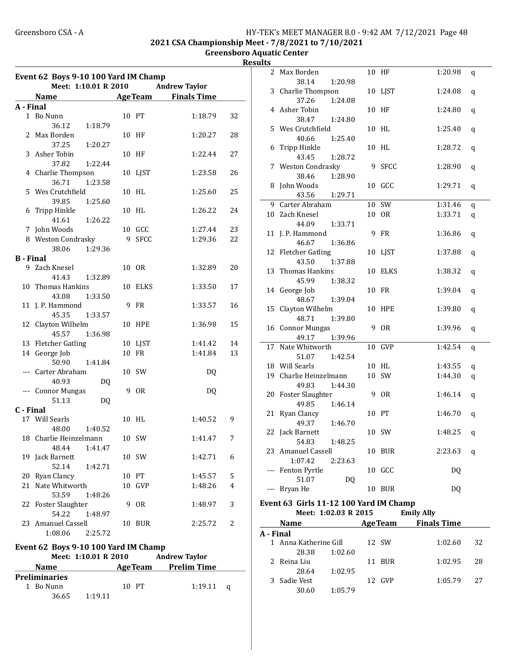#### Greensboro CSA - A <br>
HY-TEK's MEET MANAGER 8.0 - 9:42 AM 7/12/2021 Page 48 2021 CSA Championship Meet - 7/8/2021 to 7/10/2021

Greensboro Aquatic Center Results

|                  | Event 62 Boys 9-10 100 Yard IM Champ<br>Meet: 1:10.01 R 2010<br><b>Andrew Taylor</b> |   |                |                      |    |  |  |  |  |
|------------------|--------------------------------------------------------------------------------------|---|----------------|----------------------|----|--|--|--|--|
|                  | Name AgeTeam Finals Time                                                             |   |                |                      |    |  |  |  |  |
| A - Final        |                                                                                      |   |                |                      |    |  |  |  |  |
|                  | 1 Bo Nunn                                                                            |   | 10 PT          | 1:18.79              | 32 |  |  |  |  |
| 2                | 36.12<br>1:18.79<br>Max Borden                                                       |   | 10 HF          | 1:20.27              | 28 |  |  |  |  |
| 3                | 37.25<br>1:20.27<br>Asher Tobin                                                      |   | 10 HF          | 1:22.44              | 27 |  |  |  |  |
|                  | 37.82<br>1:22.44<br>4 Charlie Thompson                                               |   | 10 LJST        | 1:23.58              | 26 |  |  |  |  |
| 5.               | 36.71<br>1:23.58<br>Wes Crutchfield                                                  |   | 10 HL          | 1:25.60              | 25 |  |  |  |  |
| 6                | 39.85<br>1:25.60<br>Tripp Hinkle                                                     |   | 10 HL          | 1:26.22              | 24 |  |  |  |  |
|                  | 41.61<br>1:26.22                                                                     |   |                |                      |    |  |  |  |  |
|                  | 7 John Woods                                                                         |   | 10 GCC         | 1:27.44              | 23 |  |  |  |  |
|                  | 8 Weston Condrasky                                                                   | 9 | <b>SFCC</b>    | 1:29.36              | 22 |  |  |  |  |
|                  | 38.06<br>1:29.36                                                                     |   |                |                      |    |  |  |  |  |
| <b>B</b> - Final |                                                                                      |   |                |                      |    |  |  |  |  |
|                  | 9 Zach Knesel<br>41.43<br>1:32.89                                                    |   | 10 OR          | 1:32.89              | 20 |  |  |  |  |
| 10               | Thomas Hankins                                                                       |   | 10 ELKS        | 1:33.50              | 17 |  |  |  |  |
|                  | 43.08<br>1:33.50                                                                     |   |                |                      |    |  |  |  |  |
|                  | 11 J. P. Hammond                                                                     |   | 9 FR           | 1:33.57              | 16 |  |  |  |  |
|                  | 45.35<br>1:33.57                                                                     |   |                |                      |    |  |  |  |  |
|                  | 12 Clayton Wilhelm<br>45.57<br>1:36.98                                               |   | 10 HPE         | 1:36.98              | 15 |  |  |  |  |
|                  | 13 Fletcher Gatling                                                                  |   | 10 LJST        | 1:41.42              | 14 |  |  |  |  |
|                  | 14 George Job                                                                        |   | 10 FR          | 1:41.84              | 13 |  |  |  |  |
|                  | 50.90<br>1:41.84                                                                     |   |                |                      |    |  |  |  |  |
|                  | --- Carter Abraham                                                                   |   | 10 SW          | DQ                   |    |  |  |  |  |
|                  | 40.93<br>DQ                                                                          |   |                |                      |    |  |  |  |  |
|                  | --- Connor Mungas                                                                    | 9 | 0R             | DQ                   |    |  |  |  |  |
|                  | 51.13<br>DQ                                                                          |   |                |                      |    |  |  |  |  |
| C - Final        |                                                                                      |   |                |                      |    |  |  |  |  |
|                  | 17 Will Searls<br>48.00<br>1:40.52                                                   |   | 10 HL          | 1:40.52              | 9  |  |  |  |  |
|                  | 18 Charlie Heinzelmann                                                               |   | 10 SW          | 1:41.47              | 7  |  |  |  |  |
|                  | 48.44<br>1:41.47                                                                     |   |                |                      |    |  |  |  |  |
|                  | 19 Jack Barnett<br>52.14<br>1:42.71                                                  |   | 10 SW          | 1:42.71              | 6  |  |  |  |  |
| 20               | Ryan Clancy                                                                          |   | 10 PT          | 1:45.57              | 5  |  |  |  |  |
| 21               | Nate Whitworth                                                                       |   | 10 GVP         | 1:48.26              | 4  |  |  |  |  |
|                  | 53.59<br>1:48.26                                                                     |   |                |                      |    |  |  |  |  |
|                  | 22 Foster Slaughter<br>54.22<br>1:48.97                                              |   | 9 OR           | 1:48.97              | 3  |  |  |  |  |
| 23               | Amanuel Cassell<br>1:08.06<br>2:25.72                                                |   | 10 BUR         | 2:25.72              | 2  |  |  |  |  |
|                  |                                                                                      |   |                |                      |    |  |  |  |  |
|                  | Event 62 Boys 9-10 100 Yard IM Champ                                                 |   |                |                      |    |  |  |  |  |
|                  | Meet: 1:10.01 R 2010                                                                 |   |                | <b>Andrew Taylor</b> |    |  |  |  |  |
|                  | Name                                                                                 |   | <b>AgeTeam</b> | <b>Prelim Time</b>   |    |  |  |  |  |
|                  | <b>Preliminaries</b>                                                                 |   |                |                      |    |  |  |  |  |
|                  | 1 Bo Nunn<br>36.65<br>1:19.11                                                        |   | 10 PT          | 1:19.11              | q  |  |  |  |  |

| urtə      |                                        |                |                    |         |
|-----------|----------------------------------------|----------------|--------------------|---------|
| 2         | Max Borden                             | 10 HF          | 1:20.98            | q       |
|           | 38.14<br>1:20.98                       |                |                    |         |
| 3         | Charlie Thompson                       | 10 LJST        | 1:24.08            | q       |
|           | 37.26<br>1:24.08                       |                |                    |         |
|           | 4 Asher Tobin                          | 10 HF          | 1:24.80            | q       |
|           | 38.47<br>1:24.80                       |                |                    |         |
|           | 5 Wes Crutchfield                      | 10 HL          | 1:25.40            | q       |
|           | 40.66<br>1:25.40                       |                |                    |         |
|           | 6 Tripp Hinkle                         | 10 HL          | 1:28.72            | q       |
|           | 43.45<br>1:28.72                       |                |                    |         |
|           | 7 Weston Condrasky                     | 9 SFCC         | 1:28.90            | q       |
|           | 38.46<br>1:28.90                       |                |                    |         |
|           | 8 John Woods                           | 10 GCC         | 1:29.71            | q       |
|           | 43.56<br>1:29.71                       |                |                    |         |
|           | 9 Carter Abraham                       | 10 SW          | 1:31.46            | q       |
|           | 10 Zach Knesel                         | 10 OR          | 1:33.71            | q       |
|           | 44.09<br>1:33.71                       |                |                    |         |
|           | 11 J. P. Hammond                       | 9 FR           | 1:36.86            | q       |
|           | 46.67<br>1:36.86                       |                |                    |         |
|           | 12 Fletcher Gatling                    | 10 LJST        | 1:37.88            | q       |
|           | 43.50<br>1:37.88                       |                |                    |         |
|           | 13 Thomas Hankins                      | 10 ELKS        | 1:38.32            | q       |
|           | 45.99<br>1:38.32                       |                |                    |         |
|           | 14 George Job                          | 10 FR          | 1:39.04            | q       |
|           | 48.67<br>1:39.04                       |                |                    |         |
|           | 15 Clayton Wilhelm                     | <b>10 HPE</b>  | 1:39.80            | q       |
|           | 48.71<br>1:39.80                       |                |                    |         |
|           | 16 Connor Mungas                       | 9 OR           | 1:39.96            | q       |
|           | 49.17<br>1:39.96                       |                |                    |         |
|           | 17 Nate Whitworth                      | 10 GVP         | 1:42.54            | q       |
|           | 51.07<br>1:42.54                       |                |                    |         |
|           | 18 Will Searls                         | 10 HL          | 1:43.55            | q       |
|           | 19 Charlie Heinzelmann                 | 10 SW          | 1:44.30            | q       |
|           | 49.83<br>1:44.30                       |                |                    |         |
|           | 20 Foster Slaughter                    | 9 OR           | 1:46.14            | q       |
|           | 49.85<br>1:46.14                       |                |                    |         |
| 21        | Ryan Clancy                            | 10 PT          | 1:46.70            | q       |
|           | 49.37<br>1:46.70                       |                |                    |         |
|           | 22 Jack Barnett                        | 10 SW          | 1:48.25            | $\bf q$ |
|           | 54.83<br>1:48.25                       |                |                    |         |
|           | 23 Amanuel Cassell                     | 10 BUR         | 2:23.63            | q       |
|           | 1:07.42<br>2:23.63                     |                |                    |         |
|           | --- Fenton Pyrtle                      | 10 GCC         | DQ                 |         |
|           | 51.07<br>DQ                            |                |                    |         |
|           | --- Bryan He                           | 10 BUR         | DQ                 |         |
|           |                                        |                |                    |         |
|           | Event 63 Girls 11-12 100 Yard IM Champ |                |                    |         |
|           | Meet: 1:02.03 R 2015                   |                | <b>Emily Ally</b>  |         |
|           | <b>Name</b>                            | <b>AgeTeam</b> | <b>Finals Time</b> |         |
| A - Final |                                        |                |                    |         |
|           | 1 Anna Katherine Gill                  | 12 SW          | 1:02.60            | 32      |
|           | 28.38<br>1:02.60                       |                |                    |         |

| 1 Anna Katherine Gill |               | 12 SW |        | 1:02.60      | - 32 |
|-----------------------|---------------|-------|--------|--------------|------|
|                       | 28.38 1:02.60 |       |        |              |      |
| 2 Reina Liu           |               |       | 11 BUR | $1:02.95$ 28 |      |
| 28.64                 | 1:02.95       |       |        |              |      |
| 3 Sadie Vest          |               |       | 12 GVP | $1:05.79$ 27 |      |
| 30.60                 | 1:05.79       |       |        |              |      |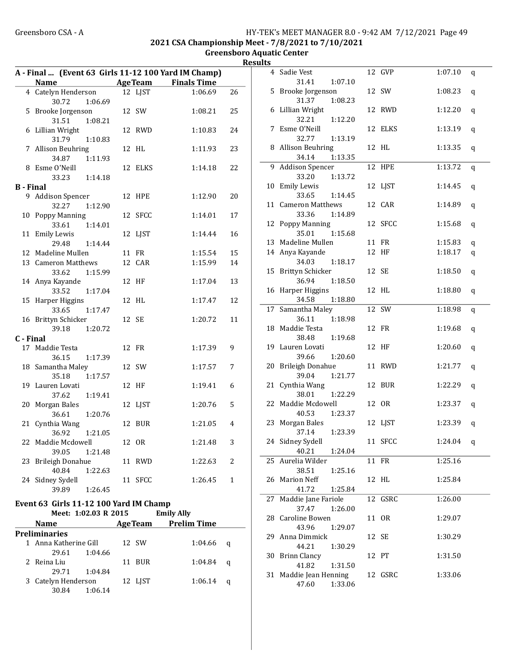**Preliminaries** 

29.61 1:04.66

29.71 1:04.84

30.84 1:06.14

#### Greensboro CSA - A <br>HY-TEK's MEET MANAGER 8.0 - 9:42 AM 7/12/2021 Page 49 2021 CSA Championship Meet - 7/8/2021 to 7/10/2021

#### Greensboro Aquatic Center **Results**

|           |                                        |         |    |            | A - Final  (Event 63 Girls 11-12 100 Yard IM Champ) |    |
|-----------|----------------------------------------|---------|----|------------|-----------------------------------------------------|----|
|           | Name                                   |         |    |            | AgeTeam Finals Time                                 |    |
|           | 4 Catelyn Henderson                    |         |    | 12 LJST    | 1:06.69                                             | 26 |
|           | 30.72                                  | 1:06.69 |    |            |                                                     |    |
|           | 5 Brooke Jorgenson                     |         |    | 12 SW      | 1:08.21                                             | 25 |
|           | 31.51                                  | 1:08.21 |    |            |                                                     |    |
|           | 6 Lillian Wright                       |         |    | 12 RWD     | 1:10.83                                             | 24 |
|           | 31.79                                  | 1:10.83 |    |            |                                                     |    |
|           | 7 Allison Beuhring                     |         |    | 12 HL      | 1:11.93                                             | 23 |
|           | 34.87 1:11.93                          |         |    |            |                                                     |    |
|           | 8 Esme O'Neill                         |         |    | 12 ELKS    | 1:14.18                                             | 22 |
|           | 33.23                                  | 1:14.18 |    |            |                                                     |    |
| B - Final |                                        |         |    |            |                                                     |    |
|           | 9 Addison Spencer                      |         |    | 12 HPE     | 1:12.90                                             | 20 |
|           | 32.27                                  | 1:12.90 |    |            |                                                     |    |
|           | 10 Poppy Manning                       |         |    | 12 SFCC    | 1:14.01                                             | 17 |
|           | 33.61                                  | 1:14.01 |    |            |                                                     |    |
|           | 11 Emily Lewis                         |         |    | 12 LJST    | 1:14.44                                             | 16 |
|           | 29.48                                  | 1:14.44 |    |            |                                                     |    |
|           | 12 Madeline Mullen                     |         |    | 11 FR      | 1:15.54                                             | 15 |
|           | 13 Cameron Matthews                    |         |    | 12 CAR     | 1:15.99                                             | 14 |
|           | 33.62                                  | 1:15.99 |    |            |                                                     |    |
|           | 14 Anya Kayande                        |         |    | 12 HF      | 1:17.04                                             | 13 |
|           | 33.52                                  | 1:17.04 |    |            |                                                     |    |
|           | 15 Harper Higgins                      |         |    | 12 HL      | 1:17.47                                             | 12 |
|           | 33.65                                  | 1:17.47 |    |            |                                                     |    |
|           | 16 Brittyn Schicker                    |         |    | 12 SE      | 1:20.72                                             | 11 |
|           | 39.18                                  | 1:20.72 |    |            |                                                     |    |
| C - Final |                                        |         |    |            |                                                     |    |
|           | 17 Maddie Testa                        |         |    | 12 FR      | 1:17.39                                             | 9  |
|           | 36.15                                  | 1:17.39 |    |            |                                                     |    |
|           | 18 Samantha Maley                      |         |    | 12 SW      | 1:17.57                                             | 7  |
|           | 35.18                                  | 1:17.57 |    |            |                                                     |    |
|           | 19 Lauren Lovati                       |         |    | 12 HF      | 1:19.41                                             | 6  |
|           | 37.62                                  | 1:19.41 |    |            |                                                     |    |
| 20        | Morgan Bales                           |         |    | 12 LJST    | 1:20.76                                             | 5  |
|           | 36.61                                  | 1:20.76 |    |            |                                                     |    |
| 21        | Cynthia Wang                           |         | 12 | <b>BUR</b> | 1:21.05                                             | 4  |
|           | 36.92                                  | 1:21.05 |    |            |                                                     |    |
| 22        | Maddie Mcdowell                        |         | 12 | <b>OR</b>  | 1:21.48                                             | 3  |
|           | 39.05                                  | 1:21.48 |    |            |                                                     |    |
|           | 23 Brileigh Donahue                    |         |    | 11 RWD     | 1:22.63                                             | 2  |
|           | 40.84                                  | 1:22.63 |    |            |                                                     |    |
|           | 24 Sidney Sydell                       |         |    | 11 SFCC    | 1:26.45                                             | 1  |
|           | 39.89                                  | 1:26.45 |    |            |                                                     |    |
|           |                                        |         |    |            |                                                     |    |
|           | Event 63 Girls 11-12 100 Yard IM Champ |         |    |            |                                                     |    |
|           | Meet: 1:02.03 R 2015                   |         |    |            | <b>Emily Ally</b>                                   |    |
|           | Name                                   |         |    |            | <b>AgeTeam</b> Prelim Time                          |    |

1 Anna Katherine Gill 12 SW 1:04.66 q

2 Reina Liu 11 BUR 1:04.84 q

3 Catelyn Henderson 12 LJST 1:06.14 q

|    | 4 Sadie Vest               | 12 GVP  | 1:07.10     | q |
|----|----------------------------|---------|-------------|---|
|    | 31.41<br>1:07.10           |         |             |   |
| 5  | Brooke Jorgenson           | 12 SW   | 1:08.23     | q |
|    | 31.37<br>1:08.23           |         |             |   |
|    | 6 Lillian Wright           | 12 RWD  | 1:12.20     | q |
|    | 32.21<br>1:12.20           |         |             |   |
|    | 7 Esme O'Neill             | 12 ELKS | 1:13.19     | q |
|    | 32.77<br>1:13.19           |         |             |   |
|    | 8 Allison Beuhring         | 12 HL   | 1:13.35     | q |
|    | 1:13.35<br>34.14           |         |             |   |
| 9. | <b>Addison Spencer</b>     | 12 HPE  | 1:13.72     | q |
|    | 33.20<br>1:13.72           |         |             |   |
|    | 10 Emily Lewis             | 12 LJST | 1:14.45     | q |
|    | 33.65<br>1:14.45           |         |             |   |
|    | 11 Cameron Matthews        | 12 CAR  | 1:14.89     | q |
|    | 33.36<br>1:14.89           |         |             |   |
|    | 12 Poppy Manning           | 12 SFCC | 1:15.68     | q |
|    | 35.01<br>1:15.68           |         |             |   |
|    | 13 Madeline Mullen         | 11 FR   | 1:15.83     | q |
|    | 14 Anya Kayande            | 12 HF   | 1:18.17     | q |
|    | 34.03<br>1:18.17           |         |             |   |
| 15 | <b>Brittyn Schicker</b>    | 12 SE   | 1:18.50     | q |
|    | 36.94<br>1:18.50           |         |             |   |
|    | 16 Harper Higgins          | 12 HL   | 1:18.80     | q |
|    | 34.58<br>1:18.80           |         |             |   |
| 17 | Samantha Maley             | 12 SW   | 1:18.98     | q |
|    | 1:18.98<br>36.11           |         |             |   |
|    | 18 Maddie Testa            | 12 FR   | 1:19.68     | q |
|    | 38.48<br>1:19.68           |         |             |   |
|    | 19 Lauren Lovati           | 12 HF   | 1:20.60     | q |
|    | 39.66<br>1:20.60           |         |             |   |
|    | 20 Brileigh Donahue        | 11 RWD  | 1:21.77     | q |
|    | 39.04<br>1:21.77           |         |             |   |
| 21 | Cynthia Wang               | 12 BUR  | 1:22.29     | q |
|    | 38.01<br>1:22.29           |         |             |   |
| 22 | Maddie Mcdowell            | 12 OR   | 1:23.37     | q |
|    | 40.53<br>1:23.37           |         |             |   |
|    | 23 Morgan Bales            | 12 LJST | 1:23.39     | q |
|    | 37.14<br>1:23.39           |         |             |   |
|    | 24 Sidney Sydell           | 11 SFCC | 1:24.04 $q$ |   |
|    | 40.21<br>1:24.04           |         |             |   |
| 25 | Aurelia Wilder             | 11 FR   | 1:25.16     |   |
|    | 38.51<br>1:25.16           |         |             |   |
| 26 | <b>Marion Neff</b>         | 12 HL   | 1:25.84     |   |
|    | 41.72<br>1:25.84           |         |             |   |
| 27 | Maddie Jane Fariole        | 12 GSRC | 1:26.00     |   |
|    | 37.47<br>1:26.00           |         |             |   |
|    | 28 Caroline Bowen          | 11 OR   | 1:29.07     |   |
| 29 | 43.96<br>1:29.07           |         |             |   |
|    | Anna Dimmick<br>44.21      | 12 SE   | 1:30.29     |   |
|    | 1:30.29<br>30 Brinn Clancy | 12 PT   | 1:31.50     |   |
|    | 41.82<br>1:31.50           |         |             |   |
|    | 31 Maddie Jean Henning     | 12 GSRC | 1:33.06     |   |
|    | 47.60<br>1:33.06           |         |             |   |
|    |                            |         |             |   |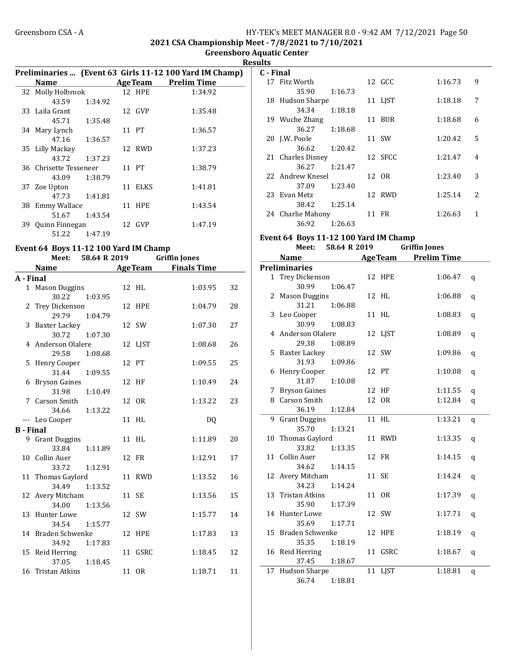#### Greensboro CSA - A <br>HY-TEK's MEET MANAGER 8.0 - 9:42 AM 7/12/2021 Page 50 2021 CSA Championship Meet - 7/8/2021 to 7/10/2021

Greensboro Aquatic Center Results

|                                       |                    |         | Preliminaries  (Event 63 Girls 11-12 100 Yard IM Champ) |
|---------------------------------------|--------------------|---------|---------------------------------------------------------|
| <b>Name</b>                           |                    |         | AgeTeam Prelim Time                                     |
| 32 Molly Holbrook                     |                    | 12 HPE  | 1:34.92                                                 |
| 43.59                                 | 1:34.92            |         |                                                         |
| 33 Laila Grant                        |                    | 12 GVP  | 1:35.48                                                 |
|                                       | 45.71 1:35.48      |         |                                                         |
| 34 Mary Lynch                         |                    | 11 PT   | 1:36.57                                                 |
|                                       | 47.16 1:36.57      |         |                                                         |
| 35 Lilly Mackay                       |                    | 12 RWD  | 1:37.23                                                 |
|                                       | 43.72 1:37.23      |         |                                                         |
| 36 Chrisette Tesseneer                |                    | 11 PT   | 1:38.79                                                 |
| 43.09                                 | 1:38.79            |         |                                                         |
| 37 Zoe Upton                          |                    | 11 ELKS | 1:41.81                                                 |
|                                       | 47.73 1:41.81      |         |                                                         |
| 38 Emmy Wallace                       |                    | 11 HPE  | 1:43.54                                                 |
|                                       | 51.67 1:43.54      |         |                                                         |
| 39 Quinn Finnegan                     |                    | 12 GVP  | 1:47.19                                                 |
| 51.22                                 | 1:47.19            |         |                                                         |
| Event 64 Boys 11-12 100 Yard IM Champ |                    |         |                                                         |
|                                       | Meet: 58.64 R 2019 |         | <b>Griffin Jones</b>                                    |
| Name                                  |                    | AgeTeam | Finals Time                                             |

|                  | <b>Name</b>                           | <b>Age Team</b> | <b>Finals Time</b> |    |
|------------------|---------------------------------------|-----------------|--------------------|----|
| A - Final        |                                       |                 |                    |    |
|                  | 1 Mason Duggins                       | 12 HL           | 1:03.95            | 32 |
|                  | 30.22<br>1:03.95                      |                 |                    |    |
|                  | 2 Trey Dickenson                      | 12 HPE          | 1:04.79            | 28 |
|                  | 29.79<br>1:04.79                      |                 |                    |    |
|                  | 3 Baxter Lackey                       | 12 SW           | 1:07.30            | 27 |
|                  | 30.72<br>1:07.30                      |                 |                    |    |
|                  | 4 Anderson Olalere                    | 12 LJST         | 1:08.68            | 26 |
|                  | 29.58<br>1:08.68                      |                 |                    |    |
|                  | 5 Henry Cooper                        | 12 PT           | 1:09.55            | 25 |
|                  | 31.44<br>1:09.55                      |                 |                    |    |
|                  | 6 Bryson Gaines                       | 12 HF           | 1:10.49            | 24 |
|                  | 31.98<br>1:10.49                      |                 |                    |    |
|                  | 7 Carson Smith                        | 12 OR           | 1:13.22            | 23 |
|                  | 34.66<br>1:13.22                      |                 |                    |    |
|                  | --- Leo Cooper                        | 11 HL           | DQ                 |    |
| <b>B</b> - Final |                                       |                 |                    |    |
|                  | 9 Grant Duggins                       | 11 HL           | 1:11.89            | 20 |
|                  | 33.84<br>1:11.89                      |                 |                    |    |
|                  | 10 Collin Auer                        | 12 FR           | 1:12.91            | 17 |
|                  | 1:12.91<br>33.72                      |                 |                    |    |
|                  | 11 Thomas Gaylord<br>34.49<br>1:13.52 | 11 RWD          | 1:13.52            | 16 |
|                  | 12 Avery Mitcham                      | 11 SE           | 1:13.56            | 15 |
|                  | 34.00<br>1:13.56                      |                 |                    |    |
|                  | 13 Hunter Lowe                        | 12 SW           | 1:15.77            | 14 |
|                  | 34.54<br>1:15.77                      |                 |                    |    |
|                  | 14 Braden Schwenke                    | 12 HPE          | 1:17.83            | 13 |
|                  | 34.92<br>1:17.83                      |                 |                    |    |
|                  | 15 Reid Herring                       | 11 GSRC         | 1:18.45            | 12 |
|                  | 37.05<br>1:18.45                      |                 |                    |    |
|                  | 16 Tristan Atkins                     | 11 OR           | 1:18.71            | 11 |
|                  |                                       |                 |                    |    |

| C - Final |                   |         |         |         |               |
|-----------|-------------------|---------|---------|---------|---------------|
|           | 17 Fitz Worth     |         | 12 GCC  | 1:16.73 | 9             |
|           | 35.90             | 1:16.73 |         |         |               |
|           | 18 Hudson Sharpe  |         | 11 LIST | 1:18.18 | 7             |
|           | 34.34             | 1:18.18 |         |         |               |
|           | 19 Wuche Zhang    |         | 11 BUR  | 1:18.68 | 6             |
|           | 36.27             | 1:18.68 |         |         |               |
|           | 20 J.W. Poole     |         | 11 SW   | 1:20.42 | 5             |
|           | 36.62             | 1:20.42 |         |         |               |
|           | 21 Charles Disney |         | 12 SFCC | 1:21.47 | 4             |
|           | 36.27             | 1:21.47 |         |         |               |
|           | 22 Andrew Knesel  |         | 12 OR   | 1:23.40 | 3             |
|           | 37.09             | 1:23.40 |         |         |               |
|           | 23 Evan Metz      |         | 12 RWD  | 1:25.14 | $\mathcal{L}$ |
|           | 38.42             | 1:25.14 |         |         |               |
|           | 24 Charlie Mahony |         | 11 FR   | 1:26.63 | 1             |
|           | 36.92             | 1:26.63 |         |         |               |

## Event 64 Boys 11-12 100 Yard IM Champ

| <b>Prelim Time</b><br><b>Name</b><br><b>AgeTeam</b><br><b>Preliminaries</b><br>1 Trey Dickenson<br>12 HPE<br>1:06.47<br>q<br>30.99<br>1:06.47<br>2 Mason Duggins<br>12 HL<br>1:06.88<br>q<br>31.21<br>1:06.88<br>3 Leo Cooper<br>11 HL<br>1:08.83<br>q<br>30.99<br>1:08.83<br>4 Anderson Olalere<br>12 LJST<br>1:08.89<br>q<br>29.38<br>1:08.89<br>12 SW<br>5 Baxter Lackey<br>1:09.86<br>q<br>31.93<br>1:09.86<br>6 Henry Cooper<br>12 PT<br>1:10.08<br>q<br>31.87<br>1:10.08<br>7 Bryson Gaines<br>12 HF<br>1:11.55<br>q<br>8 Carson Smith<br>12 OR<br>1:12.84<br>q<br>36.19<br>1:12.84<br>11 HL<br>1:13.21<br>9 Grant Duggins<br>q<br>35.70<br>1:13.21<br>10 Thomas Gaylord<br>11 RWD<br>1:13.35<br>q<br>33.82<br>1:13.35<br>11 Collin Auer<br>12 FR<br>1:14.15<br>q<br>34.62<br>1:14.15<br>12 Avery Mitcham<br>11 SE<br>1:14.24<br>q<br>34.23<br>1:14.24<br>11 OR<br>13 Tristan Atkins<br>1:17.39<br>q<br>1:17.39<br>35.90<br>14 Hunter Lowe<br>12 SW<br>1:17.71<br>q<br>35.69<br>1:17.71<br>15 Braden Schwenke<br>1:18.19<br>12 HPE<br>q<br>35.35<br>1:18.19<br>16 Reid Herring<br>11 GSRC<br>1:18.67<br>q<br>37.45<br>1:18.67<br>17 Hudson Sharpe<br>11 LJST<br>1:18.81<br>q<br>36.74<br>1:18.81 | Meet: | 58.64 R 2019 |  | <b>Griffin Jones</b> |  |
|--------------------------------------------------------------------------------------------------------------------------------------------------------------------------------------------------------------------------------------------------------------------------------------------------------------------------------------------------------------------------------------------------------------------------------------------------------------------------------------------------------------------------------------------------------------------------------------------------------------------------------------------------------------------------------------------------------------------------------------------------------------------------------------------------------------------------------------------------------------------------------------------------------------------------------------------------------------------------------------------------------------------------------------------------------------------------------------------------------------------------------------------------------------------------------------------------------|-------|--------------|--|----------------------|--|
|                                                                                                                                                                                                                                                                                                                                                                                                                                                                                                                                                                                                                                                                                                                                                                                                                                                                                                                                                                                                                                                                                                                                                                                                        |       |              |  |                      |  |
|                                                                                                                                                                                                                                                                                                                                                                                                                                                                                                                                                                                                                                                                                                                                                                                                                                                                                                                                                                                                                                                                                                                                                                                                        |       |              |  |                      |  |
|                                                                                                                                                                                                                                                                                                                                                                                                                                                                                                                                                                                                                                                                                                                                                                                                                                                                                                                                                                                                                                                                                                                                                                                                        |       |              |  |                      |  |
|                                                                                                                                                                                                                                                                                                                                                                                                                                                                                                                                                                                                                                                                                                                                                                                                                                                                                                                                                                                                                                                                                                                                                                                                        |       |              |  |                      |  |
|                                                                                                                                                                                                                                                                                                                                                                                                                                                                                                                                                                                                                                                                                                                                                                                                                                                                                                                                                                                                                                                                                                                                                                                                        |       |              |  |                      |  |
|                                                                                                                                                                                                                                                                                                                                                                                                                                                                                                                                                                                                                                                                                                                                                                                                                                                                                                                                                                                                                                                                                                                                                                                                        |       |              |  |                      |  |
|                                                                                                                                                                                                                                                                                                                                                                                                                                                                                                                                                                                                                                                                                                                                                                                                                                                                                                                                                                                                                                                                                                                                                                                                        |       |              |  |                      |  |
|                                                                                                                                                                                                                                                                                                                                                                                                                                                                                                                                                                                                                                                                                                                                                                                                                                                                                                                                                                                                                                                                                                                                                                                                        |       |              |  |                      |  |
|                                                                                                                                                                                                                                                                                                                                                                                                                                                                                                                                                                                                                                                                                                                                                                                                                                                                                                                                                                                                                                                                                                                                                                                                        |       |              |  |                      |  |
|                                                                                                                                                                                                                                                                                                                                                                                                                                                                                                                                                                                                                                                                                                                                                                                                                                                                                                                                                                                                                                                                                                                                                                                                        |       |              |  |                      |  |
|                                                                                                                                                                                                                                                                                                                                                                                                                                                                                                                                                                                                                                                                                                                                                                                                                                                                                                                                                                                                                                                                                                                                                                                                        |       |              |  |                      |  |
|                                                                                                                                                                                                                                                                                                                                                                                                                                                                                                                                                                                                                                                                                                                                                                                                                                                                                                                                                                                                                                                                                                                                                                                                        |       |              |  |                      |  |
|                                                                                                                                                                                                                                                                                                                                                                                                                                                                                                                                                                                                                                                                                                                                                                                                                                                                                                                                                                                                                                                                                                                                                                                                        |       |              |  |                      |  |
|                                                                                                                                                                                                                                                                                                                                                                                                                                                                                                                                                                                                                                                                                                                                                                                                                                                                                                                                                                                                                                                                                                                                                                                                        |       |              |  |                      |  |
|                                                                                                                                                                                                                                                                                                                                                                                                                                                                                                                                                                                                                                                                                                                                                                                                                                                                                                                                                                                                                                                                                                                                                                                                        |       |              |  |                      |  |
|                                                                                                                                                                                                                                                                                                                                                                                                                                                                                                                                                                                                                                                                                                                                                                                                                                                                                                                                                                                                                                                                                                                                                                                                        |       |              |  |                      |  |
|                                                                                                                                                                                                                                                                                                                                                                                                                                                                                                                                                                                                                                                                                                                                                                                                                                                                                                                                                                                                                                                                                                                                                                                                        |       |              |  |                      |  |
|                                                                                                                                                                                                                                                                                                                                                                                                                                                                                                                                                                                                                                                                                                                                                                                                                                                                                                                                                                                                                                                                                                                                                                                                        |       |              |  |                      |  |
|                                                                                                                                                                                                                                                                                                                                                                                                                                                                                                                                                                                                                                                                                                                                                                                                                                                                                                                                                                                                                                                                                                                                                                                                        |       |              |  |                      |  |
|                                                                                                                                                                                                                                                                                                                                                                                                                                                                                                                                                                                                                                                                                                                                                                                                                                                                                                                                                                                                                                                                                                                                                                                                        |       |              |  |                      |  |
|                                                                                                                                                                                                                                                                                                                                                                                                                                                                                                                                                                                                                                                                                                                                                                                                                                                                                                                                                                                                                                                                                                                                                                                                        |       |              |  |                      |  |
|                                                                                                                                                                                                                                                                                                                                                                                                                                                                                                                                                                                                                                                                                                                                                                                                                                                                                                                                                                                                                                                                                                                                                                                                        |       |              |  |                      |  |
|                                                                                                                                                                                                                                                                                                                                                                                                                                                                                                                                                                                                                                                                                                                                                                                                                                                                                                                                                                                                                                                                                                                                                                                                        |       |              |  |                      |  |
|                                                                                                                                                                                                                                                                                                                                                                                                                                                                                                                                                                                                                                                                                                                                                                                                                                                                                                                                                                                                                                                                                                                                                                                                        |       |              |  |                      |  |
|                                                                                                                                                                                                                                                                                                                                                                                                                                                                                                                                                                                                                                                                                                                                                                                                                                                                                                                                                                                                                                                                                                                                                                                                        |       |              |  |                      |  |
|                                                                                                                                                                                                                                                                                                                                                                                                                                                                                                                                                                                                                                                                                                                                                                                                                                                                                                                                                                                                                                                                                                                                                                                                        |       |              |  |                      |  |
|                                                                                                                                                                                                                                                                                                                                                                                                                                                                                                                                                                                                                                                                                                                                                                                                                                                                                                                                                                                                                                                                                                                                                                                                        |       |              |  |                      |  |
|                                                                                                                                                                                                                                                                                                                                                                                                                                                                                                                                                                                                                                                                                                                                                                                                                                                                                                                                                                                                                                                                                                                                                                                                        |       |              |  |                      |  |
|                                                                                                                                                                                                                                                                                                                                                                                                                                                                                                                                                                                                                                                                                                                                                                                                                                                                                                                                                                                                                                                                                                                                                                                                        |       |              |  |                      |  |
|                                                                                                                                                                                                                                                                                                                                                                                                                                                                                                                                                                                                                                                                                                                                                                                                                                                                                                                                                                                                                                                                                                                                                                                                        |       |              |  |                      |  |
|                                                                                                                                                                                                                                                                                                                                                                                                                                                                                                                                                                                                                                                                                                                                                                                                                                                                                                                                                                                                                                                                                                                                                                                                        |       |              |  |                      |  |
|                                                                                                                                                                                                                                                                                                                                                                                                                                                                                                                                                                                                                                                                                                                                                                                                                                                                                                                                                                                                                                                                                                                                                                                                        |       |              |  |                      |  |
|                                                                                                                                                                                                                                                                                                                                                                                                                                                                                                                                                                                                                                                                                                                                                                                                                                                                                                                                                                                                                                                                                                                                                                                                        |       |              |  |                      |  |
|                                                                                                                                                                                                                                                                                                                                                                                                                                                                                                                                                                                                                                                                                                                                                                                                                                                                                                                                                                                                                                                                                                                                                                                                        |       |              |  |                      |  |
|                                                                                                                                                                                                                                                                                                                                                                                                                                                                                                                                                                                                                                                                                                                                                                                                                                                                                                                                                                                                                                                                                                                                                                                                        |       |              |  |                      |  |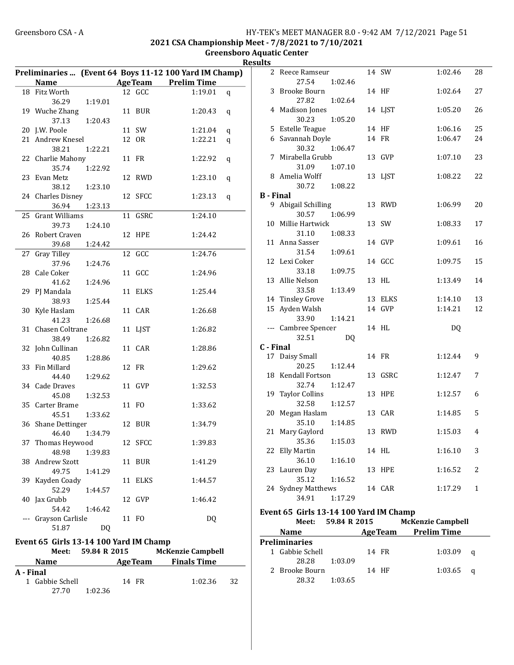2021 CSA Championship Meet - 7/8/2021 to 7/10/2021

Greensboro Aquatic Center Results

|           |                                        |                    |         | Preliminaries  (Event 64 Boys 11-12 100 Yard IM Champ) |    |
|-----------|----------------------------------------|--------------------|---------|--------------------------------------------------------|----|
|           | Name                                   |                    |         | <b>AgeTeam</b> Prelim Time                             |    |
|           | 18 Fitz Worth                          |                    | 12 GCC  | 1:19.01                                                | q  |
|           | 36.29                                  | 1:19.01            |         |                                                        |    |
|           | 19 Wuche Zhang                         |                    | 11 BUR  | 1:20.43                                                | q  |
|           | 37.13                                  | 1:20.43            |         |                                                        |    |
|           | 20 J.W. Poole                          |                    | 11 SW   | 1:21.04                                                | q  |
|           | 21 Andrew Knesel                       |                    | 12 OR   | 1:22.21                                                | q  |
|           | 38.21                                  | 1:22.21            |         |                                                        |    |
|           | 22 Charlie Mahony                      |                    | 11 FR   | 1:22.92                                                | q  |
|           | 35.74                                  | 1:22.92            |         |                                                        |    |
|           | 23 Evan Metz                           |                    | 12 RWD  | 1:23.10                                                | q  |
|           | 38.12                                  | 1:23.10            |         |                                                        |    |
|           | 24 Charles Disney                      |                    | 12 SFCC | 1:23.13                                                | q  |
|           | 36.94                                  | 1:23.13            |         |                                                        |    |
| 25        | Grant Williams                         |                    | 11 GSRC | 1:24.10                                                |    |
|           | 39.73                                  | 1:24.10            |         |                                                        |    |
| 26        | Robert Craven                          |                    | 12 HPE  | 1:24.42                                                |    |
|           | 39.68                                  | 1:24.42            |         |                                                        |    |
| 27        | Gray Tilley                            |                    | 12 GCC  | 1:24.76                                                |    |
|           | 37.96                                  | 1:24.76            |         |                                                        |    |
|           | 28 Cale Coker                          |                    | 11 GCC  | 1:24.96                                                |    |
|           | 41.62                                  | 1:24.96            |         |                                                        |    |
|           | 29 PJ Mandala                          |                    | 11 ELKS | 1:25.44                                                |    |
|           | 38.93                                  | 1:25.44            |         |                                                        |    |
| 30        | Kyle Haslam                            |                    | 11 CAR  | 1:26.68                                                |    |
|           | 41.23                                  | 1:26.68            |         |                                                        |    |
|           | 31 Chasen Coltrane                     |                    | 11 LJST | 1:26.82                                                |    |
|           | 38.49                                  | 1:26.82            |         |                                                        |    |
|           | 32 John Cullinan                       |                    | 11 CAR  | 1:28.86                                                |    |
|           | 40.85                                  | 1:28.86            |         |                                                        |    |
| 33        | Fin Millard                            |                    | 12 FR   | 1:29.62                                                |    |
|           | 44.40                                  | 1:29.62            |         |                                                        |    |
|           | 34 Cade Draves                         |                    | 11 GVP  | 1:32.53                                                |    |
|           | 45.08                                  | 1:32.53            |         |                                                        |    |
| 35        | Carter Brame                           |                    | 11 FO   | 1:33.62                                                |    |
|           | 45.51                                  | 1:33.62            |         |                                                        |    |
|           | 36 Shane Dettinger                     |                    | 12 BUR  | 1:34.79                                                |    |
|           | 46.40                                  | 1:34.79            |         |                                                        |    |
| 37        | Thomas Heywood                         |                    | 12 SFCC | 1:39.83                                                |    |
|           | 48.98                                  | 1:39.83            |         |                                                        |    |
| 38        | Andrew Szott                           |                    | 11 BUR  | 1:41.29                                                |    |
|           | 49.75                                  | 1:41.29            |         |                                                        |    |
| 39        | Kayden Coady                           |                    | 11 ELKS | 1:44.57                                                |    |
|           | 52.29                                  | 1:44.57            |         |                                                        |    |
| 40        | Jax Grubb                              |                    | 12 GVP  | 1:46.42                                                |    |
|           | 54.42                                  | 1:46.42            |         |                                                        |    |
|           | Grayson Carlisle                       |                    | 11 FO   | DQ                                                     |    |
|           | 51.87                                  | DQ                 |         |                                                        |    |
|           |                                        |                    |         |                                                        |    |
|           | Event 65 Girls 13-14 100 Yard IM Champ |                    |         |                                                        |    |
|           |                                        | Meet: 59.84 R 2015 |         | <b>McKenzie Campbell</b>                               |    |
|           | <b>Name</b>                            |                    |         | <b>Example 21 Age Team</b> Finals Time                 |    |
| A - Final |                                        |                    |         |                                                        |    |
|           | 1 Gabbie Schell                        |                    | 14 FR   | 1:02.36                                                | 32 |
|           | 27.70                                  | 1:02.36            |         |                                                        |    |
|           |                                        |                    |         |                                                        |    |

| 2                | Reece Ramseur         |         |    | 14 SW       | 1:02.46 | 28           |
|------------------|-----------------------|---------|----|-------------|---------|--------------|
|                  | 27.54                 | 1:02.46 |    |             |         |              |
| 3                | <b>Brooke Bourn</b>   |         | 14 | HF          | 1:02.64 | 27           |
|                  | 27.82                 | 1:02.64 |    |             |         |              |
|                  | 4 Madison Jones       |         | 14 | LJST        | 1:05.20 | 26           |
|                  | 30.23                 | 1:05.20 |    |             |         |              |
|                  | 5 Estelle Teague      |         | 14 | HF          | 1:06.16 | 25           |
|                  | 6 Savannah Doyle      |         | 14 | <b>FR</b>   | 1:06.47 | 24           |
|                  | 30.32                 | 1:06.47 |    |             |         |              |
| 7                | Mirabella Grubb       |         | 13 | GVP         | 1:07.10 | 23           |
|                  | 31.09                 | 1:07.10 |    |             |         |              |
|                  | 8 Amelia Wolff        |         | 13 | LJST        | 1:08.22 | 22           |
|                  | 30.72                 | 1:08.22 |    |             |         |              |
| <b>B</b> - Final |                       |         |    |             |         |              |
|                  | 9 Abigail Schilling   |         | 13 | <b>RWD</b>  | 1:06.99 | 20           |
|                  | 30.57                 | 1:06.99 |    |             |         |              |
|                  | 10 Millie Hartwick    |         | 13 | SW          | 1:08.33 | 17           |
|                  | 31.10                 | 1:08.33 |    |             |         |              |
|                  | 11 Anna Sasser        |         |    | 14 GVP      | 1:09.61 | 16           |
|                  | 31.54                 | 1:09.61 |    |             |         |              |
|                  | 12 Lexi Coker         |         |    | 14 GCC      | 1:09.75 | 15           |
|                  | 33.18                 | 1:09.75 |    |             |         |              |
| 13               | Allie Nelson          |         | 13 | HL          | 1:13.49 | 14           |
|                  | 33.58                 | 1:13.49 |    |             |         |              |
|                  | 14 Tinsley Grove      |         | 13 | <b>ELKS</b> | 1:14.10 | 13           |
|                  | 15 Ayden Walsh        |         | 14 | GVP         | 1:14.21 | 12           |
|                  | 33.90                 | 1:14.21 |    |             |         |              |
|                  | --- Cambree Spencer   |         |    | 14 HL       | DQ      |              |
|                  | 32.51                 | DQ      |    |             |         |              |
| C - Final        |                       |         |    |             |         |              |
|                  | 17 Daisy Small        |         |    | 14 FR       | 1:12.44 | 9            |
|                  | 20.25                 | 1:12.44 |    |             |         |              |
| 18               | Kendall Fortson       |         | 13 | GSRC        | 1:12.47 | 7            |
|                  | 32.74                 | 1:12.47 |    |             |         |              |
| 19               | <b>Taylor Collins</b> |         | 13 | <b>HPE</b>  | 1:12.57 | 6            |
|                  | 32.58                 | 1:12.57 |    |             |         |              |
| 20               | Megan Haslam          |         |    | 13 CAR      | 1:14.85 | 5            |
|                  | 35.10                 | 1:14.85 |    |             |         |              |
| 21               | Mary Gaylord          |         | 13 | <b>RWD</b>  | 1:15.03 | 4            |
|                  | 35.36                 | 1:15.03 |    |             |         |              |
| 22               | Elly Martin           |         |    | 14 HL       | 1:16.10 | 3            |
|                  | 36.10                 | 1:16.10 |    |             |         |              |
| 23               | Lauren Day            |         | 13 | <b>HPE</b>  | 1:16.52 | 2            |
|                  | 35.12                 | 1:16.52 |    |             |         |              |
|                  | 24 Sydney Matthews    |         |    | 14 CAR      | 1:17.29 | $\mathbf{1}$ |
|                  | 34.91                 | 1:17.29 |    |             |         |              |

## Event 65 Girls 13-14 100 Yard IM Champ

| Meet:                | 59.84 R 2015 |                | <b>McKenzie Campbell</b> |          |
|----------------------|--------------|----------------|--------------------------|----------|
| <b>Name</b>          |              | <b>AgeTeam</b> | Prelim Time              |          |
| <b>Preliminaries</b> |              |                |                          |          |
| 1 Gabbie Schell      |              | 14 FR          | 1:03.09                  | $\alpha$ |
| 28.28                | 1:03.09      |                |                          |          |
| 2 Brooke Bourn       |              | 14 HF          | $1:03.65$ q              |          |
| 28.32                | 1:03.65      |                |                          |          |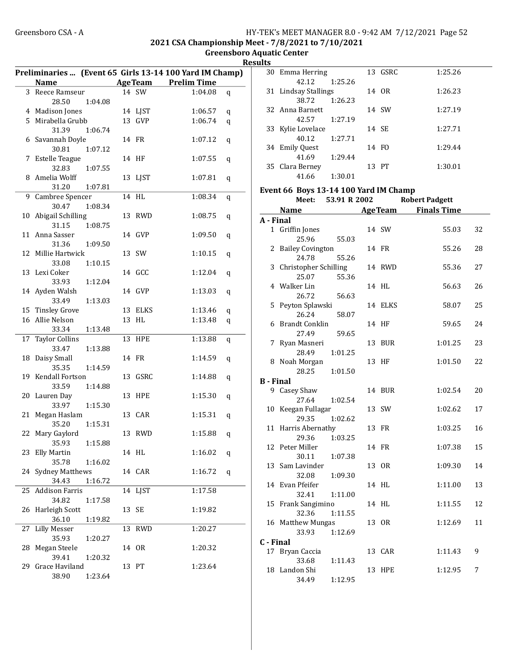2021 CSA Championship Meet - 7/8/2021 to 7/10/2021

Greensboro Aquatic Center Results

|    |                        |         |    |            | Preliminaries  (Event 65 Girls 13-14 100 Yard IM Champ) |   |
|----|------------------------|---------|----|------------|---------------------------------------------------------|---|
|    | <b>Name</b>            |         |    |            | <b>AgeTeam</b> Prelim Time                              |   |
|    | 3 Reece Ramseur        |         |    | 14 SW      | 1:04.08                                                 | q |
|    | 28.50                  | 1:04.08 |    |            |                                                         |   |
|    | 4 Madison Jones        |         |    | 14 LJST    | 1:06.57                                                 | q |
|    | 5 Mirabella Grubb      |         |    | 13 GVP     | 1:06.74                                                 | q |
|    | 31.39                  | 1:06.74 |    |            |                                                         |   |
|    | 6 Savannah Doyle       |         |    | 14 FR      | 1:07.12                                                 | q |
|    | 30.81                  | 1:07.12 |    |            |                                                         |   |
|    | 7 Estelle Teague       |         |    | 14 HF      | 1:07.55                                                 | q |
|    | 32.83                  | 1:07.55 |    |            |                                                         |   |
|    | 8 Amelia Wolff         |         |    | 13 LJST    | 1:07.81                                                 | q |
|    | 31.20                  | 1:07.81 |    |            |                                                         |   |
| 9  | Cambree Spencer        |         |    | 14 HL      | 1:08.34                                                 | q |
|    | 30.47                  | 1:08.34 |    |            |                                                         |   |
| 10 | Abigail Schilling      |         |    | 13 RWD     | 1:08.75                                                 | q |
|    | 31.15                  | 1:08.75 |    |            |                                                         |   |
| 11 | Anna Sasser            |         |    | 14 GVP     | 1:09.50                                                 | q |
|    | 31.36                  | 1:09.50 |    |            |                                                         |   |
|    | 12 Millie Hartwick     |         |    | 13 SW      | 1:10.15                                                 | q |
|    | 33.08                  | 1:10.15 |    |            |                                                         |   |
|    | 13 Lexi Coker          |         |    | 14 GCC     | 1:12.04                                                 | q |
|    | 33.93                  | 1:12.04 |    |            |                                                         |   |
|    | 14 Ayden Walsh         |         |    | 14 GVP     | 1:13.03                                                 | q |
|    | 33.49                  | 1:13.03 |    |            |                                                         |   |
|    | 15 Tinsley Grove       |         |    | 13 ELKS    | 1:13.46                                                 | q |
|    | 16 Allie Nelson        |         |    | 13 HL      | 1:13.48                                                 | q |
|    | 33.34                  | 1:13.48 |    |            |                                                         |   |
| 17 | <b>Taylor Collins</b>  |         |    | 13 HPE     | 1:13.88                                                 | q |
|    | 33.47                  | 1:13.88 |    |            |                                                         |   |
| 18 | Daisy Small            |         |    | 14 FR      | 1:14.59                                                 | q |
|    | 35.35                  | 1:14.59 |    |            |                                                         |   |
|    | 19 Kendall Fortson     |         |    | 13 GSRC    | 1:14.88                                                 | q |
|    | 33.59                  | 1:14.88 |    |            |                                                         |   |
|    | 20 Lauren Day          |         |    | 13 HPE     | 1:15.30                                                 | q |
|    | 33.97                  | 1:15.30 |    |            |                                                         |   |
| 21 | Megan Haslam           |         |    | 13 CAR     | 1:15.31                                                 | q |
|    | 35.20                  | 1:15.31 |    |            |                                                         |   |
|    | 22 Mary Gaylord        |         |    | 13 RWD     | 1:15.88                                                 | q |
|    | 35.93 1:15.88          |         |    |            |                                                         |   |
| 23 | Elly Martin            |         |    | 14 HL      | 1:16.02                                                 | q |
|    | 35.78                  | 1:16.02 |    |            |                                                         |   |
| 24 | <b>Sydney Matthews</b> |         |    | 14 CAR     | 1:16.72                                                 | q |
|    | 34.43                  | 1:16.72 |    |            |                                                         |   |
| 25 | <b>Addison Farris</b>  |         | 14 | LJST       | 1:17.58                                                 |   |
|    | 34.82                  | 1:17.58 |    |            |                                                         |   |
| 26 | Harleigh Scott         |         | 13 | SE         | 1:19.82                                                 |   |
|    | 36.10                  | 1:19.82 |    |            |                                                         |   |
| 27 | <b>Lilly Messer</b>    |         | 13 | <b>RWD</b> | 1:20.27                                                 |   |
|    | 35.93                  | 1:20.27 |    |            |                                                         |   |
| 28 | Megan Steele           |         |    | 14 OR      | 1:20.32                                                 |   |
|    | 39.41                  | 1:20.32 |    |            |                                                         |   |
| 29 | Grace Haviland         |         |    | 13 PT      | 1:23.64                                                 |   |
|    | 38.90                  | 1:23.64 |    |            |                                                         |   |

| 30 Emma Herring      |         | 13 GSRC | 1:25.26 |
|----------------------|---------|---------|---------|
| 42.12                | 1:25.26 |         |         |
| 31 Lindsay Stallings |         | 14 OR   | 1:26.23 |
| 38.72                | 1:26.23 |         |         |
| 32 Anna Barnett      |         | 14 SW   | 1:27.19 |
| 42.57                | 1:27.19 |         |         |
| 33 Kylie Lovelace    |         | 14 SE   | 1:27.71 |
| 40.12                | 1:27.71 |         |         |
| 34 Emily Quest       |         | 14 FO   | 1:29.44 |
| 41.69                | 1:29.44 |         |         |
| 35 Clara Berney      |         | 13 PT   | 1:30.01 |
| 41.66                | 1:30.01 |         |         |

#### Event 66 Boys 13-14 100 Yard IM Champ

|                  | Meet:                   | 53.91 R 2002 |    |                | <b>Robert Padgett</b> |    |
|------------------|-------------------------|--------------|----|----------------|-----------------------|----|
|                  | <b>Name</b>             |              |    | <b>AgeTeam</b> | <b>Finals Time</b>    |    |
| A - Final        |                         |              |    |                |                       |    |
|                  | 1 Griffin Jones         |              |    | 14 SW          | 55.03                 | 32 |
|                  | 25.96                   | 55.03        |    |                |                       |    |
| 2                | <b>Bailey Covington</b> |              |    | 14 FR          | 55.26                 | 28 |
|                  | 24.78                   | 55.26        |    |                |                       |    |
|                  | 3 Christopher Schilling |              |    | 14 RWD         | 55.36                 | 27 |
|                  | 25.07                   | 55.36        |    |                |                       |    |
|                  | 4 Walker Lin            |              |    | 14 HL          | 56.63                 | 26 |
|                  | 26.72                   | 56.63        |    |                |                       |    |
| 5                | Peyton Splawski         |              |    | 14 ELKS        | 58.07                 | 25 |
|                  | 26.24                   | 58.07        |    |                |                       |    |
| 6                | <b>Brandt Conklin</b>   |              |    | 14 HF          | 59.65                 | 24 |
|                  | 27.49                   | 59.65        |    |                |                       |    |
| 7                | Ryan Masneri            |              | 13 | <b>BUR</b>     | 1:01.25               | 23 |
|                  | 28.49                   | 1:01.25      |    |                |                       |    |
|                  | 8 Noah Morgan           |              |    | 13 HF          | 1:01.50               | 22 |
|                  | 28.25                   | 1:01.50      |    |                |                       |    |
| <b>B</b> - Final |                         |              |    |                |                       |    |
|                  | 9 Casey Shaw            |              |    | 14 BUR         | 1:02.54               | 20 |
|                  | 27.64                   | 1:02.54      |    |                |                       |    |
| 10               | Keegan Fullagar         |              |    | 13 SW          | 1:02.62               | 17 |
|                  | 29.35                   | 1:02.62      |    |                |                       |    |
| 11               | Harris Abernathy        |              |    | 13 FR          | 1:03.25               | 16 |
|                  | 29.36                   | 1:03.25      |    |                |                       |    |
|                  | 12 Peter Miller         |              |    | 14 FR          | 1:07.38               | 15 |
|                  | 30.11                   | 1:07.38      |    |                |                       |    |
|                  | 13 Sam Lavinder         |              |    | 13 OR          | 1:09.30               | 14 |
|                  | 32.08                   | 1:09.30      |    |                |                       |    |
|                  | 14 Evan Pfeifer         |              |    | 14 HL          | 1:11.00               | 13 |
|                  | 32.41                   | 1:11.00      |    |                |                       |    |
|                  | 15 Frank Sangimino      |              |    | 14 HL          | 1:11.55               | 12 |
|                  | 32.36                   | 1:11.55      |    |                |                       |    |
|                  | 16 Matthew Mungas       |              |    | 13 OR          | 1:12.69               | 11 |
|                  | 33.93                   | 1:12.69      |    |                |                       |    |
| C - Final        |                         |              |    |                |                       |    |
|                  | 17 Bryan Caccia         |              |    | 13 CAR         | 1:11.43               | 9  |
|                  | 33.68                   | 1:11.43      |    |                |                       |    |
| 18               | Landon Shi              |              |    | 13 HPE         | 1:12.95               | 7  |
|                  | 34.49                   | 1:12.95      |    |                |                       |    |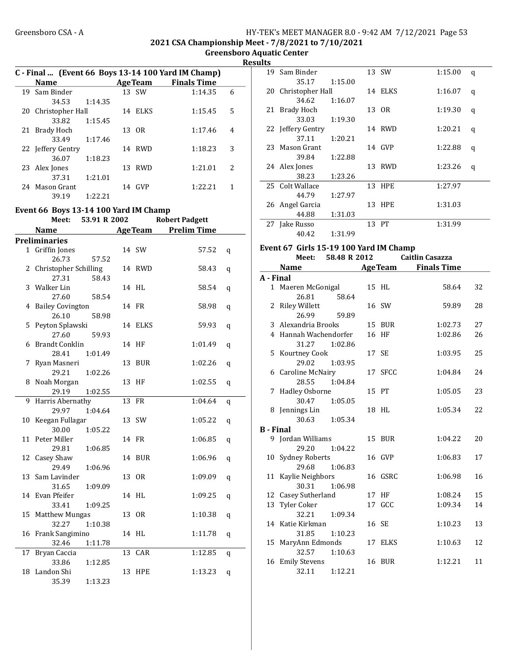#### Greensboro CSA - A <br>HY-TEK's MEET MANAGER 8.0 - 9:42 AM 7/12/2021 Page 53 2021 CSA Championship Meet - 7/8/2021 to 7/10/2021

Greensboro Aquatic Center

Results

|    | C - Final  (Event 66 Boys 13-14 100 Yard IM Champ) |              |    |         |                                        |   |  |  |  |
|----|----------------------------------------------------|--------------|----|---------|----------------------------------------|---|--|--|--|
|    | Name                                               |              |    |         | <b>Example 2 Age Team</b> Finals Time  |   |  |  |  |
|    | 19 Sam Binder                                      |              |    | 13 SW   | 1:14.35                                | 6 |  |  |  |
|    | 34.53                                              | 1:14.35      |    |         |                                        |   |  |  |  |
|    | 20 Christopher Hall                                |              |    | 14 ELKS | 1:15.45                                | 5 |  |  |  |
|    | 33.82                                              | 1:15.45      |    |         |                                        |   |  |  |  |
| 21 | Brady Hoch                                         |              |    | 13 OR   | 1:17.46                                | 4 |  |  |  |
|    | 33.49                                              | 1:17.46      |    |         |                                        |   |  |  |  |
|    | 22 Jeffery Gentry                                  |              |    | 14 RWD  | 1:18.23                                | 3 |  |  |  |
|    | 36.07                                              | 1:18.23      |    |         |                                        |   |  |  |  |
|    | 23 Alex Jones                                      |              |    | 13 RWD  | 1:21.01                                | 2 |  |  |  |
|    | 37.31                                              | 1:21.01      |    |         |                                        |   |  |  |  |
|    | 24 Mason Grant                                     |              |    | 14 GVP  | 1:22.21                                | 1 |  |  |  |
|    | 39.19                                              | 1:22.21      |    |         |                                        |   |  |  |  |
|    | Event 66 Boys 13-14 100 Yard IM Champ              |              |    |         |                                        |   |  |  |  |
|    | Meet:                                              | 53.91 R 2002 |    |         | <b>Robert Padgett</b>                  |   |  |  |  |
|    | Name                                               |              |    |         | <b>Example 21 Age Team Prelim Time</b> |   |  |  |  |
|    | <b>Preliminaries</b>                               |              |    |         |                                        |   |  |  |  |
|    | 1 Griffin Jones                                    |              |    | 14 SW   | 57.52                                  | q |  |  |  |
|    | 26.73                                              | 57.52        |    |         |                                        |   |  |  |  |
|    | 2 Christopher Schilling                            |              |    | 14 RWD  | 58.43                                  | q |  |  |  |
|    | 27.31                                              | 58.43        |    |         |                                        |   |  |  |  |
|    | 3 Walker Lin                                       |              |    | 14 HL   | 58.54                                  | q |  |  |  |
|    | 27.60                                              | 58.54        |    |         |                                        |   |  |  |  |
|    | 4 Bailey Covington                                 |              |    | 14 FR   | 58.98                                  | q |  |  |  |
|    | 26.10                                              | 58.98        |    |         |                                        |   |  |  |  |
|    | 5 Peyton Splawski                                  |              |    | 14 ELKS | 59.93                                  | q |  |  |  |
|    | 27.60                                              | 59.93        |    |         |                                        |   |  |  |  |
| 6  | <b>Brandt Conklin</b>                              |              |    | 14 HF   | 1:01.49                                | q |  |  |  |
|    | 28.41                                              | 1:01.49      |    |         |                                        |   |  |  |  |
| 7  | Ryan Masneri                                       |              |    | 13 BUR  | 1:02.26                                | q |  |  |  |
|    | 29.21                                              | 1:02.26      |    |         |                                        |   |  |  |  |
|    | 8 Noah Morgan                                      |              |    | 13 HF   | 1:02.55                                | q |  |  |  |
|    | 29.19                                              | 1:02.55      |    |         |                                        |   |  |  |  |
| 9  | Harris Abernathy                                   |              |    | 13 FR   | 1:04.64                                | q |  |  |  |
|    | 29.97                                              | 1:04.64      |    |         |                                        |   |  |  |  |
| 10 | Keegan Fullagar                                    |              |    | 13 SW   | 1:05.22                                | q |  |  |  |
|    | 30.00                                              | 1:05.22      |    |         |                                        |   |  |  |  |
| 11 | Peter Miller                                       |              |    | 14 FR   | 1:06.85                                | q |  |  |  |
|    | 29.81<br>12 Casey Shaw                             | 1:06.85      |    |         | 1:06.96                                |   |  |  |  |
|    | 29.49                                              | 1:06.96      |    | 14 BUR  |                                        | q |  |  |  |
|    | 13 Sam Lavinder                                    |              |    | 13 OR   | 1:09.09                                |   |  |  |  |
|    | 31.65                                              | 1:09.09      |    |         |                                        | q |  |  |  |
|    | 14 Evan Pfeifer                                    |              |    | 14 HL   | 1:09.25                                | q |  |  |  |
|    | 33.41                                              | 1:09.25      |    |         |                                        |   |  |  |  |
|    | 15 Matthew Mungas                                  |              |    | 13 OR   | 1:10.38                                | q |  |  |  |
|    | 32.27                                              | 1:10.38      |    |         |                                        |   |  |  |  |
| 16 | Frank Sangimino                                    |              |    | 14 HL   | 1:11.78                                | q |  |  |  |
|    | 32.46                                              | 1:11.78      |    |         |                                        |   |  |  |  |
| 17 | Bryan Caccia                                       |              | 13 | CAR     | 1:12.85                                | q |  |  |  |
|    | 33.86                                              | 1:12.85      |    |         |                                        |   |  |  |  |
| 18 | Landon Shi                                         |              |    | 13 HPE  | 1:13.23                                | q |  |  |  |
|    | 35.39                                              | 1:13.23      |    |         |                                        |   |  |  |  |

| 11 L.S |                     |         |         |         |   |
|--------|---------------------|---------|---------|---------|---|
| 19     | Sam Binder          |         | 13 SW   | 1:15.00 | q |
|        | 35.17               | 1:15.00 |         |         |   |
|        | 20 Christopher Hall |         | 14 ELKS | 1:16.07 | q |
|        | 34.62               | 1:16.07 |         |         |   |
|        | 21 Brady Hoch       |         | 13 OR   | 1:19.30 | q |
|        | 33.03               | 1:19.30 |         |         |   |
|        | 22 Jeffery Gentry   |         | 14 RWD  | 1:20.21 | q |
|        | 37.11               | 1:20.21 |         |         |   |
|        | 23 Mason Grant      |         | 14 GVP  | 1:22.88 | q |
|        | 39.84               | 1:22.88 |         |         |   |
|        | 24 Alex Jones       |         | 13 RWD  | 1:23.26 | q |
|        | 38.23               | 1:23.26 |         |         |   |
|        | 25 Colt Wallace     |         | 13 HPE  | 1:27.97 |   |
|        | 44.79               | 1:27.97 |         |         |   |
|        | 26 Angel Garcia     |         | 13 HPE  | 1:31.03 |   |
|        | 44.88               | 1:31.03 |         |         |   |
| 27     | Jake Russo          |         | 13 PT   | 1:31.99 |   |
|        | 40.42               | 1:31.99 |         |         |   |

#### Event 67 Girls 15-19 100 Yard IM Champ

|                  | Meet:                 | 58.48 R 2012  |         | <b>Caitlin Casazza</b>     |    |
|------------------|-----------------------|---------------|---------|----------------------------|----|
|                  | <b>Name</b>           |               |         | <b>AgeTeam</b> Finals Time |    |
| A - Final        |                       |               |         |                            |    |
|                  | 1 Maeren McGonigal    |               | 15 HL   | 58.64                      | 32 |
|                  | 26.81                 | 58.64         |         |                            |    |
|                  | 2 Riley Willett       |               | 16 SW   | 59.89                      | 28 |
|                  | 26.99                 | 59.89         |         |                            |    |
|                  | 3 Alexandria Brooks   |               | 15 BUR  | 1:02.73                    | 27 |
|                  | 4 Hannah Wachendorfer |               | 16 HF   | 1:02.86                    | 26 |
|                  | 31.27                 | 1:02.86       |         |                            |    |
|                  | 5 Kourtney Cook       |               | 17 SE   | 1:03.95                    | 25 |
|                  | 29.02                 | 1:03.95       |         |                            |    |
|                  | 6 Caroline McNairy    |               | 17 SFCC | 1:04.84                    | 24 |
|                  |                       | 28.55 1:04.84 |         |                            |    |
|                  | 7 Hadley Osborne      |               | 15 PT   | 1:05.05                    | 23 |
|                  | 30.47                 | 1:05.05       |         |                            |    |
|                  | 8 Jennings Lin        |               | 18 HL   | 1:05.34                    | 22 |
|                  |                       | 30.63 1:05.34 |         |                            |    |
| <b>B</b> - Final |                       |               |         |                            |    |
|                  | 9 Jordan Williams     |               | 15 BUR  | 1:04.22                    | 20 |
|                  | 29.20                 | 1:04.22       |         |                            |    |
|                  | 10 Sydney Roberts     |               | 16 GVP  | 1:06.83                    | 17 |
|                  | 29.68                 | 1:06.83       |         |                            |    |
|                  | 11 Kaylie Neighbors   |               | 16 GSRC | 1:06.98                    | 16 |
|                  |                       | 30.31 1:06.98 |         |                            |    |
|                  | 12 Casey Sutherland   |               | 17 HF   | 1:08.24                    | 15 |
|                  | 13 Tyler Coker        |               | 17 GCC  | 1:09.34                    | 14 |
|                  | 32.21                 | 1:09.34       |         |                            |    |
|                  | 14 Katie Kirkman      |               | 16 SE   | 1:10.23                    | 13 |
|                  | 31.85                 | 1:10.23       |         |                            |    |
|                  | 15 MaryAnn Edmonds    |               | 17 ELKS | 1:10.63                    | 12 |
|                  | 32.57                 | 1:10.63       |         |                            |    |
|                  | 16 Emily Stevens      |               | 16 BUR  | 1:12.21                    | 11 |
|                  | 32.11                 | 1:12.21       |         |                            |    |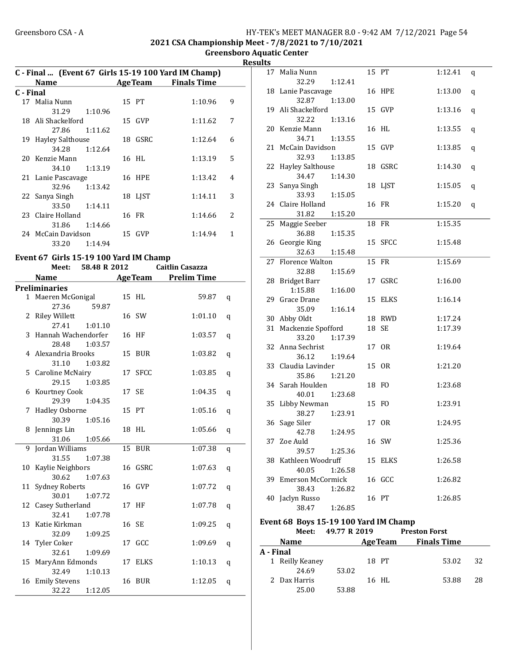2021 CSA Championship Meet - 7/8/2021 to 7/10/2021

Greensboro Aquatic Center Results

|           | C - Final  (Event 67 Girls 15-19 100 Yard IM Champ) |         |  |                |                    |               |  |  |  |
|-----------|-----------------------------------------------------|---------|--|----------------|--------------------|---------------|--|--|--|
|           | <b>Name</b>                                         |         |  | <b>AgeTeam</b> | <b>Finals Time</b> |               |  |  |  |
| C - Final |                                                     |         |  |                |                    |               |  |  |  |
|           | 17 Malia Nunn                                       |         |  | 15 PT          | 1:10.96            | 9             |  |  |  |
|           | 31.29                                               | 1:10.96 |  |                |                    |               |  |  |  |
|           | 18 Ali Shackelford                                  |         |  | 15 GVP         | 1:11.62            | 7             |  |  |  |
|           | 27.86 1:11.62                                       |         |  |                |                    |               |  |  |  |
|           | 19 Hayley Salthouse                                 |         |  | 18 GSRC        | 1:12.64            | 6             |  |  |  |
|           | 34.28                                               | 1:12.64 |  |                |                    |               |  |  |  |
|           | 20 Kenzie Mann                                      |         |  | 16 HL          | 1:13.19            | 5             |  |  |  |
|           | 34.10                                               | 1:13.19 |  |                |                    |               |  |  |  |
|           | 21 Lanie Pascavage                                  |         |  | 16 HPE         | 1:13.42            | 4             |  |  |  |
|           | 32.96 1:13.42                                       |         |  |                |                    |               |  |  |  |
|           | 22 Sanya Singh                                      |         |  | 18 LIST        | 1:14.11            | 3             |  |  |  |
|           | 33.50 1:14.11                                       |         |  |                |                    |               |  |  |  |
|           | 23 Claire Holland                                   |         |  | 16 FR          | 1:14.66            | $\mathcal{L}$ |  |  |  |
|           | 31.86 1:14.66                                       |         |  |                |                    |               |  |  |  |
|           | 24 McCain Davidson                                  |         |  | 15 GVP         | 1:14.94            | 1             |  |  |  |
|           | 33.20                                               | 1:14.94 |  |                |                    |               |  |  |  |
|           |                                                     |         |  |                |                    |               |  |  |  |

#### Event 67 Girls 15-19 100 Yard IM Champ

|    | Meet:                   | 58.48 R 2012 |    |                | <b>Caitlin Casazza</b> |   |
|----|-------------------------|--------------|----|----------------|------------------------|---|
|    | <b>Name</b>             |              |    | <b>AgeTeam</b> | <b>Prelim Time</b>     |   |
|    | <b>Preliminaries</b>    |              |    |                |                        |   |
|    | 1 Maeren McGonigal      |              |    | 15 HL          | 59.87                  | q |
|    | 27.36                   | 59.87        |    |                |                        |   |
|    | 2 Riley Willett         |              |    | 16 SW          | 1:01.10                | q |
|    | 27.41                   | 1:01.10      |    |                |                        |   |
| 3  | Hannah Wachendorfer     |              |    | 16 HF          | 1:03.57                | q |
|    | 28.48                   | 1:03.57      |    |                |                        |   |
|    | 4 Alexandria Brooks     |              | 15 | BUR            | 1:03.82                | q |
|    | 31.10                   | 1:03.82      |    |                |                        |   |
| 5. | <b>Caroline McNairy</b> |              |    | 17 SFCC        | 1:03.85                | q |
|    | 29.15                   | 1:03.85      |    |                |                        |   |
| 6  | Kourtney Cook           |              |    | 17 SE          | 1:04.35                | q |
|    | 29.39                   | 1:04.35      |    |                |                        |   |
| 7  | <b>Hadley Osborne</b>   |              |    | 15 PT          | 1:05.16                | q |
|    | 30.39                   | 1:05.16      |    |                |                        |   |
| 8  | Jennings Lin            |              |    | 18 HL          | 1:05.66                | q |
|    | 31.06                   | 1:05.66      |    |                |                        |   |
| 9  | Jordan Williams         |              |    | 15 BUR         | 1:07.38                | q |
|    | 31.55                   | 1:07.38      |    |                |                        |   |
|    | 10 Kaylie Neighbors     |              |    | 16 GSRC        | 1:07.63                | q |
|    | 30.62                   | 1:07.63      |    |                |                        |   |
| 11 | Sydney Roberts          |              |    | 16 GVP         | 1:07.72                | q |
|    | 30.01                   | 1:07.72      |    |                |                        |   |
| 12 | Casey Sutherland        |              |    | 17 HF          | 1:07.78                | q |
|    | 32.41                   | 1:07.78      |    |                |                        |   |
| 13 | Katie Kirkman           |              |    | 16 SE          | 1:09.25                | q |
|    | 32.09                   | 1:09.25      |    |                |                        |   |
|    | 14 Tyler Coker          |              |    | 17 GCC         | 1:09.69                | q |
|    | 32.61                   | 1:09.69      |    |                |                        |   |
| 15 | MaryAnn Edmonds         |              |    | 17 ELKS        | 1:10.13                | q |
|    | 32.49                   | 1:10.13      |    |                |                        |   |
| 16 | <b>Emily Stevens</b>    |              |    | 16 BUR         | 1:12.05                | q |
|    | 32.22                   | 1:12.05      |    |                |                        |   |

| แร |                                        |               |         |   |
|----|----------------------------------------|---------------|---------|---|
|    | 17 Malia Nunn                          | 15 PT         | 1:12.41 | q |
|    | 32.29<br>1:12.41                       |               |         |   |
|    | 18 Lanie Pascavage                     | <b>16 HPE</b> | 1:13.00 | q |
|    | 32.87<br>1:13.00<br>19 Ali Shackelford | 15 GVP        | 1:13.16 |   |
|    | 32.22<br>1:13.16                       |               |         | q |
|    | 20 Kenzie Mann                         | 16 HL         | 1:13.55 | q |
|    | 34.71<br>1:13.55                       |               |         |   |
| 21 | McCain Davidson                        | 15 GVP        | 1:13.85 | q |
|    | 32.93<br>1:13.85                       |               |         |   |
| 22 | <b>Hayley Salthouse</b>                | 18 GSRC       | 1:14.30 | q |
|    | 34.47<br>1:14.30                       |               |         |   |
| 23 | Sanya Singh                            | 18 LJST       | 1:15.05 | q |
|    | 33.93<br>1:15.05<br>24 Claire Holland  | 16 FR         | 1:15.20 |   |
|    | 31.82<br>1:15.20                       |               |         | q |
| 25 | Maggie Seeber                          | 18 FR         | 1:15.35 |   |
|    | 36.88<br>1:15.35                       |               |         |   |
|    | 26 Georgie King                        | 15 SFCC       | 1:15.48 |   |
|    | 32.63<br>1:15.48                       |               |         |   |
| 27 | Florence Walton                        | 15 FR         | 1:15.69 |   |
|    | 32.88<br>1:15.69                       |               |         |   |
| 28 | Bridget Barr                           | 17 GSRC       | 1:16.00 |   |
|    | 1:15.88<br>1:16.00                     | 15 ELKS       |         |   |
|    | 29 Grace Drane<br>35.09<br>1:16.14     |               | 1:16.14 |   |
|    | 30 Abby Oldt                           | 18 RWD        | 1:17.24 |   |
|    | 31 Mackenzie Spofford                  | 18 SE         | 1:17.39 |   |
|    | 1:17.39<br>33.20                       |               |         |   |
|    | 32 Anna Sechrist                       | 17 OR         | 1:19.64 |   |
|    | 36.12<br>1:19.64                       |               |         |   |
|    | 33 Claudia Lavinder                    | 15 OR         | 1:21.20 |   |
|    | 1:21.20<br>35.86                       |               |         |   |
|    | 34 Sarah Houlden                       | 18 FO         | 1:23.68 |   |
| 35 | 40.01<br>1:23.68                       | 15 FO         |         |   |
|    | Libby Newman<br>38.27<br>1:23.91       |               | 1:23.91 |   |
|    | 36 Sage Siler                          | 17 OR         | 1:24.95 |   |
|    | 42.78<br>1:24.95                       |               |         |   |
|    | 37   Zoe Auld                          | 16 SW         | 1:25.36 |   |
|    | 39.57<br>1:25.36                       |               |         |   |
| 38 | Kathleen Woodruff                      | 15 ELKS       | 1:26.58 |   |
|    | 40.05<br>1:26.58                       |               |         |   |
| 39 | <b>Emerson McCormick</b>               | 16 GCC        | 1:26.82 |   |
|    | 38.43<br>1:26.82                       |               |         |   |
| 40 | Jaclyn Russo<br>38.47<br>1:26.85       | 16 PT         | 1:26.85 |   |
|    |                                        |               |         |   |

#### Event 68 Boys 15-19 100 Yard IM Champ

|  | Meet:           | 49.77 R 2019 |                | <b>Preston Forst</b> |    |
|--|-----------------|--------------|----------------|----------------------|----|
|  | <b>Name</b>     |              | <b>AgeTeam</b> | <b>Finals Time</b>   |    |
|  | A - Final       |              |                |                      |    |
|  | 1 Reilly Keaney |              | 18 PT          | 53.02                | 32 |
|  | 24.69           | 53.02        |                |                      |    |
|  | 2 Dax Harris    |              | 16 HL          | 53.88                | 28 |
|  | 25.00           | 53.88        |                |                      |    |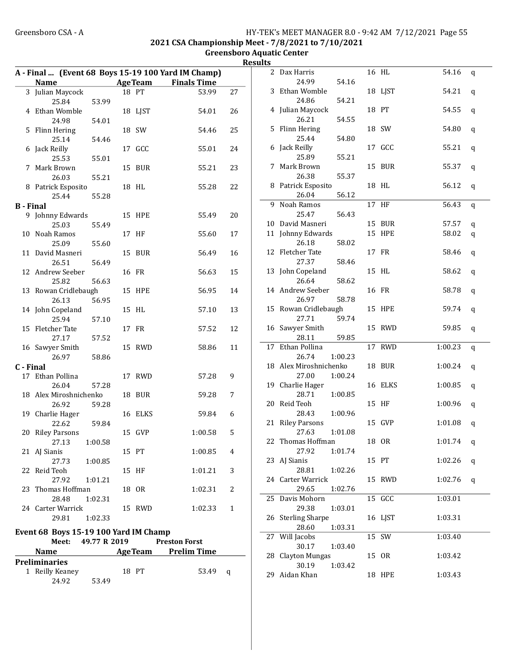#### Greensboro CSA - A **HY-TEK's MEET MANAGER 8.0 - 9:42 AM 7/12/2021** Page 55 2021 CSA Championship Meet - 7/8/2021 to 7/10/2021

Greensboro Aquatic Center

| Results |  |
|---------|--|

|                  |                                       |              |                | A - Final  (Event 68 Boys 15-19 100 Yard IM Champ) |              | 2 Dax Harris                         |         | 16 HL         | 54.16       | q |
|------------------|---------------------------------------|--------------|----------------|----------------------------------------------------|--------------|--------------------------------------|---------|---------------|-------------|---|
|                  | Name                                  |              | <b>AgeTeam</b> | <b>Finals Time</b>                                 |              | 24.99                                | 54.16   |               |             |   |
|                  | 3 Julian Maycock                      |              | 18 PT          | 53.99                                              | 27           | 3 Ethan Womble                       |         | 18 LJST       | 54.21       | q |
|                  | 25.84                                 | 53.99        |                |                                                    |              | 24.86                                | 54.21   |               |             |   |
|                  | 4 Ethan Womble                        |              | 18 LJST        | 54.01                                              | 26           | 4 Julian Maycock                     |         | 18 PT         | 54.55       | q |
|                  | 24.98                                 | 54.01        |                |                                                    |              | 26.21                                | 54.55   |               |             |   |
|                  | 5 Flinn Hering                        |              | 18 SW          | 54.46                                              | 25           | 5 Flinn Hering                       |         | 18 SW         | 54.80       | q |
|                  | 25.14                                 | 54.46        |                |                                                    |              | 25.44                                | 54.80   |               |             |   |
|                  | 6 Jack Reilly                         |              | 17 GCC         | 55.01                                              | 24           | 6 Jack Reilly                        |         | 17 GCC        | 55.21       | q |
|                  | 25.53                                 | 55.01        |                |                                                    |              | 25.89                                | 55.21   |               |             |   |
|                  | 7 Mark Brown                          |              | 15 BUR         | 55.21                                              | 23           | 7 Mark Brown                         |         | 15 BUR        | 55.37       | q |
|                  | 26.03                                 | 55.21        |                |                                                    |              | 26.38<br>8 Patrick Esposito          | 55.37   | 18 HL         |             |   |
|                  | 8 Patrick Esposito                    |              | 18 HL          | 55.28                                              | 22           | 26.04                                | 56.12   |               | 56.12       | q |
|                  | 25.44                                 | 55.28        |                |                                                    |              | 9 Noah Ramos                         |         | 17 HF         | 56.43       |   |
| <b>B</b> - Final | 9 Johnny Edwards                      |              | 15 HPE         | 55.49                                              | 20           | 25.47                                | 56.43   |               |             | q |
|                  | 25.03                                 | 55.49        |                |                                                    |              | 10 David Masneri                     |         | 15 BUR        | 57.57       | q |
|                  | 10 Noah Ramos                         |              | 17 HF          | 55.60                                              | 17           | 11 Johnny Edwards                    |         | <b>15 HPE</b> | 58.02       | q |
|                  | 25.09                                 | 55.60        |                |                                                    |              | 26.18                                | 58.02   |               |             |   |
|                  | 11 David Masneri                      |              | 15 BUR         | 56.49                                              | 16           | 12 Fletcher Tate                     |         | 17 FR         | 58.46       | q |
|                  | 26.51                                 | 56.49        |                |                                                    |              | 27.37                                | 58.46   |               |             |   |
|                  | 12 Andrew Seeber                      |              | 16 FR          | 56.63                                              | 15           | 13 John Copeland                     |         | 15 HL         | 58.62       | q |
|                  | 25.82                                 | 56.63        |                |                                                    |              | 26.64                                | 58.62   |               |             |   |
|                  | 13 Rowan Cridlebaugh                  |              | 15 HPE         | 56.95                                              | 14           | 14 Andrew Seeber                     |         | 16 FR         | 58.78       | q |
|                  | 26.13                                 | 56.95        |                |                                                    |              | 26.97                                | 58.78   |               |             |   |
|                  | 14 John Copeland                      |              | 15 HL          | 57.10                                              | 13           | 15 Rowan Cridlebaugh                 |         | 15 HPE        | 59.74       | q |
|                  | 25.94                                 | 57.10        |                |                                                    |              | 27.71                                | 59.74   |               |             |   |
|                  | 15 Fletcher Tate                      |              | 17 FR          | 57.52                                              | 12           | 16 Sawyer Smith                      |         | 15 RWD        | 59.85       | q |
|                  | 27.17                                 | 57.52        |                |                                                    |              | 28.11                                | 59.85   |               |             |   |
|                  | 16 Sawyer Smith                       |              | 15 RWD         | 58.86                                              | 11           | 17 Ethan Pollina                     |         | 17 RWD        | 1:00.23     | q |
|                  | 26.97                                 | 58.86        |                |                                                    |              | 26.74                                | 1:00.23 |               |             |   |
| C - Final        |                                       |              |                |                                                    |              | 18 Alex Miroshnichenko<br>27.00      | 1:00.24 | 18 BUR        | 1:00.24     | q |
|                  | 17 Ethan Pollina<br>26.04             | 57.28        | 17 RWD         | 57.28                                              | 9            | 19 Charlie Hager                     |         | 16 ELKS       | 1:00.85     |   |
|                  | 18 Alex Miroshnichenko                |              | 18 BUR         | 59.28                                              | 7            | 28.71                                | 1:00.85 |               |             | q |
|                  | 26.92                                 | 59.28        |                |                                                    |              | 20 Reid Teoh                         |         | 15 HF         | 1:00.96     | q |
|                  | 19 Charlie Hager                      |              | 16 ELKS        | 59.84                                              | 6            | 28.43                                | 1:00.96 |               |             |   |
|                  | 22.62                                 | 59.84        |                |                                                    |              | 21 Riley Parsons                     |         | 15 GVP        | 1:01.08     | q |
|                  | 20 Riley Parsons                      |              | 15 GVP         | 1:00.58                                            | 5            | 27.63                                | 1:01.08 |               |             |   |
|                  | 27.13                                 | 1:00.58      |                |                                                    |              | 22 Thomas Hoffman                    |         | 18 OR         | 1:01.74 $q$ |   |
|                  | 21 AJ Sianis                          |              | 15 PT          | 1:00.85                                            | 4            | 27.92                                | 1:01.74 |               |             |   |
|                  | 27.73                                 | 1:00.85      |                |                                                    |              | 23 AJ Sianis                         |         | 15 PT         | 1:02.26 $q$ |   |
|                  | 22 Reid Teoh                          |              | 15 HF          | 1:01.21                                            | 3            | 28.81                                | 1:02.26 |               |             |   |
|                  | 27.92                                 | 1:01.21      |                |                                                    |              | 24 Carter Warrick                    |         | 15 RWD        | 1:02.76 $q$ |   |
|                  | 23 Thomas Hoffman                     |              | 18 OR          | 1:02.31                                            | 2            | 29.65                                | 1:02.76 |               |             |   |
|                  | 28.48                                 | 1:02.31      |                |                                                    |              | 25 Davis Mohorn                      |         | 15 GCC        | 1:03.01     |   |
|                  | 24 Carter Warrick                     |              | 15 RWD         | 1:02.33                                            | $\mathbf{1}$ | 29.38                                | 1:03.01 |               |             |   |
|                  | 29.81                                 | 1:02.33      |                |                                                    |              | 26 Sterling Sharpe                   |         | 16 LJST       | 1:03.31     |   |
|                  | Event 68 Boys 15-19 100 Yard IM Champ |              |                |                                                    |              | 28.60<br>$\overline{27}$ Will Jacobs | 1:03.31 | 15 SW         | 1:03.40     |   |
|                  | Meet:                                 | 49.77 R 2019 |                | <b>Preston Forst</b>                               |              | 30.17                                | 1:03.40 |               |             |   |
|                  | Name                                  |              | <b>AgeTeam</b> | <b>Prelim Time</b>                                 |              | 28 Clayton Mungas                    |         | 15 OR         | 1:03.42     |   |
|                  | <b>Preliminaries</b>                  |              |                |                                                    |              | 30.19                                | 1:03.42 |               |             |   |
|                  | 1 Reilly Keaney                       |              | 18 PT          | 53.49 q                                            |              | 29 Aidan Khan                        |         | <b>18 HPE</b> | 1:03.43     |   |
|                  | 24.92                                 | 53.49        |                |                                                    |              |                                      |         |               |             |   |
|                  |                                       |              |                |                                                    |              |                                      |         |               |             |   |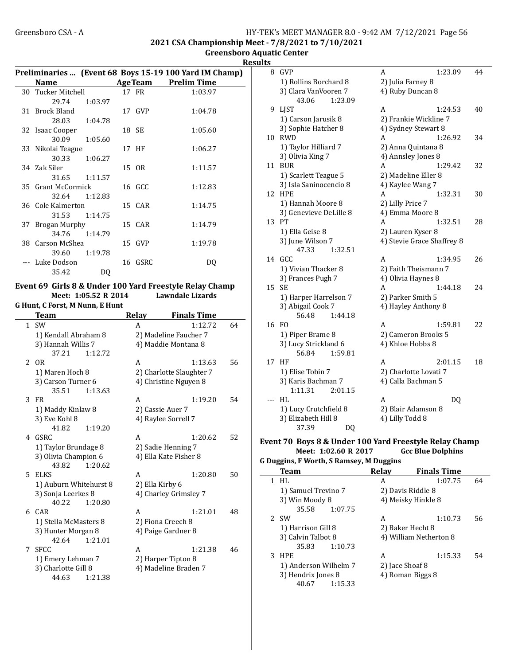#### Greensboro CSA - A <br>
HY-TEK's MEET MANAGER 8.0 - 9:42 AM 7/12/2021 Page 56 2021 CSA Championship Meet - 7/8/2021 to 7/10/2021

Greensboro Aquatic Center

**Results** 

 $\overline{\phantom{0}}$ 

|                    |               |                | Preliminaries  (Event 68 Boys 15-19 100 Yard IM Champ) |
|--------------------|---------------|----------------|--------------------------------------------------------|
| <b>Name</b>        |               | <b>AgeTeam</b> | <b>Prelim Time</b>                                     |
| 30 Tucker Mitchell |               | 17 FR          | 1:03.97                                                |
| 29.74              | 1:03.97       |                |                                                        |
| 31 Brock Bland     |               | 17 GVP         | 1:04.78                                                |
| 28.03              | 1:04.78       |                |                                                        |
| 32 Isaac Cooper    |               | 18 SE          | 1:05.60                                                |
| 30.09              | 1:05.60       |                |                                                        |
| 33 Nikolai Teague  |               | 17 HF          | 1:06.27                                                |
| 30.33              | 1:06.27       |                |                                                        |
| 34 Zak Siler       |               | 15 OR          | 1:11.57                                                |
| 31.65              | 1:11.57       |                |                                                        |
| 35 Grant McCormick |               | 16 GCC         | 1:12.83                                                |
| 32.64              | 1:12.83       |                |                                                        |
| 36 Cole Kalmerton  |               | 15 CAR         | 1:14.75                                                |
|                    | 31.53 1:14.75 |                |                                                        |
| 37 Brogan Murphy   |               | 15 CAR         | 1:14.79                                                |
| 34.76              | 1:14.79       |                |                                                        |
| 38 Carson McShea   |               | 15 GVP         | 1:19.78                                                |
| 39.60              | 1:19.78       |                |                                                        |
| Luke Dodson        |               | 16 GSRC        | DO                                                     |
| 35.42              | DQ            |                |                                                        |

#### Event 69 Girls 8 & Under 100 Yard Freestyle Relay Champ Meet: 1:05.52 R 2014

G Hunt, C Forst, M Nunn, E Hunt

|   | Team                   | Relay           | <b>Finals Time</b>       |    |
|---|------------------------|-----------------|--------------------------|----|
|   | $1$ SW                 | A               | 1:12.72                  | 64 |
|   | 1) Kendall Abraham 8   |                 | 2) Madeline Faucher 7    |    |
|   | 3) Hannah Willis 7     |                 | 4) Maddie Montana 8      |    |
|   | 37.21<br>1:12.72       |                 |                          |    |
|   | 2 OR                   | A               | 1:13.63                  | 56 |
|   | 1) Maren Hoch 8        |                 | 2) Charlotte Slaughter 7 |    |
|   | 3) Carson Turner 6     |                 | 4) Christine Nguyen 8    |    |
|   | 35.51<br>1:13.63       |                 |                          |    |
| 3 | FR                     | A               | 1:19.20                  | 54 |
|   | 1) Maddy Kinlaw 8      |                 | 2) Cassie Auer 7         |    |
|   | 3) Eve Kohl 8          |                 | 4) Raylee Sorrell 7      |    |
|   | 41.82<br>1:19.20       |                 |                          |    |
| 4 | GSRC                   | A               | 1:20.62                  | 52 |
|   | 1) Taylor Brundage 8   |                 | 2) Sadie Henning 7       |    |
|   | 3) Olivia Champion 6   |                 | 4) Ella Kate Fisher 8    |    |
|   | 43.82<br>1:20.62       |                 |                          |    |
| 5 | ELKS                   | A               | 1:20.80                  | 50 |
|   | 1) Auburn Whitehurst 8 | 2) Ella Kirby 6 |                          |    |
|   | 3) Sonja Leerkes 8     |                 | 4) Charley Grimsley 7    |    |
|   | 40.22<br>1:20.80       |                 |                          |    |
|   | 6 CAR                  | A               | 1:21.01                  | 48 |
|   | 1) Stella McMasters 8  |                 | 2) Fiona Creech 8        |    |
|   | 3) Hunter Morgan 8     |                 | 4) Paige Gardner 8       |    |
|   | 42.64<br>1:21.01       |                 |                          |    |
| 7 | <b>SFCC</b>            | A               | 1:21.38                  | 46 |
|   | 1) Emery Lehman 7      |                 | 2) Harper Tipton 8       |    |
|   | 3) Charlotte Gill 8    |                 | 4) Madeline Braden 7     |    |
|   | 44.63<br>1:21.38       |                 |                          |    |

| ເວ  |                        |                            |  |  |
|-----|------------------------|----------------------------|--|--|
| 8   | <b>GVP</b>             | 1:23.09<br>A<br>44         |  |  |
|     | 1) Rollins Borchard 8  | 2) Julia Farney 8          |  |  |
|     | 3) Clara VanVooren 7   | 4) Ruby Duncan 8           |  |  |
|     | 43.06<br>1:23.09       |                            |  |  |
| 9   | LJST                   | 1:24.53<br>A<br>40         |  |  |
|     | 1) Carson Jarusik 8    | 2) Frankie Wickline 7      |  |  |
|     | 3) Sophie Hatcher 8    | 4) Sydney Stewart 8        |  |  |
| 10  | <b>RWD</b>             | 1:26.92<br>34<br>A         |  |  |
|     | 1) Taylor Hilliard 7   | 2) Anna Quintana 8         |  |  |
|     | 3) Olivia King 7       | 4) Annsley Jones 8         |  |  |
| 11  | <b>BUR</b>             | A<br>32<br>1:29.42         |  |  |
|     | 1) Scarlett Teague 5   | 2) Madeline Eller 8        |  |  |
|     | 3) Isla Saninocencio 8 | 4) Kaylee Wang 7           |  |  |
| 12  | <b>HPE</b>             | 1:32.31<br>30<br>A         |  |  |
|     | 1) Hannah Moore 8      | 2) Lilly Price 7           |  |  |
|     | 3) Genevieve DeLille 8 | 4) Emma Moore 8            |  |  |
|     | 13 PT                  | 1:32.51<br>28<br>A         |  |  |
|     | 1) Ella Geise 8        | 2) Lauren Kyser 8          |  |  |
|     | 3) June Wilson 7       | 4) Stevie Grace Shaffrey 8 |  |  |
|     | 47.33<br>1:32.51       |                            |  |  |
| 14  | GCC                    | 26<br>A<br>1:34.95         |  |  |
|     | 1) Vivian Thacker 8    | 2) Faith Theismann 7       |  |  |
|     | 3) Frances Pugh 7      | 4) Olivia Haynes 8         |  |  |
| 15  | <b>SE</b>              | 24<br>A<br>1:44.18         |  |  |
|     | 1) Harper Harrelson 7  | 2) Parker Smith 5          |  |  |
|     | 3) Abigail Cook 7      | 4) Hayley Anthony 8        |  |  |
|     | 56.48<br>1:44.18       |                            |  |  |
| 16  | FO.                    | A<br>1:59.81<br>22         |  |  |
|     | 1) Piper Brame 8       | 2) Cameron Brooks 5        |  |  |
|     | 3) Lucy Strickland 6   | 4) Khloe Hobbs 8           |  |  |
|     | 1:59.81<br>56.84       |                            |  |  |
| 17  | HF                     | 2:01.15<br>18<br>A         |  |  |
|     | 1) Elise Tobin 7       | 2) Charlotte Lovati 7      |  |  |
|     | 3) Karis Bachman 7     | 4) Calla Bachman 5         |  |  |
|     | 1:11.31<br>2:01.15     |                            |  |  |
| --- | HL                     | DQ<br>A                    |  |  |
|     | 1) Lucy Crutchfield 8  | 2) Blair Adamson 8         |  |  |
|     | 3) Elizabeth Hill 8    | 4) Lilly Todd 8            |  |  |
|     | 37.39<br>DQ            |                            |  |  |

#### Event 70 Boys 8 & Under 100 Yard Freestyle Relay Champ<br>Meet: 1:02.60 R 2017 Gcc Blue Dolphins Meet: 1:02.60 R 2017 G Duggins, F Worth, S Ramsey, M Duggins

|   | Team                  | <b>Relay</b>      | <b>Finals Time</b>     |    |
|---|-----------------------|-------------------|------------------------|----|
|   | HL                    | А                 | 1:07.75                | 64 |
|   | 1) Samuel Trevino 7   | 2) Davis Riddle 8 |                        |    |
|   | 3) Win Moody 8        |                   | 4) Meisky Hinkle 8     |    |
|   | 35.58<br>1:07.75      |                   |                        |    |
|   | 2 SW                  | A                 | 1:10.73                | 56 |
|   | 1) Harrison Gill 8    | 2) Baker Hecht 8  |                        |    |
|   | 3) Calvin Talbot 8    |                   | 4) William Netherton 8 |    |
|   | 35.83<br>1:10.73      |                   |                        |    |
| 3 | <b>HPE</b>            | А                 | 1:15.33                | 54 |
|   | 1) Anderson Wilhelm 7 | 2) Jace Shoaf 8   |                        |    |
|   | 3) Hendrix Jones 8    | 4) Roman Biggs 8  |                        |    |
|   | 1:15.33<br>40.67      |                   |                        |    |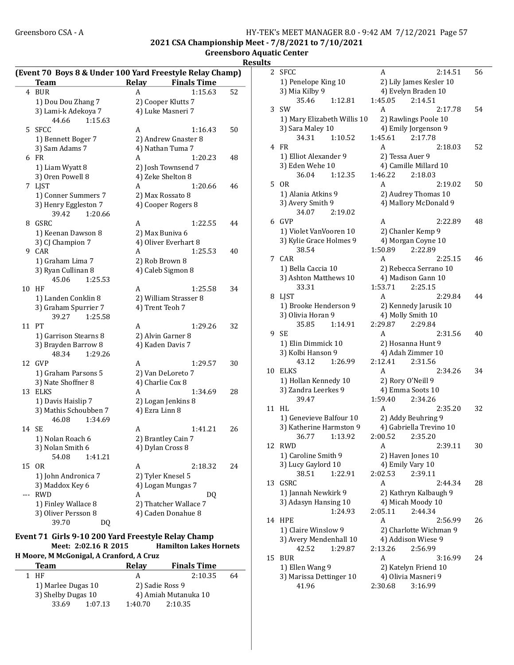#### Greensboro CSA - A <br>HY-TEK's MEET MANAGER 8.0 - 9:42 AM 7/12/2021 Page 57 2021 CSA Championship Meet - 7/8/2021 to 7/10/2021

Greensboro Aquatic Center **Results** 

|          |                                          | (Event 70 Boys 8 & Under 100 Yard Freestyle Relay Champ) |    |
|----------|------------------------------------------|----------------------------------------------------------|----|
|          | <b>Team</b>                              | Relay<br><b>Finals Time</b>                              |    |
|          | 4 BUR                                    | 1:15.63<br>A                                             | 52 |
|          | 1) Dou Dou Zhang 7                       | 2) Cooper Klutts 7                                       |    |
|          | 3) Lami-k Adekoya 7                      | 4) Luke Masneri 7                                        |    |
|          | 44.66<br>1:15.63                         |                                                          |    |
| 5.       | SFCC                                     | A<br>1:16.43                                             | 50 |
|          | 1) Bennett Boger 7                       | 2) Andrew Gnaster 8                                      |    |
|          | 3) Sam Adams 7                           | 4) Nathan Tuma 7                                         |    |
|          | 6 FR                                     | A<br>1:20.23                                             | 48 |
|          | 1) Liam Wyatt 8                          | 2) Josh Townsend 7                                       |    |
|          |                                          | 4) Zeke Shelton 8                                        |    |
|          | 3) Oren Powell 8                         |                                                          |    |
|          | 7 LJST                                   | 1:20.66<br>A                                             | 46 |
|          | 1) Conner Summers 7                      | 2) Max Rossato 8                                         |    |
|          | 3) Henry Eggleston 7<br>39.42<br>1:20.66 | 4) Cooper Rogers 8                                       |    |
| 8        | <b>GSRC</b>                              | 1:22.55<br>A                                             | 44 |
|          | 1) Keenan Dawson 8                       | 2) Max Buniva 6                                          |    |
|          | 3) CJ Champion 7                         | 4) Oliver Everhart 8                                     |    |
|          | 9 CAR                                    | 1:25.53<br>A                                             | 40 |
|          | 1) Graham Lima 7                         | 2) Rob Brown 8                                           |    |
|          | 3) Ryan Cullinan 8                       | 4) Caleb Sigmon 8                                        |    |
|          | 45.06<br>1:25.53                         |                                                          |    |
| 10       | ΗF                                       | 1:25.58<br>A                                             | 34 |
|          | 1) Landen Conklin 8                      | 2) William Strasser 8                                    |    |
|          | 3) Graham Spurrier 7                     | 4) Trent Teoh 7                                          |    |
|          | 39.27<br>1:25.58                         |                                                          |    |
| 11       | PT                                       | 1:29.26<br>A                                             | 32 |
|          |                                          |                                                          |    |
|          | 1) Garrison Stearns 8                    | 2) Alvin Garner 8                                        |    |
|          | 3) Brayden Barrow 8                      | 4) Kaden Davis 7                                         |    |
|          | 48.34<br>1:29.26                         |                                                          |    |
| 12       | <b>GVP</b>                               | 1:29.57<br>A                                             | 30 |
|          | 1) Graham Parsons 5                      | 2) Van DeLoreto 7                                        |    |
|          | 3) Nate Shoffner 8                       | 4) Charlie Cox 8                                         |    |
| 13       | <b>ELKS</b>                              | A<br>1:34.69                                             | 28 |
|          | 1) Davis Haislip 7                       | 2) Logan Jenkins 8                                       |    |
|          | 3) Mathis Schoubben 7                    | 4) Ezra Linn 8                                           |    |
|          | 46.08<br>1:34.69                         |                                                          |    |
| 14       | SЕ                                       | A<br>1:41.21                                             | 26 |
|          | 1) Nolan Roach 6                         | 2) Brantley Cain 7                                       |    |
|          | 3) Nolan Smith 6                         | 4) Dylan Cross 8                                         |    |
|          | 54.08<br>1:41.21                         |                                                          |    |
| 15       | OR                                       | A<br>2:18.32                                             | 24 |
|          | 1) John Andronica 7                      | 2) Tyler Knesel 5                                        |    |
|          | 3) Maddox Key 6                          | 4) Logan Mungas 7                                        |    |
| $\cdots$ | <b>RWD</b>                               | A<br>DQ                                                  |    |
|          | 1) Finley Wallace 8                      | 2) Thatcher Wallace 7                                    |    |
|          | 3) Oliver Persson 8                      | 4) Caden Donahue 8                                       |    |
|          | 39.70<br>DQ                              |                                                          |    |

#### Event 71 Girls 9-10 200 Yard Freestyle Relay Champ Meet: 2:02.16 R 2015 Hamilton Lakes Hornets

H Moore, M McGonigal, A Cranford, A Cruz

| Team               |         | Relay           | <b>Finals Time</b>   |    |
|--------------------|---------|-----------------|----------------------|----|
| 1 HF               |         | А               | 2:10.35              | 64 |
| 1) Marlee Dugas 10 |         | 2) Sadie Ross 9 |                      |    |
| 3) Shelby Dugas 10 |         |                 | 4) Amiah Mutanuka 10 |    |
| 33.69              | 1:07.13 | 1:40.70         | 2:10.35              |    |

| 2  | <b>SFCC</b>                 | 2:14.51<br>A            | 56 |
|----|-----------------------------|-------------------------|----|
|    | 1) Penelope King 10         | 2) Lily James Kesler 10 |    |
|    | 3) Mia Kilby 9              | 4) Evelyn Braden 10     |    |
|    | 35.46<br>1:12.81            | 1:45.05<br>2:14.51      |    |
| 3  | SW                          | A<br>2:17.78            | 54 |
|    |                             | 2) Rawlings Poole 10    |    |
|    | 1) Mary Elizabeth Willis 10 |                         |    |
|    | 3) Sara Maley 10            | 4) Emily Jorgenson 9    |    |
|    | 34.31<br>1:10.52            | 1:45.61<br>2:17.78      |    |
| 4  | <b>FR</b>                   | А<br>2:18.03            | 52 |
|    | 1) Elliot Alexander 9       | 2) Tessa Auer 9         |    |
|    | 3) Eden Wehe 10             | 4) Camille Millard 10   |    |
|    | 36.04<br>1:12.35            | 1:46.22<br>2:18.03      |    |
| 5  | 0R                          | A<br>2:19.02            | 50 |
|    | 1) Alania Atkins 9          | 2) Audrey Thomas 10     |    |
|    | 3) Avery Smith 9            | 4) Mallory McDonald 9   |    |
|    | 34.07<br>2:19.02            |                         |    |
| 6  | GVP                         | 2:22.89<br>А            | 48 |
|    | 1) Violet VanVooren 10      | 2) Chanler Kemp 9       |    |
|    | 3) Kylie Grace Holmes 9     | 4) Morgan Coyne 10      |    |
|    | 38.54                       | 1:50.89<br>2:22.89      |    |
|    | CAR                         | A                       | 46 |
| 7  |                             | 2:25.15                 |    |
|    | 1) Bella Caccia 10          | 2) Rebecca Serrano 10   |    |
|    | 3) Ashton Matthews 10       | 4) Madison Gann 10      |    |
|    | 33.31                       | 1:53.71<br>2:25.15      |    |
| 8  | LJST                        | A<br>2:29.84            | 44 |
|    | 1) Brooke Henderson 9       | 2) Kennedy Jarusik 10   |    |
|    | 3) Olivia Horan 9           | 4) Molly Smith 10       |    |
|    | 35.85<br>1:14.91            | 2:29.87<br>2:29.84      |    |
| 9  | SЕ                          | А<br>2:31.56            | 40 |
|    | 1) Elin Dimmick 10          | 2) Hosanna Hunt 9       |    |
|    | 3) Kolbi Hanson 9           | 4) Adah Zimmer 10       |    |
|    | 43.12<br>1:26.99            | 2:12.41<br>2:31.56      |    |
| 10 | <b>ELKS</b>                 | A<br>2:34.26            | 34 |
|    | 1) Hollan Kennedy 10        | 2) Rory O'Neill 9       |    |
|    | 3) Zandra Leerkes 9         | 4) Emma Soots 10        |    |
|    | 39.47                       | 1:59.40<br>2:34.26      |    |
| 11 | HL                          | 2:35.20<br>A            | 32 |
|    |                             |                         |    |
|    | 1) Genevieve Balfour 10     | 2) Addy Beuhring 9      |    |
|    | 3) Katherine Harmston 9     | 4) Gabriella Trevino 10 |    |
|    | 36.77<br>1:13.92            | 2:00.52<br>2:35.20      |    |
| 12 | <b>RWD</b>                  | 2:39.11<br>A            | 30 |
|    | 1) Caroline Smith 9         | 2) Haven Jones 10       |    |
|    | 3) Lucy Gaylord 10          | 4) Emily Vary 10        |    |
|    | 38.51<br>1:22.91            | 2:02.53<br>2:39.11      |    |
| 13 | GSRC                        | A<br>2:44.34            | 28 |
|    | 1) Jannah Newkirk 9         | 2) Kathryn Kalbaugh 9   |    |
|    | 3) Adasyn Hansing 10        | 4) Micah Moody 10       |    |
|    | 1:24.93                     | 2:05.11<br>2:44.34      |    |
| 14 | <b>HPE</b>                  | A<br>2:56.99            | 26 |
|    | 1) Claire Winslow 9         | 2) Charlotte Wichman 9  |    |
|    | 3) Avery Mendenhall 10      | 4) Addison Wiese 9      |    |
|    | 1:29.87<br>42.52            | 2:13.26<br>2:56.99      |    |
| 15 | BUR                         | A<br>3:16.99            | 24 |
|    |                             |                         |    |
|    | 1) Ellen Wang 9             | 2) Katelyn Friend 10    |    |
|    | 3) Marissa Dettinger 10     | 4) Olivia Masneri 9     |    |
|    | 41.96                       | 2:30.68<br>3:16.99      |    |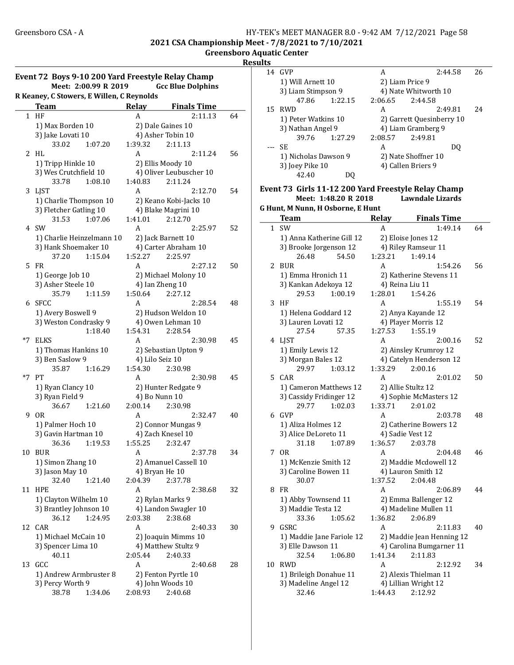2021 CSA Championship Meet - 7/8/2021 to 7/10/2021

Greensboro Aquatic Center Results

| Event 72 Boys 9-10 200 Yard Freestyle Relay Champ<br>Meet: 2:00.99 R 2019<br><b>Gcc Blue Dolphins</b> |                                           |         |                          |    |  |
|-------------------------------------------------------------------------------------------------------|-------------------------------------------|---------|--------------------------|----|--|
|                                                                                                       | R Keaney, C Stowers, E Willen, C Reynolds |         |                          |    |  |
|                                                                                                       | <b>Team</b>                               | Relay   | <b>Finals Time</b>       |    |  |
|                                                                                                       | 1 HF                                      | A       | 2:11.13                  | 64 |  |
|                                                                                                       | 1) Max Borden 10                          |         | 2) Dale Gaines 10        |    |  |
|                                                                                                       | 3) Jake Lovati 10                         |         | 4) Asher Tobin 10        |    |  |
|                                                                                                       | 33.02<br>1:07.20                          | 1:39.32 | 2:11.13                  |    |  |
| 2                                                                                                     | HL                                        | A       | 2:11.24                  | 56 |  |
|                                                                                                       | 1) Tripp Hinkle 10                        |         | 2) Ellis Moody 10        |    |  |
|                                                                                                       | 3) Wes Crutchfield 10                     |         | 4) Oliver Leubuscher 10  |    |  |
|                                                                                                       | 33.78<br>1:08.10                          | 1:40.83 | 2:11.24                  |    |  |
| 3                                                                                                     | LJST                                      | A       | 2:12.70                  | 54 |  |
|                                                                                                       | 1) Charlie Thompson 10                    |         | 2) Keano Kobi-Jacks 10   |    |  |
|                                                                                                       | 3) Fletcher Gatling 10                    |         | 4) Blake Magrini 10      |    |  |
|                                                                                                       | 31.53<br>1:07.06                          | 1:41.01 | 2:12.70                  |    |  |
| 4                                                                                                     | SW                                        | A       | 2:25.97                  | 52 |  |
|                                                                                                       | 1) Charlie Heinzelmann 10                 |         | 2) Jack Barnett 10       |    |  |
|                                                                                                       | 3) Hank Shoemaker 10                      |         | 4) Carter Abraham 10     |    |  |
|                                                                                                       | 37.20<br>1:15.04                          | 1:52.27 | 2:25.97                  |    |  |
| 5.                                                                                                    | <b>FR</b>                                 | A       | 2:27.12                  | 50 |  |
|                                                                                                       | 1) George Job 10                          |         | 2) Michael Molony 10     |    |  |
|                                                                                                       | 3) Asher Steele 10                        |         | 4) Ian Zheng 10          |    |  |
|                                                                                                       | 35.79<br>1:11.59                          | 1:50.64 | 2:27.12                  |    |  |
| 6                                                                                                     | <b>SFCC</b>                               | A       | 2:28.54                  | 48 |  |
|                                                                                                       | 1) Avery Boswell 9                        |         | 2) Hudson Weldon 10      |    |  |
|                                                                                                       | 3) Weston Condrasky 9                     |         | 4) Owen Lehman 10        |    |  |
|                                                                                                       | 1:18.40                                   | 1:54.31 | 2:28.54                  |    |  |
| *7                                                                                                    | <b>ELKS</b>                               | A       | 2:30.98                  | 45 |  |
|                                                                                                       | 1) Thomas Hankins 10                      |         | 2) Sebastian Upton 9     |    |  |
|                                                                                                       | 3) Ben Saslow 9                           |         | 4) Lilo Seiz 10          |    |  |
|                                                                                                       | 35.87<br>1:16.29                          | 1:54.30 | 2:30.98                  |    |  |
| *7                                                                                                    | PT                                        | A       | 2:30.98                  | 45 |  |
|                                                                                                       | 1) Ryan Clancy 10                         |         | 2) Hunter Redgate 9      |    |  |
|                                                                                                       | 3) Ryan Field 9<br>36.67<br>1:21.60       | 2:00.14 | 4) Bo Nunn 10<br>2:30.98 |    |  |
| 9                                                                                                     | 0R                                        | A       | 2:32.47                  | 40 |  |
|                                                                                                       | 1) Palmer Hoch 10                         |         | 2) Connor Mungas 9       |    |  |
|                                                                                                       | 3) Gavin Hartman 10                       |         | 4) Zach Knesel 10        |    |  |
|                                                                                                       | 36.36<br>1:19.53                          |         | 1:55.25 2:32.47          |    |  |
| 10                                                                                                    | <b>BUR</b>                                | A       | 2:37.78                  | 34 |  |
|                                                                                                       | 1) Simon Zhang 10                         |         | 2) Amanuel Cassell 10    |    |  |
|                                                                                                       | 3) Jason May 10                           |         | 4) Bryan He 10           |    |  |
|                                                                                                       | 32.40<br>1:21.40                          | 2:04.39 | 2:37.78                  |    |  |
| 11                                                                                                    | <b>HPE</b>                                | A       | 2:38.68                  | 32 |  |
|                                                                                                       | 1) Clayton Wilhelm 10                     |         | 2) Rylan Marks 9         |    |  |
|                                                                                                       | 3) Brantley Johnson 10                    |         | 4) Landon Swagler 10     |    |  |
|                                                                                                       | 1:24.95<br>36.12                          | 2:03.38 | 2:38.68                  |    |  |
| 12                                                                                                    | CAR                                       | A       | 2:40.33                  | 30 |  |
|                                                                                                       | 1) Michael McCain 10                      |         | 2) Joaquin Mimms 10      |    |  |
|                                                                                                       | 3) Spencer Lima 10                        |         | 4) Matthew Stultz 9      |    |  |
|                                                                                                       | 40.11                                     | 2:05.44 | 2:40.33                  |    |  |
| 13                                                                                                    | GCC                                       | A       | 2:40.68                  | 28 |  |
|                                                                                                       | 1) Andrew Armbruster 8                    |         | 2) Fenton Pyrtle 10      |    |  |
|                                                                                                       | 3) Percy Worth 9                          |         | 4) John Woods 10         |    |  |
|                                                                                                       | 38.78<br>1:34.06                          | 2:08.93 | 2:40.68                  |    |  |

| uits         |                                   |                                                     |    |
|--------------|-----------------------------------|-----------------------------------------------------|----|
|              | 14 GVP                            | A<br>2:44.58                                        | 26 |
|              | 1) Will Arnett 10                 | 2) Liam Price 9                                     |    |
|              | 3) Liam Stimpson 9                | 4) Nate Whitworth 10                                |    |
|              | 47.86<br>1:22.15                  | 2:06.65<br>2:44.58                                  |    |
| 15           | <b>RWD</b>                        | A<br>2:49.81                                        | 24 |
|              |                                   |                                                     |    |
|              | 1) Peter Watkins 10               | 2) Garrett Quesinberry 10                           |    |
|              | 3) Nathan Angel 9                 | 4) Liam Gramberg 9                                  |    |
|              | 39.76<br>1:27.29                  | 2:08.57<br>2:49.81                                  |    |
| ---          | SE                                | A<br>DO.                                            |    |
|              | 1) Nicholas Dawson 9              | 2) Nate Shoffner 10                                 |    |
|              | 3) Joey Pike 10                   | 4) Callen Briers 9                                  |    |
|              | 42.40<br>D <sub>0</sub>           |                                                     |    |
|              |                                   |                                                     |    |
|              |                                   | Event 73 Girls 11-12 200 Yard Freestyle Relay Champ |    |
|              | Meet: 1:48.20 R 2018              | Lawndale Lizards                                    |    |
|              | G Hunt, M Nunn, H Osborne, E Hunt |                                                     |    |
|              | <b>Team</b>                       | Relay<br><b>Finals Time</b>                         |    |
| $\mathbf{1}$ | SW                                | 1:49.14<br>A                                        | 64 |
|              | 1) Anna Katherine Gill 12         | 2) Eloise Jones 12                                  |    |
|              | 3) Brooke Jorgenson 12            | 4) Riley Ramseur 11                                 |    |
|              | 26.48<br>54.50                    | 1:23.21<br>1:49.14                                  |    |
| 2            | <b>BUR</b>                        | A<br>1:54.26                                        | 56 |
|              | 1) Emma Hronich 11                | 2) Katherine Stevens 11                             |    |
|              | 3) Kankan Adekoya 12              | 4) Reina Liu 11                                     |    |
|              | 29.53<br>1:00.19                  | 1:28.01<br>1:54.26                                  |    |
| 3            | HF                                | A<br>1:55.19                                        | 54 |
|              |                                   |                                                     |    |
|              | 1) Helena Goddard 12              | 2) Anya Kayande 12                                  |    |
|              | 3) Lauren Lovati 12               | 4) Player Morris 12                                 |    |
|              | 27.54<br>57.35                    | 1:27.53<br>1:55.19                                  |    |
|              | 4 LJST                            | A<br>2:00.16                                        | 52 |
|              | 1) Emily Lewis 12                 | 2) Ainsley Krumroy 12                               |    |
|              | 3) Morgan Bales 12                | 4) Catelyn Henderson 12                             |    |
|              | 29.97<br>1:03.12                  | 1:33.29<br>2:00.16                                  |    |
|              | 5 CAR                             | A<br>2:01.02                                        | 50 |
|              | 1) Cameron Matthews 12            | 2) Allie Stultz 12                                  |    |
|              | 3) Cassidy Fridinger 12           | 4) Sophie McMasters 12                              |    |
|              | 29.77<br>1:02.03                  | 1:33.71<br>2:01.02                                  |    |
| 6            | GVP                               | A<br>2:03.78                                        | 48 |
|              | 1) Aliza Holmes 12                | 2) Catherine Bowers 12                              |    |
|              | 3) Alice DeLoreto 11              | 4) Sadie Vest 12                                    |    |
|              | 31.18<br>1:07.89                  | 1:36.57<br>2:03.78                                  |    |
| 7            | <b>OR</b>                         | A<br>2:04.48                                        | 46 |
|              | 1) McKenzie Smith 12              | 2) Maddie Mcdowell 12                               |    |
|              | 3) Caroline Bowen 11              | 4) Lauron Smith 12                                  |    |
|              | 30.07                             | 1:37.52<br>2:04.48                                  |    |
|              | <b>FR</b>                         | A                                                   | 44 |
| 8            |                                   | 2:06.89                                             |    |
|              | 1) Abby Townsend 11               | 2) Emma Ballenger 12                                |    |
|              | 3) Maddie Testa 12                | 4) Madeline Mullen 11                               |    |
|              | 33.36<br>1:05.62                  | 1:36.82<br>2:06.89                                  |    |
| 9            | GSRC                              | A<br>2:11.83                                        | 40 |
|              | 1) Maddie Jane Fariole 12         | 2) Maddie Jean Henning 12                           |    |
|              | 3) Elle Dawson 11                 | 4) Carolina Bumgarner 11                            |    |
|              | 32.54<br>1:06.80                  | 1:41.34<br>2:11.83                                  |    |
| 10           | <b>RWD</b>                        | A<br>2:12.92                                        | 34 |
|              | 1) Brileigh Donahue 11            | 2) Alexis Thielman 11                               |    |
|              | 3) Madeline Angel 12              | 4) Lillian Wright 12                                |    |
|              | 32.46                             | 1:44.43<br>2:12.92                                  |    |
|              |                                   |                                                     |    |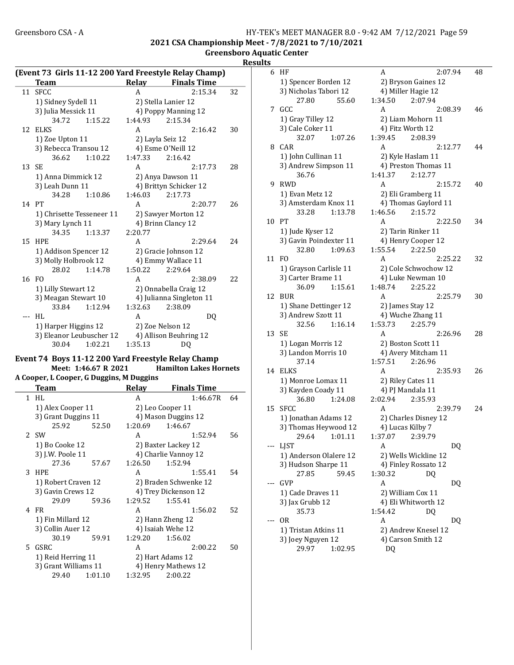#### Greensboro CSA - A 
HY-TEK's MEET MANAGER 8.0 - 9:42 AM 7/12/2021 Page 59 2021 CSA Championship Meet - 7/8/2021 to 7/10/2021

| <b>Greensboro Aquatic Center</b> |  |
|----------------------------------|--|
|                                  |  |
|                                  |  |
|                                  |  |

| Result: |  |
|---------|--|
|         |  |

|    | (Event 73 Girls 11-12 200 Yard Freestyle Relay Champ) |         |                     |                          |    |  |
|----|-------------------------------------------------------|---------|---------------------|--------------------------|----|--|
|    | <b>Team</b>                                           |         |                     | Relay Finals Time        |    |  |
| 11 | <b>SFCC</b>                                           |         | A                   | 2:15.34                  | 32 |  |
|    | 1) Sidney Sydell 11                                   |         |                     | 2) Stella Lanier 12      |    |  |
|    | 3) Julia Messick 11                                   |         |                     | 4) Poppy Manning 12      |    |  |
|    | 34.72                                                 | 1:15.22 | 1:44.93             | 2:15.34                  |    |  |
| 12 | <b>ELKS</b>                                           |         | A                   | 2:16.42                  | 30 |  |
|    | 1) Zoe Upton 11                                       |         |                     | 2) Layla Seiz 12         |    |  |
|    | 3) Rebecca Transou 12                                 |         |                     | 4) Esme O'Neill 12       |    |  |
|    | 36.62                                                 | 1:10.22 | 1:47.33             | 2:16.42                  |    |  |
| 13 | <b>SE</b>                                             |         | A                   | 2:17.73                  | 28 |  |
|    | 1) Anna Dimmick 12                                    |         |                     | 2) Anya Dawson 11        |    |  |
|    | 3) Leah Dunn 11                                       |         |                     | 4) Brittyn Schicker 12   |    |  |
|    | 34.28                                                 | 1:10.86 | 1:46.03             | 2:17.73                  |    |  |
|    | 14 PT                                                 |         | A                   | 2:20.77                  | 26 |  |
|    | 1) Chrisette Tesseneer 11                             |         | 2) Sawyer Morton 12 |                          |    |  |
|    | 3) Mary Lynch 11                                      |         |                     | 4) Brinn Clancy 12       |    |  |
|    | 34.35                                                 | 1:13.37 | 2:20.77             |                          |    |  |
| 15 | HPE                                                   |         | A                   | 2:29.64                  | 24 |  |
|    | 1) Addison Spencer 12                                 |         |                     | 2) Gracie Johnson 12     |    |  |
|    | 3) Molly Holbrook 12                                  |         |                     | 4) Emmy Wallace 11       |    |  |
|    | 28.02                                                 | 1:14.78 | 1:50.22             | 2:29.64                  |    |  |
|    | 16 FO                                                 |         | A                   | 2:38.09                  | 22 |  |
|    | 1) Lilly Stewart 12                                   |         |                     | 2) Onnabella Craig 12    |    |  |
|    | 3) Meagan Stewart 10                                  |         |                     | 4) Julianna Singleton 11 |    |  |
|    | 33.84                                                 | 1:12.94 | 1:32.63             | 2:38.09                  |    |  |
|    | HI.                                                   |         | A                   | DQ                       |    |  |
|    | 1) Harper Higgins 12                                  |         |                     | 2) Zoe Nelson 12         |    |  |
|    | 3) Eleanor Leubuscher 12                              |         |                     | 4) Allison Beuhring 12   |    |  |
|    | 30.04                                                 | 1:02.21 | 1:35.13             | DQ                       |    |  |

## Event 74 Boys 11-12 200 Yard Freestyle Relay Champ Meet: 1:46.67 R 2021 Hamilton Lakes Hornets

A Cooper, L Cooper, G Duggins, M Duggins Finale Time

L

| теаш                 |         | neiav   | гшагэ гипе            |    |
|----------------------|---------|---------|-----------------------|----|
| 1 HL                 |         | A       | 1:46.67R              | 64 |
| 1) Alex Cooper 11    |         |         | 2) Leo Cooper 11      |    |
| 3) Grant Duggins 11  |         |         | 4) Mason Duggins 12   |    |
| 25.92                | 52.50   | 1:20.69 | 1:46.67               |    |
| 2 SW                 |         | A       | 1:52.94               | 56 |
| 1) Bo Cooke 12       |         |         | 2) Baxter Lackey 12   |    |
| 3) J.W. Poole 11     |         |         | 4) Charlie Vannoy 12  |    |
| 27.36                | 57.67   | 1:26.50 | 1:52.94               |    |
| 3 HPE                |         | A       | 1:55.41               | 54 |
| 1) Robert Craven 12  |         |         | 2) Braden Schwenke 12 |    |
| 3) Gavin Crews 12    |         |         | 4) Trey Dickenson 12  |    |
| 29.09                | 59.36   | 1:29.52 | 1:55.41               |    |
| 4 FR                 |         | A       | 1:56.02               | 52 |
| 1) Fin Millard 12    |         |         | 2) Hann Zheng 12      |    |
| 3) Collin Auer 12    |         |         | 4) Isaiah Wehe 12     |    |
| 30.19                | 59.91   | 1:29.20 | 1:56.02               |    |
| 5 GSRC               |         | A       | 2:00.22               | 50 |
| 1) Reid Herring 11   |         |         | 2) Hart Adams 12      |    |
| 3) Grant Williams 11 |         |         | 4) Henry Mathews 12   |    |
| 29.40                | 1:01.10 | 1:32.95 | 2:00.22               |    |
|                      |         |         |                       |    |

| 6   | HF                     | A<br>2:07.94                               | 48 |
|-----|------------------------|--------------------------------------------|----|
|     | 1) Spencer Borden 12   | 2) Bryson Gaines 12                        |    |
|     | 3) Nicholas Tabori 12  | 4) Miller Hagie 12                         |    |
|     | 27.80<br>55.60         | 1:34.50<br>2:07.94                         |    |
| 7   | GCC                    | A<br>2:08.39                               | 46 |
|     | 1) Gray Tilley 12      | 2) Liam Mohorn 11                          |    |
|     | 3) Cale Coker 11       | 4) Fitz Worth 12                           |    |
|     | 32.07<br>1:07.26       | 1:39.45<br>2:08.39                         |    |
| 8   | CAR                    | A<br>2:12.77                               | 44 |
|     |                        |                                            |    |
|     | 1) John Cullinan 11    | 2) Kyle Haslam 11                          |    |
|     | 3) Andrew Simpson 11   | 4) Preston Thomas 11<br>1:41.37<br>2:12.77 |    |
|     | 36.76                  |                                            |    |
| 9   | <b>RWD</b>             | A<br>2:15.72                               | 40 |
|     | 1) Evan Metz 12        | 2) Eli Gramberg 11                         |    |
|     | 3) Amsterdam Knox 11   | 4) Thomas Gaylord 11                       |    |
|     | 33.28<br>1:13.78       | 1:46.56<br>2:15.72                         |    |
| 10  | PT                     | А<br>2:22.50                               | 34 |
|     | 1) Jude Kyser 12       | 2) Tarin Rinker 11                         |    |
|     | 3) Gavin Poindexter 11 | 4) Henry Cooper 12                         |    |
|     | 1:09.63<br>32.80       | 1:55.54<br>2:22.50                         |    |
| 11  | FO.                    | A<br>2:25.22                               | 32 |
|     | 1) Grayson Carlisle 11 | 2) Cole Schwochow 12                       |    |
|     | 3) Carter Brame 11     | 4) Luke Newman 10                          |    |
|     | 1:15.61<br>36.09       | 1:48.74<br>2:25.22                         |    |
| 12  | BUR                    | A<br>2:25.79                               | 30 |
|     | 1) Shane Dettinger 12  | 2) James Stay 12                           |    |
|     | 3) Andrew Szott 11     | 4) Wuche Zhang 11                          |    |
|     | 32.56<br>1:16.14       | 2:25.79<br>1:53.73                         |    |
| 13  | SE                     | A<br>2:26.96                               | 28 |
|     | 1) Logan Morris 12     | 2) Boston Scott 11                         |    |
|     | 3) Landon Morris 10    | 4) Avery Mitcham 11                        |    |
|     | 37.14                  | 1:57.51<br>2:26.96                         |    |
| 14  | ELKS                   | A<br>2:35.93                               | 26 |
|     | 1) Monroe Lomax 11     | 2) Riley Cates 11                          |    |
|     | 3) Kayden Coady 11     | 4) PJ Mandala 11                           |    |
|     | 1:24.08<br>36.80       | 2:02.94<br>2:35.93                         |    |
| 15  | SFCC                   | A<br>2:39.79                               | 24 |
|     | 1) Jonathan Adams 12   | 2) Charles Disney 12                       |    |
|     | 3) Thomas Heywood 12   | 4) Lucas Kilby 7                           |    |
|     | 29.64<br>1:01.11       | 1:37.07<br>2:39.79                         |    |
|     | --- LJST               | DQ<br>A                                    |    |
|     | 1) Anderson Olalere 12 | 2) Wells Wickline 12                       |    |
|     | 3) Hudson Sharpe 11    | 4) Finley Rossato 12                       |    |
|     | 59.45<br>27.85         | 1:30.32<br>DO.                             |    |
|     | GVP                    | A<br>DQ                                    |    |
|     | 1) Cade Draves 11      | 2) William Cox 11                          |    |
|     | 3) Jax Grubb 12        | 4) Eli Whitworth 12                        |    |
|     | 35.73                  | 1:54.42<br>DQ                              |    |
| --- | 0R                     | A<br>DQ                                    |    |
|     | 1) Tristan Atkins 11   | 2) Andrew Knesel 12                        |    |
|     | 3) Joey Nguyen 12      | 4) Carson Smith 12                         |    |
|     | 29.97<br>1:02.95       | DQ                                         |    |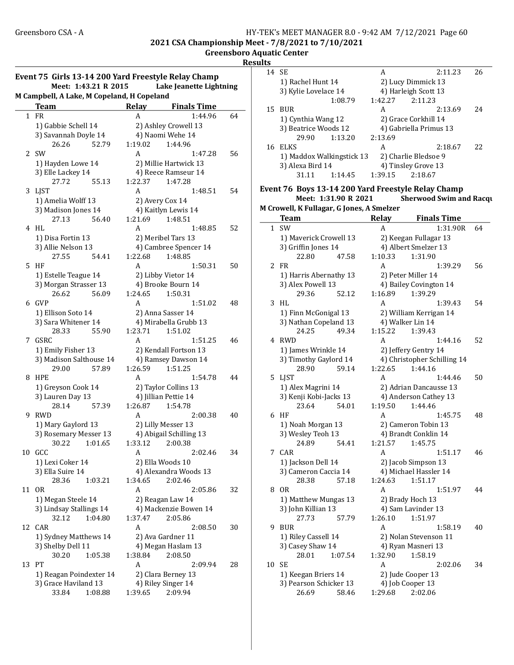2021 CSA Championship Meet - 7/8/2021 to 7/10/2021

Greensboro Aquatic Center Results

| M Campbell, A Lake, M Copeland, H Copeland<br>Relay<br><b>Finals Time</b><br><b>Team</b><br>1 FR<br>64<br>A<br>1:44.96<br>1) Gabbie Schell 14<br>2) Ashley Crowell 13<br>4) Naomi Wehe 14<br>3) Savannah Doyle 14<br>26.26<br>1:19.02<br>52.79<br>1:44.96<br>2 SW<br>1:47.28<br>56<br>A<br>1) Hayden Lowe 14<br>2) Millie Hartwick 13<br>3) Elle Lackey 14<br>4) Reece Ramseur 14<br>27.72<br>55.13<br>1:22.37<br>1:47.28<br>3 LJST<br>1:48.51<br>A<br>54<br>1) Amelia Wolff 13<br>2) Avery Cox 14<br>3) Madison Jones 14<br>4) Kaitlyn Lewis 14<br>56.40<br>1:21.69<br>27.13<br>1:48.51<br>HL<br>A<br>1:48.85<br>52<br>4<br>1) Disa Fortin 13<br>2) Meribel Tars 13<br>3) Allie Nelson 13<br>4) Cambree Spencer 14<br>27.55<br>1:22.68<br>1:48.85<br>54.41<br>5.<br>HF<br>1:50.31<br>50<br>A<br>1) Estelle Teague 14<br>2) Libby Vietor 14<br>3) Morgan Strasser 13<br>4) Brooke Bourn 14<br>56.09<br>1:24.65<br>1:50.31<br>26.62<br>6 GVP<br>A<br>1:51.02<br>48<br>1) Ellison Soto 14<br>2) Anna Sasser 14<br>3) Sara Whitener 14<br>4) Mirabella Grubb 13<br>55.90<br>28.33<br>1:23.71<br>1:51.02<br>7 GSRC<br>1:51.25<br>A<br>46<br>1) Emily Fisher 13<br>2) Kendall Fortson 13<br>3) Madison Salthouse 14<br>4) Ramsey Dawson 14<br>1:26.59<br>29.00<br>57.89<br>1:51.25<br><b>HPE</b><br>1:54.78<br>8<br>A<br>1) Greyson Cook 14<br>2) Taylor Collins 13<br>3) Lauren Day 13<br>4) Jillian Pettie 14<br>28.14<br>1:26.87<br>1:54.78<br>57.39<br><b>RWD</b><br>2:00.38<br>9<br>A<br>1) Mary Gaylord 13<br>2) Lilly Messer 13<br>3) Rosemary Messer 13<br>4) Abigail Schilling 13<br>30.22<br>1:01.65<br>1:33.12<br>2:00.38<br>10 GCC<br>A<br>2:02.46<br>1) Lexi Coker 14<br>2) Ella Woods 10<br>3) Ella Suire 14<br>4) Alexandra Woods 13<br>28.36<br>1:34.65<br>2:02.46<br>1:03.21<br><b>OR</b><br>A<br>11<br>2:05.86<br>1) Megan Steele 14<br>2) Reagan Law 14<br>3) Lindsay Stallings 14<br>4) Mackenzie Bowen 14<br>32.12<br>1:04.80<br>1:37.47<br>2:05.86<br>CAR<br>A<br>12<br>2:08.50<br>1) Sydney Matthews 14<br>2) Ava Gardner 11<br>3) Shelby Dell 11<br>4) Megan Haslam 13<br>30.20<br>1:05.38<br>1:38.84<br>2:08.50<br>PT<br>13<br>A<br>2:09.94<br>2) Clara Berney 13<br>1) Reagan Poindexter 14<br>3) Grace Haviland 13<br>4) Riley Singer 14<br>1:39.65<br>33.84<br>1:08.88<br>2:09.94 | Meet: 1:43.21 R 2015 | Event 75 Girls 13-14 200 Yard Freestyle Relay Champ<br>Lake Jeanette Lightning |
|----------------------------------------------------------------------------------------------------------------------------------------------------------------------------------------------------------------------------------------------------------------------------------------------------------------------------------------------------------------------------------------------------------------------------------------------------------------------------------------------------------------------------------------------------------------------------------------------------------------------------------------------------------------------------------------------------------------------------------------------------------------------------------------------------------------------------------------------------------------------------------------------------------------------------------------------------------------------------------------------------------------------------------------------------------------------------------------------------------------------------------------------------------------------------------------------------------------------------------------------------------------------------------------------------------------------------------------------------------------------------------------------------------------------------------------------------------------------------------------------------------------------------------------------------------------------------------------------------------------------------------------------------------------------------------------------------------------------------------------------------------------------------------------------------------------------------------------------------------------------------------------------------------------------------------------------------------------------------------------------------------------------------------------------------------------------------------------------------------------------------------------------------------------------------------------------------------------------------------------------------------------------------------------------------------|----------------------|--------------------------------------------------------------------------------|
|                                                                                                                                                                                                                                                                                                                                                                                                                                                                                                                                                                                                                                                                                                                                                                                                                                                                                                                                                                                                                                                                                                                                                                                                                                                                                                                                                                                                                                                                                                                                                                                                                                                                                                                                                                                                                                                                                                                                                                                                                                                                                                                                                                                                                                                                                                          |                      |                                                                                |
|                                                                                                                                                                                                                                                                                                                                                                                                                                                                                                                                                                                                                                                                                                                                                                                                                                                                                                                                                                                                                                                                                                                                                                                                                                                                                                                                                                                                                                                                                                                                                                                                                                                                                                                                                                                                                                                                                                                                                                                                                                                                                                                                                                                                                                                                                                          |                      |                                                                                |
|                                                                                                                                                                                                                                                                                                                                                                                                                                                                                                                                                                                                                                                                                                                                                                                                                                                                                                                                                                                                                                                                                                                                                                                                                                                                                                                                                                                                                                                                                                                                                                                                                                                                                                                                                                                                                                                                                                                                                                                                                                                                                                                                                                                                                                                                                                          |                      |                                                                                |
|                                                                                                                                                                                                                                                                                                                                                                                                                                                                                                                                                                                                                                                                                                                                                                                                                                                                                                                                                                                                                                                                                                                                                                                                                                                                                                                                                                                                                                                                                                                                                                                                                                                                                                                                                                                                                                                                                                                                                                                                                                                                                                                                                                                                                                                                                                          |                      |                                                                                |
|                                                                                                                                                                                                                                                                                                                                                                                                                                                                                                                                                                                                                                                                                                                                                                                                                                                                                                                                                                                                                                                                                                                                                                                                                                                                                                                                                                                                                                                                                                                                                                                                                                                                                                                                                                                                                                                                                                                                                                                                                                                                                                                                                                                                                                                                                                          |                      |                                                                                |
|                                                                                                                                                                                                                                                                                                                                                                                                                                                                                                                                                                                                                                                                                                                                                                                                                                                                                                                                                                                                                                                                                                                                                                                                                                                                                                                                                                                                                                                                                                                                                                                                                                                                                                                                                                                                                                                                                                                                                                                                                                                                                                                                                                                                                                                                                                          |                      |                                                                                |
|                                                                                                                                                                                                                                                                                                                                                                                                                                                                                                                                                                                                                                                                                                                                                                                                                                                                                                                                                                                                                                                                                                                                                                                                                                                                                                                                                                                                                                                                                                                                                                                                                                                                                                                                                                                                                                                                                                                                                                                                                                                                                                                                                                                                                                                                                                          |                      |                                                                                |
|                                                                                                                                                                                                                                                                                                                                                                                                                                                                                                                                                                                                                                                                                                                                                                                                                                                                                                                                                                                                                                                                                                                                                                                                                                                                                                                                                                                                                                                                                                                                                                                                                                                                                                                                                                                                                                                                                                                                                                                                                                                                                                                                                                                                                                                                                                          |                      |                                                                                |
|                                                                                                                                                                                                                                                                                                                                                                                                                                                                                                                                                                                                                                                                                                                                                                                                                                                                                                                                                                                                                                                                                                                                                                                                                                                                                                                                                                                                                                                                                                                                                                                                                                                                                                                                                                                                                                                                                                                                                                                                                                                                                                                                                                                                                                                                                                          |                      |                                                                                |
|                                                                                                                                                                                                                                                                                                                                                                                                                                                                                                                                                                                                                                                                                                                                                                                                                                                                                                                                                                                                                                                                                                                                                                                                                                                                                                                                                                                                                                                                                                                                                                                                                                                                                                                                                                                                                                                                                                                                                                                                                                                                                                                                                                                                                                                                                                          |                      |                                                                                |
|                                                                                                                                                                                                                                                                                                                                                                                                                                                                                                                                                                                                                                                                                                                                                                                                                                                                                                                                                                                                                                                                                                                                                                                                                                                                                                                                                                                                                                                                                                                                                                                                                                                                                                                                                                                                                                                                                                                                                                                                                                                                                                                                                                                                                                                                                                          |                      |                                                                                |
|                                                                                                                                                                                                                                                                                                                                                                                                                                                                                                                                                                                                                                                                                                                                                                                                                                                                                                                                                                                                                                                                                                                                                                                                                                                                                                                                                                                                                                                                                                                                                                                                                                                                                                                                                                                                                                                                                                                                                                                                                                                                                                                                                                                                                                                                                                          |                      |                                                                                |
|                                                                                                                                                                                                                                                                                                                                                                                                                                                                                                                                                                                                                                                                                                                                                                                                                                                                                                                                                                                                                                                                                                                                                                                                                                                                                                                                                                                                                                                                                                                                                                                                                                                                                                                                                                                                                                                                                                                                                                                                                                                                                                                                                                                                                                                                                                          |                      |                                                                                |
|                                                                                                                                                                                                                                                                                                                                                                                                                                                                                                                                                                                                                                                                                                                                                                                                                                                                                                                                                                                                                                                                                                                                                                                                                                                                                                                                                                                                                                                                                                                                                                                                                                                                                                                                                                                                                                                                                                                                                                                                                                                                                                                                                                                                                                                                                                          |                      |                                                                                |
|                                                                                                                                                                                                                                                                                                                                                                                                                                                                                                                                                                                                                                                                                                                                                                                                                                                                                                                                                                                                                                                                                                                                                                                                                                                                                                                                                                                                                                                                                                                                                                                                                                                                                                                                                                                                                                                                                                                                                                                                                                                                                                                                                                                                                                                                                                          |                      |                                                                                |
|                                                                                                                                                                                                                                                                                                                                                                                                                                                                                                                                                                                                                                                                                                                                                                                                                                                                                                                                                                                                                                                                                                                                                                                                                                                                                                                                                                                                                                                                                                                                                                                                                                                                                                                                                                                                                                                                                                                                                                                                                                                                                                                                                                                                                                                                                                          |                      |                                                                                |
|                                                                                                                                                                                                                                                                                                                                                                                                                                                                                                                                                                                                                                                                                                                                                                                                                                                                                                                                                                                                                                                                                                                                                                                                                                                                                                                                                                                                                                                                                                                                                                                                                                                                                                                                                                                                                                                                                                                                                                                                                                                                                                                                                                                                                                                                                                          |                      |                                                                                |
|                                                                                                                                                                                                                                                                                                                                                                                                                                                                                                                                                                                                                                                                                                                                                                                                                                                                                                                                                                                                                                                                                                                                                                                                                                                                                                                                                                                                                                                                                                                                                                                                                                                                                                                                                                                                                                                                                                                                                                                                                                                                                                                                                                                                                                                                                                          |                      |                                                                                |
|                                                                                                                                                                                                                                                                                                                                                                                                                                                                                                                                                                                                                                                                                                                                                                                                                                                                                                                                                                                                                                                                                                                                                                                                                                                                                                                                                                                                                                                                                                                                                                                                                                                                                                                                                                                                                                                                                                                                                                                                                                                                                                                                                                                                                                                                                                          |                      |                                                                                |
|                                                                                                                                                                                                                                                                                                                                                                                                                                                                                                                                                                                                                                                                                                                                                                                                                                                                                                                                                                                                                                                                                                                                                                                                                                                                                                                                                                                                                                                                                                                                                                                                                                                                                                                                                                                                                                                                                                                                                                                                                                                                                                                                                                                                                                                                                                          |                      |                                                                                |
|                                                                                                                                                                                                                                                                                                                                                                                                                                                                                                                                                                                                                                                                                                                                                                                                                                                                                                                                                                                                                                                                                                                                                                                                                                                                                                                                                                                                                                                                                                                                                                                                                                                                                                                                                                                                                                                                                                                                                                                                                                                                                                                                                                                                                                                                                                          |                      |                                                                                |
|                                                                                                                                                                                                                                                                                                                                                                                                                                                                                                                                                                                                                                                                                                                                                                                                                                                                                                                                                                                                                                                                                                                                                                                                                                                                                                                                                                                                                                                                                                                                                                                                                                                                                                                                                                                                                                                                                                                                                                                                                                                                                                                                                                                                                                                                                                          |                      |                                                                                |
|                                                                                                                                                                                                                                                                                                                                                                                                                                                                                                                                                                                                                                                                                                                                                                                                                                                                                                                                                                                                                                                                                                                                                                                                                                                                                                                                                                                                                                                                                                                                                                                                                                                                                                                                                                                                                                                                                                                                                                                                                                                                                                                                                                                                                                                                                                          |                      |                                                                                |
|                                                                                                                                                                                                                                                                                                                                                                                                                                                                                                                                                                                                                                                                                                                                                                                                                                                                                                                                                                                                                                                                                                                                                                                                                                                                                                                                                                                                                                                                                                                                                                                                                                                                                                                                                                                                                                                                                                                                                                                                                                                                                                                                                                                                                                                                                                          |                      |                                                                                |
|                                                                                                                                                                                                                                                                                                                                                                                                                                                                                                                                                                                                                                                                                                                                                                                                                                                                                                                                                                                                                                                                                                                                                                                                                                                                                                                                                                                                                                                                                                                                                                                                                                                                                                                                                                                                                                                                                                                                                                                                                                                                                                                                                                                                                                                                                                          |                      |                                                                                |
|                                                                                                                                                                                                                                                                                                                                                                                                                                                                                                                                                                                                                                                                                                                                                                                                                                                                                                                                                                                                                                                                                                                                                                                                                                                                                                                                                                                                                                                                                                                                                                                                                                                                                                                                                                                                                                                                                                                                                                                                                                                                                                                                                                                                                                                                                                          |                      |                                                                                |
|                                                                                                                                                                                                                                                                                                                                                                                                                                                                                                                                                                                                                                                                                                                                                                                                                                                                                                                                                                                                                                                                                                                                                                                                                                                                                                                                                                                                                                                                                                                                                                                                                                                                                                                                                                                                                                                                                                                                                                                                                                                                                                                                                                                                                                                                                                          |                      |                                                                                |
|                                                                                                                                                                                                                                                                                                                                                                                                                                                                                                                                                                                                                                                                                                                                                                                                                                                                                                                                                                                                                                                                                                                                                                                                                                                                                                                                                                                                                                                                                                                                                                                                                                                                                                                                                                                                                                                                                                                                                                                                                                                                                                                                                                                                                                                                                                          |                      |                                                                                |
|                                                                                                                                                                                                                                                                                                                                                                                                                                                                                                                                                                                                                                                                                                                                                                                                                                                                                                                                                                                                                                                                                                                                                                                                                                                                                                                                                                                                                                                                                                                                                                                                                                                                                                                                                                                                                                                                                                                                                                                                                                                                                                                                                                                                                                                                                                          |                      |                                                                                |
|                                                                                                                                                                                                                                                                                                                                                                                                                                                                                                                                                                                                                                                                                                                                                                                                                                                                                                                                                                                                                                                                                                                                                                                                                                                                                                                                                                                                                                                                                                                                                                                                                                                                                                                                                                                                                                                                                                                                                                                                                                                                                                                                                                                                                                                                                                          |                      | 44                                                                             |
|                                                                                                                                                                                                                                                                                                                                                                                                                                                                                                                                                                                                                                                                                                                                                                                                                                                                                                                                                                                                                                                                                                                                                                                                                                                                                                                                                                                                                                                                                                                                                                                                                                                                                                                                                                                                                                                                                                                                                                                                                                                                                                                                                                                                                                                                                                          |                      |                                                                                |
|                                                                                                                                                                                                                                                                                                                                                                                                                                                                                                                                                                                                                                                                                                                                                                                                                                                                                                                                                                                                                                                                                                                                                                                                                                                                                                                                                                                                                                                                                                                                                                                                                                                                                                                                                                                                                                                                                                                                                                                                                                                                                                                                                                                                                                                                                                          |                      |                                                                                |
|                                                                                                                                                                                                                                                                                                                                                                                                                                                                                                                                                                                                                                                                                                                                                                                                                                                                                                                                                                                                                                                                                                                                                                                                                                                                                                                                                                                                                                                                                                                                                                                                                                                                                                                                                                                                                                                                                                                                                                                                                                                                                                                                                                                                                                                                                                          |                      |                                                                                |
|                                                                                                                                                                                                                                                                                                                                                                                                                                                                                                                                                                                                                                                                                                                                                                                                                                                                                                                                                                                                                                                                                                                                                                                                                                                                                                                                                                                                                                                                                                                                                                                                                                                                                                                                                                                                                                                                                                                                                                                                                                                                                                                                                                                                                                                                                                          |                      | 40                                                                             |
|                                                                                                                                                                                                                                                                                                                                                                                                                                                                                                                                                                                                                                                                                                                                                                                                                                                                                                                                                                                                                                                                                                                                                                                                                                                                                                                                                                                                                                                                                                                                                                                                                                                                                                                                                                                                                                                                                                                                                                                                                                                                                                                                                                                                                                                                                                          |                      |                                                                                |
|                                                                                                                                                                                                                                                                                                                                                                                                                                                                                                                                                                                                                                                                                                                                                                                                                                                                                                                                                                                                                                                                                                                                                                                                                                                                                                                                                                                                                                                                                                                                                                                                                                                                                                                                                                                                                                                                                                                                                                                                                                                                                                                                                                                                                                                                                                          |                      |                                                                                |
|                                                                                                                                                                                                                                                                                                                                                                                                                                                                                                                                                                                                                                                                                                                                                                                                                                                                                                                                                                                                                                                                                                                                                                                                                                                                                                                                                                                                                                                                                                                                                                                                                                                                                                                                                                                                                                                                                                                                                                                                                                                                                                                                                                                                                                                                                                          |                      |                                                                                |
|                                                                                                                                                                                                                                                                                                                                                                                                                                                                                                                                                                                                                                                                                                                                                                                                                                                                                                                                                                                                                                                                                                                                                                                                                                                                                                                                                                                                                                                                                                                                                                                                                                                                                                                                                                                                                                                                                                                                                                                                                                                                                                                                                                                                                                                                                                          |                      | 34                                                                             |
|                                                                                                                                                                                                                                                                                                                                                                                                                                                                                                                                                                                                                                                                                                                                                                                                                                                                                                                                                                                                                                                                                                                                                                                                                                                                                                                                                                                                                                                                                                                                                                                                                                                                                                                                                                                                                                                                                                                                                                                                                                                                                                                                                                                                                                                                                                          |                      |                                                                                |
|                                                                                                                                                                                                                                                                                                                                                                                                                                                                                                                                                                                                                                                                                                                                                                                                                                                                                                                                                                                                                                                                                                                                                                                                                                                                                                                                                                                                                                                                                                                                                                                                                                                                                                                                                                                                                                                                                                                                                                                                                                                                                                                                                                                                                                                                                                          |                      |                                                                                |
|                                                                                                                                                                                                                                                                                                                                                                                                                                                                                                                                                                                                                                                                                                                                                                                                                                                                                                                                                                                                                                                                                                                                                                                                                                                                                                                                                                                                                                                                                                                                                                                                                                                                                                                                                                                                                                                                                                                                                                                                                                                                                                                                                                                                                                                                                                          |                      |                                                                                |
|                                                                                                                                                                                                                                                                                                                                                                                                                                                                                                                                                                                                                                                                                                                                                                                                                                                                                                                                                                                                                                                                                                                                                                                                                                                                                                                                                                                                                                                                                                                                                                                                                                                                                                                                                                                                                                                                                                                                                                                                                                                                                                                                                                                                                                                                                                          |                      | 32                                                                             |
|                                                                                                                                                                                                                                                                                                                                                                                                                                                                                                                                                                                                                                                                                                                                                                                                                                                                                                                                                                                                                                                                                                                                                                                                                                                                                                                                                                                                                                                                                                                                                                                                                                                                                                                                                                                                                                                                                                                                                                                                                                                                                                                                                                                                                                                                                                          |                      |                                                                                |
|                                                                                                                                                                                                                                                                                                                                                                                                                                                                                                                                                                                                                                                                                                                                                                                                                                                                                                                                                                                                                                                                                                                                                                                                                                                                                                                                                                                                                                                                                                                                                                                                                                                                                                                                                                                                                                                                                                                                                                                                                                                                                                                                                                                                                                                                                                          |                      |                                                                                |
|                                                                                                                                                                                                                                                                                                                                                                                                                                                                                                                                                                                                                                                                                                                                                                                                                                                                                                                                                                                                                                                                                                                                                                                                                                                                                                                                                                                                                                                                                                                                                                                                                                                                                                                                                                                                                                                                                                                                                                                                                                                                                                                                                                                                                                                                                                          |                      |                                                                                |
|                                                                                                                                                                                                                                                                                                                                                                                                                                                                                                                                                                                                                                                                                                                                                                                                                                                                                                                                                                                                                                                                                                                                                                                                                                                                                                                                                                                                                                                                                                                                                                                                                                                                                                                                                                                                                                                                                                                                                                                                                                                                                                                                                                                                                                                                                                          |                      | 30                                                                             |
|                                                                                                                                                                                                                                                                                                                                                                                                                                                                                                                                                                                                                                                                                                                                                                                                                                                                                                                                                                                                                                                                                                                                                                                                                                                                                                                                                                                                                                                                                                                                                                                                                                                                                                                                                                                                                                                                                                                                                                                                                                                                                                                                                                                                                                                                                                          |                      |                                                                                |
|                                                                                                                                                                                                                                                                                                                                                                                                                                                                                                                                                                                                                                                                                                                                                                                                                                                                                                                                                                                                                                                                                                                                                                                                                                                                                                                                                                                                                                                                                                                                                                                                                                                                                                                                                                                                                                                                                                                                                                                                                                                                                                                                                                                                                                                                                                          |                      |                                                                                |
|                                                                                                                                                                                                                                                                                                                                                                                                                                                                                                                                                                                                                                                                                                                                                                                                                                                                                                                                                                                                                                                                                                                                                                                                                                                                                                                                                                                                                                                                                                                                                                                                                                                                                                                                                                                                                                                                                                                                                                                                                                                                                                                                                                                                                                                                                                          |                      |                                                                                |
|                                                                                                                                                                                                                                                                                                                                                                                                                                                                                                                                                                                                                                                                                                                                                                                                                                                                                                                                                                                                                                                                                                                                                                                                                                                                                                                                                                                                                                                                                                                                                                                                                                                                                                                                                                                                                                                                                                                                                                                                                                                                                                                                                                                                                                                                                                          |                      | 28                                                                             |
|                                                                                                                                                                                                                                                                                                                                                                                                                                                                                                                                                                                                                                                                                                                                                                                                                                                                                                                                                                                                                                                                                                                                                                                                                                                                                                                                                                                                                                                                                                                                                                                                                                                                                                                                                                                                                                                                                                                                                                                                                                                                                                                                                                                                                                                                                                          |                      |                                                                                |
|                                                                                                                                                                                                                                                                                                                                                                                                                                                                                                                                                                                                                                                                                                                                                                                                                                                                                                                                                                                                                                                                                                                                                                                                                                                                                                                                                                                                                                                                                                                                                                                                                                                                                                                                                                                                                                                                                                                                                                                                                                                                                                                                                                                                                                                                                                          |                      |                                                                                |
|                                                                                                                                                                                                                                                                                                                                                                                                                                                                                                                                                                                                                                                                                                                                                                                                                                                                                                                                                                                                                                                                                                                                                                                                                                                                                                                                                                                                                                                                                                                                                                                                                                                                                                                                                                                                                                                                                                                                                                                                                                                                                                                                                                                                                                                                                                          |                      |                                                                                |

| шь |                                                    |         |                                |    |
|----|----------------------------------------------------|---------|--------------------------------|----|
| 14 | <b>SE</b>                                          | A       | 2:11.23                        | 26 |
|    | 1) Rachel Hunt 14                                  |         | 2) Lucy Dimmick 13             |    |
|    | 3) Kylie Lovelace 14                               |         | 4) Harleigh Scott 13           |    |
|    | 1:08.79                                            | 1:42.27 | 2:11.23                        |    |
| 15 | <b>BUR</b>                                         | A       | 2:13.69                        | 24 |
|    | 1) Cynthia Wang 12                                 |         | 2) Grace Corkhill 14           |    |
|    | 3) Beatrice Woods 12                               |         | 4) Gabriella Primus 13         |    |
|    | 1:13.20<br>29.90                                   | 2:13.69 |                                |    |
| 16 | ELKS                                               | A       | 2:18.67                        | 22 |
|    | 1) Maddox Walkingstick 13                          |         | 2) Charlie Bledsoe 9           |    |
|    | 3) Alexa Bird 14                                   |         | 4) Tinsley Grove 13            |    |
|    | 31.11<br>1:14.45                                   | 1:39.15 | 2:18.67                        |    |
|    |                                                    |         |                                |    |
|    | Event 76 Boys 13-14 200 Yard Freestyle Relay Champ |         |                                |    |
|    | Meet: 1:31.90 R 2021                               |         | <b>Sherwood Swim and Racqu</b> |    |
|    | M Crowell, K Fullagar, G Jones, A Smelzer          |         |                                |    |
|    | <b>Team</b>                                        | Relay   | <b>Finals Time</b>             |    |
|    | $1$ SW                                             | A       | 1:31.90R                       | 64 |
|    | 1) Maverick Crowell 13                             |         | 2) Keegan Fullagar 13          |    |
|    | 3) Griffin Jones 14                                |         | 4) Albert Smelzer 13           |    |
|    | 22.80<br>47.58                                     | 1:10.33 | 1:31.90                        |    |
| 2  | FR                                                 | A       | 1:39.29                        | 56 |
|    | 1) Harris Abernathy 13                             |         | 2) Peter Miller 14             |    |
|    | 3) Alex Powell 13                                  |         | 4) Bailey Covington 14         |    |
|    | 29.36<br>52.12                                     | 1:16.89 | 1:39.29                        |    |
|    | 3 HL                                               | A       |                                | 54 |
|    |                                                    |         | 1:39.43                        |    |
|    | 1) Finn McGonigal 13                               |         | 2) William Kerrigan 14         |    |
|    | 3) Nathan Copeland 13                              |         | 4) Walker Lin 14               |    |
|    | 24.25<br>49.34                                     | 1:15.22 | 1:39.43                        |    |
|    | 4 RWD                                              | A       | 1:44.16                        | 52 |
|    | 1) James Wrinkle 14                                |         | 2) Jeffery Gentry 14           |    |
|    | 3) Timothy Gaylord 14                              |         | 4) Christopher Schilling 14    |    |
|    | 28.90<br>59.14                                     | 1:22.65 | 1:44.16                        |    |
|    | 5 LJST                                             | A       | 1:44.46                        | 50 |
|    | 1) Alex Magrini 14                                 |         | 2) Adrian Dancausse 13         |    |
|    | 3) Kenji Kobi-Jacks 13                             |         | 4) Anderson Cathey 13          |    |
|    | 23.64<br>54.01                                     | 1:19.50 | 1:44.46                        |    |
| 6  | HF                                                 | A       | 1:45.75                        | 48 |
|    | 1) Noah Morgan 13                                  |         | 2) Cameron Tobin 13            |    |
|    | 3) Wesley Teoh 13                                  |         | 4) Brandt Conklin 14           |    |
|    | 24.89<br>54.41                                     | 1:21.57 | 1:45.75                        |    |
| 7  | CAR                                                | A       | 1:51.17                        | 46 |
|    | 1) Jackson Dell 14                                 |         | 2) Jacob Simpson 13            |    |
|    | 3) Cameron Caccia 14                               |         | 4) Michael Hassler 14          |    |
|    | 28.38<br>57.18                                     | 1:24.63 | 1:51.17                        |    |
|    | 8 OR                                               | A       | 1:51.97                        | 44 |
|    | 1) Matthew Mungas 13                               |         | 2) Brady Hoch 13               |    |
|    | 3) John Killian 13                                 |         | 4) Sam Lavinder 13             |    |
|    | 27.73<br>57.79                                     | 1:26.10 | 1:51.97                        |    |
|    | 9 BUR                                              | A       | 1:58.19                        | 40 |
|    | 1) Riley Cassell 14                                |         | 2) Nolan Stevenson 11          |    |
|    |                                                    |         |                                |    |
|    | 3) Casey Shaw 14                                   |         | 4) Ryan Masneri 13             |    |
|    | 28.01<br>1:07.54                                   | 1:32.90 | 1:58.19                        |    |
| 10 | <b>SE</b>                                          | A       | 2:02.06                        | 34 |
|    | 1) Keegan Briers 14                                |         | 2) Jude Cooper 13              |    |
|    | 3) Pearson Schicker 13                             |         | 4) Job Cooper 13               |    |
|    | 26.69<br>58.46                                     | 1:29.68 | 2:02.06                        |    |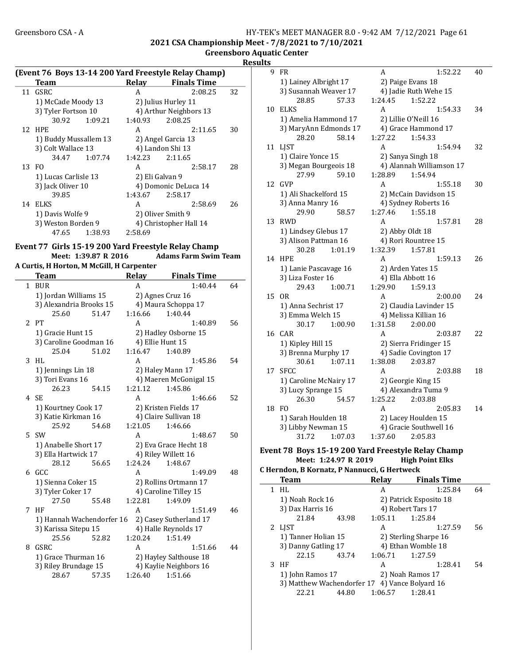#### Greensboro CSA - A <br>HY-TEK's MEET MANAGER 8.0 - 9:42 AM 7/12/2021 Page 61 2021 CSA Championship Meet - 7/8/2021 to 7/10/2021

Greensboro Aquatic Center

| <b>Result</b> |  |
|---------------|--|
|               |  |

|  |  | (Event 76 Boys 13-14 200 Yard Freestyle Relay Champ) |  |
|--|--|------------------------------------------------------|--|
|  |  |                                                      |  |

|    | Team                  |         | Relay           | <b>Finals Time</b>     |    |
|----|-----------------------|---------|-----------------|------------------------|----|
|    | 11 GSRC               |         | A               | 2:08.25                | 32 |
|    | 1) McCade Moody 13    |         |                 | 2) Julius Hurley 11    |    |
|    | 3) Tyler Fortson 10   |         |                 | 4) Arthur Neighbors 13 |    |
|    | 30.92                 | 1:09.21 | 1:40.93         | 2:08.25                |    |
|    | 12 HPE                |         | A               | 2:11.65                | 30 |
|    | 1) Buddy Mussallem 13 |         |                 | 2) Angel Garcia 13     |    |
|    | 3) Colt Wallace 13    |         |                 | 4) Landon Shi 13       |    |
|    | 34.47                 | 1:07.74 | 1:42.23         | 2:11.65                |    |
|    | 13 FO                 |         | A               | 2:58.17                | 28 |
|    | 1) Lucas Carlisle 13  |         | 2) Eli Galvan 9 |                        |    |
|    | 3) Jack Oliver 10     |         |                 | 4) Domonic DeLuca 14   |    |
|    | 39.85                 |         | 1:43.67         | 2:58.17                |    |
| 14 | ELKS                  |         | A               | 2:58.69                | 26 |
|    | 1) Davis Wolfe 9      |         |                 | 2) Oliver Smith 9      |    |
|    | 3) Weston Borden 9    |         |                 | 4) Christopher Hall 14 |    |
|    | 47.65                 | 1:38.93 | 2:58.69         |                        |    |

# Event 77 Girls 15-19 200 Yard Freestyle Relay Champ

Adams Farm Swim Team A Curtis, H Horton, M McGill, H Carpenter

| Team                    | <b>Relay</b> | <b>Finals Time</b>   |    |
|-------------------------|--------------|----------------------|----|
| <b>BUR</b>              | А            | 1:40.44              | 64 |
| 1) Jordan Williams 15   |              | 2) Agnes Cruz 16     |    |
| 3) Alexandria Brooks 15 |              | 4) Maura Schoppa 17  |    |
| 25.60<br>51.47          | 1:16.66      | 1:40.44              |    |
| 2 PT                    | А            | 1:40.89              | 56 |
| 1) Gracie Hunt 15       |              | 2) Hadley Osborne 15 |    |
| 3) Caroline Goodman 16  |              | 4) Ellie Hunt 15     |    |

|    | 1) urationium 15          |       |         | 4 THAME VOUULLE        |    |
|----|---------------------------|-------|---------|------------------------|----|
|    | 3) Caroline Goodman 16    |       |         | 4) Ellie Hunt 15       |    |
|    | 25.04                     | 51.02 | 1:16.47 | 1:40.89                |    |
| 3  | HI.                       |       | A       | 1:45.86                | 54 |
|    | 1) Jennings Lin 18        |       |         | 2) Haley Mann 17       |    |
|    | 3) Tori Evans 16          |       |         | 4) Maeren McGonigal 15 |    |
|    | 26.23                     | 54.15 | 1:21.12 | 1:45.86                |    |
|    | 4 SE                      |       | A       | 1:46.66                | 52 |
|    | 1) Kourtney Cook 17       |       |         | 2) Kristen Fields 17   |    |
|    | 3) Katie Kirkman 16       |       |         | 4) Claire Sullivan 18  |    |
|    | 25.92                     | 54.68 | 1:21.05 | 1:46.66                |    |
| 5. | .SW                       |       | A       | 1:48.67                | 50 |
|    | 1) Anabelle Short 17      |       |         | 2) Eva Grace Hecht 18  |    |
|    | 3) Ella Hartwick 17       |       |         | 4) Riley Willett 16    |    |
|    | 28.12                     | 56.65 | 1:24.24 | 1:48.67                |    |
| 6. | GCC.                      |       | A       | 1:49.09                | 48 |
|    | 1) Sienna Coker 15        |       |         | 2) Rollins Ortmann 17  |    |
|    | 3) Tyler Coker 17         |       |         | 4) Caroline Tilley 15  |    |
|    | 27.50                     | 55.48 | 1:22.81 | 1:49.09                |    |
| 7  | HF                        |       | A       | 1:51.49                | 46 |
|    | 1) Hannah Wachendorfer 16 |       |         | 2) Casey Sutherland 17 |    |
|    | 3) Karissa Sitepu 15      |       |         | 4) Halle Reynolds 17   |    |
|    | 25.56                     | 52.82 | 1:20.24 | 1:51.49                |    |
| 8  | GSRC                      |       | A       | 1:51.66                | 44 |
|    | 1) Grace Thurman 16       |       |         | 2) Hayley Salthouse 18 |    |
|    | 3) Riley Brundage 15      |       |         | 4) Kaylie Neighbors 16 |    |
|    | 28.67                     | 57.35 | 1:26.40 | 1:51.66                |    |
|    |                           |       |         |                        |    |

| 1) Lainey Albright 17<br>3) Susannah Weaver 17 |                                                                                                                                                                                                                                                                                                                                                          | 2) Paige Evans 18                                                                                                                                                                                                                                                    |                                                                                                 |                                                                                                                                                                                                                                                                                                                                                                                                                                                                                                                                                                                                 |
|------------------------------------------------|----------------------------------------------------------------------------------------------------------------------------------------------------------------------------------------------------------------------------------------------------------------------------------------------------------------------------------------------------------|----------------------------------------------------------------------------------------------------------------------------------------------------------------------------------------------------------------------------------------------------------------------|-------------------------------------------------------------------------------------------------|-------------------------------------------------------------------------------------------------------------------------------------------------------------------------------------------------------------------------------------------------------------------------------------------------------------------------------------------------------------------------------------------------------------------------------------------------------------------------------------------------------------------------------------------------------------------------------------------------|
|                                                |                                                                                                                                                                                                                                                                                                                                                          |                                                                                                                                                                                                                                                                      |                                                                                                 |                                                                                                                                                                                                                                                                                                                                                                                                                                                                                                                                                                                                 |
|                                                |                                                                                                                                                                                                                                                                                                                                                          |                                                                                                                                                                                                                                                                      | 4) Jadie Ruth Wehe 15                                                                           |                                                                                                                                                                                                                                                                                                                                                                                                                                                                                                                                                                                                 |
| 28.85<br>57.33                                 | 1:24.45                                                                                                                                                                                                                                                                                                                                                  |                                                                                                                                                                                                                                                                      | 1:52.22                                                                                         |                                                                                                                                                                                                                                                                                                                                                                                                                                                                                                                                                                                                 |
|                                                | A                                                                                                                                                                                                                                                                                                                                                        |                                                                                                                                                                                                                                                                      | 1:54.33                                                                                         | 34                                                                                                                                                                                                                                                                                                                                                                                                                                                                                                                                                                                              |
|                                                |                                                                                                                                                                                                                                                                                                                                                          |                                                                                                                                                                                                                                                                      |                                                                                                 |                                                                                                                                                                                                                                                                                                                                                                                                                                                                                                                                                                                                 |
|                                                |                                                                                                                                                                                                                                                                                                                                                          |                                                                                                                                                                                                                                                                      |                                                                                                 |                                                                                                                                                                                                                                                                                                                                                                                                                                                                                                                                                                                                 |
|                                                |                                                                                                                                                                                                                                                                                                                                                          |                                                                                                                                                                                                                                                                      |                                                                                                 |                                                                                                                                                                                                                                                                                                                                                                                                                                                                                                                                                                                                 |
|                                                | A                                                                                                                                                                                                                                                                                                                                                        |                                                                                                                                                                                                                                                                      | 1:54.94                                                                                         | 32                                                                                                                                                                                                                                                                                                                                                                                                                                                                                                                                                                                              |
|                                                |                                                                                                                                                                                                                                                                                                                                                          |                                                                                                                                                                                                                                                                      |                                                                                                 |                                                                                                                                                                                                                                                                                                                                                                                                                                                                                                                                                                                                 |
|                                                |                                                                                                                                                                                                                                                                                                                                                          |                                                                                                                                                                                                                                                                      |                                                                                                 |                                                                                                                                                                                                                                                                                                                                                                                                                                                                                                                                                                                                 |
|                                                |                                                                                                                                                                                                                                                                                                                                                          |                                                                                                                                                                                                                                                                      |                                                                                                 |                                                                                                                                                                                                                                                                                                                                                                                                                                                                                                                                                                                                 |
|                                                | A                                                                                                                                                                                                                                                                                                                                                        |                                                                                                                                                                                                                                                                      | 1:55.18                                                                                         | 30                                                                                                                                                                                                                                                                                                                                                                                                                                                                                                                                                                                              |
|                                                |                                                                                                                                                                                                                                                                                                                                                          |                                                                                                                                                                                                                                                                      |                                                                                                 |                                                                                                                                                                                                                                                                                                                                                                                                                                                                                                                                                                                                 |
|                                                |                                                                                                                                                                                                                                                                                                                                                          |                                                                                                                                                                                                                                                                      |                                                                                                 |                                                                                                                                                                                                                                                                                                                                                                                                                                                                                                                                                                                                 |
|                                                |                                                                                                                                                                                                                                                                                                                                                          |                                                                                                                                                                                                                                                                      |                                                                                                 |                                                                                                                                                                                                                                                                                                                                                                                                                                                                                                                                                                                                 |
|                                                | A                                                                                                                                                                                                                                                                                                                                                        |                                                                                                                                                                                                                                                                      | 1:57.81                                                                                         | 28                                                                                                                                                                                                                                                                                                                                                                                                                                                                                                                                                                                              |
|                                                |                                                                                                                                                                                                                                                                                                                                                          |                                                                                                                                                                                                                                                                      |                                                                                                 |                                                                                                                                                                                                                                                                                                                                                                                                                                                                                                                                                                                                 |
|                                                |                                                                                                                                                                                                                                                                                                                                                          |                                                                                                                                                                                                                                                                      |                                                                                                 |                                                                                                                                                                                                                                                                                                                                                                                                                                                                                                                                                                                                 |
|                                                |                                                                                                                                                                                                                                                                                                                                                          |                                                                                                                                                                                                                                                                      |                                                                                                 |                                                                                                                                                                                                                                                                                                                                                                                                                                                                                                                                                                                                 |
|                                                |                                                                                                                                                                                                                                                                                                                                                          |                                                                                                                                                                                                                                                                      |                                                                                                 | 26                                                                                                                                                                                                                                                                                                                                                                                                                                                                                                                                                                                              |
|                                                |                                                                                                                                                                                                                                                                                                                                                          |                                                                                                                                                                                                                                                                      |                                                                                                 |                                                                                                                                                                                                                                                                                                                                                                                                                                                                                                                                                                                                 |
|                                                |                                                                                                                                                                                                                                                                                                                                                          |                                                                                                                                                                                                                                                                      |                                                                                                 |                                                                                                                                                                                                                                                                                                                                                                                                                                                                                                                                                                                                 |
|                                                |                                                                                                                                                                                                                                                                                                                                                          |                                                                                                                                                                                                                                                                      |                                                                                                 |                                                                                                                                                                                                                                                                                                                                                                                                                                                                                                                                                                                                 |
|                                                |                                                                                                                                                                                                                                                                                                                                                          |                                                                                                                                                                                                                                                                      |                                                                                                 | 24                                                                                                                                                                                                                                                                                                                                                                                                                                                                                                                                                                                              |
|                                                |                                                                                                                                                                                                                                                                                                                                                          |                                                                                                                                                                                                                                                                      |                                                                                                 |                                                                                                                                                                                                                                                                                                                                                                                                                                                                                                                                                                                                 |
|                                                |                                                                                                                                                                                                                                                                                                                                                          |                                                                                                                                                                                                                                                                      |                                                                                                 |                                                                                                                                                                                                                                                                                                                                                                                                                                                                                                                                                                                                 |
|                                                |                                                                                                                                                                                                                                                                                                                                                          |                                                                                                                                                                                                                                                                      |                                                                                                 |                                                                                                                                                                                                                                                                                                                                                                                                                                                                                                                                                                                                 |
|                                                |                                                                                                                                                                                                                                                                                                                                                          |                                                                                                                                                                                                                                                                      |                                                                                                 | 22                                                                                                                                                                                                                                                                                                                                                                                                                                                                                                                                                                                              |
|                                                |                                                                                                                                                                                                                                                                                                                                                          |                                                                                                                                                                                                                                                                      |                                                                                                 |                                                                                                                                                                                                                                                                                                                                                                                                                                                                                                                                                                                                 |
|                                                |                                                                                                                                                                                                                                                                                                                                                          |                                                                                                                                                                                                                                                                      |                                                                                                 |                                                                                                                                                                                                                                                                                                                                                                                                                                                                                                                                                                                                 |
|                                                |                                                                                                                                                                                                                                                                                                                                                          |                                                                                                                                                                                                                                                                      |                                                                                                 |                                                                                                                                                                                                                                                                                                                                                                                                                                                                                                                                                                                                 |
|                                                |                                                                                                                                                                                                                                                                                                                                                          |                                                                                                                                                                                                                                                                      |                                                                                                 | 18                                                                                                                                                                                                                                                                                                                                                                                                                                                                                                                                                                                              |
|                                                |                                                                                                                                                                                                                                                                                                                                                          |                                                                                                                                                                                                                                                                      |                                                                                                 |                                                                                                                                                                                                                                                                                                                                                                                                                                                                                                                                                                                                 |
|                                                |                                                                                                                                                                                                                                                                                                                                                          |                                                                                                                                                                                                                                                                      |                                                                                                 |                                                                                                                                                                                                                                                                                                                                                                                                                                                                                                                                                                                                 |
|                                                |                                                                                                                                                                                                                                                                                                                                                          |                                                                                                                                                                                                                                                                      |                                                                                                 | 14                                                                                                                                                                                                                                                                                                                                                                                                                                                                                                                                                                                              |
|                                                |                                                                                                                                                                                                                                                                                                                                                          |                                                                                                                                                                                                                                                                      |                                                                                                 |                                                                                                                                                                                                                                                                                                                                                                                                                                                                                                                                                                                                 |
|                                                |                                                                                                                                                                                                                                                                                                                                                          |                                                                                                                                                                                                                                                                      |                                                                                                 |                                                                                                                                                                                                                                                                                                                                                                                                                                                                                                                                                                                                 |
|                                                |                                                                                                                                                                                                                                                                                                                                                          |                                                                                                                                                                                                                                                                      |                                                                                                 |                                                                                                                                                                                                                                                                                                                                                                                                                                                                                                                                                                                                 |
|                                                |                                                                                                                                                                                                                                                                                                                                                          |                                                                                                                                                                                                                                                                      |                                                                                                 |                                                                                                                                                                                                                                                                                                                                                                                                                                                                                                                                                                                                 |
|                                                | 28.20<br>1) Claire Yonce 15<br>27.99<br>1) Ali Shackelford 15<br>3) Anna Manry 16<br>29.90<br>1) Lindsey Glebus 17<br>3) Alison Pattman 16<br>30.28<br>3) Liza Foster 16<br>29.43<br>1) Anna Sechrist 17<br>3) Emma Welch 15<br>30.17<br>1) Kipley Hill 15<br>30.61<br>3) Lucy Sprange 15<br>26.30<br>1) Sarah Houlden 18<br>3) Libby Newman 15<br>31.72 | 1) Amelia Hammond 17<br>3) MaryAnn Edmonds 17<br>58.14<br>3) Megan Bourgeois 18<br>59.10<br>58.57<br>1:01.19<br>A<br>1) Lanie Pascavage 16<br>1:00.71<br>A<br>1:00.90<br>A<br>3) Brenna Murphy 17<br>1:07.11<br>A<br>1) Caroline McNairy 17<br>54.57<br>A<br>1:07.03 | 1:27.22<br>1:28.89<br>1:27.46<br>1:32.39<br>1:29.90<br>1:31.58<br>1:38.08<br>1:25.22<br>1:37.60 | 2) Lillie O'Neill 16<br>4) Grace Hammond 17<br>1:54.33<br>2) Sanya Singh 18<br>4) Alannah Williamson 17<br>1:54.94<br>2) McCain Davidson 15<br>4) Sydney Roberts 16<br>1:55.18<br>2) Abby Oldt 18<br>4) Rori Rountree 15<br>1:57.81<br>1:59.13<br>2) Arden Yates 15<br>4) Ella Abbott 16<br>1:59.13<br>2:00.00<br>2) Claudia Lavinder 15<br>4) Melissa Killian 16<br>2:00.00<br>2:03.87<br>2) Sierra Fridinger 15<br>4) Sadie Covington 17<br>2:03.87<br>2:03.88<br>2) Georgie King 15<br>4) Alexandra Tuma 9<br>2:03.88<br>2:05.83<br>2) Lacey Houlden 15<br>4) Gracie Southwell 16<br>2:05.83 |

#### Event 78 Boys 15-19 200 Yard Freestyle Relay Champ Meet: 1:24.97 R 2019

| <b>Team</b>         |                                                | Relay                 | <b>Finals Time</b>     |    |
|---------------------|------------------------------------------------|-----------------------|------------------------|----|
| $1$ HL              |                                                | А                     | 1:25.84                | 64 |
| 1) Noah Rock 16     |                                                |                       | 2) Patrick Esposito 18 |    |
| 3) Dax Harris 16    |                                                | 4) Robert Tars 17     |                        |    |
| 21.84               | 43.98                                          | 1:05.11               | 1:25.84                |    |
| 2 LIST              |                                                | A                     | 1:27.59                | 56 |
| 1) Tanner Holian 15 |                                                | 2) Sterling Sharpe 16 |                        |    |
| 3) Danny Gatling 17 |                                                | 4) Ethan Womble 18    |                        |    |
| 22.15               | 43.74                                          | 1:06.71               | 1:27.59                |    |
| $3$ HF              |                                                | А                     | 1:28.41                | 54 |
| 1) John Ramos 17    |                                                | 2) Noah Ramos 17      |                        |    |
|                     | 3) Matthew Wachendorfer 17 4) Vance Bolyard 16 |                       |                        |    |
| 22.21               | 44.80                                          | 1:06.57               | 1:28.41                |    |